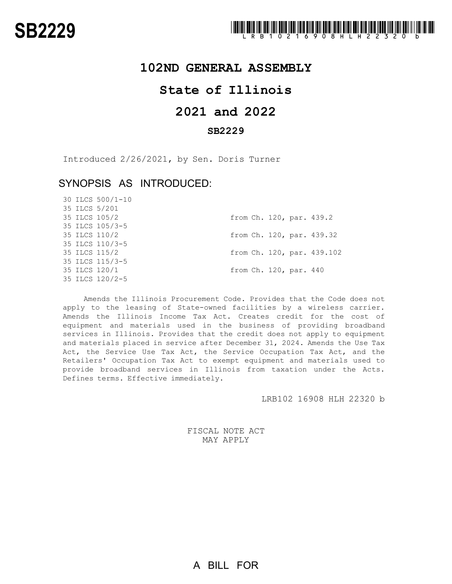## **102ND GENERAL ASSEMBLY**

# **State of Illinois**

## **2021 and 2022**

## **SB2229**

Introduced 2/26/2021, by Sen. Doris Turner

## SYNOPSIS AS INTRODUCED:

30 ILCS 500/1-10

|  | 35 ILCS 5/201   |  |                        |                            |
|--|-----------------|--|------------------------|----------------------------|
|  | 35 ILCS 105/2   |  |                        | from Ch. 120, par. 439.2   |
|  | 35 ILCS 105/3-5 |  |                        |                            |
|  | 35 ILCS 110/2   |  |                        | from Ch. 120, par. 439.32  |
|  | 35 ILCS 110/3-5 |  |                        |                            |
|  | 35 ILCS 115/2   |  |                        | from Ch. 120, par. 439.102 |
|  | 35 ILCS 115/3-5 |  |                        |                            |
|  | 35 ILCS 120/1   |  | from Ch. 120, par. 440 |                            |
|  | 35 ILCS 120/2-5 |  |                        |                            |
|  |                 |  |                        |                            |

Amends the Illinois Procurement Code. Provides that the Code does not apply to the leasing of State-owned facilities by a wireless carrier. Amends the Illinois Income Tax Act. Creates credit for the cost of equipment and materials used in the business of providing broadband services in Illinois. Provides that the credit does not apply to equipment and materials placed in service after December 31, 2024. Amends the Use Tax Act, the Service Use Tax Act, the Service Occupation Tax Act, and the Retailers' Occupation Tax Act to exempt equipment and materials used to provide broadband services in Illinois from taxation under the Acts. Defines terms. Effective immediately.

LRB102 16908 HLH 22320 b

FISCAL NOTE ACT MAY APPLY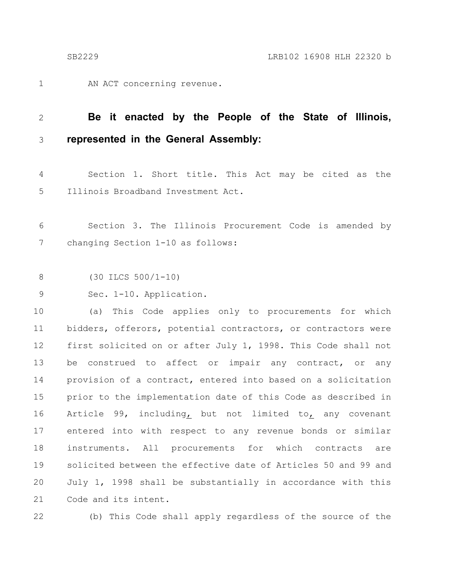AN ACT concerning revenue. 1

### **Be it enacted by the People of the State of Illinois, represented in the General Assembly:** 2 3

Section 1. Short title. This Act may be cited as the Illinois Broadband Investment Act. 4 5

Section 3. The Illinois Procurement Code is amended by changing Section 1-10 as follows: 6 7

(30 ILCS 500/1-10) 8

Sec. 1-10. Application. 9

(a) This Code applies only to procurements for which bidders, offerors, potential contractors, or contractors were first solicited on or after July 1, 1998. This Code shall not be construed to affect or impair any contract, or any provision of a contract, entered into based on a solicitation prior to the implementation date of this Code as described in Article 99, including, but not limited to, any covenant entered into with respect to any revenue bonds or similar instruments. All procurements for which contracts are solicited between the effective date of Articles 50 and 99 and July 1, 1998 shall be substantially in accordance with this Code and its intent. 10 11 12 13 14 15 16 17 18 19 20 21

22

(b) This Code shall apply regardless of the source of the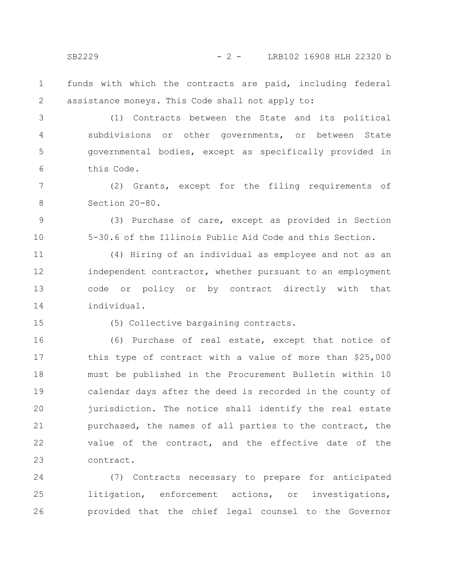SB2229 - 2 - LRB102 16908 HLH 22320 b

funds with which the contracts are paid, including federal assistance moneys. This Code shall not apply to: 1 2

(1) Contracts between the State and its political subdivisions or other governments, or between State governmental bodies, except as specifically provided in this Code. 3 4 5 6

(2) Grants, except for the filing requirements of Section 20-80. 7 8

(3) Purchase of care, except as provided in Section 5-30.6 of the Illinois Public Aid Code and this Section.

(4) Hiring of an individual as employee and not as an independent contractor, whether pursuant to an employment code or policy or by contract directly with that individual. 11 12 13 14

15

9

10

(5) Collective bargaining contracts.

(6) Purchase of real estate, except that notice of this type of contract with a value of more than \$25,000 must be published in the Procurement Bulletin within 10 calendar days after the deed is recorded in the county of jurisdiction. The notice shall identify the real estate purchased, the names of all parties to the contract, the value of the contract, and the effective date of the contract. 16 17 18 19 20 21 22 23

(7) Contracts necessary to prepare for anticipated litigation, enforcement actions, or investigations, provided that the chief legal counsel to the Governor 24 25 26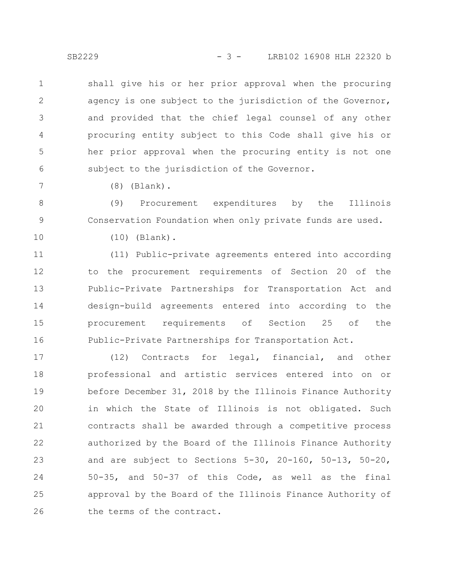SB2229 - 3 - LRB102 16908 HLH 22320 b

shall give his or her prior approval when the procuring agency is one subject to the jurisdiction of the Governor, and provided that the chief legal counsel of any other procuring entity subject to this Code shall give his or her prior approval when the procuring entity is not one subject to the jurisdiction of the Governor. 1 2 3 4 5 6

(8) (Blank).

(9) Procurement expenditures by the Illinois Conservation Foundation when only private funds are used. 8 9

10

7

(10) (Blank).

(11) Public-private agreements entered into according to the procurement requirements of Section 20 of the Public-Private Partnerships for Transportation Act and design-build agreements entered into according to the procurement requirements of Section 25 of the Public-Private Partnerships for Transportation Act. 11 12 13 14 15 16

(12) Contracts for legal, financial, and other professional and artistic services entered into on or before December 31, 2018 by the Illinois Finance Authority in which the State of Illinois is not obligated. Such contracts shall be awarded through a competitive process authorized by the Board of the Illinois Finance Authority and are subject to Sections 5-30, 20-160, 50-13, 50-20, 50-35, and 50-37 of this Code, as well as the final approval by the Board of the Illinois Finance Authority of the terms of the contract. 17 18 19 20 21 22 23 24 25 26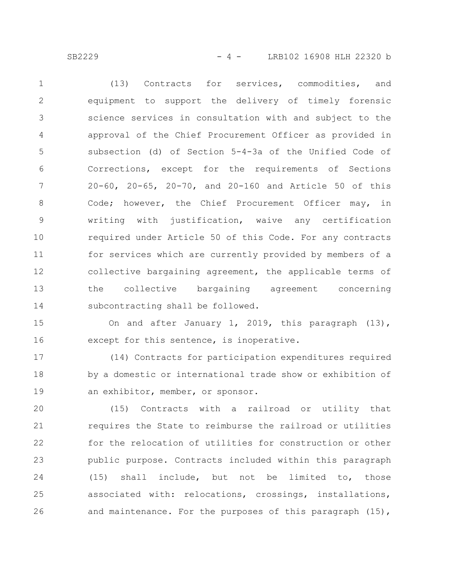SB2229 - 4 - LRB102 16908 HLH 22320 b

(13) Contracts for services, commodities, and equipment to support the delivery of timely forensic science services in consultation with and subject to the approval of the Chief Procurement Officer as provided in subsection (d) of Section 5-4-3a of the Unified Code of Corrections, except for the requirements of Sections 20-60, 20-65, 20-70, and 20-160 and Article 50 of this Code; however, the Chief Procurement Officer may, in writing with justification, waive any certification required under Article 50 of this Code. For any contracts for services which are currently provided by members of a collective bargaining agreement, the applicable terms of the collective bargaining agreement concerning subcontracting shall be followed. 1 2 3 4 5 6 7 8 9 10 11 12 13 14

On and after January 1, 2019, this paragraph (13), except for this sentence, is inoperative. 15 16

(14) Contracts for participation expenditures required by a domestic or international trade show or exhibition of an exhibitor, member, or sponsor. 17 18 19

(15) Contracts with a railroad or utility that requires the State to reimburse the railroad or utilities for the relocation of utilities for construction or other public purpose. Contracts included within this paragraph (15) shall include, but not be limited to, those associated with: relocations, crossings, installations, and maintenance. For the purposes of this paragraph (15), 20 21 22 23 24 25 26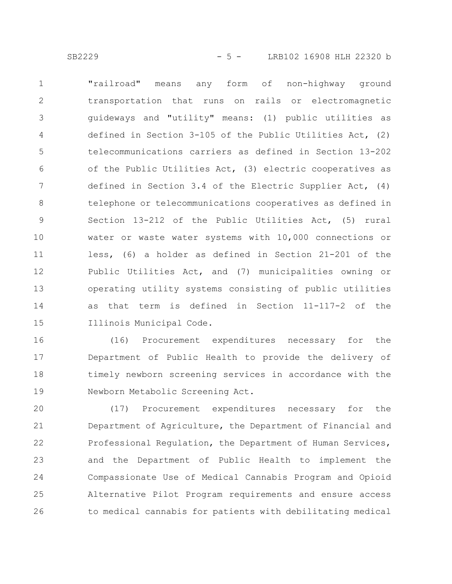"railroad" means any form of non-highway ground transportation that runs on rails or electromagnetic guideways and "utility" means: (1) public utilities as defined in Section 3-105 of the Public Utilities Act, (2) telecommunications carriers as defined in Section 13-202 of the Public Utilities Act, (3) electric cooperatives as defined in Section 3.4 of the Electric Supplier Act, (4) telephone or telecommunications cooperatives as defined in Section 13-212 of the Public Utilities Act, (5) rural water or waste water systems with 10,000 connections or less, (6) a holder as defined in Section 21-201 of the Public Utilities Act, and (7) municipalities owning or operating utility systems consisting of public utilities as that term is defined in Section 11-117-2 of the Illinois Municipal Code. 1 2 3 4 5 6 7 8 9 10 11 12 13 14 15

(16) Procurement expenditures necessary for the Department of Public Health to provide the delivery of timely newborn screening services in accordance with the Newborn Metabolic Screening Act. 16 17 18 19

(17) Procurement expenditures necessary for the Department of Agriculture, the Department of Financial and Professional Regulation, the Department of Human Services, and the Department of Public Health to implement the Compassionate Use of Medical Cannabis Program and Opioid Alternative Pilot Program requirements and ensure access to medical cannabis for patients with debilitating medical 20 21 22 23 24 25 26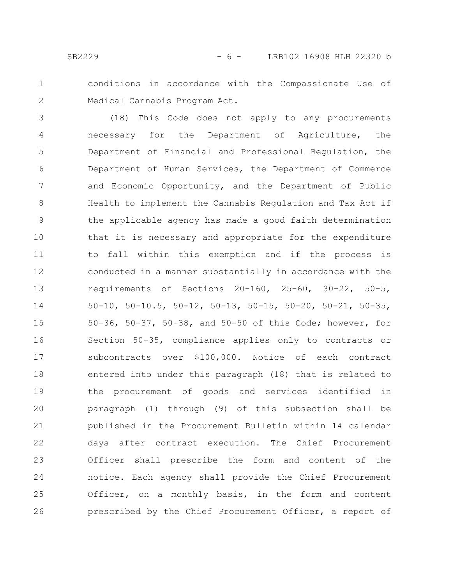- 
- 1

2

conditions in accordance with the Compassionate Use of Medical Cannabis Program Act.

(18) This Code does not apply to any procurements necessary for the Department of Agriculture, the Department of Financial and Professional Regulation, the Department of Human Services, the Department of Commerce and Economic Opportunity, and the Department of Public Health to implement the Cannabis Regulation and Tax Act if the applicable agency has made a good faith determination that it is necessary and appropriate for the expenditure to fall within this exemption and if the process is conducted in a manner substantially in accordance with the requirements of Sections 20-160, 25-60, 30-22, 50-5, 50-10, 50-10.5, 50-12, 50-13, 50-15, 50-20, 50-21, 50-35, 50-36, 50-37, 50-38, and 50-50 of this Code; however, for Section 50-35, compliance applies only to contracts or subcontracts over \$100,000. Notice of each contract entered into under this paragraph (18) that is related to the procurement of goods and services identified in paragraph (1) through (9) of this subsection shall be published in the Procurement Bulletin within 14 calendar days after contract execution. The Chief Procurement Officer shall prescribe the form and content of the notice. Each agency shall provide the Chief Procurement Officer, on a monthly basis, in the form and content prescribed by the Chief Procurement Officer, a report of 3 4 5 6 7 8 9 10 11 12 13 14 15 16 17 18 19 20 21 22 23 24 25 26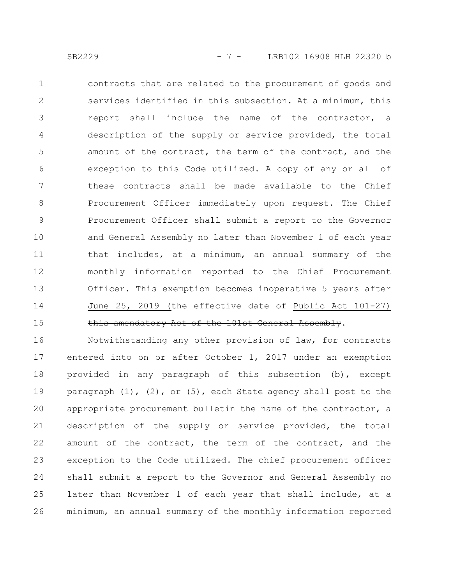contracts that are related to the procurement of goods and services identified in this subsection. At a minimum, this report shall include the name of the contractor, a description of the supply or service provided, the total amount of the contract, the term of the contract, and the exception to this Code utilized. A copy of any or all of these contracts shall be made available to the Chief Procurement Officer immediately upon request. The Chief Procurement Officer shall submit a report to the Governor and General Assembly no later than November 1 of each year that includes, at a minimum, an annual summary of the monthly information reported to the Chief Procurement Officer. This exemption becomes inoperative 5 years after June 25, 2019 (the effective date of Public Act 101-27) this amendatory Act of the 101st General Assembly. 1 2 3 4 5 6 7 8 9 10 11 12 13 14 15

Notwithstanding any other provision of law, for contracts entered into on or after October 1, 2017 under an exemption provided in any paragraph of this subsection (b), except paragraph  $(1)$ ,  $(2)$ , or  $(5)$ , each State agency shall post to the appropriate procurement bulletin the name of the contractor, a description of the supply or service provided, the total amount of the contract, the term of the contract, and the exception to the Code utilized. The chief procurement officer shall submit a report to the Governor and General Assembly no later than November 1 of each year that shall include, at a minimum, an annual summary of the monthly information reported 16 17 18 19 20 21 22 23 24 25 26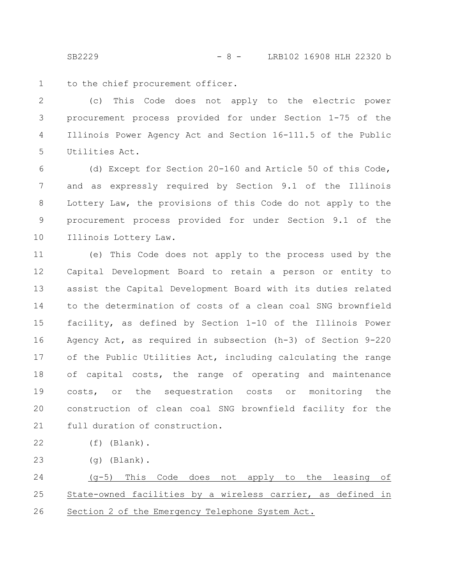SB2229 - 8 - LRB102 16908 HLH 22320 b

to the chief procurement officer. 1

(c) This Code does not apply to the electric power procurement process provided for under Section 1-75 of the Illinois Power Agency Act and Section 16-111.5 of the Public Utilities Act. 2 3 4 5

(d) Except for Section 20-160 and Article 50 of this Code, and as expressly required by Section 9.1 of the Illinois Lottery Law, the provisions of this Code do not apply to the procurement process provided for under Section 9.1 of the Illinois Lottery Law. 6 7 8 9 10

(e) This Code does not apply to the process used by the Capital Development Board to retain a person or entity to assist the Capital Development Board with its duties related to the determination of costs of a clean coal SNG brownfield facility, as defined by Section 1-10 of the Illinois Power Agency Act, as required in subsection (h-3) of Section 9-220 of the Public Utilities Act, including calculating the range of capital costs, the range of operating and maintenance costs, or the sequestration costs or monitoring the construction of clean coal SNG brownfield facility for the full duration of construction. 11 12 13 14 15 16 17 18 19 20 21

(f) (Blank). 22

(g) (Blank). 23

(g-5) This Code does not apply to the leasing of State-owned facilities by a wireless carrier, as defined in Section 2 of the Emergency Telephone System Act. 24 25 26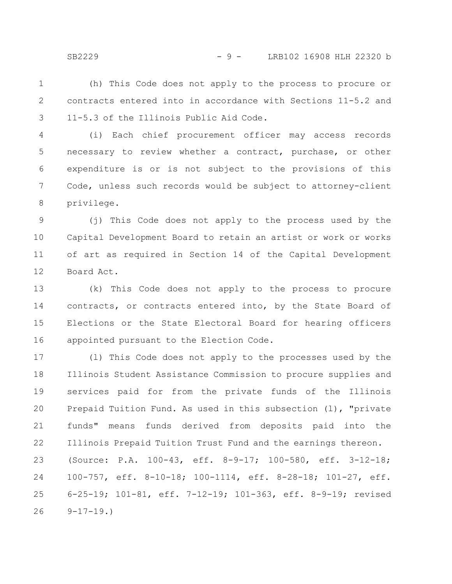(h) This Code does not apply to the process to procure or contracts entered into in accordance with Sections 11-5.2 and 11-5.3 of the Illinois Public Aid Code. 1 2 3

(i) Each chief procurement officer may access records necessary to review whether a contract, purchase, or other expenditure is or is not subject to the provisions of this Code, unless such records would be subject to attorney-client privilege. 4 5 6 7 8

(j) This Code does not apply to the process used by the Capital Development Board to retain an artist or work or works of art as required in Section 14 of the Capital Development Board Act. 9 10 11 12

(k) This Code does not apply to the process to procure contracts, or contracts entered into, by the State Board of Elections or the State Electoral Board for hearing officers appointed pursuant to the Election Code. 13 14 15 16

(l) This Code does not apply to the processes used by the Illinois Student Assistance Commission to procure supplies and services paid for from the private funds of the Illinois Prepaid Tuition Fund. As used in this subsection (l), "private funds" means funds derived from deposits paid into the Illinois Prepaid Tuition Trust Fund and the earnings thereon. (Source: P.A. 100-43, eff. 8-9-17; 100-580, eff. 3-12-18; 100-757, eff. 8-10-18; 100-1114, eff. 8-28-18; 101-27, eff. 6-25-19; 101-81, eff. 7-12-19; 101-363, eff. 8-9-19; revised  $9-17-19.$ 17 18 19 20 21 22 23 24 25 26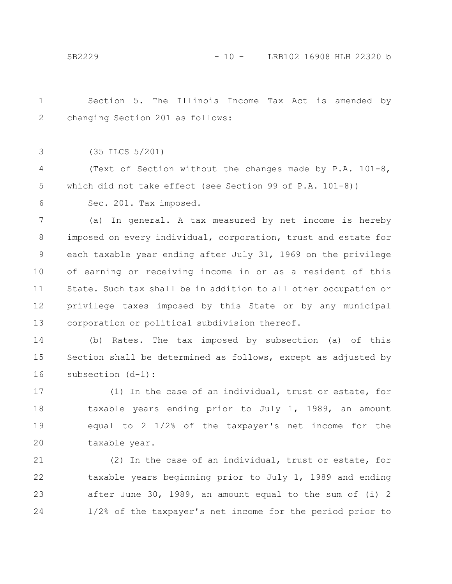Section 5. The Illinois Income Tax Act is amended by changing Section 201 as follows: 1 2

(35 ILCS 5/201) 3

(Text of Section without the changes made by P.A. 101-8, which did not take effect (see Section 99 of P.A. 101-8)) 4 5

Sec. 201. Tax imposed. 6

(a) In general. A tax measured by net income is hereby imposed on every individual, corporation, trust and estate for each taxable year ending after July 31, 1969 on the privilege of earning or receiving income in or as a resident of this State. Such tax shall be in addition to all other occupation or privilege taxes imposed by this State or by any municipal corporation or political subdivision thereof. 7 8 9 10 11 12 13

(b) Rates. The tax imposed by subsection (a) of this Section shall be determined as follows, except as adjusted by subsection (d-1): 14 15 16

(1) In the case of an individual, trust or estate, for taxable years ending prior to July 1, 1989, an amount equal to 2 1/2% of the taxpayer's net income for the taxable year. 17 18 19 20

(2) In the case of an individual, trust or estate, for taxable years beginning prior to July 1, 1989 and ending after June 30, 1989, an amount equal to the sum of (i) 2 1/2% of the taxpayer's net income for the period prior to 21 22 23 24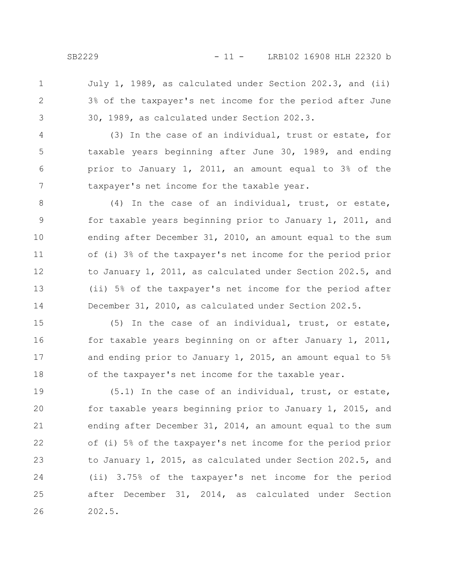July 1, 1989, as calculated under Section 202.3, and (ii) 3% of the taxpayer's net income for the period after June 30, 1989, as calculated under Section 202.3. 1 2 3

(3) In the case of an individual, trust or estate, for taxable years beginning after June 30, 1989, and ending prior to January 1, 2011, an amount equal to 3% of the taxpayer's net income for the taxable year. 4 5 6 7

(4) In the case of an individual, trust, or estate, for taxable years beginning prior to January 1, 2011, and ending after December 31, 2010, an amount equal to the sum of (i) 3% of the taxpayer's net income for the period prior to January 1, 2011, as calculated under Section 202.5, and (ii) 5% of the taxpayer's net income for the period after December 31, 2010, as calculated under Section 202.5. 8 9 10 11 12 13 14

(5) In the case of an individual, trust, or estate, for taxable years beginning on or after January 1, 2011, and ending prior to January 1, 2015, an amount equal to 5% of the taxpayer's net income for the taxable year. 15 16 17 18

(5.1) In the case of an individual, trust, or estate, for taxable years beginning prior to January 1, 2015, and ending after December 31, 2014, an amount equal to the sum of (i) 5% of the taxpayer's net income for the period prior to January 1, 2015, as calculated under Section 202.5, and (ii) 3.75% of the taxpayer's net income for the period after December 31, 2014, as calculated under Section 202.5. 19 20 21 22 23 24 25 26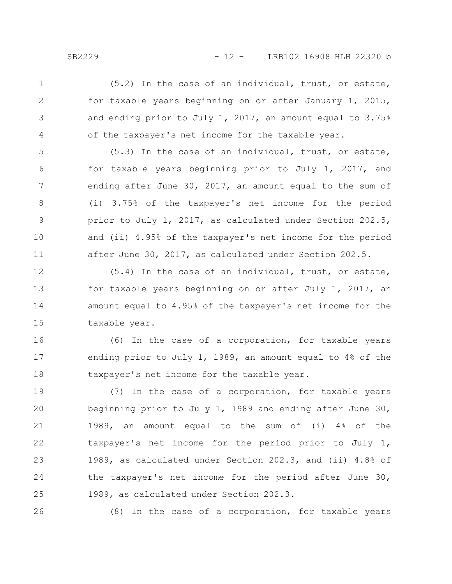(5.2) In the case of an individual, trust, or estate, for taxable years beginning on or after January 1, 2015, and ending prior to July 1, 2017, an amount equal to 3.75% of the taxpayer's net income for the taxable year. 1 2 3 4

(5.3) In the case of an individual, trust, or estate, for taxable years beginning prior to July 1, 2017, and ending after June 30, 2017, an amount equal to the sum of (i) 3.75% of the taxpayer's net income for the period prior to July 1, 2017, as calculated under Section 202.5, and (ii) 4.95% of the taxpayer's net income for the period after June 30, 2017, as calculated under Section 202.5. 5 6 7 8 9 10 11

(5.4) In the case of an individual, trust, or estate, for taxable years beginning on or after July 1, 2017, an amount equal to 4.95% of the taxpayer's net income for the taxable year. 12 13 14 15

(6) In the case of a corporation, for taxable years ending prior to July 1, 1989, an amount equal to 4% of the taxpayer's net income for the taxable year. 16 17 18

(7) In the case of a corporation, for taxable years beginning prior to July 1, 1989 and ending after June 30, 1989, an amount equal to the sum of (i) 4% of the taxpayer's net income for the period prior to July 1, 1989, as calculated under Section 202.3, and (ii) 4.8% of the taxpayer's net income for the period after June 30, 1989, as calculated under Section 202.3. 19 20 21 22 23 24 25

26

(8) In the case of a corporation, for taxable years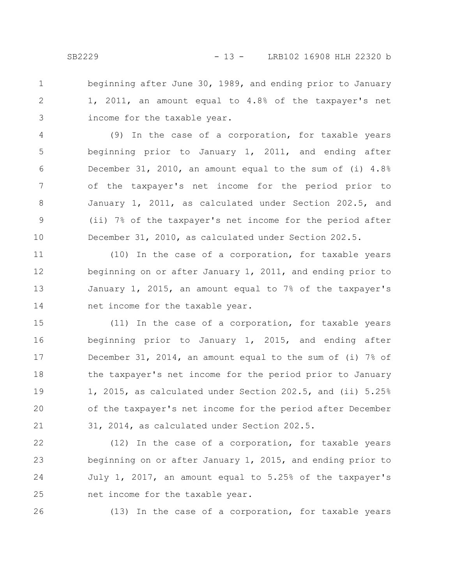beginning after June 30, 1989, and ending prior to January 1, 2011, an amount equal to 4.8% of the taxpayer's net income for the taxable year. 1 2 3

(9) In the case of a corporation, for taxable years beginning prior to January 1, 2011, and ending after December 31, 2010, an amount equal to the sum of (i) 4.8% of the taxpayer's net income for the period prior to January 1, 2011, as calculated under Section 202.5, and (ii) 7% of the taxpayer's net income for the period after December 31, 2010, as calculated under Section 202.5. 4 5 6 7 8 9 10

(10) In the case of a corporation, for taxable years beginning on or after January 1, 2011, and ending prior to January 1, 2015, an amount equal to 7% of the taxpayer's net income for the taxable year. 11 12 13 14

(11) In the case of a corporation, for taxable years beginning prior to January 1, 2015, and ending after December 31, 2014, an amount equal to the sum of (i) 7% of the taxpayer's net income for the period prior to January 1, 2015, as calculated under Section 202.5, and (ii) 5.25% of the taxpayer's net income for the period after December 31, 2014, as calculated under Section 202.5. 15 16 17 18 19 20 21

(12) In the case of a corporation, for taxable years beginning on or after January 1, 2015, and ending prior to July 1, 2017, an amount equal to 5.25% of the taxpayer's net income for the taxable year. 22 23 24 25

26

(13) In the case of a corporation, for taxable years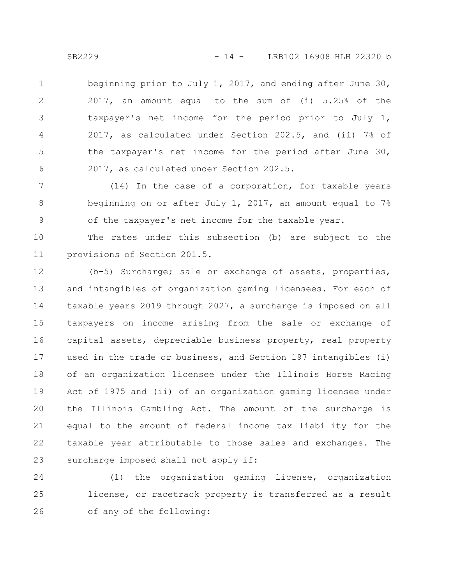beginning prior to July 1, 2017, and ending after June 30, 2017, an amount equal to the sum of (i) 5.25% of the taxpayer's net income for the period prior to July 1, 2017, as calculated under Section 202.5, and (ii) 7% of the taxpayer's net income for the period after June 30, 2017, as calculated under Section 202.5. 1 2 3 4 5 6

(14) In the case of a corporation, for taxable years beginning on or after July 1, 2017, an amount equal to 7% of the taxpayer's net income for the taxable year. 7 8 9

The rates under this subsection (b) are subject to the provisions of Section 201.5. 10 11

(b-5) Surcharge; sale or exchange of assets, properties, and intangibles of organization gaming licensees. For each of taxable years 2019 through 2027, a surcharge is imposed on all taxpayers on income arising from the sale or exchange of capital assets, depreciable business property, real property used in the trade or business, and Section 197 intangibles (i) of an organization licensee under the Illinois Horse Racing Act of 1975 and (ii) of an organization gaming licensee under the Illinois Gambling Act. The amount of the surcharge is equal to the amount of federal income tax liability for the taxable year attributable to those sales and exchanges. The surcharge imposed shall not apply if: 12 13 14 15 16 17 18 19 20 21 22 23

(1) the organization gaming license, organization license, or racetrack property is transferred as a result of any of the following: 24 25 26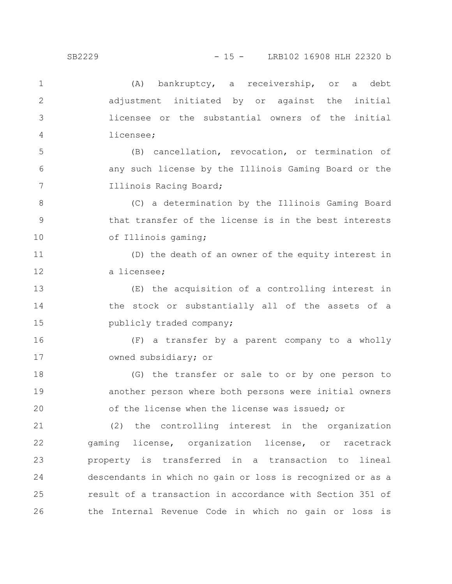| $\mathbf{1}$ | bankruptcy, a receivership, or a<br>(A)<br>debt            |
|--------------|------------------------------------------------------------|
| $\mathbf{2}$ | adjustment initiated by or against the initial             |
| 3            | licensee or the substantial owners of the initial          |
| 4            | licensee;                                                  |
| 5            | (B) cancellation, revocation, or termination of            |
| 6            | any such license by the Illinois Gaming Board or the       |
| 7            | Illinois Racing Board;                                     |
| 8            | (C) a determination by the Illinois Gaming Board           |
| 9            | that transfer of the license is in the best interests      |
| 10           | of Illinois gaming;                                        |
| 11           | (D) the death of an owner of the equity interest in        |
| 12           | a licensee;                                                |
| 13           | (E) the acquisition of a controlling interest in           |
| 14           | the stock or substantially all of the assets of a          |
| 15           | publicly traded company;                                   |
| 16           | (F) a transfer by a parent company to a wholly             |
| 17           | owned subsidiary; or                                       |
| 18           | (G) the transfer or sale to or by one person to            |
| 19           | another person where both persons were initial owners      |
| 20           | of the license when the license was issued; or             |
| 21           | (2) the controlling interest in the organization           |
| 22           | gaming license, organization license, or racetrack         |
| 23           | property is transferred in a transaction to lineal         |
| 24           | descendants in which no gain or loss is recognized or as a |
| 25           | result of a transaction in accordance with Section 351 of  |
| 26           | the Internal Revenue Code in which no gain or loss is      |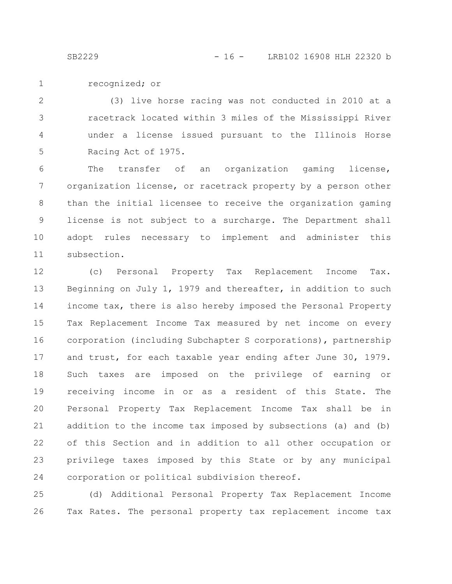recognized; or 1

(3) live horse racing was not conducted in 2010 at a racetrack located within 3 miles of the Mississippi River under a license issued pursuant to the Illinois Horse Racing Act of 1975. 2 3 4 5

The transfer of an organization gaming license, organization license, or racetrack property by a person other than the initial licensee to receive the organization gaming license is not subject to a surcharge. The Department shall adopt rules necessary to implement and administer this subsection. 6 7 8 9 10 11

(c) Personal Property Tax Replacement Income Tax. Beginning on July 1, 1979 and thereafter, in addition to such income tax, there is also hereby imposed the Personal Property Tax Replacement Income Tax measured by net income on every corporation (including Subchapter S corporations), partnership and trust, for each taxable year ending after June 30, 1979. Such taxes are imposed on the privilege of earning or receiving income in or as a resident of this State. The Personal Property Tax Replacement Income Tax shall be in addition to the income tax imposed by subsections (a) and (b) of this Section and in addition to all other occupation or privilege taxes imposed by this State or by any municipal corporation or political subdivision thereof. 12 13 14 15 16 17 18 19 20 21 22 23 24

(d) Additional Personal Property Tax Replacement Income Tax Rates. The personal property tax replacement income tax 25 26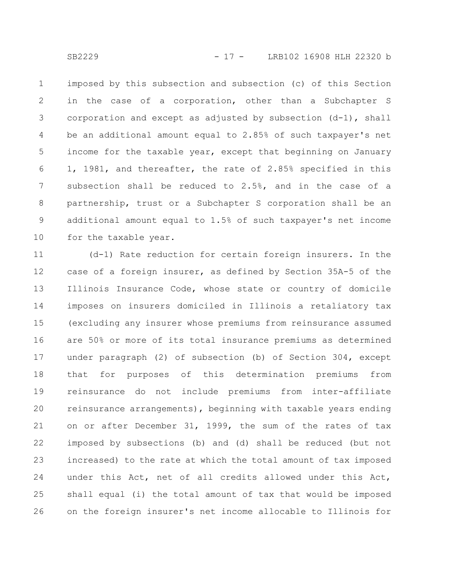imposed by this subsection and subsection (c) of this Section in the case of a corporation, other than a Subchapter S corporation and except as adjusted by subsection (d-1), shall be an additional amount equal to 2.85% of such taxpayer's net income for the taxable year, except that beginning on January 1, 1981, and thereafter, the rate of 2.85% specified in this subsection shall be reduced to 2.5%, and in the case of a partnership, trust or a Subchapter S corporation shall be an additional amount equal to 1.5% of such taxpayer's net income for the taxable year. 1 2 3 4 5 6 7 8 9 10

(d-1) Rate reduction for certain foreign insurers. In the case of a foreign insurer, as defined by Section 35A-5 of the Illinois Insurance Code, whose state or country of domicile imposes on insurers domiciled in Illinois a retaliatory tax (excluding any insurer whose premiums from reinsurance assumed are 50% or more of its total insurance premiums as determined under paragraph (2) of subsection (b) of Section 304, except that for purposes of this determination premiums from reinsurance do not include premiums from inter-affiliate reinsurance arrangements), beginning with taxable years ending on or after December 31, 1999, the sum of the rates of tax imposed by subsections (b) and (d) shall be reduced (but not increased) to the rate at which the total amount of tax imposed under this Act, net of all credits allowed under this Act, shall equal (i) the total amount of tax that would be imposed on the foreign insurer's net income allocable to Illinois for 11 12 13 14 15 16 17 18 19 20 21 22 23 24 25 26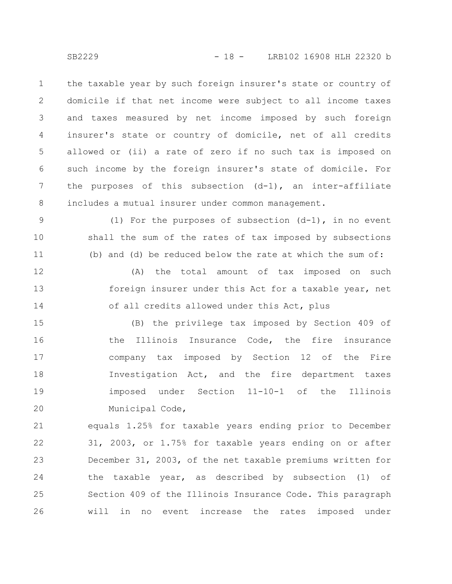the taxable year by such foreign insurer's state or country of domicile if that net income were subject to all income taxes and taxes measured by net income imposed by such foreign insurer's state or country of domicile, net of all credits allowed or (ii) a rate of zero if no such tax is imposed on such income by the foreign insurer's state of domicile. For the purposes of this subsection  $(d-1)$ , an inter-affiliate includes a mutual insurer under common management. 1 2 3 4 5 6 7 8

(1) For the purposes of subsection  $(d-1)$ , in no event shall the sum of the rates of tax imposed by subsections (b) and (d) be reduced below the rate at which the sum of: 9 10 11

(A) the total amount of tax imposed on such foreign insurer under this Act for a taxable year, net of all credits allowed under this Act, plus 12 13 14

(B) the privilege tax imposed by Section 409 of the Illinois Insurance Code, the fire insurance company tax imposed by Section 12 of the Fire Investigation Act, and the fire department taxes imposed under Section 11-10-1 of the Illinois Municipal Code, 15 16 17 18 19 20

equals 1.25% for taxable years ending prior to December 31, 2003, or 1.75% for taxable years ending on or after December 31, 2003, of the net taxable premiums written for the taxable year, as described by subsection (1) of Section 409 of the Illinois Insurance Code. This paragraph will in no event increase the rates imposed under 21 22 23 24 25 26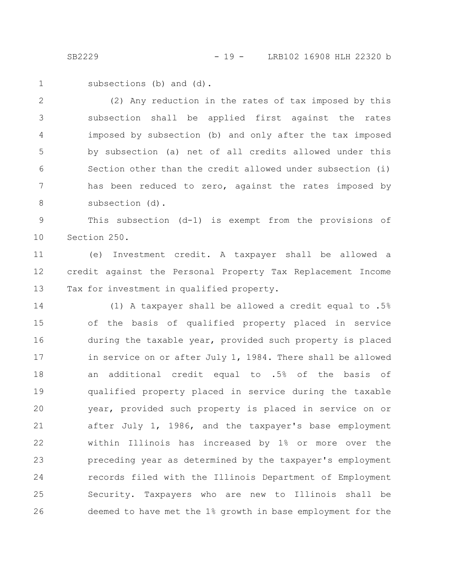subsections (b) and (d). 1

(2) Any reduction in the rates of tax imposed by this subsection shall be applied first against the rates imposed by subsection (b) and only after the tax imposed by subsection (a) net of all credits allowed under this Section other than the credit allowed under subsection (i) has been reduced to zero, against the rates imposed by subsection (d). 2 3 4 5 6 7 8

This subsection (d-1) is exempt from the provisions of Section 250. 9 10

(e) Investment credit. A taxpayer shall be allowed a credit against the Personal Property Tax Replacement Income Tax for investment in qualified property. 11 12 13

(1) A taxpayer shall be allowed a credit equal to .5% of the basis of qualified property placed in service during the taxable year, provided such property is placed in service on or after July 1, 1984. There shall be allowed an additional credit equal to .5% of the basis of qualified property placed in service during the taxable year, provided such property is placed in service on or after July 1, 1986, and the taxpayer's base employment within Illinois has increased by 1% or more over the preceding year as determined by the taxpayer's employment records filed with the Illinois Department of Employment Security. Taxpayers who are new to Illinois shall be deemed to have met the 1% growth in base employment for the 14 15 16 17 18 19 20 21 22 23 24 25 26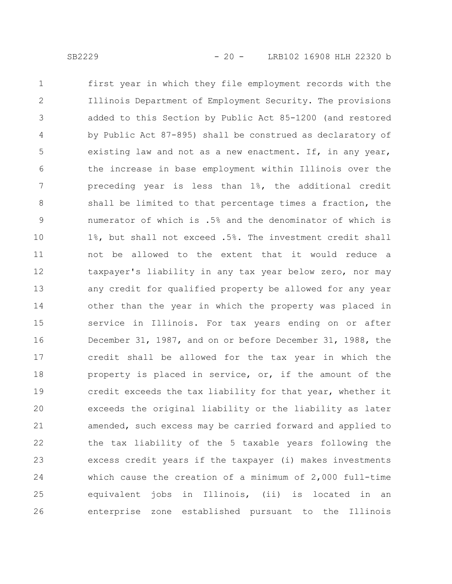first year in which they file employment records with the Illinois Department of Employment Security. The provisions added to this Section by Public Act 85-1200 (and restored by Public Act 87-895) shall be construed as declaratory of existing law and not as a new enactment. If, in any year, the increase in base employment within Illinois over the preceding year is less than 1%, the additional credit shall be limited to that percentage times a fraction, the numerator of which is .5% and the denominator of which is 1%, but shall not exceed .5%. The investment credit shall not be allowed to the extent that it would reduce a taxpayer's liability in any tax year below zero, nor may any credit for qualified property be allowed for any year other than the year in which the property was placed in service in Illinois. For tax years ending on or after December 31, 1987, and on or before December 31, 1988, the credit shall be allowed for the tax year in which the property is placed in service, or, if the amount of the credit exceeds the tax liability for that year, whether it exceeds the original liability or the liability as later amended, such excess may be carried forward and applied to the tax liability of the 5 taxable years following the excess credit years if the taxpayer (i) makes investments which cause the creation of a minimum of 2,000 full-time equivalent jobs in Illinois, (ii) is located in an enterprise zone established pursuant to the Illinois 1 2 3 4 5 6 7 8 9 10 11 12 13 14 15 16 17 18 19 20 21 22 23 24 25 26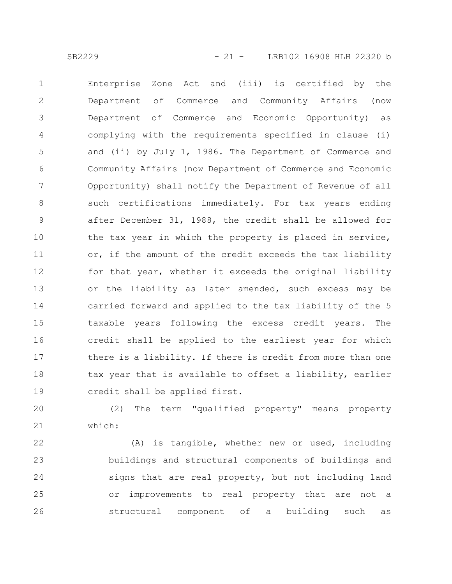Enterprise Zone Act and (iii) is certified by the Department of Commerce and Community Affairs (now Department of Commerce and Economic Opportunity) as complying with the requirements specified in clause (i) and (ii) by July 1, 1986. The Department of Commerce and Community Affairs (now Department of Commerce and Economic Opportunity) shall notify the Department of Revenue of all such certifications immediately. For tax years ending after December 31, 1988, the credit shall be allowed for the tax year in which the property is placed in service, or, if the amount of the credit exceeds the tax liability for that year, whether it exceeds the original liability or the liability as later amended, such excess may be carried forward and applied to the tax liability of the 5 taxable years following the excess credit years. The credit shall be applied to the earliest year for which there is a liability. If there is credit from more than one tax year that is available to offset a liability, earlier credit shall be applied first. 1 2 3 4 5 6 7 8 9 10 11 12 13 14 15 16 17 18 19

(2) The term "qualified property" means property which: 20 21

(A) is tangible, whether new or used, including buildings and structural components of buildings and signs that are real property, but not including land or improvements to real property that are not a structural component of a building such as 22 23 24 25 26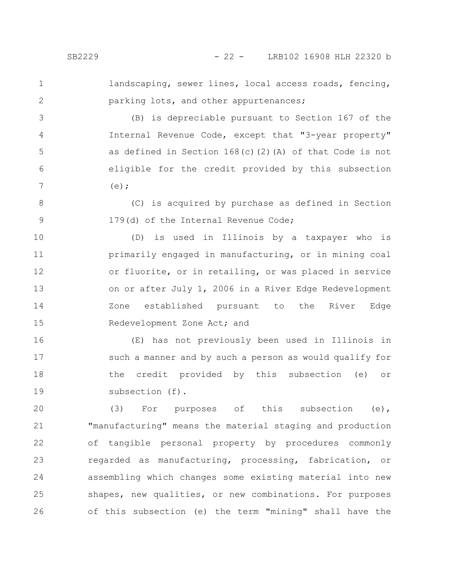1 2

3

4

5

6

7

landscaping, sewer lines, local access roads, fencing, parking lots, and other appurtenances;

(B) is depreciable pursuant to Section 167 of the Internal Revenue Code, except that "3-year property" as defined in Section 168(c)(2)(A) of that Code is not eligible for the credit provided by this subsection  $(e)$ :

(C) is acquired by purchase as defined in Section 179(d) of the Internal Revenue Code; 8 9

(D) is used in Illinois by a taxpayer who is primarily engaged in manufacturing, or in mining coal or fluorite, or in retailing, or was placed in service on or after July 1, 2006 in a River Edge Redevelopment Zone established pursuant to the River Edge Redevelopment Zone Act; and 10 11 12 13 14 15

(E) has not previously been used in Illinois in such a manner and by such a person as would qualify for the credit provided by this subsection (e) or subsection (f). 16 17 18 19

(3) For purposes of this subsection (e), "manufacturing" means the material staging and production of tangible personal property by procedures commonly regarded as manufacturing, processing, fabrication, or assembling which changes some existing material into new shapes, new qualities, or new combinations. For purposes of this subsection (e) the term "mining" shall have the 20 21 22 23 24 25 26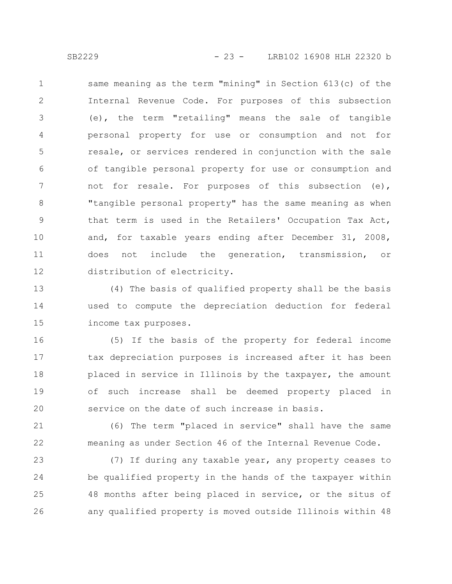same meaning as the term "mining" in Section 613(c) of the Internal Revenue Code. For purposes of this subsection (e), the term "retailing" means the sale of tangible personal property for use or consumption and not for resale, or services rendered in conjunction with the sale of tangible personal property for use or consumption and not for resale. For purposes of this subsection (e), "tangible personal property" has the same meaning as when that term is used in the Retailers' Occupation Tax Act, and, for taxable years ending after December 31, 2008, does not include the generation, transmission, or distribution of electricity. 1 2 3 4 5 6 7 8 9 10 11 12

(4) The basis of qualified property shall be the basis used to compute the depreciation deduction for federal income tax purposes. 13 14 15

(5) If the basis of the property for federal income tax depreciation purposes is increased after it has been placed in service in Illinois by the taxpayer, the amount of such increase shall be deemed property placed in service on the date of such increase in basis. 16 17 18 19 20

(6) The term "placed in service" shall have the same meaning as under Section 46 of the Internal Revenue Code. 21 22

(7) If during any taxable year, any property ceases to be qualified property in the hands of the taxpayer within 48 months after being placed in service, or the situs of any qualified property is moved outside Illinois within 48 23 24 25 26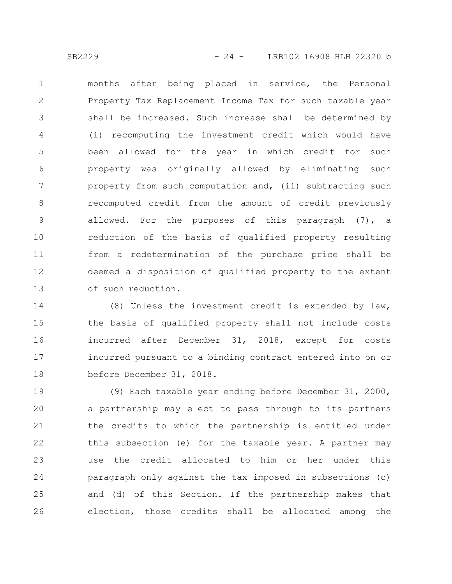months after being placed in service, the Personal Property Tax Replacement Income Tax for such taxable year shall be increased. Such increase shall be determined by (i) recomputing the investment credit which would have been allowed for the year in which credit for such property was originally allowed by eliminating such property from such computation and, (ii) subtracting such recomputed credit from the amount of credit previously allowed. For the purposes of this paragraph (7), a reduction of the basis of qualified property resulting from a redetermination of the purchase price shall be deemed a disposition of qualified property to the extent of such reduction. 1 2 3 4 5 6 7 8 9 10 11 12 13

(8) Unless the investment credit is extended by law, the basis of qualified property shall not include costs incurred after December 31, 2018, except for costs incurred pursuant to a binding contract entered into on or before December 31, 2018. 14 15 16 17 18

(9) Each taxable year ending before December 31, 2000, a partnership may elect to pass through to its partners the credits to which the partnership is entitled under this subsection (e) for the taxable year. A partner may use the credit allocated to him or her under this paragraph only against the tax imposed in subsections (c) and (d) of this Section. If the partnership makes that election, those credits shall be allocated among the 19 20 21 22 23 24 25 26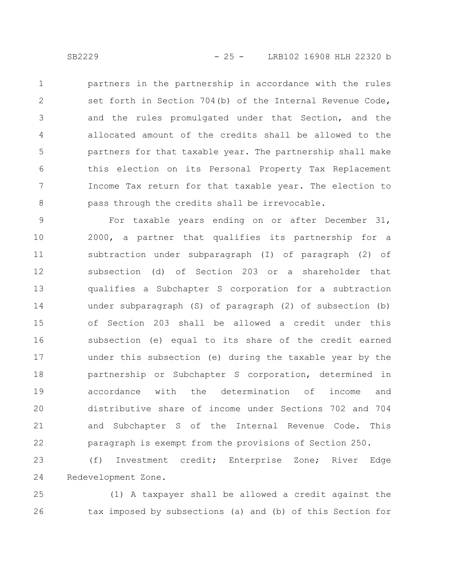partners in the partnership in accordance with the rules set forth in Section 704(b) of the Internal Revenue Code, and the rules promulgated under that Section, and the allocated amount of the credits shall be allowed to the partners for that taxable year. The partnership shall make this election on its Personal Property Tax Replacement Income Tax return for that taxable year. The election to pass through the credits shall be irrevocable. 1 2 3 4 5 6 7 8

For taxable years ending on or after December 31, 2000, a partner that qualifies its partnership for a subtraction under subparagraph (I) of paragraph (2) of subsection (d) of Section 203 or a shareholder that qualifies a Subchapter S corporation for a subtraction under subparagraph (S) of paragraph (2) of subsection (b) of Section 203 shall be allowed a credit under this subsection (e) equal to its share of the credit earned under this subsection (e) during the taxable year by the partnership or Subchapter S corporation, determined in accordance with the determination of income and distributive share of income under Sections 702 and 704 and Subchapter S of the Internal Revenue Code. This paragraph is exempt from the provisions of Section 250. 9 10 11 12 13 14 15 16 17 18 19 20 21 22

(f) Investment credit; Enterprise Zone; River Edge Redevelopment Zone. 23 24

(1) A taxpayer shall be allowed a credit against the tax imposed by subsections (a) and (b) of this Section for 25 26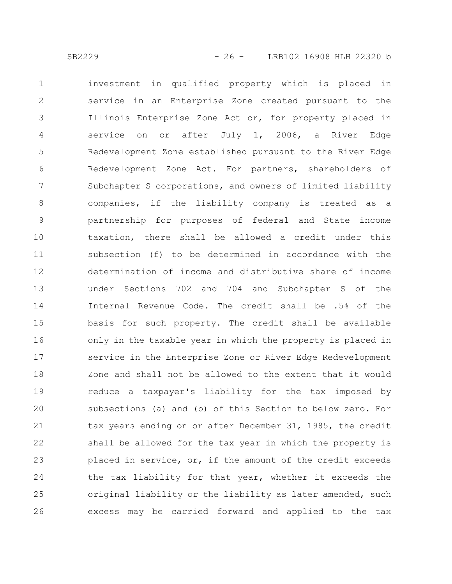investment in qualified property which is placed in service in an Enterprise Zone created pursuant to the Illinois Enterprise Zone Act or, for property placed in service on or after July 1, 2006, a River Edge Redevelopment Zone established pursuant to the River Edge Redevelopment Zone Act. For partners, shareholders of Subchapter S corporations, and owners of limited liability companies, if the liability company is treated as a partnership for purposes of federal and State income taxation, there shall be allowed a credit under this subsection (f) to be determined in accordance with the determination of income and distributive share of income under Sections 702 and 704 and Subchapter S of the Internal Revenue Code. The credit shall be .5% of the basis for such property. The credit shall be available only in the taxable year in which the property is placed in service in the Enterprise Zone or River Edge Redevelopment Zone and shall not be allowed to the extent that it would reduce a taxpayer's liability for the tax imposed by subsections (a) and (b) of this Section to below zero. For tax years ending on or after December 31, 1985, the credit shall be allowed for the tax year in which the property is placed in service, or, if the amount of the credit exceeds the tax liability for that year, whether it exceeds the original liability or the liability as later amended, such excess may be carried forward and applied to the tax 1 2 3 4 5 6 7 8 9 10 11 12 13 14 15 16 17 18 19 20 21 22 23 24 25 26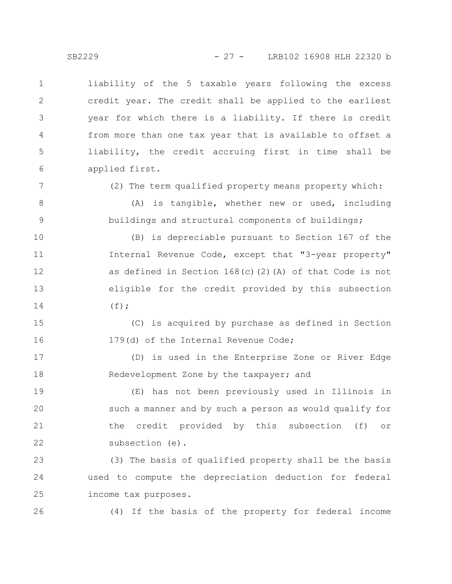liability of the 5 taxable years following the excess credit year. The credit shall be applied to the earliest year for which there is a liability. If there is credit from more than one tax year that is available to offset a liability, the credit accruing first in time shall be applied first. 1 2 3 4 5 6

7

8

9

(2) The term qualified property means property which:

(A) is tangible, whether new or used, including buildings and structural components of buildings;

(B) is depreciable pursuant to Section 167 of the Internal Revenue Code, except that "3-year property" as defined in Section 168(c)(2)(A) of that Code is not eligible for the credit provided by this subsection  $(f)$ ; 10 11 12 13 14

(C) is acquired by purchase as defined in Section 179(d) of the Internal Revenue Code; 15 16

(D) is used in the Enterprise Zone or River Edge Redevelopment Zone by the taxpayer; and 17 18

(E) has not been previously used in Illinois in such a manner and by such a person as would qualify for the credit provided by this subsection (f) or subsection (e). 19 20 21 22

(3) The basis of qualified property shall be the basis used to compute the depreciation deduction for federal income tax purposes. 23 24 25

26

(4) If the basis of the property for federal income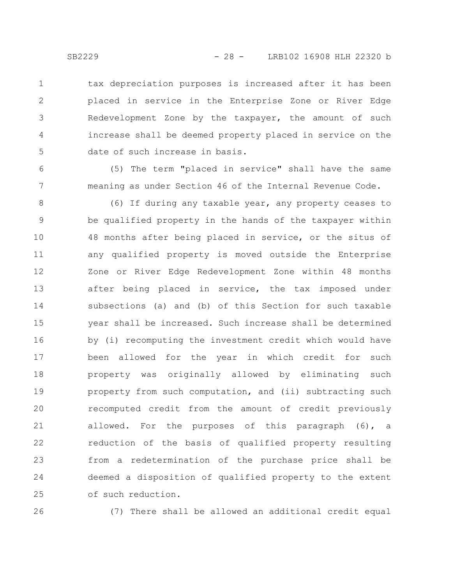tax depreciation purposes is increased after it has been placed in service in the Enterprise Zone or River Edge Redevelopment Zone by the taxpayer, the amount of such increase shall be deemed property placed in service on the date of such increase in basis. 1 2 3 4 5

(5) The term "placed in service" shall have the same meaning as under Section 46 of the Internal Revenue Code.

(6) If during any taxable year, any property ceases to be qualified property in the hands of the taxpayer within 48 months after being placed in service, or the situs of any qualified property is moved outside the Enterprise Zone or River Edge Redevelopment Zone within 48 months after being placed in service, the tax imposed under subsections (a) and (b) of this Section for such taxable year shall be increased. Such increase shall be determined by (i) recomputing the investment credit which would have been allowed for the year in which credit for such property was originally allowed by eliminating such property from such computation, and (ii) subtracting such recomputed credit from the amount of credit previously allowed. For the purposes of this paragraph (6), a reduction of the basis of qualified property resulting from a redetermination of the purchase price shall be deemed a disposition of qualified property to the extent of such reduction. 8 9 10 11 12 13 14 15 16 17 18 19 20 21 22 23 24 25

26

(7) There shall be allowed an additional credit equal

6

7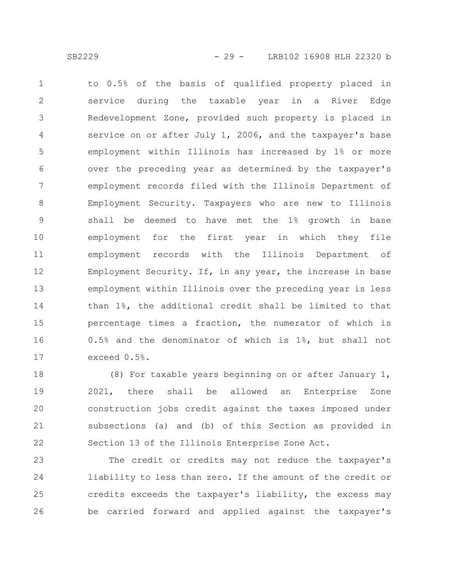to 0.5% of the basis of qualified property placed in service during the taxable year in a River Edge Redevelopment Zone, provided such property is placed in service on or after July 1, 2006, and the taxpayer's base employment within Illinois has increased by 1% or more over the preceding year as determined by the taxpayer's employment records filed with the Illinois Department of Employment Security. Taxpayers who are new to Illinois shall be deemed to have met the 1% growth in base employment for the first year in which they file employment records with the Illinois Department of Employment Security. If, in any year, the increase in base employment within Illinois over the preceding year is less than 1%, the additional credit shall be limited to that percentage times a fraction, the numerator of which is 0.5% and the denominator of which is 1%, but shall not exceed 0.5%. 1 2 3 4 5 6 7 8 9 10 11 12 13 14 15 16 17

(8) For taxable years beginning on or after January 1, 2021, there shall be allowed an Enterprise Zone construction jobs credit against the taxes imposed under subsections (a) and (b) of this Section as provided in Section 13 of the Illinois Enterprise Zone Act. 18 19 20 21 22

The credit or credits may not reduce the taxpayer's liability to less than zero. If the amount of the credit or credits exceeds the taxpayer's liability, the excess may be carried forward and applied against the taxpayer's 23 24 25 26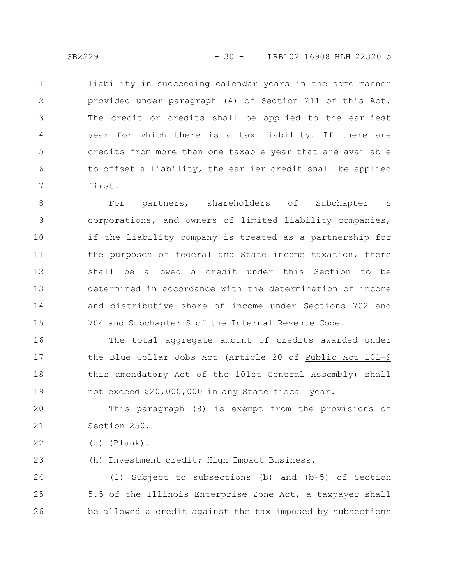liability in succeeding calendar years in the same manner provided under paragraph (4) of Section 211 of this Act. The credit or credits shall be applied to the earliest year for which there is a tax liability. If there are credits from more than one taxable year that are available to offset a liability, the earlier credit shall be applied first. 1 2 3 4 5 6 7

For partners, shareholders of Subchapter S corporations, and owners of limited liability companies, if the liability company is treated as a partnership for the purposes of federal and State income taxation, there shall be allowed a credit under this Section to be determined in accordance with the determination of income and distributive share of income under Sections 702 and 704 and Subchapter S of the Internal Revenue Code. 8 9 10 11 12 13 14 15

The total aggregate amount of credits awarded under the Blue Collar Jobs Act (Article 20 of Public Act 101-9 this amendatory Act of the 101st General Assembly) shall not exceed \$20,000,000 in any State fiscal year. 16 17 18 19

This paragraph (8) is exempt from the provisions of Section 250. 20 21

(g) (Blank). 22

(h) Investment credit; High Impact Business. 23

(1) Subject to subsections (b) and (b-5) of Section 5.5 of the Illinois Enterprise Zone Act, a taxpayer shall be allowed a credit against the tax imposed by subsections 24 25 26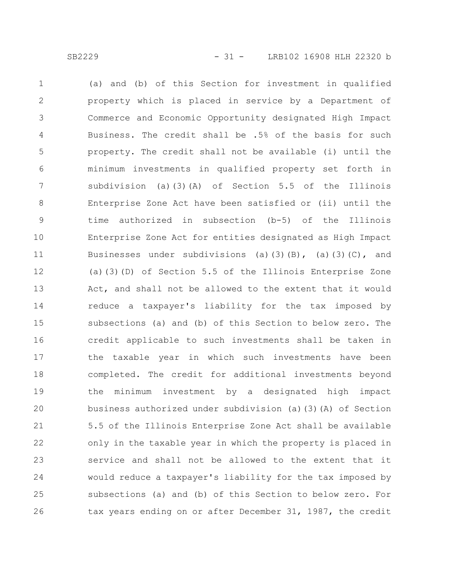(a) and (b) of this Section for investment in qualified property which is placed in service by a Department of Commerce and Economic Opportunity designated High Impact Business. The credit shall be .5% of the basis for such property. The credit shall not be available (i) until the minimum investments in qualified property set forth in subdivision (a)(3)(A) of Section 5.5 of the Illinois Enterprise Zone Act have been satisfied or (ii) until the time authorized in subsection (b-5) of the Illinois Enterprise Zone Act for entities designated as High Impact Businesses under subdivisions (a)(3)(B), (a)(3)(C), and (a)(3)(D) of Section 5.5 of the Illinois Enterprise Zone Act, and shall not be allowed to the extent that it would reduce a taxpayer's liability for the tax imposed by subsections (a) and (b) of this Section to below zero. The credit applicable to such investments shall be taken in the taxable year in which such investments have been completed. The credit for additional investments beyond the minimum investment by a designated high impact business authorized under subdivision (a)(3)(A) of Section 5.5 of the Illinois Enterprise Zone Act shall be available only in the taxable year in which the property is placed in service and shall not be allowed to the extent that it would reduce a taxpayer's liability for the tax imposed by subsections (a) and (b) of this Section to below zero. For tax years ending on or after December 31, 1987, the credit 1 2 3 4 5 6 7 8 9 10 11 12 13 14 15 16 17 18 19 20 21 22 23 24 25 26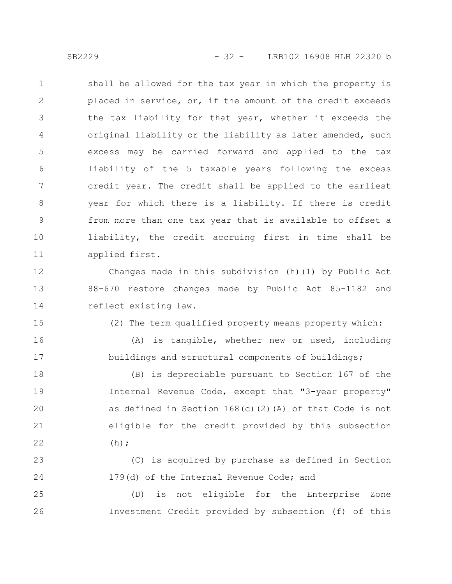shall be allowed for the tax year in which the property is placed in service, or, if the amount of the credit exceeds the tax liability for that year, whether it exceeds the original liability or the liability as later amended, such excess may be carried forward and applied to the tax liability of the 5 taxable years following the excess credit year. The credit shall be applied to the earliest year for which there is a liability. If there is credit from more than one tax year that is available to offset a liability, the credit accruing first in time shall be applied first. 1 2 3 4 5 6 7 8 9 10 11

Changes made in this subdivision (h)(1) by Public Act 88-670 restore changes made by Public Act 85-1182 and reflect existing law. 12 13 14

15

16

17

(2) The term qualified property means property which:

(A) is tangible, whether new or used, including buildings and structural components of buildings;

(B) is depreciable pursuant to Section 167 of the Internal Revenue Code, except that "3-year property" as defined in Section 168(c)(2)(A) of that Code is not eligible for the credit provided by this subsection  $(h);$ 18 19 20 21 22

(C) is acquired by purchase as defined in Section 179(d) of the Internal Revenue Code; and 23 24

(D) is not eligible for the Enterprise Zone Investment Credit provided by subsection (f) of this 25 26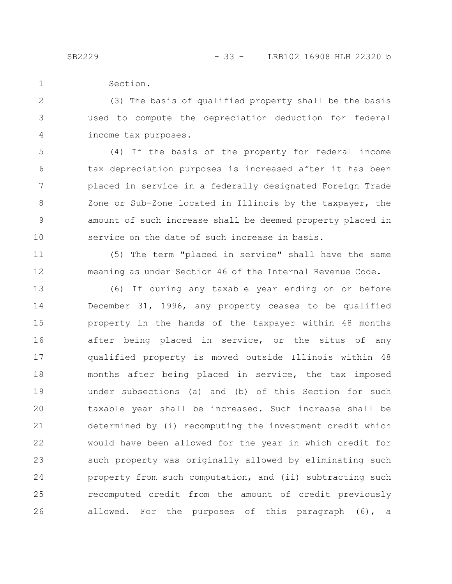11

12

Section. 1

(3) The basis of qualified property shall be the basis used to compute the depreciation deduction for federal income tax purposes. 2 3 4

(4) If the basis of the property for federal income tax depreciation purposes is increased after it has been placed in service in a federally designated Foreign Trade Zone or Sub-Zone located in Illinois by the taxpayer, the amount of such increase shall be deemed property placed in service on the date of such increase in basis. 5 6 7 8 9 10

(5) The term "placed in service" shall have the same meaning as under Section 46 of the Internal Revenue Code.

(6) If during any taxable year ending on or before December 31, 1996, any property ceases to be qualified property in the hands of the taxpayer within 48 months after being placed in service, or the situs of any qualified property is moved outside Illinois within 48 months after being placed in service, the tax imposed under subsections (a) and (b) of this Section for such taxable year shall be increased. Such increase shall be determined by (i) recomputing the investment credit which would have been allowed for the year in which credit for such property was originally allowed by eliminating such property from such computation, and (ii) subtracting such recomputed credit from the amount of credit previously allowed. For the purposes of this paragraph (6), a 13 14 15 16 17 18 19 20 21 22 23 24 25 26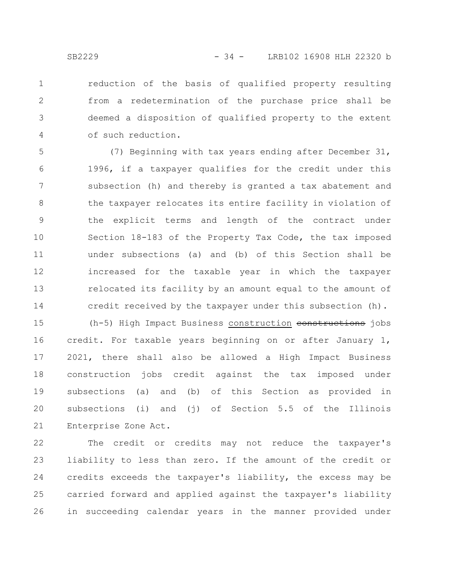reduction of the basis of qualified property resulting from a redetermination of the purchase price shall be deemed a disposition of qualified property to the extent of such reduction. 1 2 3 4

(7) Beginning with tax years ending after December 31, 1996, if a taxpayer qualifies for the credit under this subsection (h) and thereby is granted a tax abatement and the taxpayer relocates its entire facility in violation of the explicit terms and length of the contract under Section 18-183 of the Property Tax Code, the tax imposed under subsections (a) and (b) of this Section shall be increased for the taxable year in which the taxpayer relocated its facility by an amount equal to the amount of credit received by the taxpayer under this subsection (h). 5 6 7 8 9 10 11 12 13 14

(h-5) High Impact Business construction constructions jobs credit. For taxable years beginning on or after January 1, 2021, there shall also be allowed a High Impact Business construction jobs credit against the tax imposed under subsections (a) and (b) of this Section as provided in subsections (i) and (j) of Section 5.5 of the Illinois Enterprise Zone Act. 15 16 17 18 19 20 21

The credit or credits may not reduce the taxpayer's liability to less than zero. If the amount of the credit or credits exceeds the taxpayer's liability, the excess may be carried forward and applied against the taxpayer's liability in succeeding calendar years in the manner provided under 22 23 24 25 26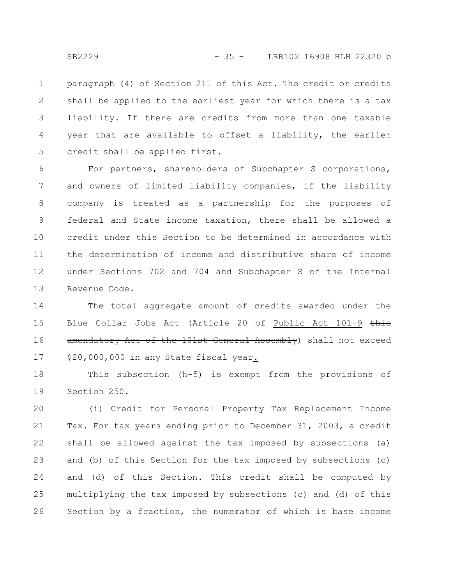paragraph (4) of Section 211 of this Act. The credit or credits shall be applied to the earliest year for which there is a tax liability. If there are credits from more than one taxable year that are available to offset a liability, the earlier credit shall be applied first. 1 2 3 4 5

For partners, shareholders of Subchapter S corporations, and owners of limited liability companies, if the liability company is treated as a partnership for the purposes of federal and State income taxation, there shall be allowed a credit under this Section to be determined in accordance with the determination of income and distributive share of income under Sections 702 and 704 and Subchapter S of the Internal Revenue Code. 6 7 8 9 10 11 12 13

The total aggregate amount of credits awarded under the Blue Collar Jobs Act (Article 20 of Public Act 101-9 this amendatory Act of the 101st General Assembly) shall not exceed \$20,000,000 in any State fiscal year. 14 15 16 17

This subsection (h-5) is exempt from the provisions of Section 250. 18 19

(i) Credit for Personal Property Tax Replacement Income Tax. For tax years ending prior to December 31, 2003, a credit shall be allowed against the tax imposed by subsections (a) and (b) of this Section for the tax imposed by subsections (c) and (d) of this Section. This credit shall be computed by multiplying the tax imposed by subsections (c) and (d) of this Section by a fraction, the numerator of which is base income 20 21 22 23 24 25 26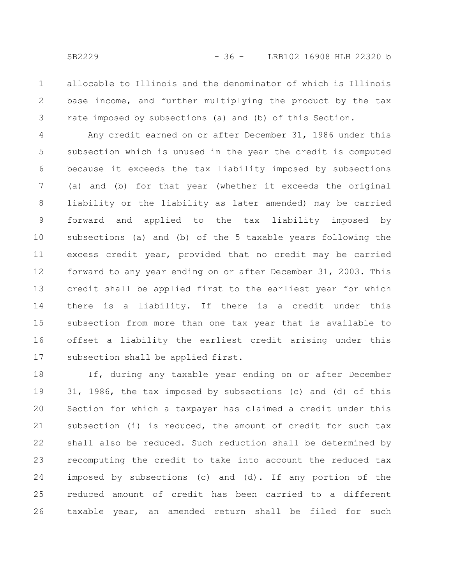allocable to Illinois and the denominator of which is Illinois base income, and further multiplying the product by the tax rate imposed by subsections (a) and (b) of this Section. 1 2 3

Any credit earned on or after December 31, 1986 under this subsection which is unused in the year the credit is computed because it exceeds the tax liability imposed by subsections (a) and (b) for that year (whether it exceeds the original liability or the liability as later amended) may be carried forward and applied to the tax liability imposed by subsections (a) and (b) of the 5 taxable years following the excess credit year, provided that no credit may be carried forward to any year ending on or after December 31, 2003. This credit shall be applied first to the earliest year for which there is a liability. If there is a credit under this subsection from more than one tax year that is available to offset a liability the earliest credit arising under this subsection shall be applied first. 4 5 6 7 8 9 10 11 12 13 14 15 16 17

If, during any taxable year ending on or after December 31, 1986, the tax imposed by subsections (c) and (d) of this Section for which a taxpayer has claimed a credit under this subsection (i) is reduced, the amount of credit for such tax shall also be reduced. Such reduction shall be determined by recomputing the credit to take into account the reduced tax imposed by subsections (c) and (d). If any portion of the reduced amount of credit has been carried to a different taxable year, an amended return shall be filed for such 18 19 20 21 22 23 24 25 26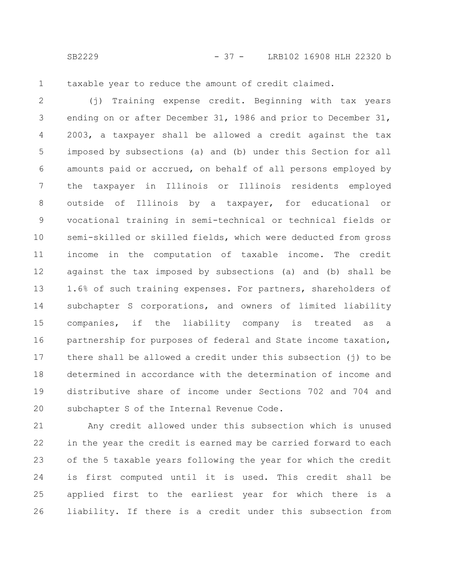1

taxable year to reduce the amount of credit claimed.

(j) Training expense credit. Beginning with tax years ending on or after December 31, 1986 and prior to December 31, 2003, a taxpayer shall be allowed a credit against the tax imposed by subsections (a) and (b) under this Section for all amounts paid or accrued, on behalf of all persons employed by the taxpayer in Illinois or Illinois residents employed outside of Illinois by a taxpayer, for educational or vocational training in semi-technical or technical fields or semi-skilled or skilled fields, which were deducted from gross income in the computation of taxable income. The credit against the tax imposed by subsections (a) and (b) shall be 1.6% of such training expenses. For partners, shareholders of subchapter S corporations, and owners of limited liability companies, if the liability company is treated as a partnership for purposes of federal and State income taxation, there shall be allowed a credit under this subsection (j) to be determined in accordance with the determination of income and distributive share of income under Sections 702 and 704 and subchapter S of the Internal Revenue Code. 2 3 4 5 6 7 8 9 10 11 12 13 14 15 16 17 18 19 20

Any credit allowed under this subsection which is unused in the year the credit is earned may be carried forward to each of the 5 taxable years following the year for which the credit is first computed until it is used. This credit shall be applied first to the earliest year for which there is a liability. If there is a credit under this subsection from 21 22 23 24 25 26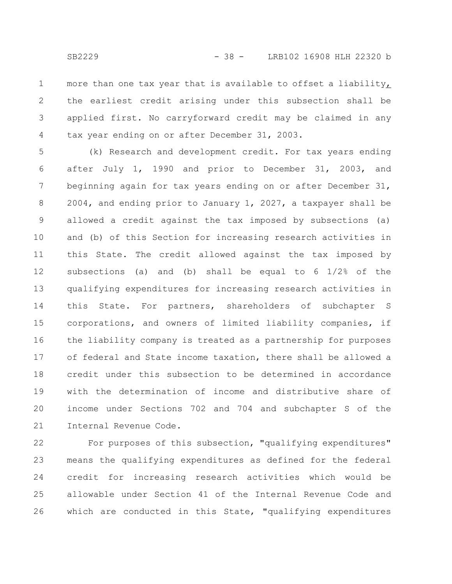more than one tax year that is available to offset a liability, the earliest credit arising under this subsection shall be applied first. No carryforward credit may be claimed in any tax year ending on or after December 31, 2003. 1 2 3 4

(k) Research and development credit. For tax years ending after July 1, 1990 and prior to December 31, 2003, and beginning again for tax years ending on or after December 31, 2004, and ending prior to January 1, 2027, a taxpayer shall be allowed a credit against the tax imposed by subsections (a) and (b) of this Section for increasing research activities in this State. The credit allowed against the tax imposed by subsections (a) and (b) shall be equal to 6 1/2% of the qualifying expenditures for increasing research activities in this State. For partners, shareholders of subchapter S corporations, and owners of limited liability companies, if the liability company is treated as a partnership for purposes of federal and State income taxation, there shall be allowed a credit under this subsection to be determined in accordance with the determination of income and distributive share of income under Sections 702 and 704 and subchapter S of the Internal Revenue Code. 5 6 7 8 9 10 11 12 13 14 15 16 17 18 19 20 21

For purposes of this subsection, "qualifying expenditures" means the qualifying expenditures as defined for the federal credit for increasing research activities which would be allowable under Section 41 of the Internal Revenue Code and which are conducted in this State, "qualifying expenditures 22 23 24 25 26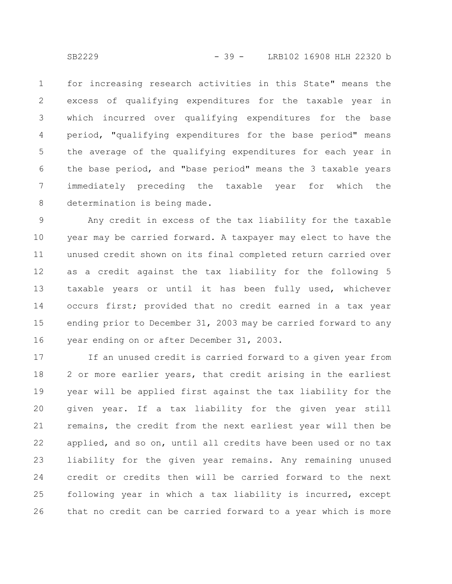for increasing research activities in this State" means the excess of qualifying expenditures for the taxable year in which incurred over qualifying expenditures for the base period, "qualifying expenditures for the base period" means the average of the qualifying expenditures for each year in the base period, and "base period" means the 3 taxable years immediately preceding the taxable year for which the determination is being made. 1 2 3 4 5 6 7 8

Any credit in excess of the tax liability for the taxable year may be carried forward. A taxpayer may elect to have the unused credit shown on its final completed return carried over as a credit against the tax liability for the following 5 taxable years or until it has been fully used, whichever occurs first; provided that no credit earned in a tax year ending prior to December 31, 2003 may be carried forward to any year ending on or after December 31, 2003. 9 10 11 12 13 14 15 16

If an unused credit is carried forward to a given year from 2 or more earlier years, that credit arising in the earliest year will be applied first against the tax liability for the given year. If a tax liability for the given year still remains, the credit from the next earliest year will then be applied, and so on, until all credits have been used or no tax liability for the given year remains. Any remaining unused credit or credits then will be carried forward to the next following year in which a tax liability is incurred, except that no credit can be carried forward to a year which is more 17 18 19 20 21 22 23 24 25 26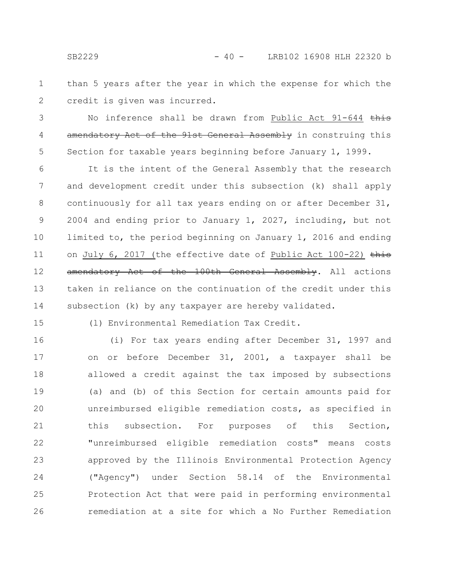than 5 years after the year in which the expense for which the credit is given was incurred. 1 2

No inference shall be drawn from Public Act 91-644 this amendatory Act of the 91st General Assembly in construing this Section for taxable years beginning before January 1, 1999. 3 4 5

It is the intent of the General Assembly that the research and development credit under this subsection (k) shall apply continuously for all tax years ending on or after December 31, 2004 and ending prior to January 1, 2027, including, but not limited to, the period beginning on January 1, 2016 and ending on July 6, 2017 (the effective date of Public Act  $100-22$ ) this amendatory Act of the 100th General Assembly. All actions taken in reliance on the continuation of the credit under this subsection (k) by any taxpayer are hereby validated. 6 7 8 9 10 11 12 13 14

15

(l) Environmental Remediation Tax Credit.

(i) For tax years ending after December 31, 1997 and on or before December 31, 2001, a taxpayer shall be allowed a credit against the tax imposed by subsections (a) and (b) of this Section for certain amounts paid for unreimbursed eligible remediation costs, as specified in this subsection. For purposes of this Section, "unreimbursed eligible remediation costs" means costs approved by the Illinois Environmental Protection Agency ("Agency") under Section 58.14 of the Environmental Protection Act that were paid in performing environmental remediation at a site for which a No Further Remediation 16 17 18 19 20 21 22 23 24 25 26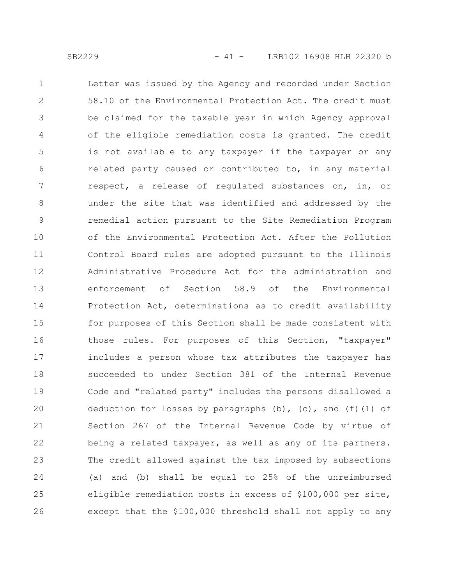Letter was issued by the Agency and recorded under Section 58.10 of the Environmental Protection Act. The credit must be claimed for the taxable year in which Agency approval of the eligible remediation costs is granted. The credit is not available to any taxpayer if the taxpayer or any related party caused or contributed to, in any material respect, a release of regulated substances on, in, or under the site that was identified and addressed by the remedial action pursuant to the Site Remediation Program of the Environmental Protection Act. After the Pollution Control Board rules are adopted pursuant to the Illinois Administrative Procedure Act for the administration and enforcement of Section 58.9 of the Environmental Protection Act, determinations as to credit availability for purposes of this Section shall be made consistent with those rules. For purposes of this Section, "taxpayer" includes a person whose tax attributes the taxpayer has succeeded to under Section 381 of the Internal Revenue Code and "related party" includes the persons disallowed a deduction for losses by paragraphs (b), (c), and (f)(1) of Section 267 of the Internal Revenue Code by virtue of being a related taxpayer, as well as any of its partners. The credit allowed against the tax imposed by subsections (a) and (b) shall be equal to 25% of the unreimbursed eligible remediation costs in excess of \$100,000 per site, except that the \$100,000 threshold shall not apply to any 1 2 3 4 5 6 7 8 9 10 11 12 13 14 15 16 17 18 19 20 21 22 23 24 25 26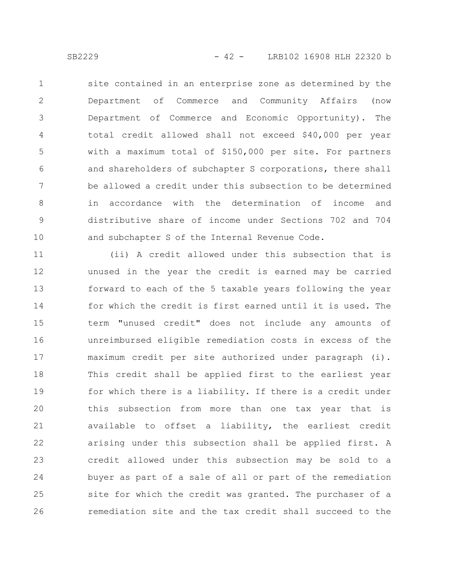site contained in an enterprise zone as determined by the Department of Commerce and Community Affairs (now Department of Commerce and Economic Opportunity). The total credit allowed shall not exceed \$40,000 per year with a maximum total of \$150,000 per site. For partners and shareholders of subchapter S corporations, there shall be allowed a credit under this subsection to be determined in accordance with the determination of income and distributive share of income under Sections 702 and 704 and subchapter S of the Internal Revenue Code. 1 2 3 4 5 6 7 8 9 10

(ii) A credit allowed under this subsection that is unused in the year the credit is earned may be carried forward to each of the 5 taxable years following the year for which the credit is first earned until it is used. The term "unused credit" does not include any amounts of unreimbursed eligible remediation costs in excess of the maximum credit per site authorized under paragraph (i). This credit shall be applied first to the earliest year for which there is a liability. If there is a credit under this subsection from more than one tax year that is available to offset a liability, the earliest credit arising under this subsection shall be applied first. A credit allowed under this subsection may be sold to a buyer as part of a sale of all or part of the remediation site for which the credit was granted. The purchaser of a remediation site and the tax credit shall succeed to the 11 12 13 14 15 16 17 18 19 20 21 22 23 24 25 26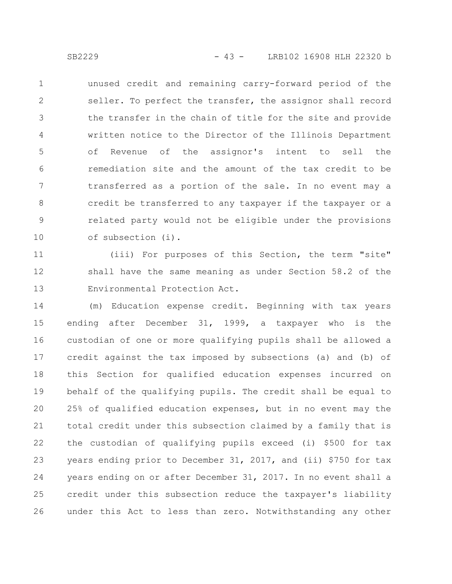unused credit and remaining carry-forward period of the seller. To perfect the transfer, the assignor shall record the transfer in the chain of title for the site and provide written notice to the Director of the Illinois Department of Revenue of the assignor's intent to sell the remediation site and the amount of the tax credit to be transferred as a portion of the sale. In no event may a credit be transferred to any taxpayer if the taxpayer or a related party would not be eligible under the provisions of subsection (i). 1 2 3 4 5 6 7 8 9 10

(iii) For purposes of this Section, the term "site" shall have the same meaning as under Section 58.2 of the Environmental Protection Act. 11 12 13

(m) Education expense credit. Beginning with tax years ending after December 31, 1999, a taxpayer who is the custodian of one or more qualifying pupils shall be allowed a credit against the tax imposed by subsections (a) and (b) of this Section for qualified education expenses incurred on behalf of the qualifying pupils. The credit shall be equal to 25% of qualified education expenses, but in no event may the total credit under this subsection claimed by a family that is the custodian of qualifying pupils exceed (i) \$500 for tax years ending prior to December 31, 2017, and (ii) \$750 for tax years ending on or after December 31, 2017. In no event shall a credit under this subsection reduce the taxpayer's liability under this Act to less than zero. Notwithstanding any other 14 15 16 17 18 19 20 21 22 23 24 25 26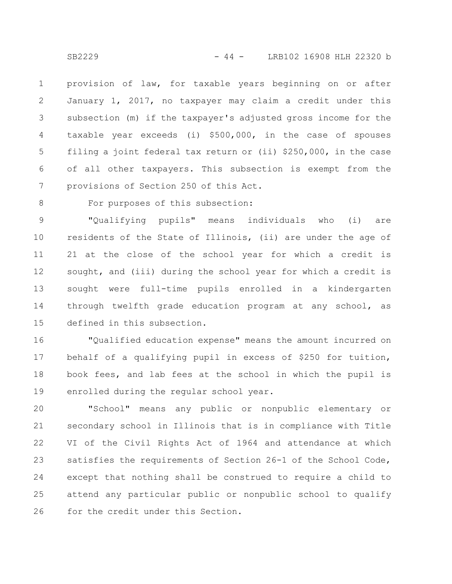provision of law, for taxable years beginning on or after January 1, 2017, no taxpayer may claim a credit under this subsection (m) if the taxpayer's adjusted gross income for the taxable year exceeds (i) \$500,000, in the case of spouses filing a joint federal tax return or (ii) \$250,000, in the case of all other taxpayers. This subsection is exempt from the provisions of Section 250 of this Act. 1 2 3 4 5 6 7

8

## For purposes of this subsection:

"Qualifying pupils" means individuals who (i) are residents of the State of Illinois, (ii) are under the age of 21 at the close of the school year for which a credit is sought, and (iii) during the school year for which a credit is sought were full-time pupils enrolled in a kindergarten through twelfth grade education program at any school, as defined in this subsection. 9 10 11 12 13 14 15

"Qualified education expense" means the amount incurred on behalf of a qualifying pupil in excess of \$250 for tuition, book fees, and lab fees at the school in which the pupil is enrolled during the regular school year. 16 17 18 19

"School" means any public or nonpublic elementary or secondary school in Illinois that is in compliance with Title VI of the Civil Rights Act of 1964 and attendance at which satisfies the requirements of Section 26-1 of the School Code, except that nothing shall be construed to require a child to attend any particular public or nonpublic school to qualify for the credit under this Section. 20 21 22 23 24 25 26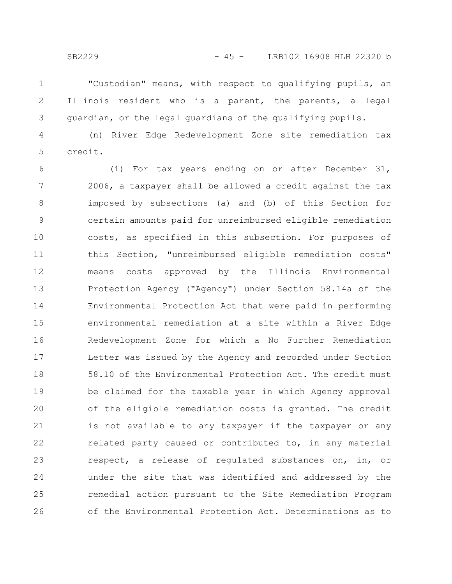"Custodian" means, with respect to qualifying pupils, an Illinois resident who is a parent, the parents, a legal guardian, or the legal guardians of the qualifying pupils. 1 2 3

(n) River Edge Redevelopment Zone site remediation tax credit. 4 5

(i) For tax years ending on or after December 31, 2006, a taxpayer shall be allowed a credit against the tax imposed by subsections (a) and (b) of this Section for certain amounts paid for unreimbursed eligible remediation costs, as specified in this subsection. For purposes of this Section, "unreimbursed eligible remediation costs" means costs approved by the Illinois Environmental Protection Agency ("Agency") under Section 58.14a of the Environmental Protection Act that were paid in performing environmental remediation at a site within a River Edge Redevelopment Zone for which a No Further Remediation Letter was issued by the Agency and recorded under Section 58.10 of the Environmental Protection Act. The credit must be claimed for the taxable year in which Agency approval of the eligible remediation costs is granted. The credit is not available to any taxpayer if the taxpayer or any related party caused or contributed to, in any material respect, a release of regulated substances on, in, or under the site that was identified and addressed by the remedial action pursuant to the Site Remediation Program of the Environmental Protection Act. Determinations as to 6 7 8 9 10 11 12 13 14 15 16 17 18 19 20 21 22 23 24 25 26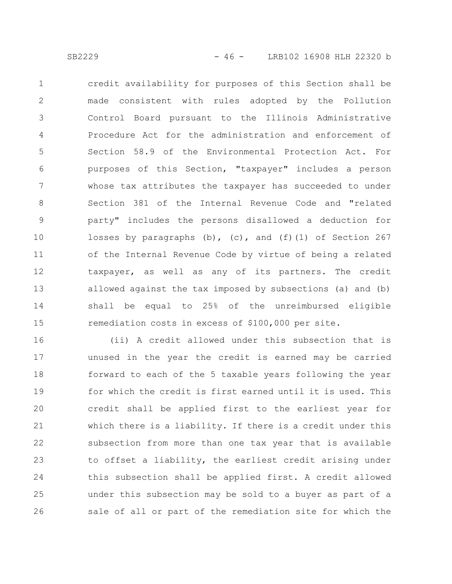credit availability for purposes of this Section shall be made consistent with rules adopted by the Pollution Control Board pursuant to the Illinois Administrative Procedure Act for the administration and enforcement of Section 58.9 of the Environmental Protection Act. For purposes of this Section, "taxpayer" includes a person whose tax attributes the taxpayer has succeeded to under Section 381 of the Internal Revenue Code and "related party" includes the persons disallowed a deduction for losses by paragraphs  $(b)$ ,  $(c)$ , and  $(f)(1)$  of Section 267 of the Internal Revenue Code by virtue of being a related taxpayer, as well as any of its partners. The credit allowed against the tax imposed by subsections (a) and (b) shall be equal to 25% of the unreimbursed eligible remediation costs in excess of \$100,000 per site. 1 2 3 4 5 6 7 8 9 10 11 12 13 14 15

(ii) A credit allowed under this subsection that is unused in the year the credit is earned may be carried forward to each of the 5 taxable years following the year for which the credit is first earned until it is used. This credit shall be applied first to the earliest year for which there is a liability. If there is a credit under this subsection from more than one tax year that is available to offset a liability, the earliest credit arising under this subsection shall be applied first. A credit allowed under this subsection may be sold to a buyer as part of a sale of all or part of the remediation site for which the 16 17 18 19 20 21 22 23 24 25 26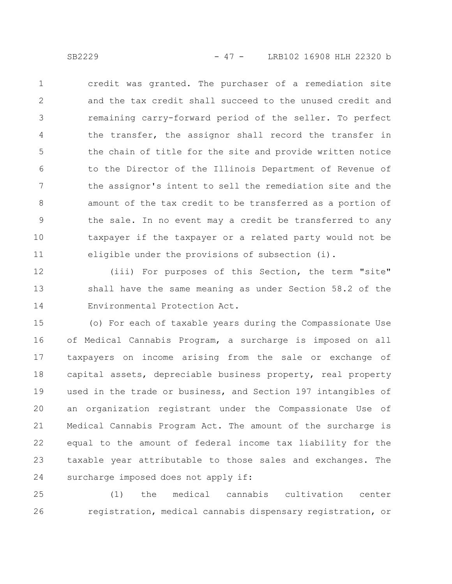credit was granted. The purchaser of a remediation site and the tax credit shall succeed to the unused credit and remaining carry-forward period of the seller. To perfect the transfer, the assignor shall record the transfer in the chain of title for the site and provide written notice to the Director of the Illinois Department of Revenue of the assignor's intent to sell the remediation site and the amount of the tax credit to be transferred as a portion of the sale. In no event may a credit be transferred to any taxpayer if the taxpayer or a related party would not be eligible under the provisions of subsection (i). 1 2 3 4 5 6 7 8 9 10 11

(iii) For purposes of this Section, the term "site" shall have the same meaning as under Section 58.2 of the Environmental Protection Act. 12 13 14

(o) For each of taxable years during the Compassionate Use of Medical Cannabis Program, a surcharge is imposed on all taxpayers on income arising from the sale or exchange of capital assets, depreciable business property, real property used in the trade or business, and Section 197 intangibles of an organization registrant under the Compassionate Use of Medical Cannabis Program Act. The amount of the surcharge is equal to the amount of federal income tax liability for the taxable year attributable to those sales and exchanges. The surcharge imposed does not apply if: 15 16 17 18 19 20 21 22 23 24

(1) the medical cannabis cultivation center registration, medical cannabis dispensary registration, or 25 26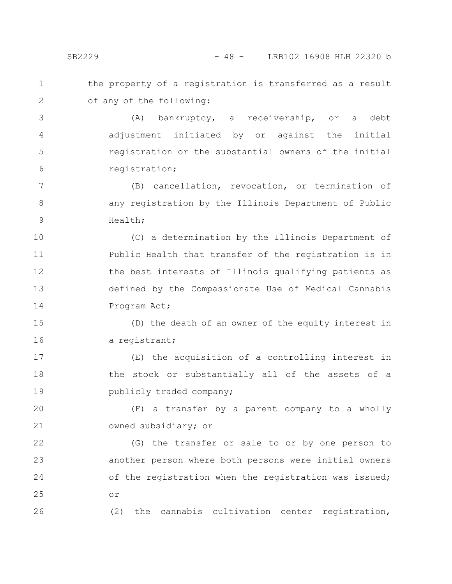the property of a registration is transferred as a result of any of the following: 1 2

(A) bankruptcy, a receivership, or a debt adjustment initiated by or against the initial registration or the substantial owners of the initial registration; 3 4 5 6

(B) cancellation, revocation, or termination of any registration by the Illinois Department of Public Health; 7 8 9

(C) a determination by the Illinois Department of Public Health that transfer of the registration is in the best interests of Illinois qualifying patients as defined by the Compassionate Use of Medical Cannabis Program Act; 10 11 12 13 14

(D) the death of an owner of the equity interest in a registrant; 15 16

(E) the acquisition of a controlling interest in the stock or substantially all of the assets of a publicly traded company; 17 18 19

(F) a transfer by a parent company to a wholly owned subsidiary; or 20 21

(G) the transfer or sale to or by one person to another person where both persons were initial owners of the registration when the registration was issued; or 22 23 24 25

(2) the cannabis cultivation center registration,

26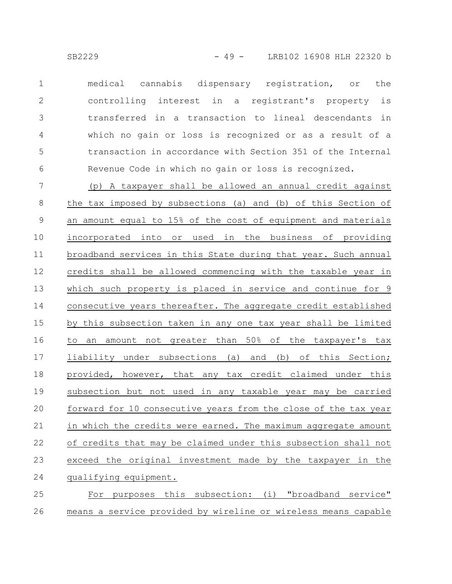medical cannabis dispensary registration, or the controlling interest in a registrant's property is transferred in a transaction to lineal descendants in which no gain or loss is recognized or as a result of a transaction in accordance with Section 351 of the Internal Revenue Code in which no gain or loss is recognized. 1 2 3 4 5 6

(p) A taxpayer shall be allowed an annual credit against the tax imposed by subsections (a) and (b) of this Section of an amount equal to 15% of the cost of equipment and materials incorporated into or used in the business of providing broadband services in this State during that year. Such annual credits shall be allowed commencing with the taxable year in which such property is placed in service and continue for 9 consecutive years thereafter. The aggregate credit established by this subsection taken in any one tax year shall be limited to an amount not greater than 50% of the taxpayer's tax liability under subsections (a) and (b) of this Section; provided, however, that any tax credit claimed under this subsection but not used in any taxable year may be carried forward for 10 consecutive years from the close of the tax year in which the credits were earned. The maximum aggregate amount of credits that may be claimed under this subsection shall not exceed the original investment made by the taxpayer in the qualifying equipment. For purposes this subsection: (i) "broadband service" 7 8 9 10 11 12 13 14 15 16 17 18 19 20 21 22 23 24 25

means a service provided by wireline or wireless means capable 26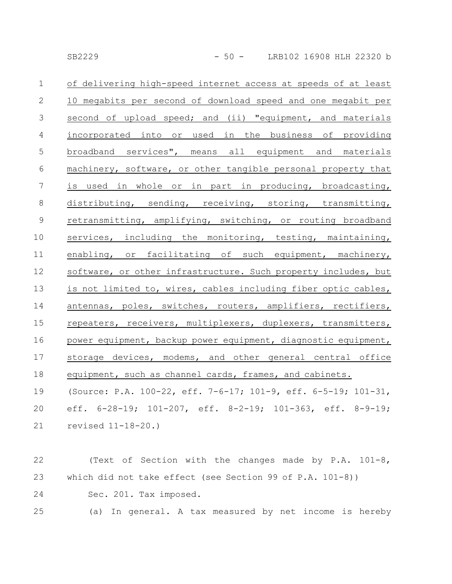| $\mathbf 1$    | of delivering high-speed internet access at speeds of at least           |
|----------------|--------------------------------------------------------------------------|
| 2              | 10 megabits per second of download speed and one megabit per             |
| 3              | second of upload speed; and (ii) "equipment, and materials               |
| $\overline{4}$ | incorporated into or used in the business of providing                   |
| $\overline{5}$ | broadband services", means all equipment and materials                   |
| 6              | machinery, software, or other tangible personal property that            |
| 7              | is used in whole or in part in producing, broadcasting,                  |
| 8              | distributing, sending, receiving, storing, transmitting,                 |
| 9              | retransmitting, amplifying, switching, or routing broadband              |
| 10             | services, including the monitoring, testing, maintaining,                |
| 11             | enabling, or facilitating of such equipment, machinery,                  |
| 12             | software, or other infrastructure. Such property includes, but           |
| 13             | is not limited to, wires, cables including fiber optic cables,           |
| 14             | antennas, poles, switches, routers, amplifiers, rectifiers,              |
| 15             | repeaters, receivers, multiplexers, duplexers, transmitters,             |
| 16             | power equipment, backup power equipment, diagnostic equipment,           |
| 17             | storage devices, modems, and other general central office                |
| 18             | equipment, such as channel cards, frames, and cabinets.                  |
| 19             | (Source: P.A. 100-22, eff. 7-6-17; 101-9, eff. 6-5-19; 101-31,           |
| 20             | eff. $6-28-19$ ; $101-207$ , eff. $8-2-19$ ; $101-363$ , eff. $8-9-19$ ; |
| 21             | revised $11 - 18 - 20.$ )                                                |
|                |                                                                          |

(Text of Section with the changes made by P.A. 101-8, which did not take effect (see Section 99 of P.A. 101-8)) Sec. 201. Tax imposed. 22 23 24

(a) In general. A tax measured by net income is hereby 25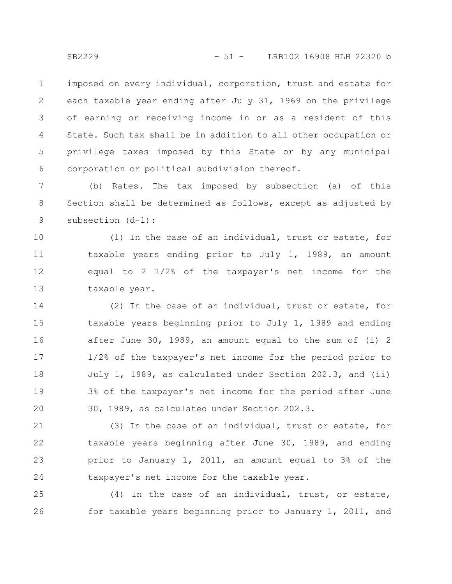imposed on every individual, corporation, trust and estate for each taxable year ending after July 31, 1969 on the privilege of earning or receiving income in or as a resident of this State. Such tax shall be in addition to all other occupation or privilege taxes imposed by this State or by any municipal corporation or political subdivision thereof. 1 2 3 4 5 6

(b) Rates. The tax imposed by subsection (a) of this Section shall be determined as follows, except as adjusted by subsection (d-1): 7 8 9

(1) In the case of an individual, trust or estate, for taxable years ending prior to July 1, 1989, an amount equal to 2 1/2% of the taxpayer's net income for the taxable year. 10 11 12 13

(2) In the case of an individual, trust or estate, for taxable years beginning prior to July 1, 1989 and ending after June 30, 1989, an amount equal to the sum of (i) 2 1/2% of the taxpayer's net income for the period prior to July 1, 1989, as calculated under Section 202.3, and (ii) 3% of the taxpayer's net income for the period after June 30, 1989, as calculated under Section 202.3. 14 15 16 17 18 19 20

(3) In the case of an individual, trust or estate, for taxable years beginning after June 30, 1989, and ending prior to January 1, 2011, an amount equal to 3% of the taxpayer's net income for the taxable year. 21 22 23 24

(4) In the case of an individual, trust, or estate, for taxable years beginning prior to January 1, 2011, and 25 26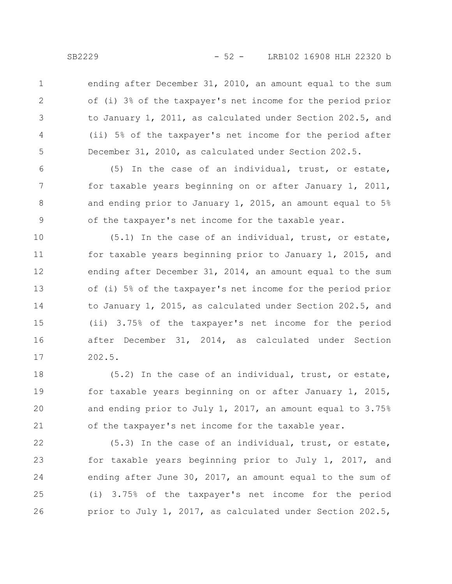1

2

3

4

5

ending after December 31, 2010, an amount equal to the sum of (i) 3% of the taxpayer's net income for the period prior to January 1, 2011, as calculated under Section 202.5, and (ii) 5% of the taxpayer's net income for the period after December 31, 2010, as calculated under Section 202.5.

(5) In the case of an individual, trust, or estate, for taxable years beginning on or after January 1, 2011, and ending prior to January 1, 2015, an amount equal to 5% of the taxpayer's net income for the taxable year. 6 7 8 9

(5.1) In the case of an individual, trust, or estate, for taxable years beginning prior to January 1, 2015, and ending after December 31, 2014, an amount equal to the sum of (i) 5% of the taxpayer's net income for the period prior to January 1, 2015, as calculated under Section 202.5, and (ii) 3.75% of the taxpayer's net income for the period after December 31, 2014, as calculated under Section 202.5. 10 11 12 13 14 15 16 17

(5.2) In the case of an individual, trust, or estate, for taxable years beginning on or after January 1, 2015, and ending prior to July 1, 2017, an amount equal to 3.75% of the taxpayer's net income for the taxable year. 18 19 20 21

(5.3) In the case of an individual, trust, or estate, for taxable years beginning prior to July 1, 2017, and ending after June 30, 2017, an amount equal to the sum of (i) 3.75% of the taxpayer's net income for the period prior to July 1, 2017, as calculated under Section 202.5, 22 23 24 25 26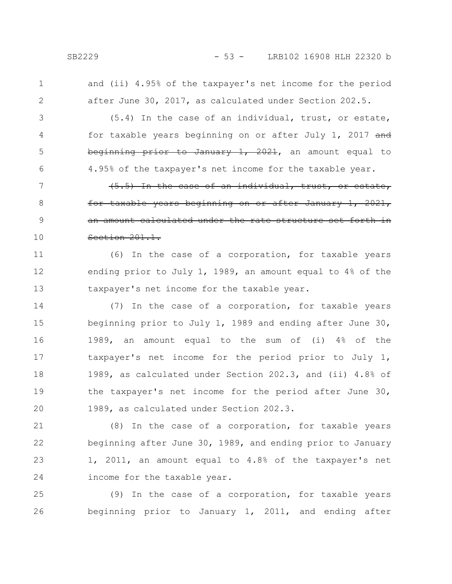and (ii) 4.95% of the taxpayer's net income for the period

2

1

3

4

5

6

(5.4) In the case of an individual, trust, or estate, for taxable years beginning on or after July 1, 2017 and beginning prior to January 1, 2021, an amount equal to 4.95% of the taxpayer's net income for the taxable year.

after June 30, 2017, as calculated under Section 202.5.

(5.5) In the case of an individual, trust, or estate, for taxable years beginning on or after January 1, 2021, an amount calculated under the rate structure set forth in Section 201.1. 7 8 9 10

(6) In the case of a corporation, for taxable years ending prior to July 1, 1989, an amount equal to 4% of the taxpayer's net income for the taxable year. 11 12 13

(7) In the case of a corporation, for taxable years beginning prior to July 1, 1989 and ending after June 30, 1989, an amount equal to the sum of (i) 4% of the taxpayer's net income for the period prior to July 1, 1989, as calculated under Section 202.3, and (ii) 4.8% of the taxpayer's net income for the period after June 30, 1989, as calculated under Section 202.3. 14 15 16 17 18 19 20

(8) In the case of a corporation, for taxable years beginning after June 30, 1989, and ending prior to January 1, 2011, an amount equal to 4.8% of the taxpayer's net income for the taxable year. 21 22 23 24

(9) In the case of a corporation, for taxable years beginning prior to January 1, 2011, and ending after 25 26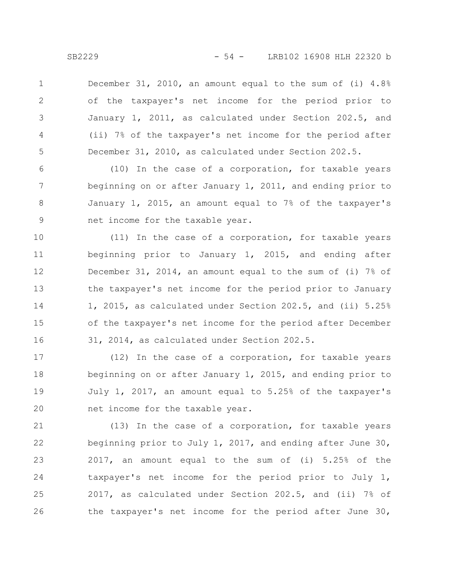December 31, 2010, an amount equal to the sum of (i) 4.8% of the taxpayer's net income for the period prior to January 1, 2011, as calculated under Section 202.5, and (ii) 7% of the taxpayer's net income for the period after December 31, 2010, as calculated under Section 202.5. 1 2 3 4 5

(10) In the case of a corporation, for taxable years beginning on or after January 1, 2011, and ending prior to January 1, 2015, an amount equal to 7% of the taxpayer's net income for the taxable year. 6 7 8 9

(11) In the case of a corporation, for taxable years beginning prior to January 1, 2015, and ending after December 31, 2014, an amount equal to the sum of (i) 7% of the taxpayer's net income for the period prior to January 1, 2015, as calculated under Section 202.5, and (ii) 5.25% of the taxpayer's net income for the period after December 31, 2014, as calculated under Section 202.5. 10 11 12 13 14 15 16

(12) In the case of a corporation, for taxable years beginning on or after January 1, 2015, and ending prior to July 1, 2017, an amount equal to 5.25% of the taxpayer's net income for the taxable year. 17 18 19 20

(13) In the case of a corporation, for taxable years beginning prior to July 1, 2017, and ending after June 30, 2017, an amount equal to the sum of (i) 5.25% of the taxpayer's net income for the period prior to July 1, 2017, as calculated under Section 202.5, and (ii) 7% of the taxpayer's net income for the period after June 30, 21 22 23 24 25 26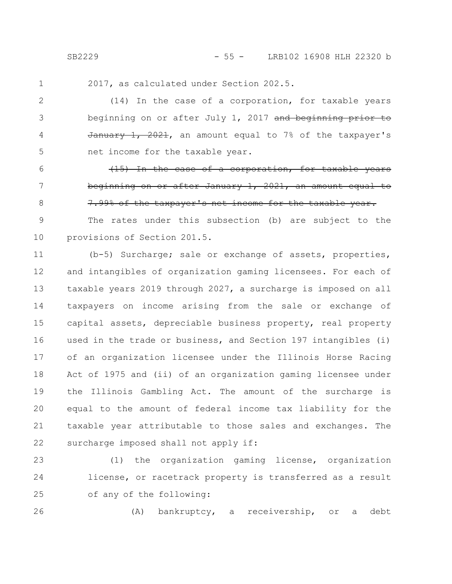SB2229 - 55 - LRB102 16908 HLH 22320 b

1

6

7

8

2017, as calculated under Section 202.5.

(14) In the case of a corporation, for taxable years beginning on or after July 1, 2017 and beginning prior to  $\frac{1}{2021}$ ,  $\frac{2021}{2021}$ , an amount equal to 7% of the taxpayer's net income for the taxable year. 2 3 4 5

(15) In the case of a corporation, for taxable years beginning on or after January 1, 2021, an amount equal to 7.99% of the taxpayer's net income for the taxable year.

The rates under this subsection (b) are subject to the provisions of Section 201.5. 9 10

(b-5) Surcharge; sale or exchange of assets, properties, and intangibles of organization gaming licensees. For each of taxable years 2019 through 2027, a surcharge is imposed on all taxpayers on income arising from the sale or exchange of capital assets, depreciable business property, real property used in the trade or business, and Section 197 intangibles (i) of an organization licensee under the Illinois Horse Racing Act of 1975 and (ii) of an organization gaming licensee under the Illinois Gambling Act. The amount of the surcharge is equal to the amount of federal income tax liability for the taxable year attributable to those sales and exchanges. The surcharge imposed shall not apply if: 11 12 13 14 15 16 17 18 19 20 21 22

(1) the organization gaming license, organization license, or racetrack property is transferred as a result of any of the following: 23 24 25

26

(A) bankruptcy, a receivership, or a debt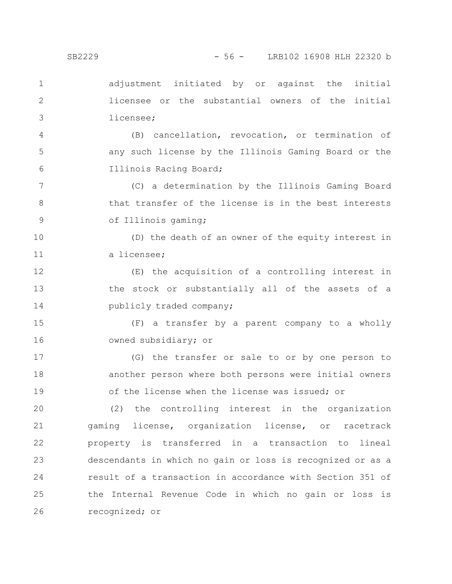adjustment initiated by or against the initial licensee or the substantial owners of the initial licensee; 1 2 3

(B) cancellation, revocation, or termination of any such license by the Illinois Gaming Board or the Illinois Racing Board; 4 5 6

(C) a determination by the Illinois Gaming Board that transfer of the license is in the best interests of Illinois gaming; 7 8 9

(D) the death of an owner of the equity interest in a licensee; 10 11

(E) the acquisition of a controlling interest in the stock or substantially all of the assets of a publicly traded company; 12 13 14

(F) a transfer by a parent company to a wholly owned subsidiary; or 15 16

(G) the transfer or sale to or by one person to another person where both persons were initial owners of the license when the license was issued; or 17 18 19

(2) the controlling interest in the organization gaming license, organization license, or racetrack property is transferred in a transaction to lineal descendants in which no gain or loss is recognized or as a result of a transaction in accordance with Section 351 of the Internal Revenue Code in which no gain or loss is recognized; or 20 21 22 23 24 25 26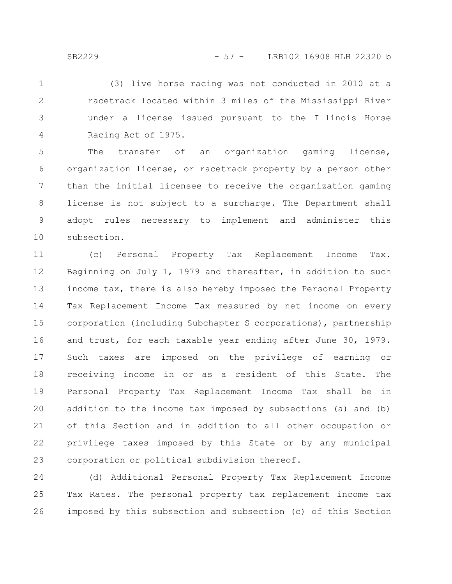(3) live horse racing was not conducted in 2010 at a racetrack located within 3 miles of the Mississippi River under a license issued pursuant to the Illinois Horse Racing Act of 1975. 1 2 3 4

The transfer of an organization gaming license, organization license, or racetrack property by a person other than the initial licensee to receive the organization gaming license is not subject to a surcharge. The Department shall adopt rules necessary to implement and administer this subsection. 5 6 7 8 9 10

(c) Personal Property Tax Replacement Income Tax. Beginning on July 1, 1979 and thereafter, in addition to such income tax, there is also hereby imposed the Personal Property Tax Replacement Income Tax measured by net income on every corporation (including Subchapter S corporations), partnership and trust, for each taxable year ending after June 30, 1979. Such taxes are imposed on the privilege of earning or receiving income in or as a resident of this State. The Personal Property Tax Replacement Income Tax shall be in addition to the income tax imposed by subsections (a) and (b) of this Section and in addition to all other occupation or privilege taxes imposed by this State or by any municipal corporation or political subdivision thereof. 11 12 13 14 15 16 17 18 19 20 21 22 23

(d) Additional Personal Property Tax Replacement Income Tax Rates. The personal property tax replacement income tax imposed by this subsection and subsection (c) of this Section 24 25 26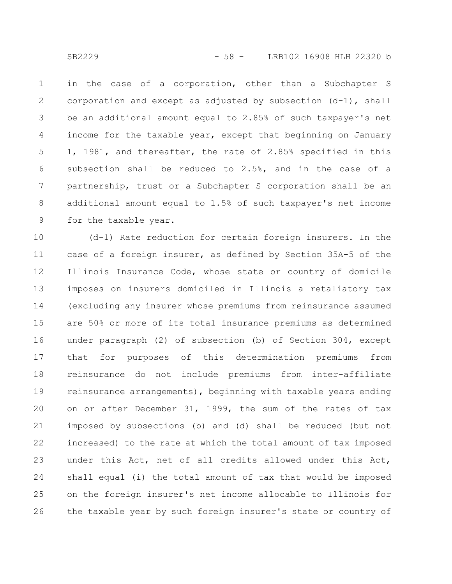in the case of a corporation, other than a Subchapter S corporation and except as adjusted by subsection  $(d-1)$ , shall be an additional amount equal to 2.85% of such taxpayer's net income for the taxable year, except that beginning on January 1, 1981, and thereafter, the rate of 2.85% specified in this subsection shall be reduced to 2.5%, and in the case of a partnership, trust or a Subchapter S corporation shall be an additional amount equal to 1.5% of such taxpayer's net income for the taxable year. 1 2 3 4 5 6 7 8 9

(d-1) Rate reduction for certain foreign insurers. In the case of a foreign insurer, as defined by Section 35A-5 of the Illinois Insurance Code, whose state or country of domicile imposes on insurers domiciled in Illinois a retaliatory tax (excluding any insurer whose premiums from reinsurance assumed are 50% or more of its total insurance premiums as determined under paragraph (2) of subsection (b) of Section 304, except that for purposes of this determination premiums from reinsurance do not include premiums from inter-affiliate reinsurance arrangements), beginning with taxable years ending on or after December 31, 1999, the sum of the rates of tax imposed by subsections (b) and (d) shall be reduced (but not increased) to the rate at which the total amount of tax imposed under this Act, net of all credits allowed under this Act, shall equal (i) the total amount of tax that would be imposed on the foreign insurer's net income allocable to Illinois for the taxable year by such foreign insurer's state or country of 10 11 12 13 14 15 16 17 18 19 20 21 22 23 24 25 26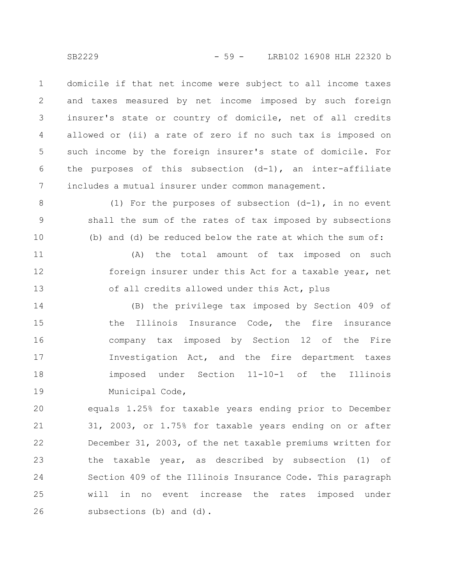domicile if that net income were subject to all income taxes and taxes measured by net income imposed by such foreign insurer's state or country of domicile, net of all credits allowed or (ii) a rate of zero if no such tax is imposed on such income by the foreign insurer's state of domicile. For the purposes of this subsection (d-1), an inter-affiliate includes a mutual insurer under common management. 1 2 3 4 5 6 7

(1) For the purposes of subsection  $(d-1)$ , in no event shall the sum of the rates of tax imposed by subsections (b) and (d) be reduced below the rate at which the sum of: 8 9 10

(A) the total amount of tax imposed on such foreign insurer under this Act for a taxable year, net of all credits allowed under this Act, plus 11 12 13

(B) the privilege tax imposed by Section 409 of the Illinois Insurance Code, the fire insurance company tax imposed by Section 12 of the Fire Investigation Act, and the fire department taxes imposed under Section 11-10-1 of the Illinois Municipal Code, 14 15 16 17 18 19

equals 1.25% for taxable years ending prior to December 31, 2003, or 1.75% for taxable years ending on or after December 31, 2003, of the net taxable premiums written for the taxable year, as described by subsection (1) of Section 409 of the Illinois Insurance Code. This paragraph will in no event increase the rates imposed under subsections (b) and (d). 20 21 22 23 24 25 26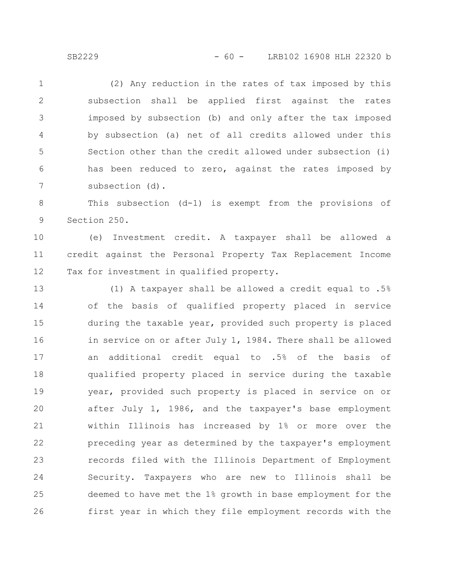(2) Any reduction in the rates of tax imposed by this subsection shall be applied first against the rates imposed by subsection (b) and only after the tax imposed by subsection (a) net of all credits allowed under this Section other than the credit allowed under subsection (i) has been reduced to zero, against the rates imposed by subsection (d). 1 2 3 4 5 6 7

This subsection (d-1) is exempt from the provisions of Section 250. 8 9

(e) Investment credit. A taxpayer shall be allowed a credit against the Personal Property Tax Replacement Income Tax for investment in qualified property. 10 11 12

(1) A taxpayer shall be allowed a credit equal to .5% of the basis of qualified property placed in service during the taxable year, provided such property is placed in service on or after July 1, 1984. There shall be allowed an additional credit equal to .5% of the basis of qualified property placed in service during the taxable year, provided such property is placed in service on or after July 1, 1986, and the taxpayer's base employment within Illinois has increased by 1% or more over the preceding year as determined by the taxpayer's employment records filed with the Illinois Department of Employment Security. Taxpayers who are new to Illinois shall be deemed to have met the 1% growth in base employment for the first year in which they file employment records with the 13 14 15 16 17 18 19 20 21 22 23 24 25 26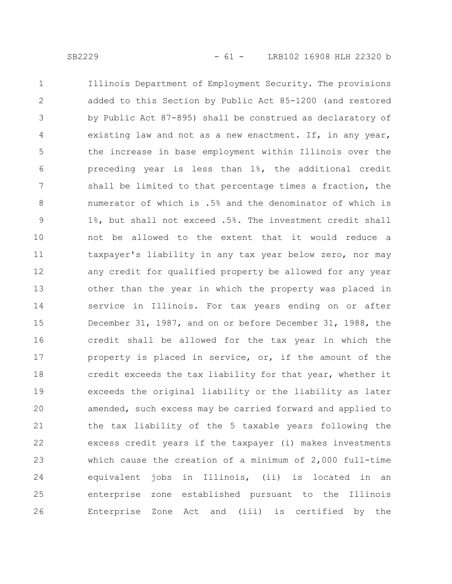Illinois Department of Employment Security. The provisions added to this Section by Public Act 85-1200 (and restored by Public Act 87-895) shall be construed as declaratory of existing law and not as a new enactment. If, in any year, the increase in base employment within Illinois over the preceding year is less than 1%, the additional credit shall be limited to that percentage times a fraction, the numerator of which is .5% and the denominator of which is 1%, but shall not exceed .5%. The investment credit shall not be allowed to the extent that it would reduce a taxpayer's liability in any tax year below zero, nor may any credit for qualified property be allowed for any year other than the year in which the property was placed in service in Illinois. For tax years ending on or after December 31, 1987, and on or before December 31, 1988, the credit shall be allowed for the tax year in which the property is placed in service, or, if the amount of the credit exceeds the tax liability for that year, whether it exceeds the original liability or the liability as later amended, such excess may be carried forward and applied to the tax liability of the 5 taxable years following the excess credit years if the taxpayer (i) makes investments which cause the creation of a minimum of 2,000 full-time equivalent jobs in Illinois, (ii) is located in an enterprise zone established pursuant to the Illinois Enterprise Zone Act and (iii) is certified by the 1 2 3 4 5 6 7 8 9 10 11 12 13 14 15 16 17 18 19 20 21 22 23 24 25 26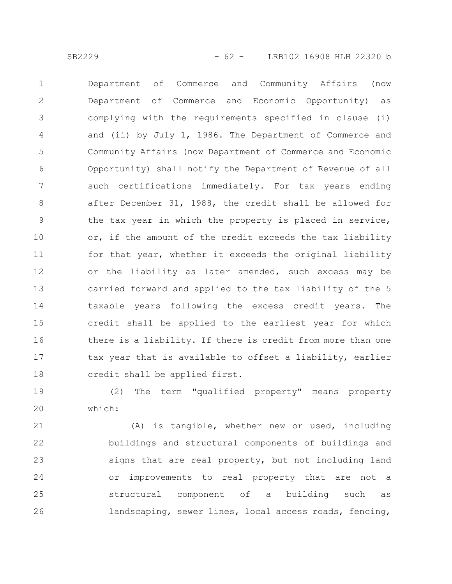Department of Commerce and Community Affairs (now Department of Commerce and Economic Opportunity) as complying with the requirements specified in clause (i) and (ii) by July 1, 1986. The Department of Commerce and Community Affairs (now Department of Commerce and Economic Opportunity) shall notify the Department of Revenue of all such certifications immediately. For tax years ending after December 31, 1988, the credit shall be allowed for the tax year in which the property is placed in service, or, if the amount of the credit exceeds the tax liability for that year, whether it exceeds the original liability or the liability as later amended, such excess may be carried forward and applied to the tax liability of the 5 taxable years following the excess credit years. The credit shall be applied to the earliest year for which there is a liability. If there is credit from more than one tax year that is available to offset a liability, earlier credit shall be applied first. 1 2 3 4 5 6 7 8 9 10 11 12 13 14 15 16 17 18

(2) The term "qualified property" means property which: 19 20

(A) is tangible, whether new or used, including buildings and structural components of buildings and signs that are real property, but not including land or improvements to real property that are not a structural component of a building such as landscaping, sewer lines, local access roads, fencing, 21 22 23 24 25 26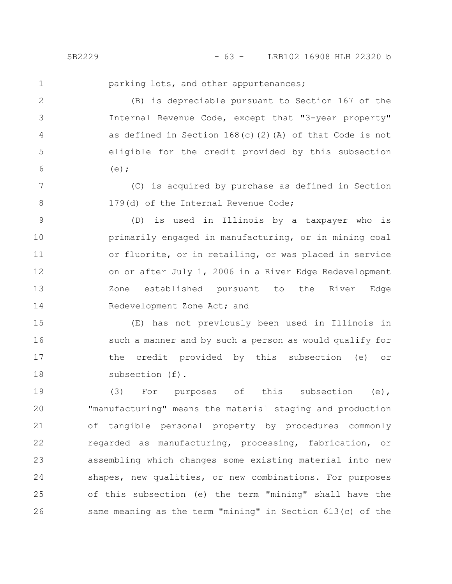1

parking lots, and other appurtenances;

(B) is depreciable pursuant to Section 167 of the Internal Revenue Code, except that "3-year property" as defined in Section 168(c)(2)(A) of that Code is not eligible for the credit provided by this subsection  $(e)$ : 2 3 4 5 6

(C) is acquired by purchase as defined in Section 179(d) of the Internal Revenue Code; 7 8

(D) is used in Illinois by a taxpayer who is primarily engaged in manufacturing, or in mining coal or fluorite, or in retailing, or was placed in service on or after July 1, 2006 in a River Edge Redevelopment Zone established pursuant to the River Edge Redevelopment Zone Act; and 9 10 11 12 13 14

(E) has not previously been used in Illinois in such a manner and by such a person as would qualify for the credit provided by this subsection (e) or subsection (f). 15 16 17 18

(3) For purposes of this subsection (e), "manufacturing" means the material staging and production of tangible personal property by procedures commonly regarded as manufacturing, processing, fabrication, or assembling which changes some existing material into new shapes, new qualities, or new combinations. For purposes of this subsection (e) the term "mining" shall have the same meaning as the term "mining" in Section 613(c) of the 19 20 21 22 23 24 25 26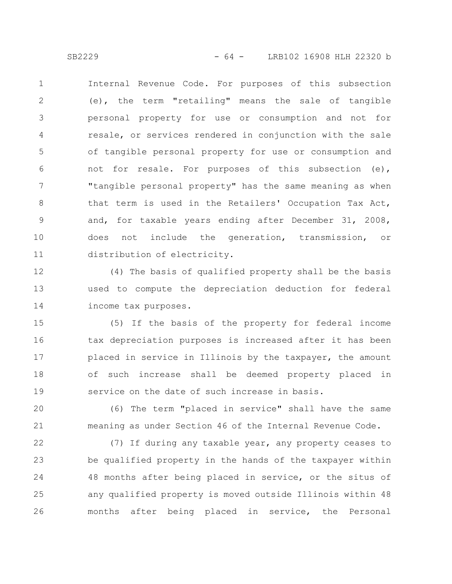Internal Revenue Code. For purposes of this subsection (e), the term "retailing" means the sale of tangible personal property for use or consumption and not for resale, or services rendered in conjunction with the sale of tangible personal property for use or consumption and not for resale. For purposes of this subsection (e), "tangible personal property" has the same meaning as when that term is used in the Retailers' Occupation Tax Act, and, for taxable years ending after December 31, 2008, does not include the generation, transmission, or distribution of electricity. 1 2 3 4 5 6 7 8 9 10 11

(4) The basis of qualified property shall be the basis used to compute the depreciation deduction for federal income tax purposes. 12 13 14

(5) If the basis of the property for federal income tax depreciation purposes is increased after it has been placed in service in Illinois by the taxpayer, the amount of such increase shall be deemed property placed in service on the date of such increase in basis. 15 16 17 18 19

(6) The term "placed in service" shall have the same meaning as under Section 46 of the Internal Revenue Code. 20 21

(7) If during any taxable year, any property ceases to be qualified property in the hands of the taxpayer within 48 months after being placed in service, or the situs of any qualified property is moved outside Illinois within 48 months after being placed in service, the Personal 22 23 24 25 26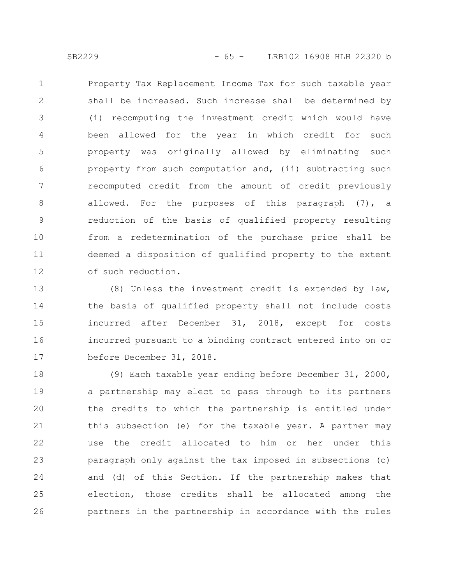Property Tax Replacement Income Tax for such taxable year shall be increased. Such increase shall be determined by (i) recomputing the investment credit which would have been allowed for the year in which credit for such property was originally allowed by eliminating such property from such computation and, (ii) subtracting such recomputed credit from the amount of credit previously allowed. For the purposes of this paragraph (7), a reduction of the basis of qualified property resulting from a redetermination of the purchase price shall be deemed a disposition of qualified property to the extent 1 2 3 4 5 6 7 8 9 10 11

of such reduction. 12

(8) Unless the investment credit is extended by law, the basis of qualified property shall not include costs incurred after December 31, 2018, except for costs incurred pursuant to a binding contract entered into on or before December 31, 2018. 13 14 15 16 17

(9) Each taxable year ending before December 31, 2000, a partnership may elect to pass through to its partners the credits to which the partnership is entitled under this subsection (e) for the taxable year. A partner may use the credit allocated to him or her under this paragraph only against the tax imposed in subsections (c) and (d) of this Section. If the partnership makes that election, those credits shall be allocated among the partners in the partnership in accordance with the rules 18 19 20 21 22 23 24 25 26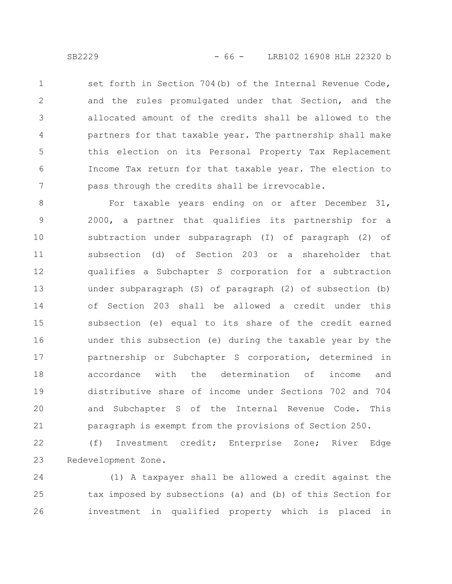set forth in Section 704(b) of the Internal Revenue Code, and the rules promulgated under that Section, and the allocated amount of the credits shall be allowed to the partners for that taxable year. The partnership shall make this election on its Personal Property Tax Replacement Income Tax return for that taxable year. The election to pass through the credits shall be irrevocable. 1 2 3 4 5 6 7

For taxable years ending on or after December 31, 2000, a partner that qualifies its partnership for a subtraction under subparagraph (I) of paragraph (2) of subsection (d) of Section 203 or a shareholder that qualifies a Subchapter S corporation for a subtraction under subparagraph (S) of paragraph (2) of subsection (b) of Section 203 shall be allowed a credit under this subsection (e) equal to its share of the credit earned under this subsection (e) during the taxable year by the partnership or Subchapter S corporation, determined in accordance with the determination of income and distributive share of income under Sections 702 and 704 and Subchapter S of the Internal Revenue Code. This paragraph is exempt from the provisions of Section 250. 8 9 10 11 12 13 14 15 16 17 18 19 20 21

(f) Investment credit; Enterprise Zone; River Edge Redevelopment Zone. 22 23

(1) A taxpayer shall be allowed a credit against the tax imposed by subsections (a) and (b) of this Section for investment in qualified property which is placed in 24 25 26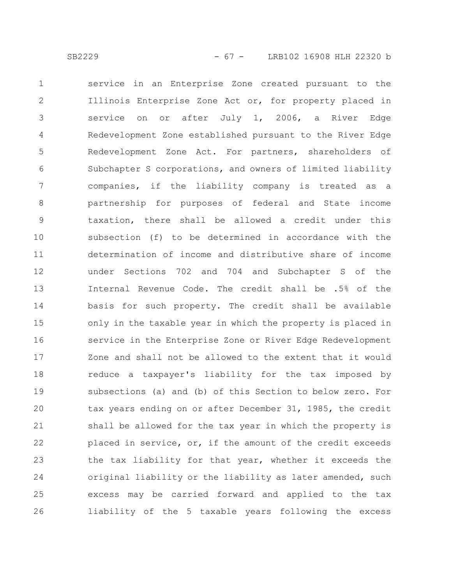service in an Enterprise Zone created pursuant to the Illinois Enterprise Zone Act or, for property placed in service on or after July 1, 2006, a River Edge Redevelopment Zone established pursuant to the River Edge Redevelopment Zone Act. For partners, shareholders of Subchapter S corporations, and owners of limited liability companies, if the liability company is treated as a partnership for purposes of federal and State income taxation, there shall be allowed a credit under this subsection (f) to be determined in accordance with the determination of income and distributive share of income under Sections 702 and 704 and Subchapter S of the Internal Revenue Code. The credit shall be .5% of the basis for such property. The credit shall be available only in the taxable year in which the property is placed in service in the Enterprise Zone or River Edge Redevelopment Zone and shall not be allowed to the extent that it would reduce a taxpayer's liability for the tax imposed by subsections (a) and (b) of this Section to below zero. For tax years ending on or after December 31, 1985, the credit shall be allowed for the tax year in which the property is placed in service, or, if the amount of the credit exceeds the tax liability for that year, whether it exceeds the original liability or the liability as later amended, such excess may be carried forward and applied to the tax liability of the 5 taxable years following the excess 1 2 3 4 5 6 7 8 9 10 11 12 13 14 15 16 17 18 19 20 21 22 23 24 25 26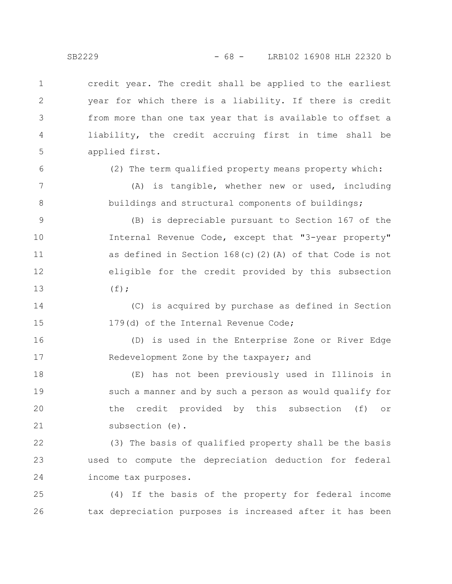credit year. The credit shall be applied to the earliest year for which there is a liability. If there is credit from more than one tax year that is available to offset a liability, the credit accruing first in time shall be applied first. 1 2 3 4 5

6

7

8

(2) The term qualified property means property which:

(A) is tangible, whether new or used, including buildings and structural components of buildings;

(B) is depreciable pursuant to Section 167 of the Internal Revenue Code, except that "3-year property" as defined in Section  $168(c)(2)(A)$  of that Code is not eligible for the credit provided by this subsection  $(f)$  ; 9 10 11 12 13

(C) is acquired by purchase as defined in Section 179(d) of the Internal Revenue Code; 14 15

(D) is used in the Enterprise Zone or River Edge Redevelopment Zone by the taxpayer; and 16 17

(E) has not been previously used in Illinois in such a manner and by such a person as would qualify for the credit provided by this subsection (f) or subsection (e). 18 19 20 21

(3) The basis of qualified property shall be the basis used to compute the depreciation deduction for federal income tax purposes. 22 23 24

(4) If the basis of the property for federal income tax depreciation purposes is increased after it has been 25 26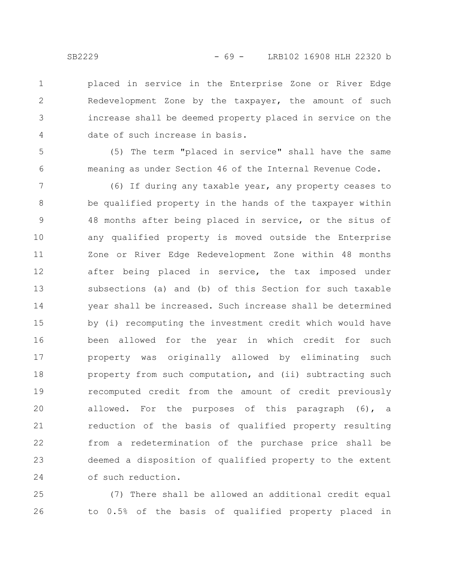placed in service in the Enterprise Zone or River Edge Redevelopment Zone by the taxpayer, the amount of such increase shall be deemed property placed in service on the date of such increase in basis. 1 2 3 4

5 6

(5) The term "placed in service" shall have the same meaning as under Section 46 of the Internal Revenue Code.

(6) If during any taxable year, any property ceases to be qualified property in the hands of the taxpayer within 48 months after being placed in service, or the situs of any qualified property is moved outside the Enterprise Zone or River Edge Redevelopment Zone within 48 months after being placed in service, the tax imposed under subsections (a) and (b) of this Section for such taxable year shall be increased. Such increase shall be determined by (i) recomputing the investment credit which would have been allowed for the year in which credit for such property was originally allowed by eliminating such property from such computation, and (ii) subtracting such recomputed credit from the amount of credit previously allowed. For the purposes of this paragraph (6), a reduction of the basis of qualified property resulting from a redetermination of the purchase price shall be deemed a disposition of qualified property to the extent of such reduction. 7 8 9 10 11 12 13 14 15 16 17 18 19 20 21 22 23 24

(7) There shall be allowed an additional credit equal to 0.5% of the basis of qualified property placed in 25 26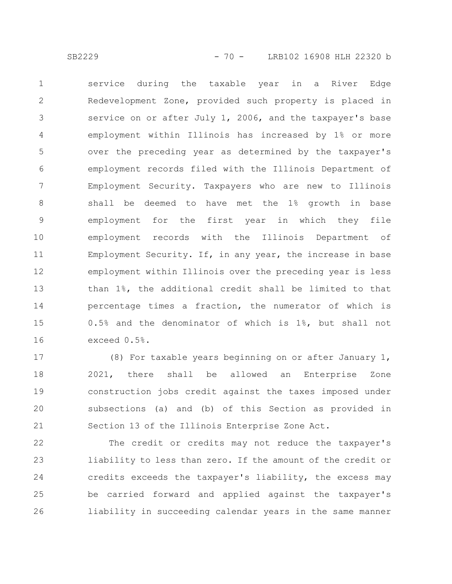service during the taxable year in a River Edge Redevelopment Zone, provided such property is placed in service on or after July 1, 2006, and the taxpayer's base employment within Illinois has increased by 1% or more over the preceding year as determined by the taxpayer's employment records filed with the Illinois Department of Employment Security. Taxpayers who are new to Illinois shall be deemed to have met the 1% growth in base employment for the first year in which they file employment records with the Illinois Department of Employment Security. If, in any year, the increase in base employment within Illinois over the preceding year is less than 1%, the additional credit shall be limited to that percentage times a fraction, the numerator of which is 0.5% and the denominator of which is 1%, but shall not exceed 0.5%. 1 2 3 4 5 6 7 8 9 10 11 12 13 14 15 16

(8) For taxable years beginning on or after January 1, 2021, there shall be allowed an Enterprise Zone construction jobs credit against the taxes imposed under subsections (a) and (b) of this Section as provided in Section 13 of the Illinois Enterprise Zone Act. 17 18 19 20 21

The credit or credits may not reduce the taxpayer's liability to less than zero. If the amount of the credit or credits exceeds the taxpayer's liability, the excess may be carried forward and applied against the taxpayer's liability in succeeding calendar years in the same manner 22 23 24 25 26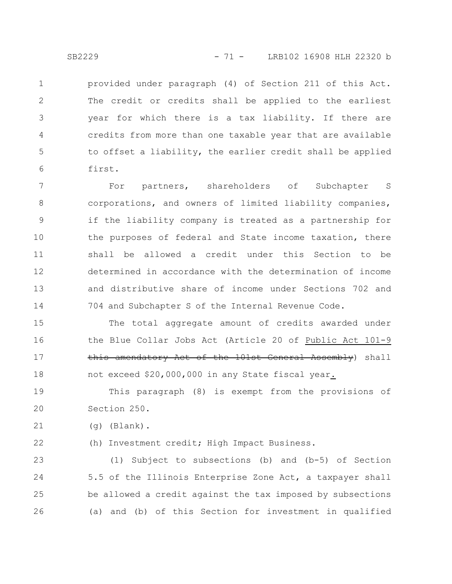provided under paragraph (4) of Section 211 of this Act. The credit or credits shall be applied to the earliest year for which there is a tax liability. If there are credits from more than one taxable year that are available to offset a liability, the earlier credit shall be applied first. 1 2 3 4 5 6

For partners, shareholders of Subchapter S corporations, and owners of limited liability companies, if the liability company is treated as a partnership for the purposes of federal and State income taxation, there shall be allowed a credit under this Section to be determined in accordance with the determination of income and distributive share of income under Sections 702 and 704 and Subchapter S of the Internal Revenue Code. 7 8 9 10 11 12 13 14

The total aggregate amount of credits awarded under the Blue Collar Jobs Act (Article 20 of Public Act 101-9 this amendatory Act of the 101st General Assembly) shall not exceed \$20,000,000 in any State fiscal year. 15 16 17 18

This paragraph (8) is exempt from the provisions of Section 250. 19 20

(g) (Blank). 21

22

(h) Investment credit; High Impact Business.

(1) Subject to subsections (b) and (b-5) of Section 5.5 of the Illinois Enterprise Zone Act, a taxpayer shall be allowed a credit against the tax imposed by subsections (a) and (b) of this Section for investment in qualified 23 24 25 26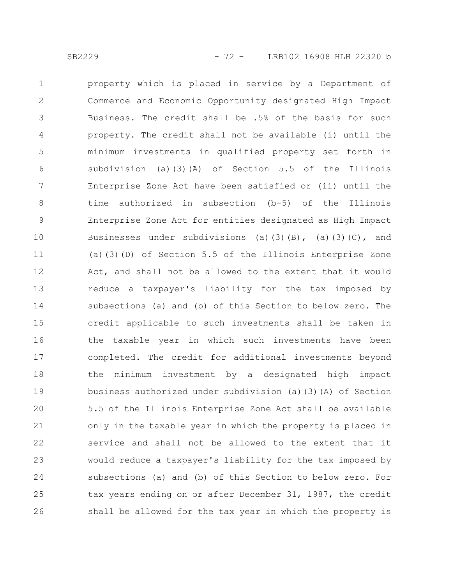property which is placed in service by a Department of Commerce and Economic Opportunity designated High Impact Business. The credit shall be .5% of the basis for such property. The credit shall not be available (i) until the minimum investments in qualified property set forth in subdivision (a)(3)(A) of Section 5.5 of the Illinois Enterprise Zone Act have been satisfied or (ii) until the time authorized in subsection (b-5) of the Illinois Enterprise Zone Act for entities designated as High Impact Businesses under subdivisions (a)(3)(B), (a)(3)(C), and (a)(3)(D) of Section 5.5 of the Illinois Enterprise Zone Act, and shall not be allowed to the extent that it would reduce a taxpayer's liability for the tax imposed by subsections (a) and (b) of this Section to below zero. The credit applicable to such investments shall be taken in the taxable year in which such investments have been completed. The credit for additional investments beyond the minimum investment by a designated high impact business authorized under subdivision (a)(3)(A) of Section 5.5 of the Illinois Enterprise Zone Act shall be available only in the taxable year in which the property is placed in service and shall not be allowed to the extent that it would reduce a taxpayer's liability for the tax imposed by subsections (a) and (b) of this Section to below zero. For tax years ending on or after December 31, 1987, the credit shall be allowed for the tax year in which the property is 1 2 3 4 5 6 7 8 9 10 11 12 13 14 15 16 17 18 19 20 21 22 23 24 25 26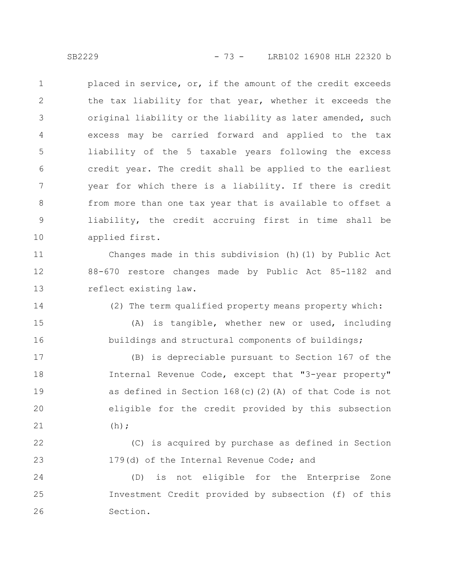placed in service, or, if the amount of the credit exceeds the tax liability for that year, whether it exceeds the original liability or the liability as later amended, such excess may be carried forward and applied to the tax liability of the 5 taxable years following the excess credit year. The credit shall be applied to the earliest year for which there is a liability. If there is credit from more than one tax year that is available to offset a liability, the credit accruing first in time shall be applied first. 1 2 3 4 5 6 7 8 9 10

Changes made in this subdivision (h)(1) by Public Act 88-670 restore changes made by Public Act 85-1182 and reflect existing law. 11 12 13

14

(2) The term qualified property means property which:

(A) is tangible, whether new or used, including buildings and structural components of buildings; 15 16

(B) is depreciable pursuant to Section 167 of the Internal Revenue Code, except that "3-year property" as defined in Section 168(c)(2)(A) of that Code is not eligible for the credit provided by this subsection  $(h);$ 17 18 19 20 21

(C) is acquired by purchase as defined in Section 179(d) of the Internal Revenue Code; and 22 23

(D) is not eligible for the Enterprise Zone Investment Credit provided by subsection (f) of this Section. 24 25 26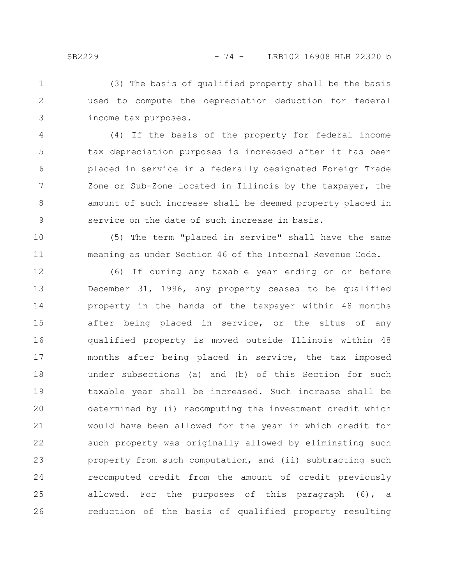(3) The basis of qualified property shall be the basis used to compute the depreciation deduction for federal income tax purposes. 1 2 3

(4) If the basis of the property for federal income tax depreciation purposes is increased after it has been placed in service in a federally designated Foreign Trade Zone or Sub-Zone located in Illinois by the taxpayer, the amount of such increase shall be deemed property placed in service on the date of such increase in basis. 4 5 6 7 8 9

(5) The term "placed in service" shall have the same meaning as under Section 46 of the Internal Revenue Code. 10 11

(6) If during any taxable year ending on or before December 31, 1996, any property ceases to be qualified property in the hands of the taxpayer within 48 months after being placed in service, or the situs of any qualified property is moved outside Illinois within 48 months after being placed in service, the tax imposed under subsections (a) and (b) of this Section for such taxable year shall be increased. Such increase shall be determined by (i) recomputing the investment credit which would have been allowed for the year in which credit for such property was originally allowed by eliminating such property from such computation, and (ii) subtracting such recomputed credit from the amount of credit previously allowed. For the purposes of this paragraph (6), a reduction of the basis of qualified property resulting 12 13 14 15 16 17 18 19 20 21 22 23 24 25 26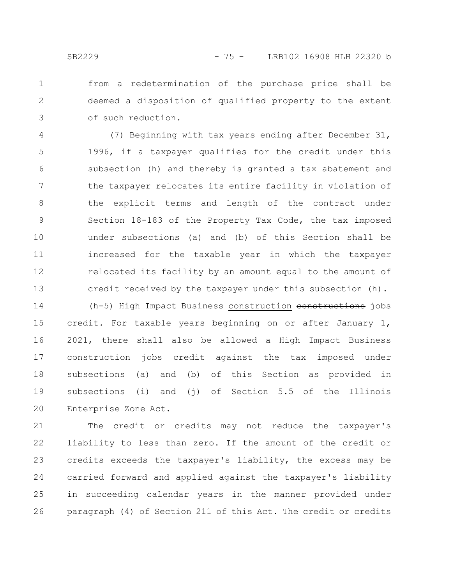from a redetermination of the purchase price shall be deemed a disposition of qualified property to the extent of such reduction. 1 2 3

(7) Beginning with tax years ending after December 31, 1996, if a taxpayer qualifies for the credit under this subsection (h) and thereby is granted a tax abatement and the taxpayer relocates its entire facility in violation of the explicit terms and length of the contract under Section 18-183 of the Property Tax Code, the tax imposed under subsections (a) and (b) of this Section shall be increased for the taxable year in which the taxpayer relocated its facility by an amount equal to the amount of credit received by the taxpayer under this subsection (h). 4 5 6 7 8 9 10 11 12 13

(h-5) High Impact Business construction constructions jobs credit. For taxable years beginning on or after January 1, 2021, there shall also be allowed a High Impact Business construction jobs credit against the tax imposed under subsections (a) and (b) of this Section as provided in subsections (i) and (j) of Section 5.5 of the Illinois Enterprise Zone Act. 14 15 16 17 18 19 20

The credit or credits may not reduce the taxpayer's liability to less than zero. If the amount of the credit or credits exceeds the taxpayer's liability, the excess may be carried forward and applied against the taxpayer's liability in succeeding calendar years in the manner provided under paragraph (4) of Section 211 of this Act. The credit or credits 21 22 23 24 25 26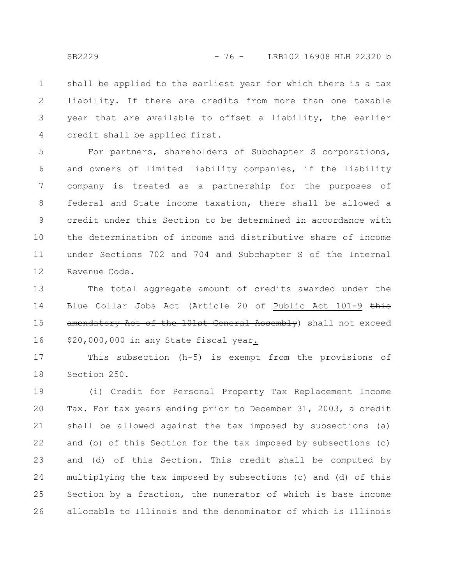shall be applied to the earliest year for which there is a tax liability. If there are credits from more than one taxable year that are available to offset a liability, the earlier credit shall be applied first. 1 2 3 4

For partners, shareholders of Subchapter S corporations, and owners of limited liability companies, if the liability company is treated as a partnership for the purposes of federal and State income taxation, there shall be allowed a credit under this Section to be determined in accordance with the determination of income and distributive share of income under Sections 702 and 704 and Subchapter S of the Internal Revenue Code. 5 6 7 8 9 10 11 12

The total aggregate amount of credits awarded under the Blue Collar Jobs Act (Article 20 of Public Act 101-9 this amendatory Act of the 101st General Assembly) shall not exceed \$20,000,000 in any State fiscal year. 13 14 15 16

This subsection (h-5) is exempt from the provisions of Section 250. 17 18

(i) Credit for Personal Property Tax Replacement Income Tax. For tax years ending prior to December 31, 2003, a credit shall be allowed against the tax imposed by subsections (a) and (b) of this Section for the tax imposed by subsections (c) and (d) of this Section. This credit shall be computed by multiplying the tax imposed by subsections (c) and (d) of this Section by a fraction, the numerator of which is base income allocable to Illinois and the denominator of which is Illinois 19 20 21 22 23 24 25 26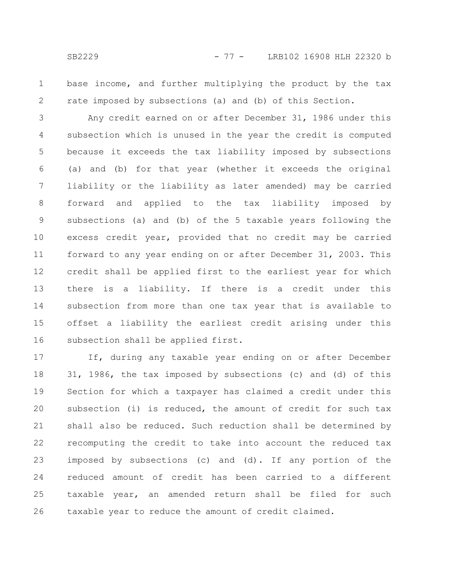1

2

base income, and further multiplying the product by the tax rate imposed by subsections (a) and (b) of this Section.

Any credit earned on or after December 31, 1986 under this subsection which is unused in the year the credit is computed because it exceeds the tax liability imposed by subsections (a) and (b) for that year (whether it exceeds the original liability or the liability as later amended) may be carried forward and applied to the tax liability imposed by subsections (a) and (b) of the 5 taxable years following the excess credit year, provided that no credit may be carried forward to any year ending on or after December 31, 2003. This credit shall be applied first to the earliest year for which there is a liability. If there is a credit under this subsection from more than one tax year that is available to offset a liability the earliest credit arising under this subsection shall be applied first. 3 4 5 6 7 8 9 10 11 12 13 14 15 16

If, during any taxable year ending on or after December 31, 1986, the tax imposed by subsections (c) and (d) of this Section for which a taxpayer has claimed a credit under this subsection (i) is reduced, the amount of credit for such tax shall also be reduced. Such reduction shall be determined by recomputing the credit to take into account the reduced tax imposed by subsections (c) and (d). If any portion of the reduced amount of credit has been carried to a different taxable year, an amended return shall be filed for such taxable year to reduce the amount of credit claimed. 17 18 19 20 21 22 23 24 25 26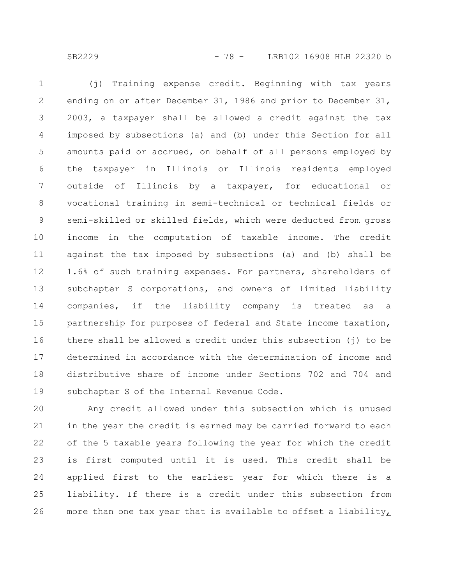(j) Training expense credit. Beginning with tax years ending on or after December 31, 1986 and prior to December 31, 2003, a taxpayer shall be allowed a credit against the tax imposed by subsections (a) and (b) under this Section for all amounts paid or accrued, on behalf of all persons employed by the taxpayer in Illinois or Illinois residents employed outside of Illinois by a taxpayer, for educational or vocational training in semi-technical or technical fields or semi-skilled or skilled fields, which were deducted from gross income in the computation of taxable income. The credit against the tax imposed by subsections (a) and (b) shall be 1.6% of such training expenses. For partners, shareholders of subchapter S corporations, and owners of limited liability companies, if the liability company is treated as a partnership for purposes of federal and State income taxation, there shall be allowed a credit under this subsection (j) to be determined in accordance with the determination of income and distributive share of income under Sections 702 and 704 and subchapter S of the Internal Revenue Code. 1 2 3 4 5 6 7 8 9 10 11 12 13 14 15 16 17 18 19

Any credit allowed under this subsection which is unused in the year the credit is earned may be carried forward to each of the 5 taxable years following the year for which the credit is first computed until it is used. This credit shall be applied first to the earliest year for which there is a liability. If there is a credit under this subsection from more than one tax year that is available to offset a liability, 20 21 22 23 24 25 26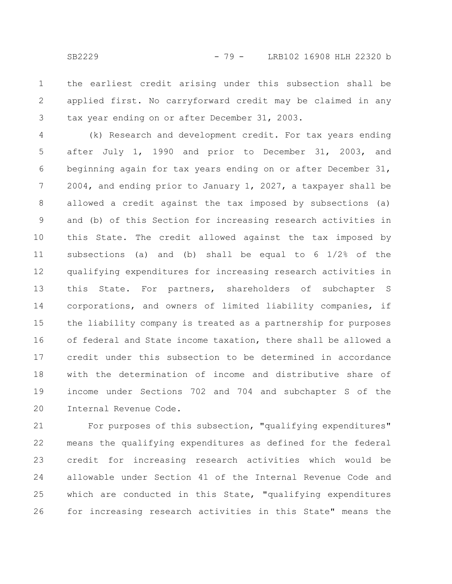the earliest credit arising under this subsection shall be applied first. No carryforward credit may be claimed in any tax year ending on or after December 31, 2003. 1 2 3

(k) Research and development credit. For tax years ending after July 1, 1990 and prior to December 31, 2003, and beginning again for tax years ending on or after December 31, 2004, and ending prior to January 1, 2027, a taxpayer shall be allowed a credit against the tax imposed by subsections (a) and (b) of this Section for increasing research activities in this State. The credit allowed against the tax imposed by subsections (a) and (b) shall be equal to 6 1/2% of the qualifying expenditures for increasing research activities in this State. For partners, shareholders of subchapter S corporations, and owners of limited liability companies, if the liability company is treated as a partnership for purposes of federal and State income taxation, there shall be allowed a credit under this subsection to be determined in accordance with the determination of income and distributive share of income under Sections 702 and 704 and subchapter S of the Internal Revenue Code. 4 5 6 7 8 9 10 11 12 13 14 15 16 17 18 19 20

For purposes of this subsection, "qualifying expenditures" means the qualifying expenditures as defined for the federal credit for increasing research activities which would be allowable under Section 41 of the Internal Revenue Code and which are conducted in this State, "qualifying expenditures for increasing research activities in this State" means the 21 22 23 24 25 26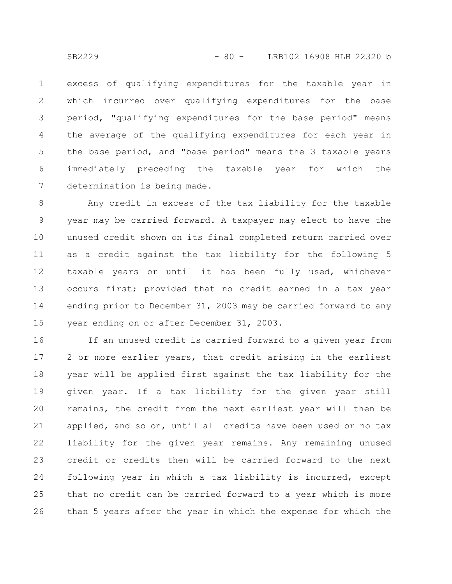excess of qualifying expenditures for the taxable year in which incurred over qualifying expenditures for the base period, "qualifying expenditures for the base period" means the average of the qualifying expenditures for each year in the base period, and "base period" means the 3 taxable years immediately preceding the taxable year for which the determination is being made. 1 2 3 4 5 6 7

Any credit in excess of the tax liability for the taxable year may be carried forward. A taxpayer may elect to have the unused credit shown on its final completed return carried over as a credit against the tax liability for the following 5 taxable years or until it has been fully used, whichever occurs first; provided that no credit earned in a tax year ending prior to December 31, 2003 may be carried forward to any year ending on or after December 31, 2003. 8 9 10 11 12 13 14 15

If an unused credit is carried forward to a given year from 2 or more earlier years, that credit arising in the earliest year will be applied first against the tax liability for the given year. If a tax liability for the given year still remains, the credit from the next earliest year will then be applied, and so on, until all credits have been used or no tax liability for the given year remains. Any remaining unused credit or credits then will be carried forward to the next following year in which a tax liability is incurred, except that no credit can be carried forward to a year which is more than 5 years after the year in which the expense for which the 16 17 18 19 20 21 22 23 24 25 26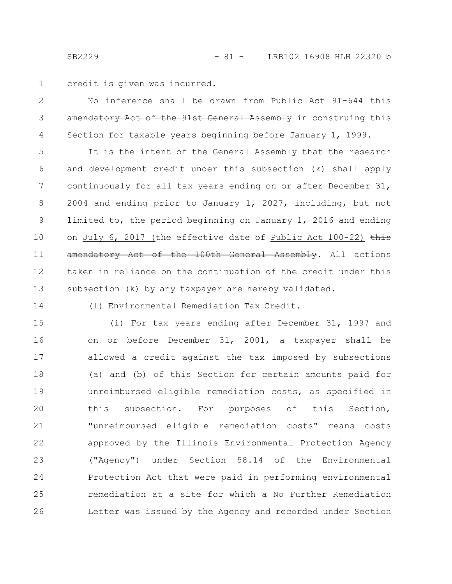credit is given was incurred.

No inference shall be drawn from Public Act 91-644 this amendatory Act of the 91st General Assembly in construing this Section for taxable years beginning before January 1, 1999. 2 3 4

It is the intent of the General Assembly that the research and development credit under this subsection (k) shall apply continuously for all tax years ending on or after December 31, 2004 and ending prior to January 1, 2027, including, but not limited to, the period beginning on January 1, 2016 and ending on July 6, 2017 (the effective date of Public Act 100-22) this amendatory Act of the 100th General Assembly. All actions taken in reliance on the continuation of the credit under this subsection (k) by any taxpayer are hereby validated. 5 6 7 8 9 10 11 12 13

14

(l) Environmental Remediation Tax Credit.

(i) For tax years ending after December 31, 1997 and on or before December 31, 2001, a taxpayer shall be allowed a credit against the tax imposed by subsections (a) and (b) of this Section for certain amounts paid for unreimbursed eligible remediation costs, as specified in this subsection. For purposes of this Section, "unreimbursed eligible remediation costs" means costs approved by the Illinois Environmental Protection Agency ("Agency") under Section 58.14 of the Environmental Protection Act that were paid in performing environmental remediation at a site for which a No Further Remediation Letter was issued by the Agency and recorded under Section 15 16 17 18 19 20 21 22 23 24 25 26

1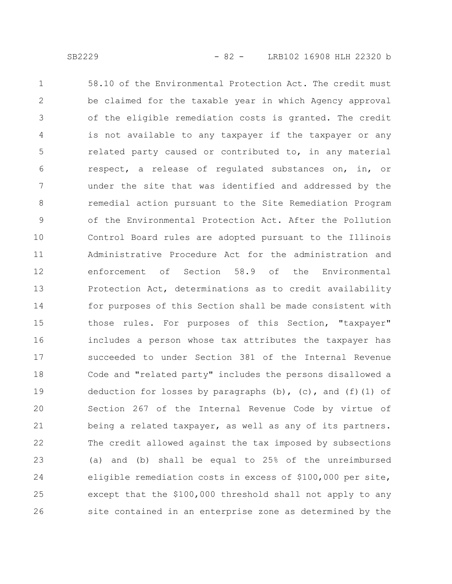58.10 of the Environmental Protection Act. The credit must be claimed for the taxable year in which Agency approval of the eligible remediation costs is granted. The credit is not available to any taxpayer if the taxpayer or any related party caused or contributed to, in any material respect, a release of regulated substances on, in, or under the site that was identified and addressed by the remedial action pursuant to the Site Remediation Program of the Environmental Protection Act. After the Pollution Control Board rules are adopted pursuant to the Illinois Administrative Procedure Act for the administration and enforcement of Section 58.9 of the Environmental Protection Act, determinations as to credit availability for purposes of this Section shall be made consistent with those rules. For purposes of this Section, "taxpayer" includes a person whose tax attributes the taxpayer has succeeded to under Section 381 of the Internal Revenue Code and "related party" includes the persons disallowed a deduction for losses by paragraphs  $(b)$ ,  $(c)$ , and  $(f)$  (1) of Section 267 of the Internal Revenue Code by virtue of being a related taxpayer, as well as any of its partners. The credit allowed against the tax imposed by subsections (a) and (b) shall be equal to 25% of the unreimbursed eligible remediation costs in excess of \$100,000 per site, except that the \$100,000 threshold shall not apply to any site contained in an enterprise zone as determined by the 1 2 3 4 5 6 7 8 9 10 11 12 13 14 15 16 17 18 19 20 21 22 23 24 25 26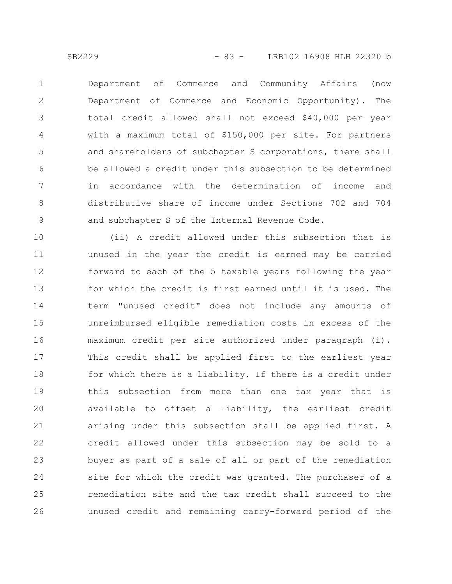Department of Commerce and Community Affairs (now Department of Commerce and Economic Opportunity). The total credit allowed shall not exceed \$40,000 per year with a maximum total of \$150,000 per site. For partners and shareholders of subchapter S corporations, there shall be allowed a credit under this subsection to be determined in accordance with the determination of income and distributive share of income under Sections 702 and 704 and subchapter S of the Internal Revenue Code. 1 2 3 4 5 6 7 8 9

(ii) A credit allowed under this subsection that is unused in the year the credit is earned may be carried forward to each of the 5 taxable years following the year for which the credit is first earned until it is used. The term "unused credit" does not include any amounts of unreimbursed eligible remediation costs in excess of the maximum credit per site authorized under paragraph (i). This credit shall be applied first to the earliest year for which there is a liability. If there is a credit under this subsection from more than one tax year that is available to offset a liability, the earliest credit arising under this subsection shall be applied first. A credit allowed under this subsection may be sold to a buyer as part of a sale of all or part of the remediation site for which the credit was granted. The purchaser of a remediation site and the tax credit shall succeed to the unused credit and remaining carry-forward period of the 10 11 12 13 14 15 16 17 18 19 20 21 22 23 24 25 26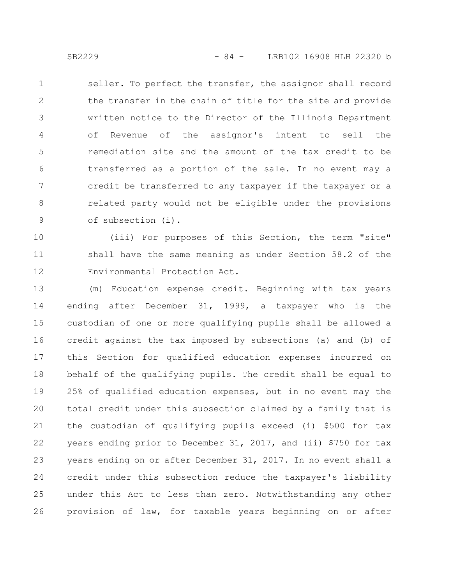seller. To perfect the transfer, the assignor shall record the transfer in the chain of title for the site and provide written notice to the Director of the Illinois Department of Revenue of the assignor's intent to sell the remediation site and the amount of the tax credit to be transferred as a portion of the sale. In no event may a credit be transferred to any taxpayer if the taxpayer or a related party would not be eligible under the provisions of subsection (i). 1 2 3 4 5 6 7 8 9

(iii) For purposes of this Section, the term "site" shall have the same meaning as under Section 58.2 of the Environmental Protection Act. 10 11 12

(m) Education expense credit. Beginning with tax years ending after December 31, 1999, a taxpayer who is the custodian of one or more qualifying pupils shall be allowed a credit against the tax imposed by subsections (a) and (b) of this Section for qualified education expenses incurred on behalf of the qualifying pupils. The credit shall be equal to 25% of qualified education expenses, but in no event may the total credit under this subsection claimed by a family that is the custodian of qualifying pupils exceed (i) \$500 for tax years ending prior to December 31, 2017, and (ii) \$750 for tax years ending on or after December 31, 2017. In no event shall a credit under this subsection reduce the taxpayer's liability under this Act to less than zero. Notwithstanding any other provision of law, for taxable years beginning on or after 13 14 15 16 17 18 19 20 21 22 23 24 25 26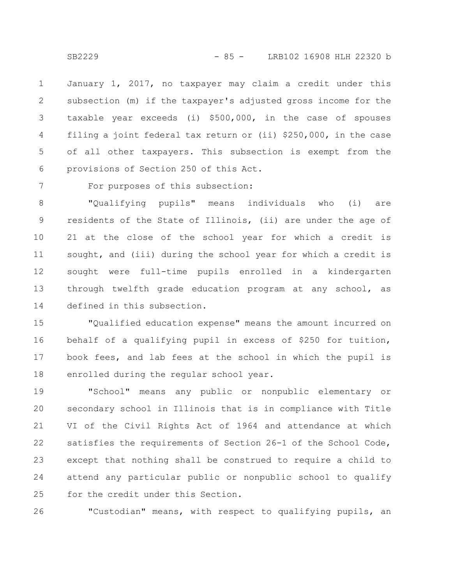January 1, 2017, no taxpayer may claim a credit under this subsection (m) if the taxpayer's adjusted gross income for the taxable year exceeds (i) \$500,000, in the case of spouses filing a joint federal tax return or (ii) \$250,000, in the case of all other taxpayers. This subsection is exempt from the provisions of Section 250 of this Act. 1 2 3 4 5 6

7

For purposes of this subsection:

"Qualifying pupils" means individuals who (i) are residents of the State of Illinois, (ii) are under the age of 21 at the close of the school year for which a credit is sought, and (iii) during the school year for which a credit is sought were full-time pupils enrolled in a kindergarten through twelfth grade education program at any school, as defined in this subsection. 8 9 10 11 12 13 14

"Qualified education expense" means the amount incurred on behalf of a qualifying pupil in excess of \$250 for tuition, book fees, and lab fees at the school in which the pupil is enrolled during the regular school year. 15 16 17 18

"School" means any public or nonpublic elementary or secondary school in Illinois that is in compliance with Title VI of the Civil Rights Act of 1964 and attendance at which satisfies the requirements of Section 26-1 of the School Code, except that nothing shall be construed to require a child to attend any particular public or nonpublic school to qualify for the credit under this Section. 19 20 21 22 23 24 25

"Custodian" means, with respect to qualifying pupils, an 26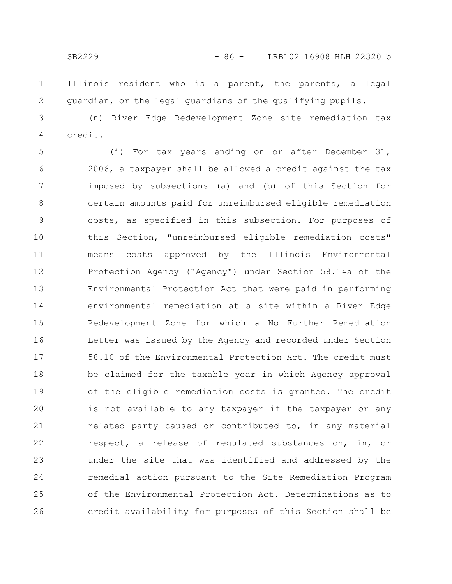Illinois resident who is a parent, the parents, a legal guardian, or the legal guardians of the qualifying pupils. 1 2

(n) River Edge Redevelopment Zone site remediation tax credit. 3 4

(i) For tax years ending on or after December 31, 2006, a taxpayer shall be allowed a credit against the tax imposed by subsections (a) and (b) of this Section for certain amounts paid for unreimbursed eligible remediation costs, as specified in this subsection. For purposes of this Section, "unreimbursed eligible remediation costs" means costs approved by the Illinois Environmental Protection Agency ("Agency") under Section 58.14a of the Environmental Protection Act that were paid in performing environmental remediation at a site within a River Edge Redevelopment Zone for which a No Further Remediation Letter was issued by the Agency and recorded under Section 58.10 of the Environmental Protection Act. The credit must be claimed for the taxable year in which Agency approval of the eligible remediation costs is granted. The credit is not available to any taxpayer if the taxpayer or any related party caused or contributed to, in any material respect, a release of regulated substances on, in, or under the site that was identified and addressed by the remedial action pursuant to the Site Remediation Program of the Environmental Protection Act. Determinations as to credit availability for purposes of this Section shall be 5 6 7 8 9 10 11 12 13 14 15 16 17 18 19 20 21 22 23 24 25 26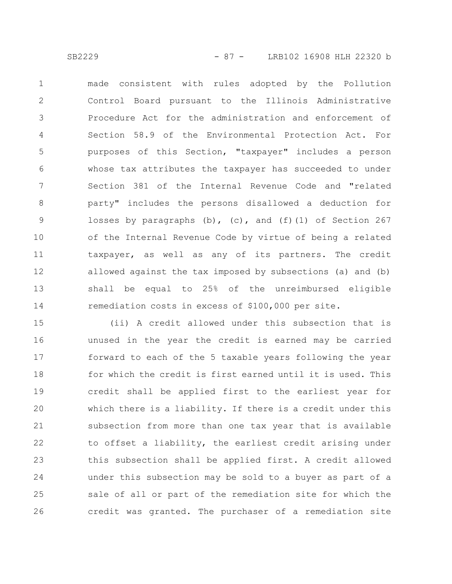made consistent with rules adopted by the Pollution Control Board pursuant to the Illinois Administrative Procedure Act for the administration and enforcement of Section 58.9 of the Environmental Protection Act. For purposes of this Section, "taxpayer" includes a person whose tax attributes the taxpayer has succeeded to under Section 381 of the Internal Revenue Code and "related party" includes the persons disallowed a deduction for losses by paragraphs  $(b)$ ,  $(c)$ , and  $(f)(1)$  of Section 267 of the Internal Revenue Code by virtue of being a related taxpayer, as well as any of its partners. The credit allowed against the tax imposed by subsections (a) and (b) shall be equal to 25% of the unreimbursed eligible remediation costs in excess of \$100,000 per site. 1 2 3 4 5 6 7 8 9 10 11 12 13 14

(ii) A credit allowed under this subsection that is unused in the year the credit is earned may be carried forward to each of the 5 taxable years following the year for which the credit is first earned until it is used. This credit shall be applied first to the earliest year for which there is a liability. If there is a credit under this subsection from more than one tax year that is available to offset a liability, the earliest credit arising under this subsection shall be applied first. A credit allowed under this subsection may be sold to a buyer as part of a sale of all or part of the remediation site for which the credit was granted. The purchaser of a remediation site 15 16 17 18 19 20 21 22 23 24 25 26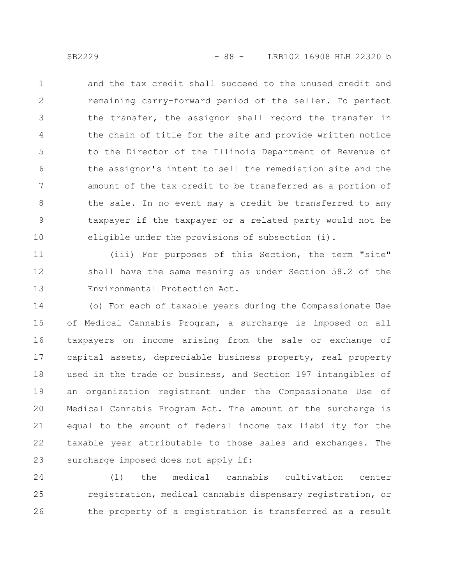and the tax credit shall succeed to the unused credit and remaining carry-forward period of the seller. To perfect the transfer, the assignor shall record the transfer in the chain of title for the site and provide written notice to the Director of the Illinois Department of Revenue of the assignor's intent to sell the remediation site and the amount of the tax credit to be transferred as a portion of the sale. In no event may a credit be transferred to any taxpayer if the taxpayer or a related party would not be eligible under the provisions of subsection (i). 1 2 3 4 5 6 7 8 9 10

(iii) For purposes of this Section, the term "site" shall have the same meaning as under Section 58.2 of the Environmental Protection Act. 11 12 13

(o) For each of taxable years during the Compassionate Use of Medical Cannabis Program, a surcharge is imposed on all taxpayers on income arising from the sale or exchange of capital assets, depreciable business property, real property used in the trade or business, and Section 197 intangibles of an organization registrant under the Compassionate Use of Medical Cannabis Program Act. The amount of the surcharge is equal to the amount of federal income tax liability for the taxable year attributable to those sales and exchanges. The surcharge imposed does not apply if: 14 15 16 17 18 19 20 21 22 23

(1) the medical cannabis cultivation center registration, medical cannabis dispensary registration, or the property of a registration is transferred as a result 24 25 26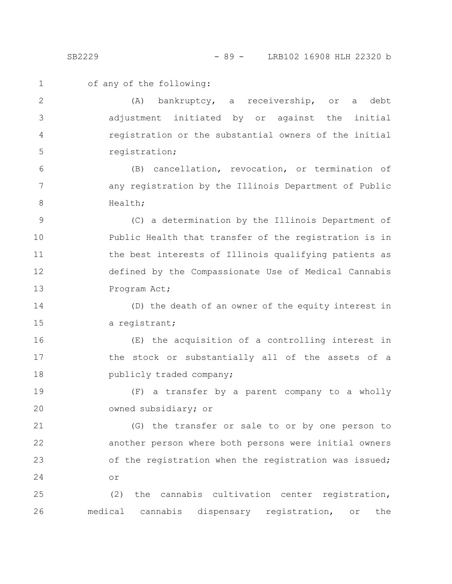1

2

3

4

5

of any of the following:

(A) bankruptcy, a receivership, or a debt adjustment initiated by or against the initial registration or the substantial owners of the initial registration;

(B) cancellation, revocation, or termination of any registration by the Illinois Department of Public Health; 6 7 8

(C) a determination by the Illinois Department of Public Health that transfer of the registration is in the best interests of Illinois qualifying patients as defined by the Compassionate Use of Medical Cannabis Program Act; 9 10 11 12 13

(D) the death of an owner of the equity interest in a registrant; 14 15

(E) the acquisition of a controlling interest in the stock or substantially all of the assets of a publicly traded company; 16 17 18

(F) a transfer by a parent company to a wholly owned subsidiary; or 19 20

(G) the transfer or sale to or by one person to another person where both persons were initial owners of the registration when the registration was issued; or 21 22 23 24

(2) the cannabis cultivation center registration, medical cannabis dispensary registration, or the 25 26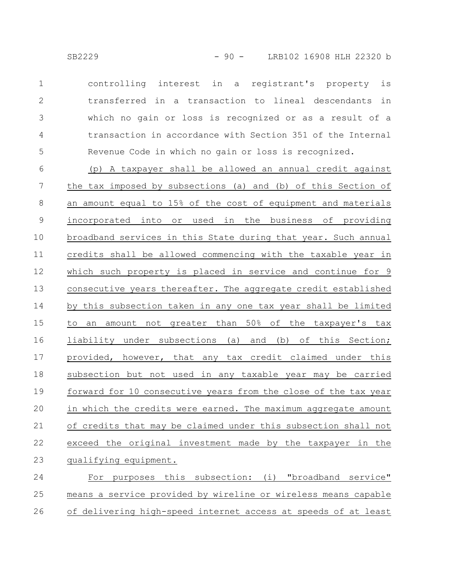controlling interest in a registrant's property is transferred in a transaction to lineal descendants in which no gain or loss is recognized or as a result of a transaction in accordance with Section 351 of the Internal Revenue Code in which no gain or loss is recognized. 1 2 3 4 5

(p) A taxpayer shall be allowed an annual credit against the tax imposed by subsections (a) and (b) of this Section of an amount equal to 15% of the cost of equipment and materials incorporated into or used in the business of providing broadband services in this State during that year. Such annual credits shall be allowed commencing with the taxable year in which such property is placed in service and continue for 9 consecutive years thereafter. The aggregate credit established by this subsection taken in any one tax year shall be limited to an amount not greater than 50% of the taxpayer's tax liability under subsections (a) and (b) of this Section; provided, however, that any tax credit claimed under this subsection but not used in any taxable year may be carried forward for 10 consecutive years from the close of the tax year in which the credits were earned. The maximum aggregate amount of credits that may be claimed under this subsection shall not exceed the original investment made by the taxpayer in the qualifying equipment. 6 7 8 9 10 11 12 13 14 15 16 17 18 19 20 21 22 23

For purposes this subsection: (i) "broadband service" means a service provided by wireline or wireless means capable of delivering high-speed internet access at speeds of at least 24 25 26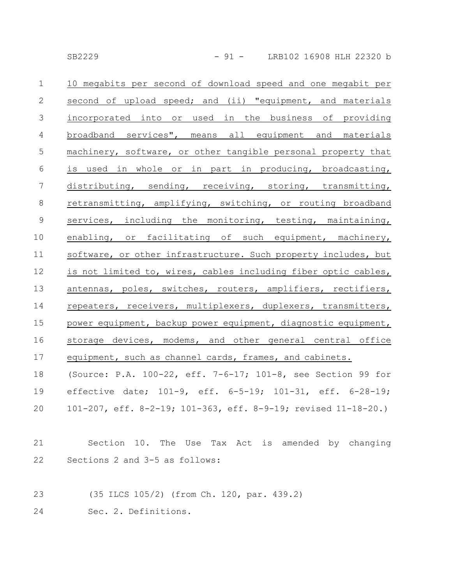| $\mathbf 1$     | 10 megabits per second of download speed and one megabit per   |
|-----------------|----------------------------------------------------------------|
| 2               | second of upload speed; and (ii) "equipment, and materials     |
| $\mathcal{S}$   | incorporated into or used in the business of providing         |
| $\overline{4}$  | broadband services", means all equipment and materials         |
| $\mathsf S$     | machinery, software, or other tangible personal property that  |
| $\sqrt{6}$      | is used in whole or in part in producing, broadcasting,        |
| $7\phantom{.0}$ | distributing, sending, receiving, storing, transmitting,       |
| 8               | retransmitting, amplifying, switching, or routing broadband    |
| $\mathsf 9$     | services, including the monitoring, testing, maintaining,      |
| 10              | enabling, or facilitating of such equipment, machinery,        |
| 11              | software, or other infrastructure. Such property includes, but |
| 12              | is not limited to, wires, cables including fiber optic cables, |
| 13              | antennas, poles, switches, routers, amplifiers, rectifiers,    |
| 14              | repeaters, receivers, multiplexers, duplexers, transmitters,   |
| 15              | power equipment, backup power equipment, diagnostic equipment, |
| 16              | storage devices, modems, and other general central office      |
| 17              | equipment, such as channel cards, frames, and cabinets.        |
| 18              | (Source: P.A. 100-22, eff. 7-6-17; 101-8, see Section 99 for   |
| 19              | effective date; 101-9, eff. 6-5-19; 101-31, eff. 6-28-19;      |
| 20              | 101-207, eff. 8-2-19; 101-363, eff. 8-9-19; revised 11-18-20.) |
|                 |                                                                |
| 21              | Section 10. The Use Tax Act is amended by changing             |
| 22              | Sections 2 and 3-5 as follows:                                 |
|                 |                                                                |

- (35 ILCS 105/2) (from Ch. 120, par. 439.2) 23
- Sec. 2. Definitions. 24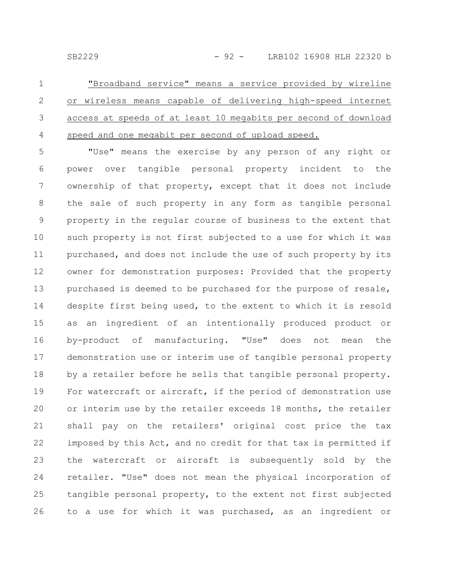"Broadband service" means a service provided by wireline or wireless means capable of delivering high-speed internet access at speeds of at least 10 megabits per second of download speed and one megabit per second of upload speed. 1 2 3 4

"Use" means the exercise by any person of any right or power over tangible personal property incident to the ownership of that property, except that it does not include the sale of such property in any form as tangible personal property in the regular course of business to the extent that such property is not first subjected to a use for which it was purchased, and does not include the use of such property by its owner for demonstration purposes: Provided that the property purchased is deemed to be purchased for the purpose of resale, despite first being used, to the extent to which it is resold as an ingredient of an intentionally produced product or by-product of manufacturing. "Use" does not mean the demonstration use or interim use of tangible personal property by a retailer before he sells that tangible personal property. For watercraft or aircraft, if the period of demonstration use or interim use by the retailer exceeds 18 months, the retailer shall pay on the retailers' original cost price the tax imposed by this Act, and no credit for that tax is permitted if the watercraft or aircraft is subsequently sold by the retailer. "Use" does not mean the physical incorporation of tangible personal property, to the extent not first subjected to a use for which it was purchased, as an ingredient or 5 6 7 8 9 10 11 12 13 14 15 16 17 18 19 20 21 22 23 24 25 26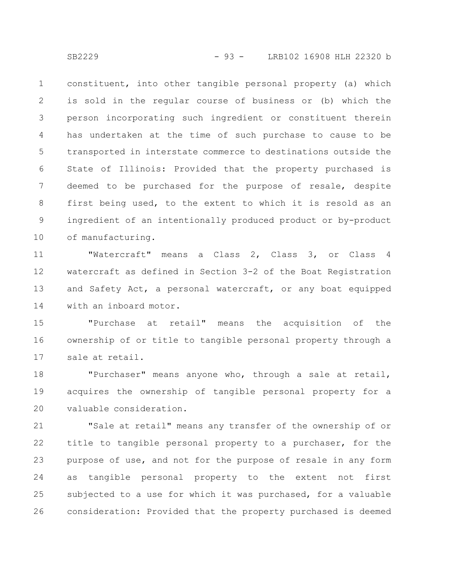constituent, into other tangible personal property (a) which is sold in the regular course of business or (b) which the person incorporating such ingredient or constituent therein has undertaken at the time of such purchase to cause to be transported in interstate commerce to destinations outside the State of Illinois: Provided that the property purchased is deemed to be purchased for the purpose of resale, despite first being used, to the extent to which it is resold as an ingredient of an intentionally produced product or by-product of manufacturing. 1 2 3 4 5 6 7 8 9 10

"Watercraft" means a Class 2, Class 3, or Class 4 watercraft as defined in Section 3-2 of the Boat Registration and Safety Act, a personal watercraft, or any boat equipped with an inboard motor. 11 12 13 14

"Purchase at retail" means the acquisition of the ownership of or title to tangible personal property through a sale at retail. 15 16 17

"Purchaser" means anyone who, through a sale at retail, acquires the ownership of tangible personal property for a valuable consideration. 18 19 20

"Sale at retail" means any transfer of the ownership of or title to tangible personal property to a purchaser, for the purpose of use, and not for the purpose of resale in any form as tangible personal property to the extent not first subjected to a use for which it was purchased, for a valuable consideration: Provided that the property purchased is deemed 21 22 23 24 25 26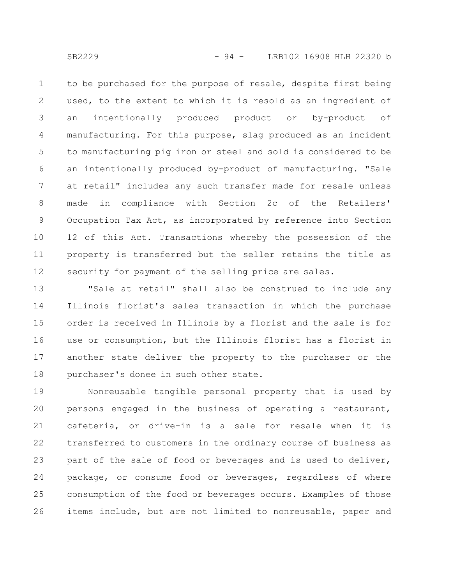to be purchased for the purpose of resale, despite first being used, to the extent to which it is resold as an ingredient of an intentionally produced product or by-product of manufacturing. For this purpose, slag produced as an incident to manufacturing pig iron or steel and sold is considered to be an intentionally produced by-product of manufacturing. "Sale at retail" includes any such transfer made for resale unless made in compliance with Section 2c of the Retailers' Occupation Tax Act, as incorporated by reference into Section 12 of this Act. Transactions whereby the possession of the property is transferred but the seller retains the title as security for payment of the selling price are sales. 1 2 3 4 5 6 7 8 9 10 11 12

"Sale at retail" shall also be construed to include any Illinois florist's sales transaction in which the purchase order is received in Illinois by a florist and the sale is for use or consumption, but the Illinois florist has a florist in another state deliver the property to the purchaser or the purchaser's donee in such other state. 13 14 15 16 17 18

Nonreusable tangible personal property that is used by persons engaged in the business of operating a restaurant, cafeteria, or drive-in is a sale for resale when it is transferred to customers in the ordinary course of business as part of the sale of food or beverages and is used to deliver, package, or consume food or beverages, regardless of where consumption of the food or beverages occurs. Examples of those items include, but are not limited to nonreusable, paper and 19 20 21 22 23 24 25 26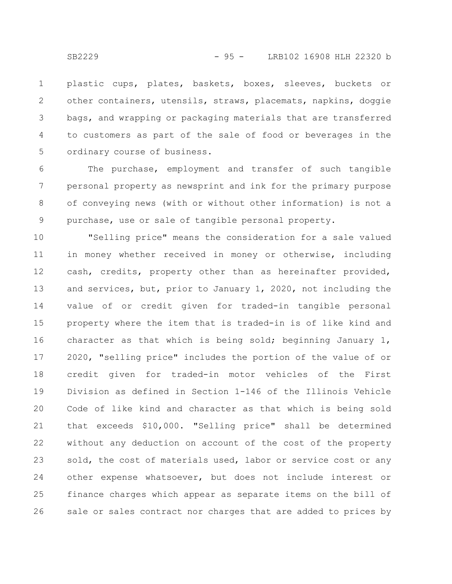plastic cups, plates, baskets, boxes, sleeves, buckets or other containers, utensils, straws, placemats, napkins, doggie bags, and wrapping or packaging materials that are transferred to customers as part of the sale of food or beverages in the ordinary course of business. 1 2 3 4 5

The purchase, employment and transfer of such tangible personal property as newsprint and ink for the primary purpose of conveying news (with or without other information) is not a purchase, use or sale of tangible personal property. 6 7 8 9

"Selling price" means the consideration for a sale valued in money whether received in money or otherwise, including cash, credits, property other than as hereinafter provided, and services, but, prior to January 1, 2020, not including the value of or credit given for traded-in tangible personal property where the item that is traded-in is of like kind and character as that which is being sold; beginning January 1, 2020, "selling price" includes the portion of the value of or credit given for traded-in motor vehicles of the First Division as defined in Section 1-146 of the Illinois Vehicle Code of like kind and character as that which is being sold that exceeds \$10,000. "Selling price" shall be determined without any deduction on account of the cost of the property sold, the cost of materials used, labor or service cost or any other expense whatsoever, but does not include interest or finance charges which appear as separate items on the bill of sale or sales contract nor charges that are added to prices by 10 11 12 13 14 15 16 17 18 19 20 21 22 23 24 25 26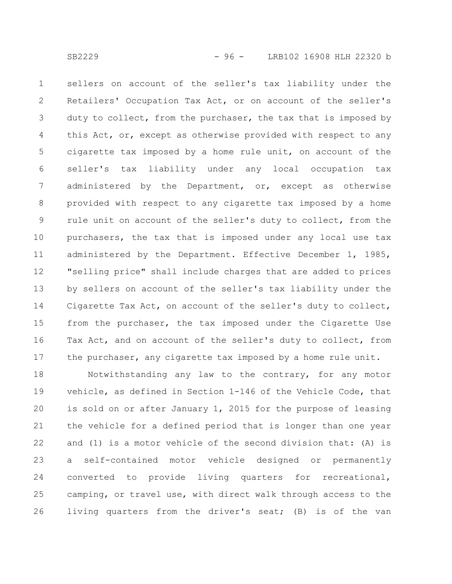sellers on account of the seller's tax liability under the Retailers' Occupation Tax Act, or on account of the seller's duty to collect, from the purchaser, the tax that is imposed by this Act, or, except as otherwise provided with respect to any cigarette tax imposed by a home rule unit, on account of the seller's tax liability under any local occupation tax administered by the Department, or, except as otherwise provided with respect to any cigarette tax imposed by a home rule unit on account of the seller's duty to collect, from the purchasers, the tax that is imposed under any local use tax administered by the Department. Effective December 1, 1985, "selling price" shall include charges that are added to prices by sellers on account of the seller's tax liability under the Cigarette Tax Act, on account of the seller's duty to collect, from the purchaser, the tax imposed under the Cigarette Use Tax Act, and on account of the seller's duty to collect, from the purchaser, any cigarette tax imposed by a home rule unit. 1 2 3 4 5 6 7 8 9 10 11 12 13 14 15 16 17

Notwithstanding any law to the contrary, for any motor vehicle, as defined in Section 1-146 of the Vehicle Code, that is sold on or after January 1, 2015 for the purpose of leasing the vehicle for a defined period that is longer than one year and (1) is a motor vehicle of the second division that: (A) is a self-contained motor vehicle designed or permanently converted to provide living quarters for recreational, camping, or travel use, with direct walk through access to the living quarters from the driver's seat; (B) is of the van 18 19 20 21 22 23 24 25 26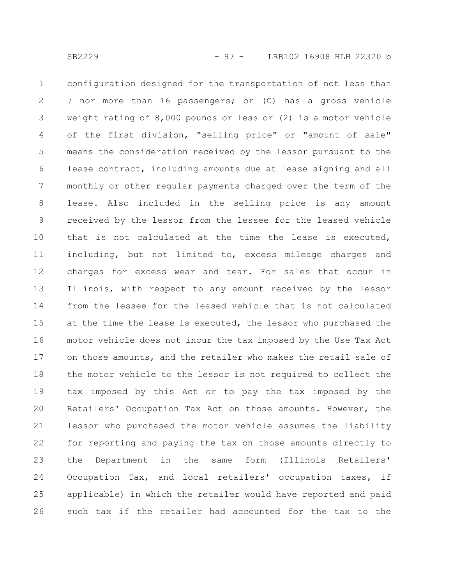configuration designed for the transportation of not less than 7 nor more than 16 passengers; or (C) has a gross vehicle weight rating of 8,000 pounds or less or (2) is a motor vehicle of the first division, "selling price" or "amount of sale" means the consideration received by the lessor pursuant to the lease contract, including amounts due at lease signing and all monthly or other regular payments charged over the term of the lease. Also included in the selling price is any amount received by the lessor from the lessee for the leased vehicle that is not calculated at the time the lease is executed, including, but not limited to, excess mileage charges and charges for excess wear and tear. For sales that occur in Illinois, with respect to any amount received by the lessor from the lessee for the leased vehicle that is not calculated at the time the lease is executed, the lessor who purchased the motor vehicle does not incur the tax imposed by the Use Tax Act on those amounts, and the retailer who makes the retail sale of the motor vehicle to the lessor is not required to collect the tax imposed by this Act or to pay the tax imposed by the Retailers' Occupation Tax Act on those amounts. However, the lessor who purchased the motor vehicle assumes the liability for reporting and paying the tax on those amounts directly to the Department in the same form (Illinois Retailers' Occupation Tax, and local retailers' occupation taxes, if applicable) in which the retailer would have reported and paid such tax if the retailer had accounted for the tax to the 1 2 3 4 5 6 7 8 9 10 11 12 13 14 15 16 17 18 19 20 21 22 23 24 25 26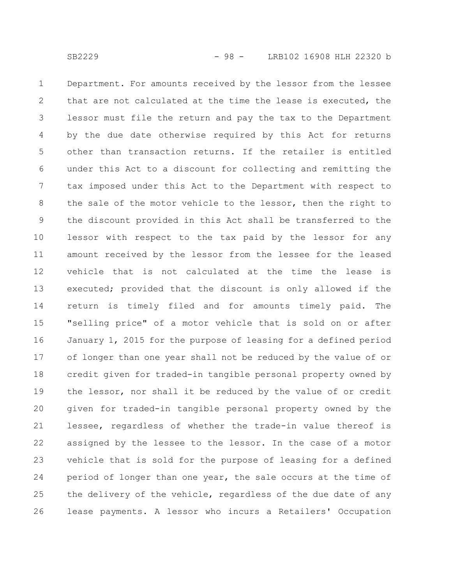Department. For amounts received by the lessor from the lessee that are not calculated at the time the lease is executed, the lessor must file the return and pay the tax to the Department by the due date otherwise required by this Act for returns other than transaction returns. If the retailer is entitled under this Act to a discount for collecting and remitting the tax imposed under this Act to the Department with respect to the sale of the motor vehicle to the lessor, then the right to the discount provided in this Act shall be transferred to the lessor with respect to the tax paid by the lessor for any amount received by the lessor from the lessee for the leased vehicle that is not calculated at the time the lease is executed; provided that the discount is only allowed if the return is timely filed and for amounts timely paid. The "selling price" of a motor vehicle that is sold on or after January 1, 2015 for the purpose of leasing for a defined period of longer than one year shall not be reduced by the value of or credit given for traded-in tangible personal property owned by the lessor, nor shall it be reduced by the value of or credit given for traded-in tangible personal property owned by the lessee, regardless of whether the trade-in value thereof is assigned by the lessee to the lessor. In the case of a motor vehicle that is sold for the purpose of leasing for a defined period of longer than one year, the sale occurs at the time of the delivery of the vehicle, regardless of the due date of any lease payments. A lessor who incurs a Retailers' Occupation 1 2 3 4 5 6 7 8 9 10 11 12 13 14 15 16 17 18 19 20 21 22 23 24 25 26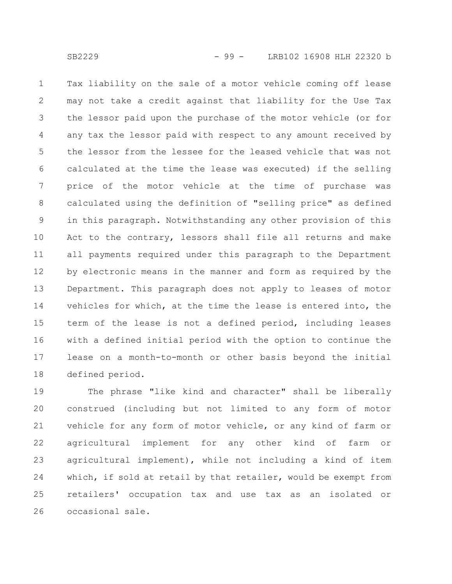Tax liability on the sale of a motor vehicle coming off lease may not take a credit against that liability for the Use Tax the lessor paid upon the purchase of the motor vehicle (or for any tax the lessor paid with respect to any amount received by the lessor from the lessee for the leased vehicle that was not calculated at the time the lease was executed) if the selling price of the motor vehicle at the time of purchase was calculated using the definition of "selling price" as defined in this paragraph. Notwithstanding any other provision of this Act to the contrary, lessors shall file all returns and make all payments required under this paragraph to the Department by electronic means in the manner and form as required by the Department. This paragraph does not apply to leases of motor vehicles for which, at the time the lease is entered into, the term of the lease is not a defined period, including leases with a defined initial period with the option to continue the lease on a month-to-month or other basis beyond the initial defined period. 1 2 3 4 5 6 7 8 9 10 11 12 13 14 15 16 17 18

The phrase "like kind and character" shall be liberally construed (including but not limited to any form of motor vehicle for any form of motor vehicle, or any kind of farm or agricultural implement for any other kind of farm or agricultural implement), while not including a kind of item which, if sold at retail by that retailer, would be exempt from retailers' occupation tax and use tax as an isolated or occasional sale. 19 20 21 22 23 24 25 26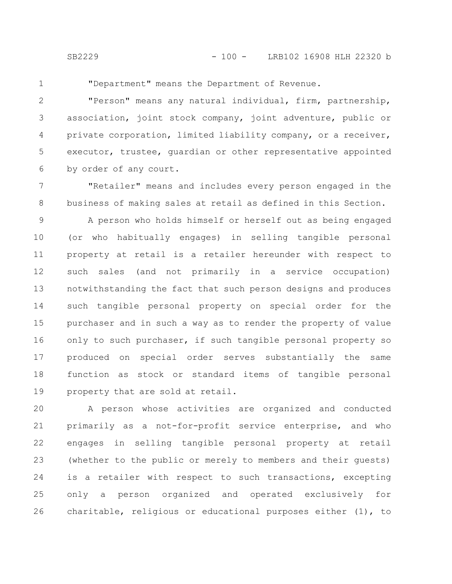1

"Department" means the Department of Revenue.

"Person" means any natural individual, firm, partnership, association, joint stock company, joint adventure, public or private corporation, limited liability company, or a receiver, executor, trustee, guardian or other representative appointed by order of any court. 2 3 4 5 6

"Retailer" means and includes every person engaged in the business of making sales at retail as defined in this Section. 7 8

A person who holds himself or herself out as being engaged (or who habitually engages) in selling tangible personal property at retail is a retailer hereunder with respect to such sales (and not primarily in a service occupation) notwithstanding the fact that such person designs and produces such tangible personal property on special order for the purchaser and in such a way as to render the property of value only to such purchaser, if such tangible personal property so produced on special order serves substantially the same function as stock or standard items of tangible personal property that are sold at retail. 9 10 11 12 13 14 15 16 17 18 19

A person whose activities are organized and conducted primarily as a not-for-profit service enterprise, and who engages in selling tangible personal property at retail (whether to the public or merely to members and their guests) is a retailer with respect to such transactions, excepting only a person organized and operated exclusively for charitable, religious or educational purposes either (1), to 20 21 22 23 24 25 26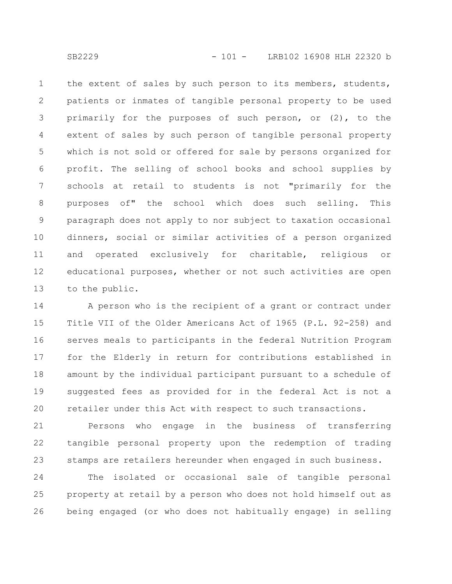the extent of sales by such person to its members, students, patients or inmates of tangible personal property to be used primarily for the purposes of such person, or (2), to the extent of sales by such person of tangible personal property which is not sold or offered for sale by persons organized for profit. The selling of school books and school supplies by schools at retail to students is not "primarily for the purposes of" the school which does such selling. This paragraph does not apply to nor subject to taxation occasional dinners, social or similar activities of a person organized and operated exclusively for charitable, religious or educational purposes, whether or not such activities are open to the public. 1 2 3 4 5 6 7 8 9 10 11 12 13

A person who is the recipient of a grant or contract under Title VII of the Older Americans Act of 1965 (P.L. 92-258) and serves meals to participants in the federal Nutrition Program for the Elderly in return for contributions established in amount by the individual participant pursuant to a schedule of suggested fees as provided for in the federal Act is not a retailer under this Act with respect to such transactions. 14 15 16 17 18 19 20

Persons who engage in the business of transferring tangible personal property upon the redemption of trading stamps are retailers hereunder when engaged in such business. 21 22 23

The isolated or occasional sale of tangible personal property at retail by a person who does not hold himself out as being engaged (or who does not habitually engage) in selling 24 25 26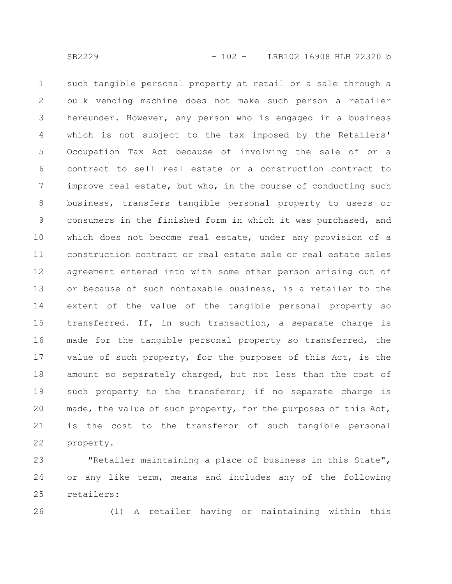such tangible personal property at retail or a sale through a bulk vending machine does not make such person a retailer hereunder. However, any person who is engaged in a business which is not subject to the tax imposed by the Retailers' Occupation Tax Act because of involving the sale of or a contract to sell real estate or a construction contract to improve real estate, but who, in the course of conducting such business, transfers tangible personal property to users or consumers in the finished form in which it was purchased, and which does not become real estate, under any provision of a construction contract or real estate sale or real estate sales agreement entered into with some other person arising out of or because of such nontaxable business, is a retailer to the extent of the value of the tangible personal property so transferred. If, in such transaction, a separate charge is made for the tangible personal property so transferred, the value of such property, for the purposes of this Act, is the amount so separately charged, but not less than the cost of such property to the transferor; if no separate charge is made, the value of such property, for the purposes of this Act, is the cost to the transferor of such tangible personal property. 1 2 3 4 5 6 7 8 9 10 11 12 13 14 15 16 17 18 19 20 21 22

"Retailer maintaining a place of business in this State", or any like term, means and includes any of the following retailers: 23 24 25

26

(1) A retailer having or maintaining within this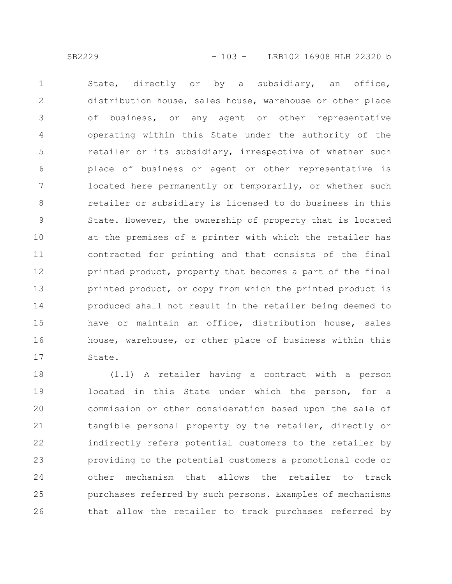State, directly or by a subsidiary, an office, distribution house, sales house, warehouse or other place of business, or any agent or other representative operating within this State under the authority of the retailer or its subsidiary, irrespective of whether such place of business or agent or other representative is located here permanently or temporarily, or whether such retailer or subsidiary is licensed to do business in this State. However, the ownership of property that is located at the premises of a printer with which the retailer has contracted for printing and that consists of the final printed product, property that becomes a part of the final printed product, or copy from which the printed product is produced shall not result in the retailer being deemed to have or maintain an office, distribution house, sales house, warehouse, or other place of business within this State. 1 2 3 4 5 6 7 8 9 10 11 12 13 14 15 16 17

(1.1) A retailer having a contract with a person located in this State under which the person, for a commission or other consideration based upon the sale of tangible personal property by the retailer, directly or indirectly refers potential customers to the retailer by providing to the potential customers a promotional code or other mechanism that allows the retailer to track purchases referred by such persons. Examples of mechanisms that allow the retailer to track purchases referred by 18 19 20 21 22 23 24 25 26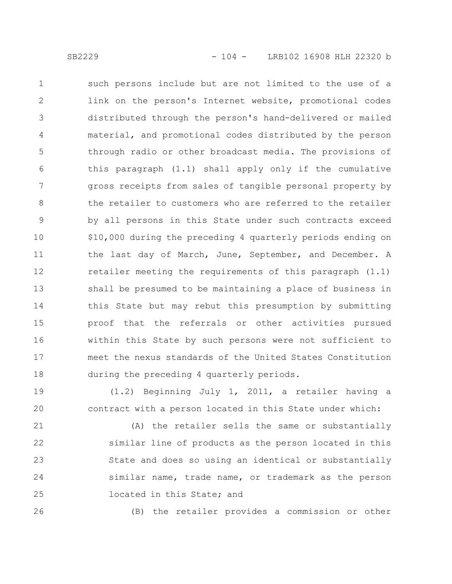such persons include but are not limited to the use of a link on the person's Internet website, promotional codes distributed through the person's hand-delivered or mailed material, and promotional codes distributed by the person through radio or other broadcast media. The provisions of this paragraph (1.1) shall apply only if the cumulative gross receipts from sales of tangible personal property by the retailer to customers who are referred to the retailer by all persons in this State under such contracts exceed \$10,000 during the preceding 4 quarterly periods ending on the last day of March, June, September, and December. A retailer meeting the requirements of this paragraph (1.1) shall be presumed to be maintaining a place of business in this State but may rebut this presumption by submitting proof that the referrals or other activities pursued within this State by such persons were not sufficient to meet the nexus standards of the United States Constitution during the preceding 4 quarterly periods. 1 2 3 4 5 6 7 8 9 10 11 12 13 14 15 16 17 18

(1.2) Beginning July 1, 2011, a retailer having a contract with a person located in this State under which: 19 20

(A) the retailer sells the same or substantially similar line of products as the person located in this State and does so using an identical or substantially similar name, trade name, or trademark as the person located in this State; and 21 22 23 24 25

26

(B) the retailer provides a commission or other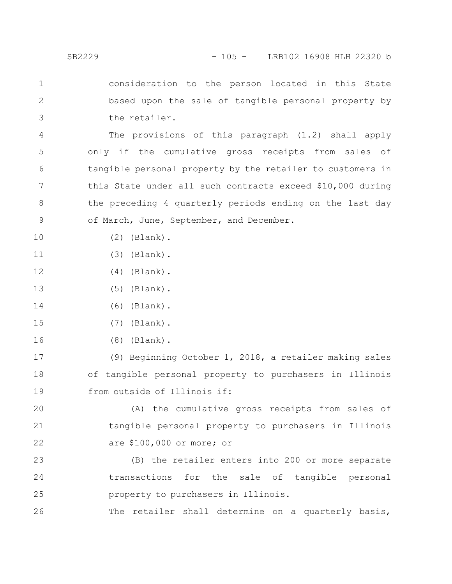consideration to the person located in this State based upon the sale of tangible personal property by the retailer. 1 2 3

The provisions of this paragraph (1.2) shall apply only if the cumulative gross receipts from sales of tangible personal property by the retailer to customers in this State under all such contracts exceed \$10,000 during the preceding 4 quarterly periods ending on the last day of March, June, September, and December. 4 5 6 7 8 9

(2) (Blank).

10

- (3) (Blank). 11
- (4) (Blank). 12
- (5) (Blank). 13
- (6) (Blank). 14
- (7) (Blank). 15
- (8) (Blank). 16

(9) Beginning October 1, 2018, a retailer making sales of tangible personal property to purchasers in Illinois from outside of Illinois if: 17 18 19

(A) the cumulative gross receipts from sales of tangible personal property to purchasers in Illinois are \$100,000 or more; or 20 21 22

(B) the retailer enters into 200 or more separate transactions for the sale of tangible personal property to purchasers in Illinois. 23 24 25

The retailer shall determine on a quarterly basis, 26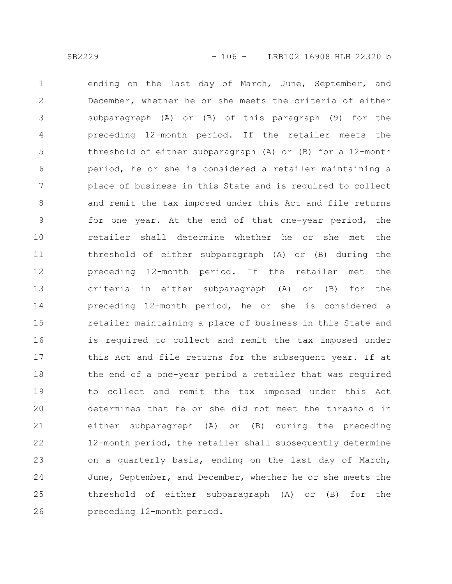ending on the last day of March, June, September, and December, whether he or she meets the criteria of either subparagraph (A) or (B) of this paragraph (9) for the preceding 12-month period. If the retailer meets the threshold of either subparagraph (A) or (B) for a 12-month period, he or she is considered a retailer maintaining a place of business in this State and is required to collect and remit the tax imposed under this Act and file returns for one year. At the end of that one-year period, the retailer shall determine whether he or she met the threshold of either subparagraph (A) or (B) during the preceding 12-month period. If the retailer met the criteria in either subparagraph (A) or (B) for the preceding 12-month period, he or she is considered a retailer maintaining a place of business in this State and is required to collect and remit the tax imposed under this Act and file returns for the subsequent year. If at the end of a one-year period a retailer that was required to collect and remit the tax imposed under this Act determines that he or she did not meet the threshold in either subparagraph (A) or (B) during the preceding 12-month period, the retailer shall subsequently determine on a quarterly basis, ending on the last day of March, June, September, and December, whether he or she meets the threshold of either subparagraph (A) or (B) for the preceding 12-month period. 1 2 3 4 5 6 7 8 9 10 11 12 13 14 15 16 17 18 19 20 21 22 23 24 25 26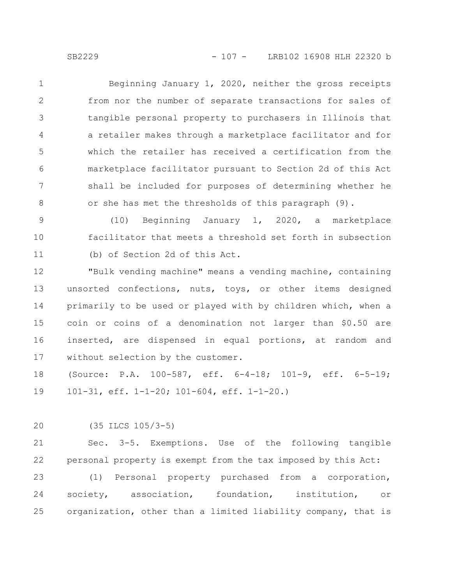Beginning January 1, 2020, neither the gross receipts from nor the number of separate transactions for sales of tangible personal property to purchasers in Illinois that a retailer makes through a marketplace facilitator and for which the retailer has received a certification from the marketplace facilitator pursuant to Section 2d of this Act shall be included for purposes of determining whether he or she has met the thresholds of this paragraph (9). 1 2 3 4 5 6 7 8

(10) Beginning January 1, 2020, a marketplace facilitator that meets a threshold set forth in subsection (b) of Section 2d of this Act. 9 10 11

"Bulk vending machine" means a vending machine, containing unsorted confections, nuts, toys, or other items designed primarily to be used or played with by children which, when a coin or coins of a denomination not larger than \$0.50 are inserted, are dispensed in equal portions, at random and without selection by the customer. 12 13 14 15 16 17

(Source: P.A. 100-587, eff. 6-4-18; 101-9, eff. 6-5-19; 101-31, eff. 1-1-20; 101-604, eff. 1-1-20.) 18 19

(35 ILCS 105/3-5) 20

Sec. 3-5. Exemptions. Use of the following tangible personal property is exempt from the tax imposed by this Act: 21 22

(1) Personal property purchased from a corporation, society, association, foundation, institution, or organization, other than a limited liability company, that is 23 24 25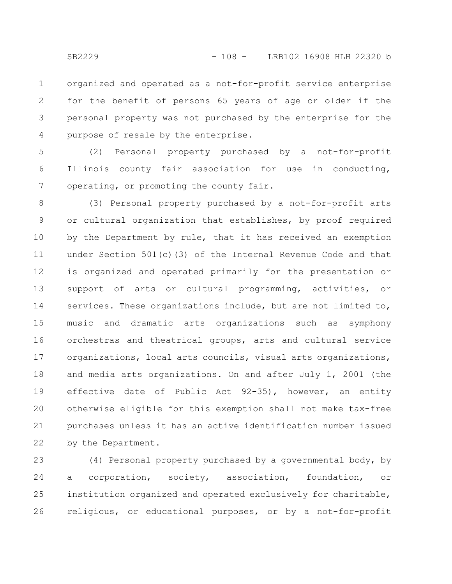organized and operated as a not-for-profit service enterprise for the benefit of persons 65 years of age or older if the personal property was not purchased by the enterprise for the purpose of resale by the enterprise. 1 2 3 4

(2) Personal property purchased by a not-for-profit Illinois county fair association for use in conducting, operating, or promoting the county fair. 5 6 7

(3) Personal property purchased by a not-for-profit arts or cultural organization that establishes, by proof required by the Department by rule, that it has received an exemption under Section 501(c)(3) of the Internal Revenue Code and that is organized and operated primarily for the presentation or support of arts or cultural programming, activities, or services. These organizations include, but are not limited to, music and dramatic arts organizations such as symphony orchestras and theatrical groups, arts and cultural service organizations, local arts councils, visual arts organizations, and media arts organizations. On and after July 1, 2001 (the effective date of Public Act 92-35), however, an entity otherwise eligible for this exemption shall not make tax-free purchases unless it has an active identification number issued by the Department. 8 9 10 11 12 13 14 15 16 17 18 19 20 21 22

(4) Personal property purchased by a governmental body, by a corporation, society, association, foundation, or institution organized and operated exclusively for charitable, religious, or educational purposes, or by a not-for-profit 23 24 25 26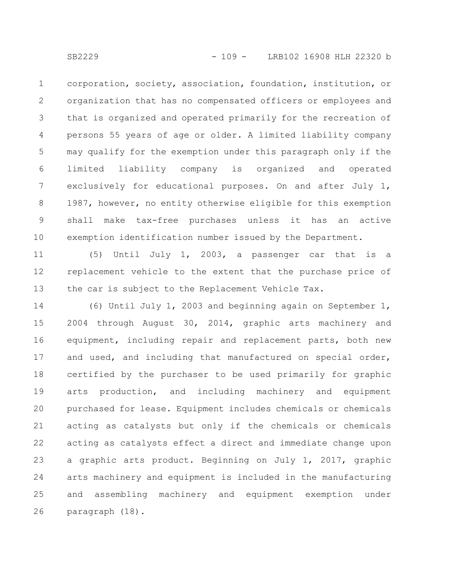corporation, society, association, foundation, institution, or organization that has no compensated officers or employees and that is organized and operated primarily for the recreation of persons 55 years of age or older. A limited liability company may qualify for the exemption under this paragraph only if the limited liability company is organized and operated exclusively for educational purposes. On and after July 1, 1987, however, no entity otherwise eligible for this exemption shall make tax-free purchases unless it has an active exemption identification number issued by the Department. 1 2 3 4 5 6 7 8 9 10

(5) Until July 1, 2003, a passenger car that is a replacement vehicle to the extent that the purchase price of the car is subject to the Replacement Vehicle Tax. 11 12 13

(6) Until July 1, 2003 and beginning again on September 1, 2004 through August 30, 2014, graphic arts machinery and equipment, including repair and replacement parts, both new and used, and including that manufactured on special order, certified by the purchaser to be used primarily for graphic arts production, and including machinery and equipment purchased for lease. Equipment includes chemicals or chemicals acting as catalysts but only if the chemicals or chemicals acting as catalysts effect a direct and immediate change upon a graphic arts product. Beginning on July 1, 2017, graphic arts machinery and equipment is included in the manufacturing and assembling machinery and equipment exemption under paragraph (18). 14 15 16 17 18 19 20 21 22 23 24 25 26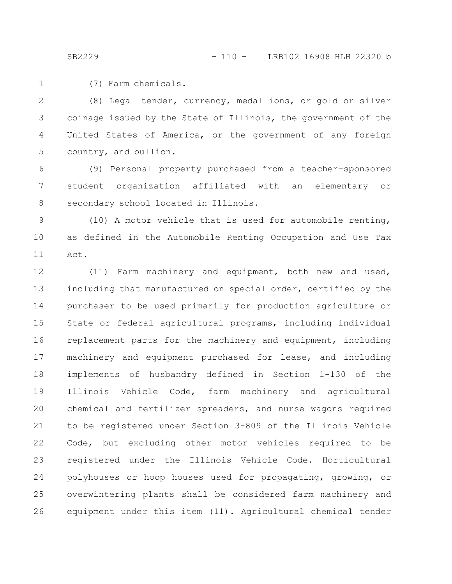(7) Farm chemicals. 1

(8) Legal tender, currency, medallions, or gold or silver coinage issued by the State of Illinois, the government of the United States of America, or the government of any foreign country, and bullion. 2 3 4 5

(9) Personal property purchased from a teacher-sponsored student organization affiliated with an elementary or secondary school located in Illinois. 6 7 8

(10) A motor vehicle that is used for automobile renting, as defined in the Automobile Renting Occupation and Use Tax Act. 9 10 11

(11) Farm machinery and equipment, both new and used, including that manufactured on special order, certified by the purchaser to be used primarily for production agriculture or State or federal agricultural programs, including individual replacement parts for the machinery and equipment, including machinery and equipment purchased for lease, and including implements of husbandry defined in Section 1-130 of the Illinois Vehicle Code, farm machinery and agricultural chemical and fertilizer spreaders, and nurse wagons required to be registered under Section 3-809 of the Illinois Vehicle Code, but excluding other motor vehicles required to be registered under the Illinois Vehicle Code. Horticultural polyhouses or hoop houses used for propagating, growing, or overwintering plants shall be considered farm machinery and equipment under this item (11). Agricultural chemical tender 12 13 14 15 16 17 18 19 20 21 22 23 24 25 26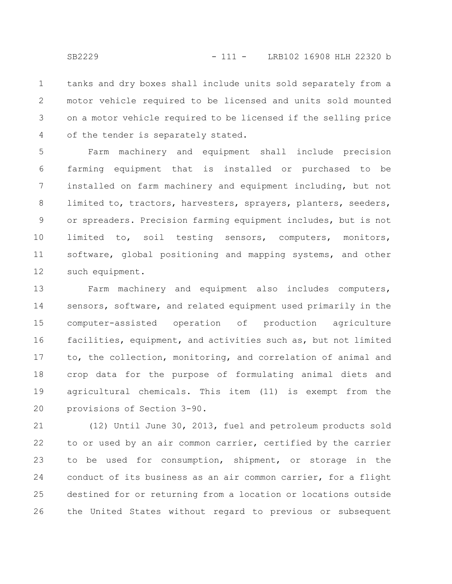tanks and dry boxes shall include units sold separately from a motor vehicle required to be licensed and units sold mounted on a motor vehicle required to be licensed if the selling price of the tender is separately stated. 1 2 3 4

Farm machinery and equipment shall include precision farming equipment that is installed or purchased to be installed on farm machinery and equipment including, but not limited to, tractors, harvesters, sprayers, planters, seeders, or spreaders. Precision farming equipment includes, but is not limited to, soil testing sensors, computers, monitors, software, global positioning and mapping systems, and other such equipment. 5 6 7 8 9 10 11 12

Farm machinery and equipment also includes computers, sensors, software, and related equipment used primarily in the computer-assisted operation of production agriculture facilities, equipment, and activities such as, but not limited to, the collection, monitoring, and correlation of animal and crop data for the purpose of formulating animal diets and agricultural chemicals. This item (11) is exempt from the provisions of Section 3-90. 13 14 15 16 17 18 19 20

(12) Until June 30, 2013, fuel and petroleum products sold to or used by an air common carrier, certified by the carrier to be used for consumption, shipment, or storage in the conduct of its business as an air common carrier, for a flight destined for or returning from a location or locations outside the United States without regard to previous or subsequent 21 22 23 24 25 26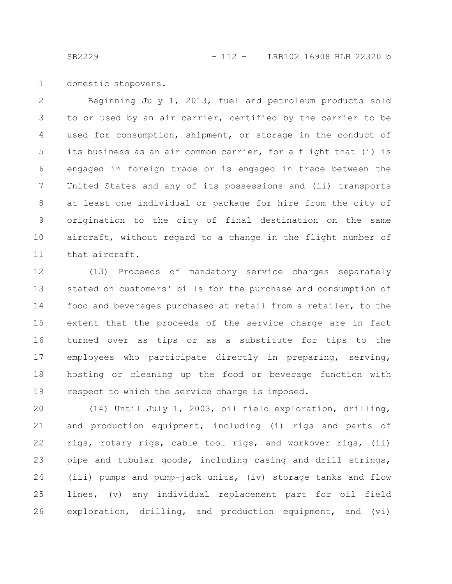domestic stopovers. 1

Beginning July 1, 2013, fuel and petroleum products sold to or used by an air carrier, certified by the carrier to be used for consumption, shipment, or storage in the conduct of its business as an air common carrier, for a flight that (i) is engaged in foreign trade or is engaged in trade between the United States and any of its possessions and (ii) transports at least one individual or package for hire from the city of origination to the city of final destination on the same aircraft, without regard to a change in the flight number of that aircraft. 2 3 4 5 6 7 8 9 10 11

(13) Proceeds of mandatory service charges separately stated on customers' bills for the purchase and consumption of food and beverages purchased at retail from a retailer, to the extent that the proceeds of the service charge are in fact turned over as tips or as a substitute for tips to the employees who participate directly in preparing, serving, hosting or cleaning up the food or beverage function with respect to which the service charge is imposed. 12 13 14 15 16 17 18 19

(14) Until July 1, 2003, oil field exploration, drilling, and production equipment, including (i) rigs and parts of rigs, rotary rigs, cable tool rigs, and workover rigs, (ii) pipe and tubular goods, including casing and drill strings, (iii) pumps and pump-jack units, (iv) storage tanks and flow lines, (v) any individual replacement part for oil field exploration, drilling, and production equipment, and (vi) 20 21 22 23 24 25 26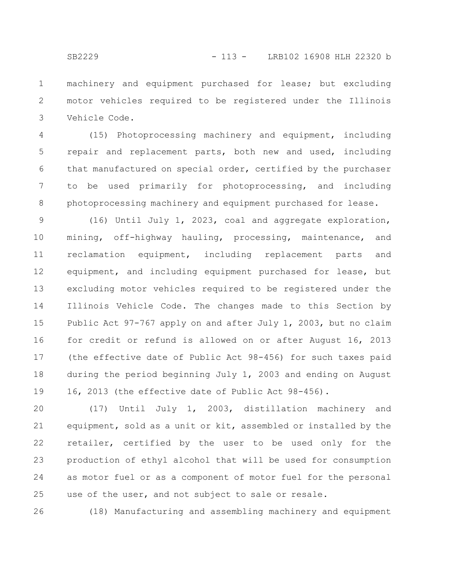machinery and equipment purchased for lease; but excluding motor vehicles required to be registered under the Illinois Vehicle Code. 1 2 3

(15) Photoprocessing machinery and equipment, including repair and replacement parts, both new and used, including that manufactured on special order, certified by the purchaser to be used primarily for photoprocessing, and including photoprocessing machinery and equipment purchased for lease. 4 5 6 7 8

(16) Until July 1, 2023, coal and aggregate exploration, mining, off-highway hauling, processing, maintenance, and reclamation equipment, including replacement parts and equipment, and including equipment purchased for lease, but excluding motor vehicles required to be registered under the Illinois Vehicle Code. The changes made to this Section by Public Act 97-767 apply on and after July 1, 2003, but no claim for credit or refund is allowed on or after August 16, 2013 (the effective date of Public Act 98-456) for such taxes paid during the period beginning July 1, 2003 and ending on August 16, 2013 (the effective date of Public Act 98-456). 9 10 11 12 13 14 15 16 17 18 19

(17) Until July 1, 2003, distillation machinery and equipment, sold as a unit or kit, assembled or installed by the retailer, certified by the user to be used only for the production of ethyl alcohol that will be used for consumption as motor fuel or as a component of motor fuel for the personal use of the user, and not subject to sale or resale. 20 21 22 23 24 25

(18) Manufacturing and assembling machinery and equipment 26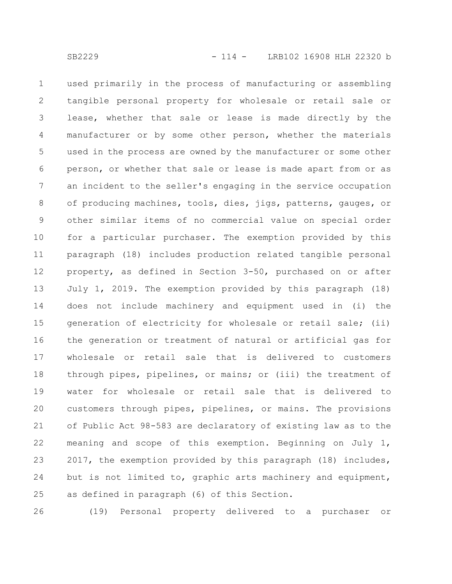used primarily in the process of manufacturing or assembling tangible personal property for wholesale or retail sale or lease, whether that sale or lease is made directly by the manufacturer or by some other person, whether the materials used in the process are owned by the manufacturer or some other person, or whether that sale or lease is made apart from or as an incident to the seller's engaging in the service occupation of producing machines, tools, dies, jigs, patterns, gauges, or other similar items of no commercial value on special order for a particular purchaser. The exemption provided by this paragraph (18) includes production related tangible personal property, as defined in Section 3-50, purchased on or after July 1, 2019. The exemption provided by this paragraph (18) does not include machinery and equipment used in (i) the generation of electricity for wholesale or retail sale; (ii) the generation or treatment of natural or artificial gas for wholesale or retail sale that is delivered to customers through pipes, pipelines, or mains; or (iii) the treatment of water for wholesale or retail sale that is delivered to customers through pipes, pipelines, or mains. The provisions of Public Act 98-583 are declaratory of existing law as to the meaning and scope of this exemption. Beginning on July 1, 2017, the exemption provided by this paragraph (18) includes, but is not limited to, graphic arts machinery and equipment, as defined in paragraph (6) of this Section. 1 2 3 4 5 6 7 8 9 10 11 12 13 14 15 16 17 18 19 20 21 22 23 24 25

(19) Personal property delivered to a purchaser or 26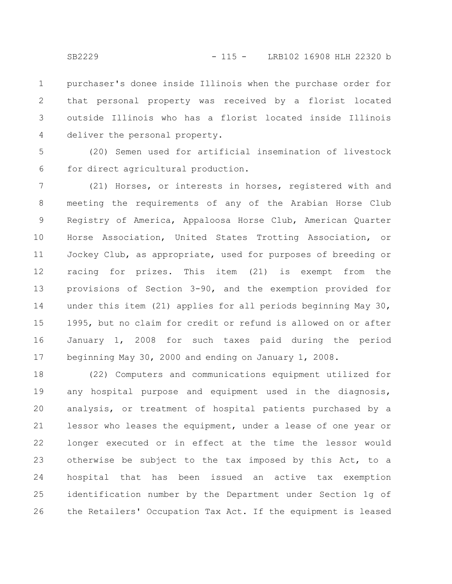purchaser's donee inside Illinois when the purchase order for that personal property was received by a florist located outside Illinois who has a florist located inside Illinois deliver the personal property. 1 2 3 4

(20) Semen used for artificial insemination of livestock for direct agricultural production. 5 6

(21) Horses, or interests in horses, registered with and meeting the requirements of any of the Arabian Horse Club Registry of America, Appaloosa Horse Club, American Quarter Horse Association, United States Trotting Association, or Jockey Club, as appropriate, used for purposes of breeding or racing for prizes. This item (21) is exempt from the provisions of Section 3-90, and the exemption provided for under this item (21) applies for all periods beginning May 30, 1995, but no claim for credit or refund is allowed on or after January 1, 2008 for such taxes paid during the period beginning May 30, 2000 and ending on January 1, 2008. 7 8 9 10 11 12 13 14 15 16 17

(22) Computers and communications equipment utilized for any hospital purpose and equipment used in the diagnosis, analysis, or treatment of hospital patients purchased by a lessor who leases the equipment, under a lease of one year or longer executed or in effect at the time the lessor would otherwise be subject to the tax imposed by this Act, to a hospital that has been issued an active tax exemption identification number by the Department under Section 1g of the Retailers' Occupation Tax Act. If the equipment is leased 18 19 20 21 22 23 24 25 26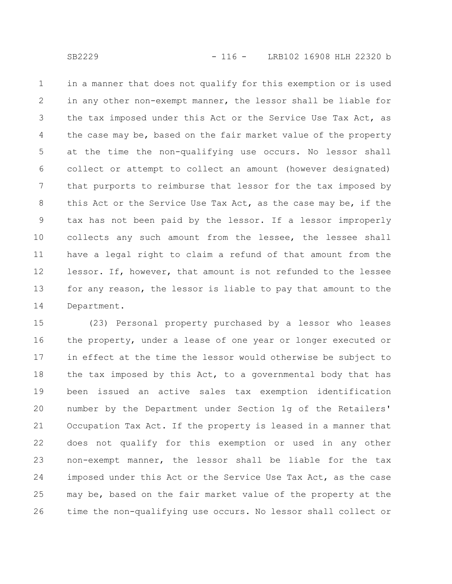in a manner that does not qualify for this exemption or is used in any other non-exempt manner, the lessor shall be liable for the tax imposed under this Act or the Service Use Tax Act, as the case may be, based on the fair market value of the property at the time the non-qualifying use occurs. No lessor shall collect or attempt to collect an amount (however designated) that purports to reimburse that lessor for the tax imposed by this Act or the Service Use Tax Act, as the case may be, if the tax has not been paid by the lessor. If a lessor improperly collects any such amount from the lessee, the lessee shall have a legal right to claim a refund of that amount from the lessor. If, however, that amount is not refunded to the lessee for any reason, the lessor is liable to pay that amount to the Department. 1 2 3 4 5 6 7 8 9 10 11 12 13 14

(23) Personal property purchased by a lessor who leases the property, under a lease of one year or longer executed or in effect at the time the lessor would otherwise be subject to the tax imposed by this Act, to a governmental body that has been issued an active sales tax exemption identification number by the Department under Section 1g of the Retailers' Occupation Tax Act. If the property is leased in a manner that does not qualify for this exemption or used in any other non-exempt manner, the lessor shall be liable for the tax imposed under this Act or the Service Use Tax Act, as the case may be, based on the fair market value of the property at the time the non-qualifying use occurs. No lessor shall collect or 15 16 17 18 19 20 21 22 23 24 25 26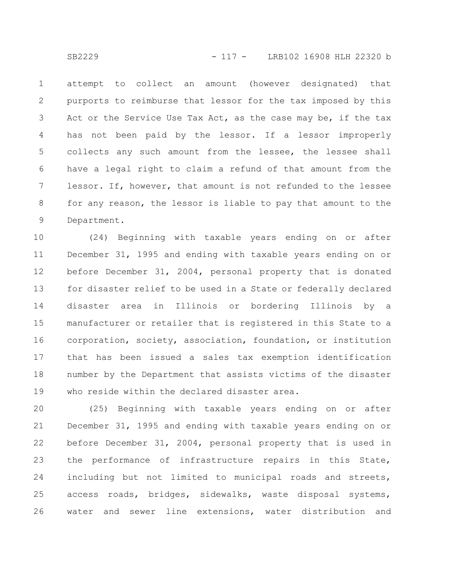attempt to collect an amount (however designated) that purports to reimburse that lessor for the tax imposed by this Act or the Service Use Tax Act, as the case may be, if the tax has not been paid by the lessor. If a lessor improperly collects any such amount from the lessee, the lessee shall have a legal right to claim a refund of that amount from the lessor. If, however, that amount is not refunded to the lessee for any reason, the lessor is liable to pay that amount to the Department. 1 2 3 4 5 6 7 8 9

(24) Beginning with taxable years ending on or after December 31, 1995 and ending with taxable years ending on or before December 31, 2004, personal property that is donated for disaster relief to be used in a State or federally declared disaster area in Illinois or bordering Illinois by a manufacturer or retailer that is registered in this State to a corporation, society, association, foundation, or institution that has been issued a sales tax exemption identification number by the Department that assists victims of the disaster who reside within the declared disaster area. 10 11 12 13 14 15 16 17 18 19

(25) Beginning with taxable years ending on or after December 31, 1995 and ending with taxable years ending on or before December 31, 2004, personal property that is used in the performance of infrastructure repairs in this State, including but not limited to municipal roads and streets, access roads, bridges, sidewalks, waste disposal systems, water and sewer line extensions, water distribution and 20 21 22 23 24 25 26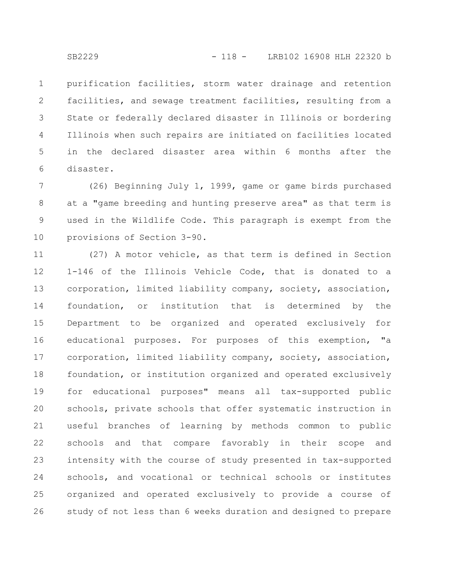purification facilities, storm water drainage and retention facilities, and sewage treatment facilities, resulting from a State or federally declared disaster in Illinois or bordering Illinois when such repairs are initiated on facilities located in the declared disaster area within 6 months after the disaster. 1 2 3 4 5 6

(26) Beginning July 1, 1999, game or game birds purchased at a "game breeding and hunting preserve area" as that term is used in the Wildlife Code. This paragraph is exempt from the provisions of Section 3-90. 7 8 9 10

(27) A motor vehicle, as that term is defined in Section 1-146 of the Illinois Vehicle Code, that is donated to a corporation, limited liability company, society, association, foundation, or institution that is determined by the Department to be organized and operated exclusively for educational purposes. For purposes of this exemption, "a corporation, limited liability company, society, association, foundation, or institution organized and operated exclusively for educational purposes" means all tax-supported public schools, private schools that offer systematic instruction in useful branches of learning by methods common to public schools and that compare favorably in their scope and intensity with the course of study presented in tax-supported schools, and vocational or technical schools or institutes organized and operated exclusively to provide a course of study of not less than 6 weeks duration and designed to prepare 11 12 13 14 15 16 17 18 19 20 21 22 23 24 25 26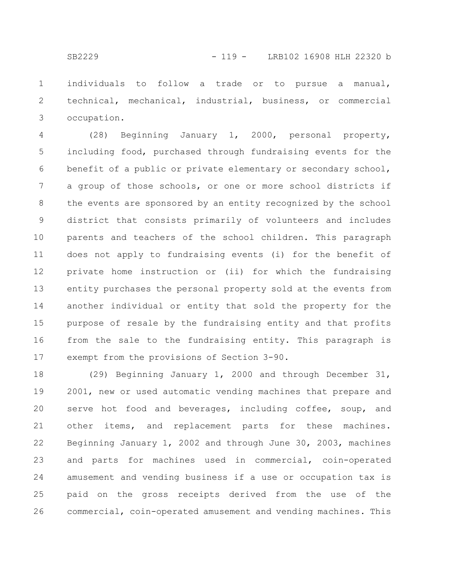individuals to follow a trade or to pursue a manual, technical, mechanical, industrial, business, or commercial occupation. 1 2 3

(28) Beginning January 1, 2000, personal property, including food, purchased through fundraising events for the benefit of a public or private elementary or secondary school, a group of those schools, or one or more school districts if the events are sponsored by an entity recognized by the school district that consists primarily of volunteers and includes parents and teachers of the school children. This paragraph does not apply to fundraising events (i) for the benefit of private home instruction or (ii) for which the fundraising entity purchases the personal property sold at the events from another individual or entity that sold the property for the purpose of resale by the fundraising entity and that profits from the sale to the fundraising entity. This paragraph is exempt from the provisions of Section 3-90. 4 5 6 7 8 9 10 11 12 13 14 15 16 17

(29) Beginning January 1, 2000 and through December 31, 2001, new or used automatic vending machines that prepare and serve hot food and beverages, including coffee, soup, and other items, and replacement parts for these machines. Beginning January 1, 2002 and through June 30, 2003, machines and parts for machines used in commercial, coin-operated amusement and vending business if a use or occupation tax is paid on the gross receipts derived from the use of the commercial, coin-operated amusement and vending machines. This 18 19 20 21 22 23 24 25 26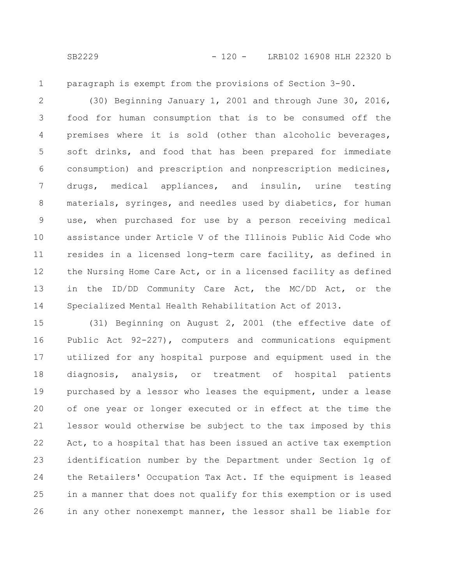1

paragraph is exempt from the provisions of Section 3-90.

(30) Beginning January 1, 2001 and through June 30, 2016, food for human consumption that is to be consumed off the premises where it is sold (other than alcoholic beverages, soft drinks, and food that has been prepared for immediate consumption) and prescription and nonprescription medicines, drugs, medical appliances, and insulin, urine testing materials, syringes, and needles used by diabetics, for human use, when purchased for use by a person receiving medical assistance under Article V of the Illinois Public Aid Code who resides in a licensed long-term care facility, as defined in the Nursing Home Care Act, or in a licensed facility as defined in the ID/DD Community Care Act, the MC/DD Act, or the Specialized Mental Health Rehabilitation Act of 2013. 2 3 4 5 6 7 8 9 10 11 12 13 14

(31) Beginning on August 2, 2001 (the effective date of Public Act 92-227), computers and communications equipment utilized for any hospital purpose and equipment used in the diagnosis, analysis, or treatment of hospital patients purchased by a lessor who leases the equipment, under a lease of one year or longer executed or in effect at the time the lessor would otherwise be subject to the tax imposed by this Act, to a hospital that has been issued an active tax exemption identification number by the Department under Section 1g of the Retailers' Occupation Tax Act. If the equipment is leased in a manner that does not qualify for this exemption or is used in any other nonexempt manner, the lessor shall be liable for 15 16 17 18 19 20 21 22 23 24 25 26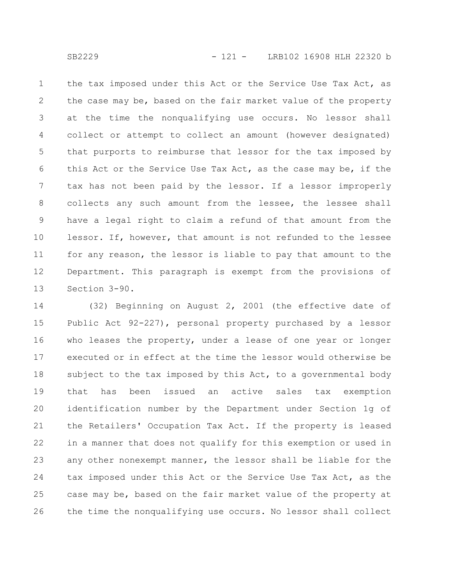the tax imposed under this Act or the Service Use Tax Act, as the case may be, based on the fair market value of the property at the time the nonqualifying use occurs. No lessor shall collect or attempt to collect an amount (however designated) that purports to reimburse that lessor for the tax imposed by this Act or the Service Use Tax Act, as the case may be, if the tax has not been paid by the lessor. If a lessor improperly collects any such amount from the lessee, the lessee shall have a legal right to claim a refund of that amount from the lessor. If, however, that amount is not refunded to the lessee for any reason, the lessor is liable to pay that amount to the Department. This paragraph is exempt from the provisions of Section 3-90. 1 2 3 4 5 6 7 8 9 10 11 12 13

(32) Beginning on August 2, 2001 (the effective date of Public Act 92-227), personal property purchased by a lessor who leases the property, under a lease of one year or longer executed or in effect at the time the lessor would otherwise be subject to the tax imposed by this Act, to a governmental body that has been issued an active sales tax exemption identification number by the Department under Section 1g of the Retailers' Occupation Tax Act. If the property is leased in a manner that does not qualify for this exemption or used in any other nonexempt manner, the lessor shall be liable for the tax imposed under this Act or the Service Use Tax Act, as the case may be, based on the fair market value of the property at the time the nonqualifying use occurs. No lessor shall collect 14 15 16 17 18 19 20 21 22 23 24 25 26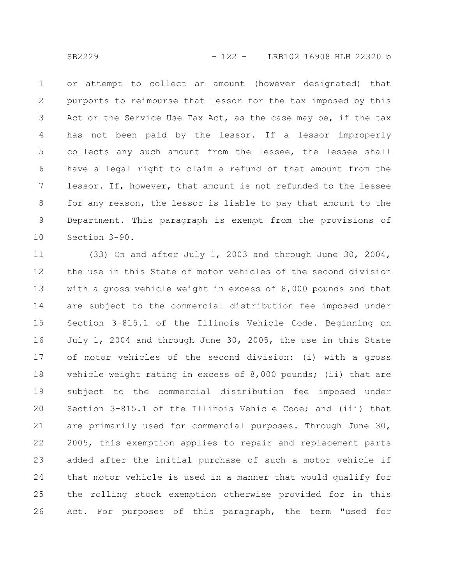or attempt to collect an amount (however designated) that purports to reimburse that lessor for the tax imposed by this Act or the Service Use Tax Act, as the case may be, if the tax has not been paid by the lessor. If a lessor improperly collects any such amount from the lessee, the lessee shall have a legal right to claim a refund of that amount from the lessor. If, however, that amount is not refunded to the lessee for any reason, the lessor is liable to pay that amount to the Department. This paragraph is exempt from the provisions of Section 3-90. 1 2 3 4 5 6 7 8 9 10

(33) On and after July 1, 2003 and through June 30, 2004, the use in this State of motor vehicles of the second division with a gross vehicle weight in excess of 8,000 pounds and that are subject to the commercial distribution fee imposed under Section 3-815.1 of the Illinois Vehicle Code. Beginning on July 1, 2004 and through June 30, 2005, the use in this State of motor vehicles of the second division: (i) with a gross vehicle weight rating in excess of 8,000 pounds; (ii) that are subject to the commercial distribution fee imposed under Section 3-815.1 of the Illinois Vehicle Code; and (iii) that are primarily used for commercial purposes. Through June 30, 2005, this exemption applies to repair and replacement parts added after the initial purchase of such a motor vehicle if that motor vehicle is used in a manner that would qualify for the rolling stock exemption otherwise provided for in this Act. For purposes of this paragraph, the term "used for 11 12 13 14 15 16 17 18 19 20 21 22 23 24 25 26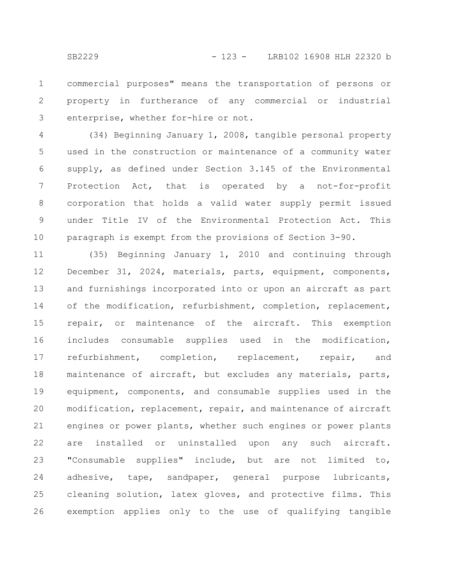commercial purposes" means the transportation of persons or property in furtherance of any commercial or industrial enterprise, whether for-hire or not. 1 2 3

(34) Beginning January 1, 2008, tangible personal property used in the construction or maintenance of a community water supply, as defined under Section 3.145 of the Environmental Protection Act, that is operated by a not-for-profit corporation that holds a valid water supply permit issued under Title IV of the Environmental Protection Act. This paragraph is exempt from the provisions of Section 3-90. 4 5 6 7 8 9 10

(35) Beginning January 1, 2010 and continuing through December 31, 2024, materials, parts, equipment, components, and furnishings incorporated into or upon an aircraft as part of the modification, refurbishment, completion, replacement, repair, or maintenance of the aircraft. This exemption includes consumable supplies used in the modification, refurbishment, completion, replacement, repair, and maintenance of aircraft, but excludes any materials, parts, equipment, components, and consumable supplies used in the modification, replacement, repair, and maintenance of aircraft engines or power plants, whether such engines or power plants are installed or uninstalled upon any such aircraft. "Consumable supplies" include, but are not limited to, adhesive, tape, sandpaper, general purpose lubricants, cleaning solution, latex gloves, and protective films. This exemption applies only to the use of qualifying tangible 11 12 13 14 15 16 17 18 19 20 21 22 23 24 25 26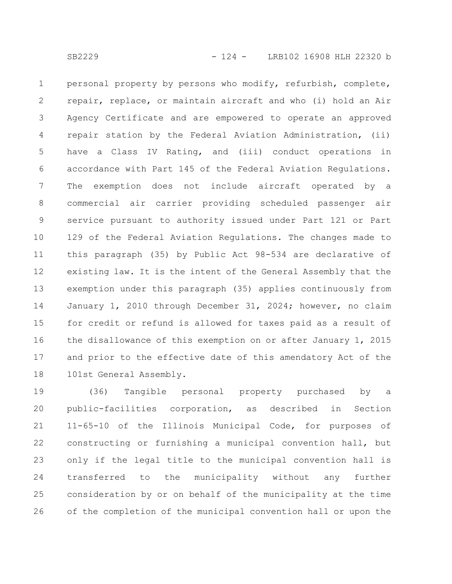personal property by persons who modify, refurbish, complete, repair, replace, or maintain aircraft and who (i) hold an Air Agency Certificate and are empowered to operate an approved repair station by the Federal Aviation Administration, (ii) have a Class IV Rating, and (iii) conduct operations in accordance with Part 145 of the Federal Aviation Regulations. The exemption does not include aircraft operated by a commercial air carrier providing scheduled passenger air service pursuant to authority issued under Part 121 or Part 129 of the Federal Aviation Regulations. The changes made to this paragraph (35) by Public Act 98-534 are declarative of existing law. It is the intent of the General Assembly that the exemption under this paragraph (35) applies continuously from January 1, 2010 through December 31, 2024; however, no claim for credit or refund is allowed for taxes paid as a result of the disallowance of this exemption on or after January 1, 2015 and prior to the effective date of this amendatory Act of the 101st General Assembly. 1 2 3 4 5 6 7 8 9 10 11 12 13 14 15 16 17 18

(36) Tangible personal property purchased by a public-facilities corporation, as described in Section 11-65-10 of the Illinois Municipal Code, for purposes of constructing or furnishing a municipal convention hall, but only if the legal title to the municipal convention hall is transferred to the municipality without any further consideration by or on behalf of the municipality at the time of the completion of the municipal convention hall or upon the 19 20 21 22 23 24 25 26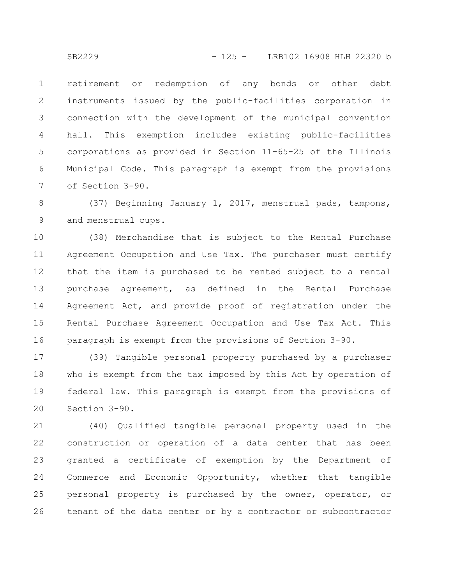retirement or redemption of any bonds or other debt instruments issued by the public-facilities corporation in connection with the development of the municipal convention hall. This exemption includes existing public-facilities corporations as provided in Section 11-65-25 of the Illinois Municipal Code. This paragraph is exempt from the provisions of Section 3-90. 1 2 3 4 5 6 7

(37) Beginning January 1, 2017, menstrual pads, tampons, and menstrual cups. 8 9

(38) Merchandise that is subject to the Rental Purchase Agreement Occupation and Use Tax. The purchaser must certify that the item is purchased to be rented subject to a rental purchase agreement, as defined in the Rental Purchase Agreement Act, and provide proof of registration under the Rental Purchase Agreement Occupation and Use Tax Act. This paragraph is exempt from the provisions of Section 3-90. 10 11 12 13 14 15 16

(39) Tangible personal property purchased by a purchaser who is exempt from the tax imposed by this Act by operation of federal law. This paragraph is exempt from the provisions of Section 3-90. 17 18 19 20

(40) Qualified tangible personal property used in the construction or operation of a data center that has been granted a certificate of exemption by the Department of Commerce and Economic Opportunity, whether that tangible personal property is purchased by the owner, operator, or tenant of the data center or by a contractor or subcontractor 21 22 23 24 25 26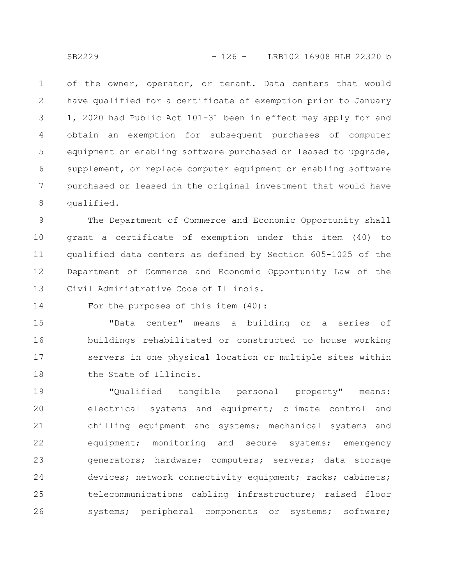of the owner, operator, or tenant. Data centers that would have qualified for a certificate of exemption prior to January 1, 2020 had Public Act 101-31 been in effect may apply for and obtain an exemption for subsequent purchases of computer equipment or enabling software purchased or leased to upgrade, supplement, or replace computer equipment or enabling software purchased or leased in the original investment that would have qualified. 1 2 3 4 5 6 7 8

The Department of Commerce and Economic Opportunity shall grant a certificate of exemption under this item (40) to qualified data centers as defined by Section 605-1025 of the Department of Commerce and Economic Opportunity Law of the Civil Administrative Code of Illinois. 9 10 11 12 13

For the purposes of this item (40): 14

"Data center" means a building or a series of buildings rehabilitated or constructed to house working servers in one physical location or multiple sites within the State of Illinois. 15 16 17 18

"Qualified tangible personal property" means: electrical systems and equipment; climate control and chilling equipment and systems; mechanical systems and equipment; monitoring and secure systems; emergency generators; hardware; computers; servers; data storage devices; network connectivity equipment; racks; cabinets; telecommunications cabling infrastructure; raised floor systems; peripheral components or systems; software; 19 20 21 22 23 24 25 26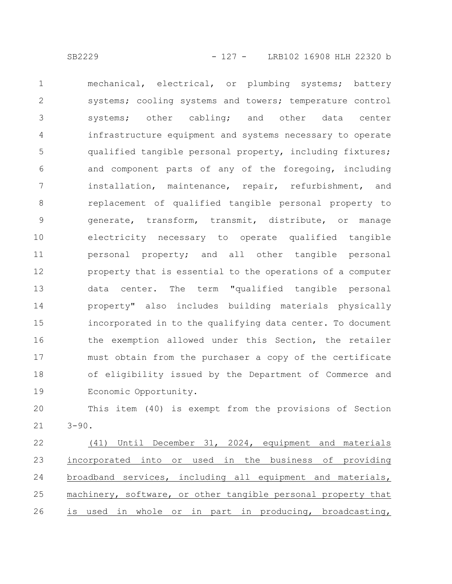mechanical, electrical, or plumbing systems; battery systems; cooling systems and towers; temperature control systems; other cabling; and other data center infrastructure equipment and systems necessary to operate qualified tangible personal property, including fixtures; and component parts of any of the foregoing, including installation, maintenance, repair, refurbishment, and replacement of qualified tangible personal property to generate, transform, transmit, distribute, or manage electricity necessary to operate qualified tangible personal property; and all other tangible personal property that is essential to the operations of a computer data center. The term "qualified tangible personal property" also includes building materials physically incorporated in to the qualifying data center. To document the exemption allowed under this Section, the retailer must obtain from the purchaser a copy of the certificate of eligibility issued by the Department of Commerce and Economic Opportunity. 1 2 3 4 5 6 7 8 9 10 11 12 13 14 15 16 17 18 19

This item (40) is exempt from the provisions of Section  $3 - 90.$ 20 21

(41) Until December 31, 2024, equipment and materials incorporated into or used in the business of providing broadband services, including all equipment and materials, machinery, software, or other tangible personal property that is used in whole or in part in producing, broadcasting, 22 23 24 25 26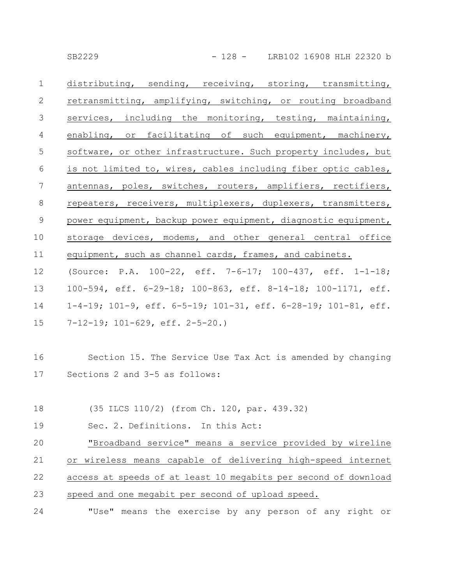SB2229 - 128 - LRB102 16908 HLH 22320 b

| $\mathbf 1$     | distributing, sending, receiving, storing, transmitting,       |
|-----------------|----------------------------------------------------------------|
| $\mathbf{2}$    | retransmitting, amplifying, switching, or routing broadband    |
| $\mathfrak{Z}$  | services, including the monitoring, testing, maintaining,      |
| $\overline{4}$  | enabling, or facilitating of such equipment, machinery,        |
| 5               | software, or other infrastructure. Such property includes, but |
| $6\,$           | is not limited to, wires, cables including fiber optic cables, |
| $7\phantom{.0}$ | antennas, poles, switches, routers, amplifiers, rectifiers,    |
| $\,8\,$         | repeaters, receivers, multiplexers, duplexers, transmitters,   |
| $\mathcal{G}$   | power equipment, backup power equipment, diagnostic equipment, |
| 10              | storage devices, modems, and other general central office      |
| 11              | equipment, such as channel cards, frames, and cabinets.        |
| 12              | (Source: P.A. 100-22, eff. 7-6-17; 100-437, eff. 1-1-18;       |
| 13              | 100-594, eff. 6-29-18; 100-863, eff. 8-14-18; 100-1171, eff.   |
| 14              | 1-4-19; 101-9, eff. 6-5-19; 101-31, eff. 6-28-19; 101-81, eff. |
| 15              | $7-12-19$ ; $101-629$ , eff. $2-5-20$ .)                       |
|                 |                                                                |
| 16              | Section 15. The Service Use Tax Act is amended by changing     |
| 17              | Sections 2 and 3-5 as follows:                                 |

(35 ILCS 110/2) (from Ch. 120, par. 439.32) 18

Sec. 2. Definitions. In this Act: 19

"Broadband service" means a service provided by wireline or wireless means capable of delivering high-speed internet access at speeds of at least 10 megabits per second of download speed and one megabit per second of upload speed. 20 21 22 23

"Use" means the exercise by any person of any right or 24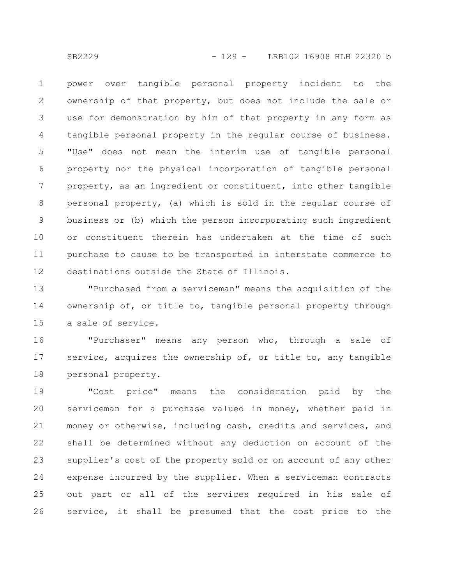power over tangible personal property incident to the ownership of that property, but does not include the sale or use for demonstration by him of that property in any form as tangible personal property in the regular course of business. "Use" does not mean the interim use of tangible personal property nor the physical incorporation of tangible personal property, as an ingredient or constituent, into other tangible personal property, (a) which is sold in the regular course of business or (b) which the person incorporating such ingredient or constituent therein has undertaken at the time of such purchase to cause to be transported in interstate commerce to destinations outside the State of Illinois. 1 2 3 4 5 6 7 8 9 10 11 12

"Purchased from a serviceman" means the acquisition of the ownership of, or title to, tangible personal property through a sale of service. 13 14 15

"Purchaser" means any person who, through a sale of service, acquires the ownership of, or title to, any tangible personal property. 16 17 18

"Cost price" means the consideration paid by the serviceman for a purchase valued in money, whether paid in money or otherwise, including cash, credits and services, and shall be determined without any deduction on account of the supplier's cost of the property sold or on account of any other expense incurred by the supplier. When a serviceman contracts out part or all of the services required in his sale of service, it shall be presumed that the cost price to the 19 20 21 22 23 24 25 26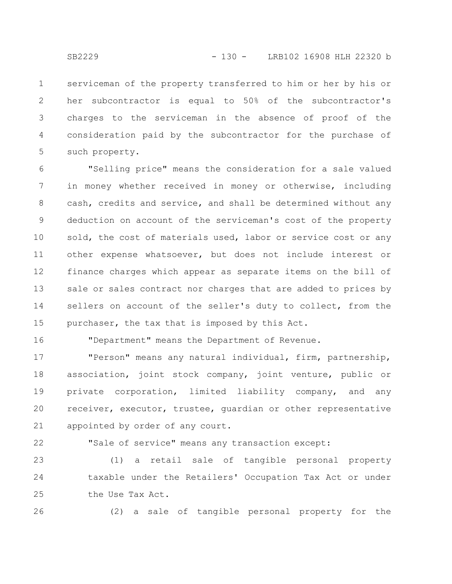serviceman of the property transferred to him or her by his or her subcontractor is equal to 50% of the subcontractor's charges to the serviceman in the absence of proof of the consideration paid by the subcontractor for the purchase of such property. 1 2 3 4 5

"Selling price" means the consideration for a sale valued in money whether received in money or otherwise, including cash, credits and service, and shall be determined without any deduction on account of the serviceman's cost of the property sold, the cost of materials used, labor or service cost or any other expense whatsoever, but does not include interest or finance charges which appear as separate items on the bill of sale or sales contract nor charges that are added to prices by sellers on account of the seller's duty to collect, from the purchaser, the tax that is imposed by this Act. 6 7 8 9 10 11 12 13 14 15

16

"Department" means the Department of Revenue.

"Person" means any natural individual, firm, partnership, association, joint stock company, joint venture, public or private corporation, limited liability company, and any receiver, executor, trustee, guardian or other representative appointed by order of any court. 17 18 19 20 21

22

"Sale of service" means any transaction except:

(1) a retail sale of tangible personal property taxable under the Retailers' Occupation Tax Act or under the Use Tax Act. 23 24 25

26

(2) a sale of tangible personal property for the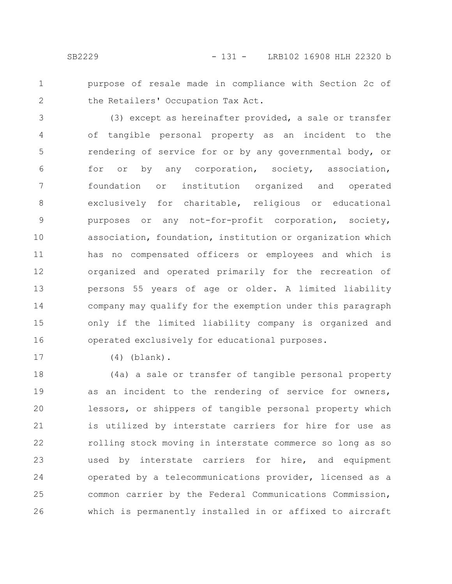- 
- 1

2

purpose of resale made in compliance with Section 2c of the Retailers' Occupation Tax Act.

(3) except as hereinafter provided, a sale or transfer of tangible personal property as an incident to the rendering of service for or by any governmental body, or for or by any corporation, society, association, foundation or institution organized and operated exclusively for charitable, religious or educational purposes or any not-for-profit corporation, society, association, foundation, institution or organization which has no compensated officers or employees and which is organized and operated primarily for the recreation of persons 55 years of age or older. A limited liability company may qualify for the exemption under this paragraph only if the limited liability company is organized and operated exclusively for educational purposes. 3 4 5 6 7 8 9 10 11 12 13 14 15 16

17

(4) (blank).

(4a) a sale or transfer of tangible personal property as an incident to the rendering of service for owners, lessors, or shippers of tangible personal property which is utilized by interstate carriers for hire for use as rolling stock moving in interstate commerce so long as so used by interstate carriers for hire, and equipment operated by a telecommunications provider, licensed as a common carrier by the Federal Communications Commission, which is permanently installed in or affixed to aircraft 18 19 20 21 22 23 24 25 26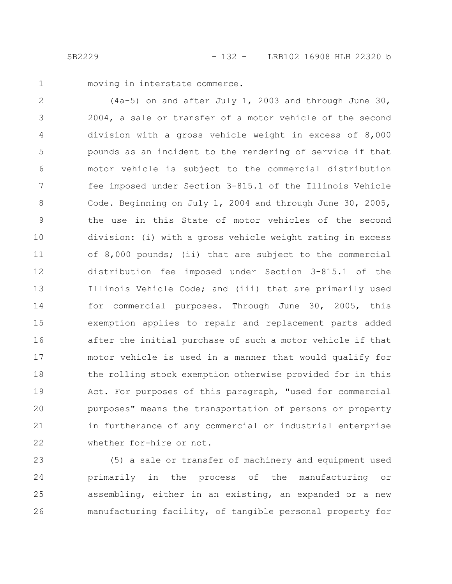1

moving in interstate commerce.

(4a-5) on and after July 1, 2003 and through June 30, 2004, a sale or transfer of a motor vehicle of the second division with a gross vehicle weight in excess of 8,000 pounds as an incident to the rendering of service if that motor vehicle is subject to the commercial distribution fee imposed under Section 3-815.1 of the Illinois Vehicle Code. Beginning on July 1, 2004 and through June 30, 2005, the use in this State of motor vehicles of the second division: (i) with a gross vehicle weight rating in excess of 8,000 pounds; (ii) that are subject to the commercial distribution fee imposed under Section 3-815.1 of the Illinois Vehicle Code; and (iii) that are primarily used for commercial purposes. Through June 30, 2005, this exemption applies to repair and replacement parts added after the initial purchase of such a motor vehicle if that motor vehicle is used in a manner that would qualify for the rolling stock exemption otherwise provided for in this Act. For purposes of this paragraph, "used for commercial purposes" means the transportation of persons or property in furtherance of any commercial or industrial enterprise whether for-hire or not. 2 3 4 5 6 7 8 9 10 11 12 13 14 15 16 17 18 19 20 21 22

(5) a sale or transfer of machinery and equipment used primarily in the process of the manufacturing or assembling, either in an existing, an expanded or a new manufacturing facility, of tangible personal property for 23 24 25 26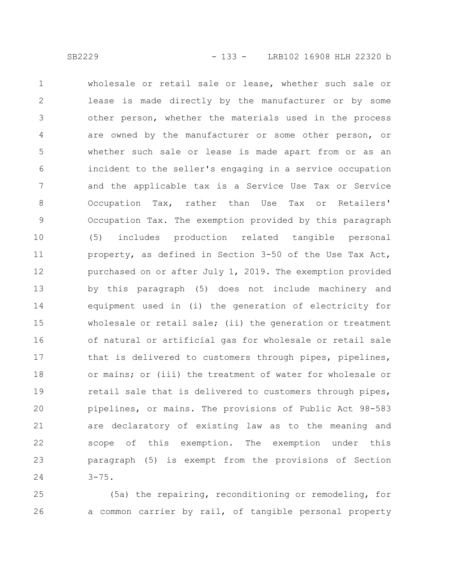wholesale or retail sale or lease, whether such sale or lease is made directly by the manufacturer or by some other person, whether the materials used in the process are owned by the manufacturer or some other person, or whether such sale or lease is made apart from or as an incident to the seller's engaging in a service occupation and the applicable tax is a Service Use Tax or Service Occupation Tax, rather than Use Tax or Retailers' Occupation Tax. The exemption provided by this paragraph (5) includes production related tangible personal property, as defined in Section 3-50 of the Use Tax Act, purchased on or after July 1, 2019. The exemption provided by this paragraph (5) does not include machinery and equipment used in (i) the generation of electricity for wholesale or retail sale; (ii) the generation or treatment of natural or artificial gas for wholesale or retail sale that is delivered to customers through pipes, pipelines, or mains; or (iii) the treatment of water for wholesale or retail sale that is delivered to customers through pipes, pipelines, or mains. The provisions of Public Act 98-583 are declaratory of existing law as to the meaning and scope of this exemption. The exemption under this paragraph (5) is exempt from the provisions of Section  $3 - 75$ . 1 2 3 4 5 6 7 8 9 10 11 12 13 14 15 16 17 18 19 20 21 22 23 24

(5a) the repairing, reconditioning or remodeling, for a common carrier by rail, of tangible personal property 25 26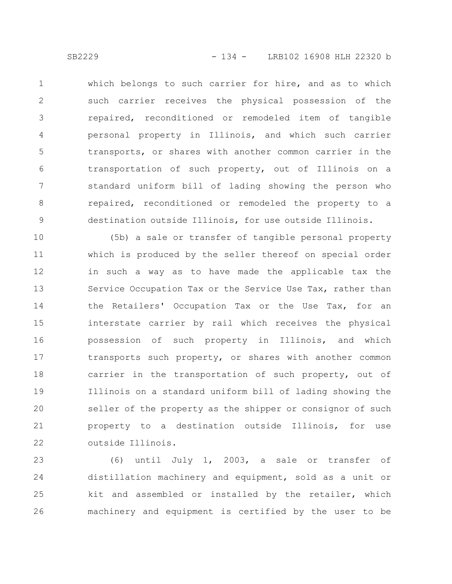which belongs to such carrier for hire, and as to which such carrier receives the physical possession of the repaired, reconditioned or remodeled item of tangible personal property in Illinois, and which such carrier transports, or shares with another common carrier in the transportation of such property, out of Illinois on a standard uniform bill of lading showing the person who repaired, reconditioned or remodeled the property to a destination outside Illinois, for use outside Illinois. 1 2 3 4 5 6 7 8 9

(5b) a sale or transfer of tangible personal property which is produced by the seller thereof on special order in such a way as to have made the applicable tax the Service Occupation Tax or the Service Use Tax, rather than the Retailers' Occupation Tax or the Use Tax, for an interstate carrier by rail which receives the physical possession of such property in Illinois, and which transports such property, or shares with another common carrier in the transportation of such property, out of Illinois on a standard uniform bill of lading showing the seller of the property as the shipper or consignor of such property to a destination outside Illinois, for use outside Illinois. 10 11 12 13 14 15 16 17 18 19 20 21 22

(6) until July 1, 2003, a sale or transfer of distillation machinery and equipment, sold as a unit or kit and assembled or installed by the retailer, which machinery and equipment is certified by the user to be 23 24 25 26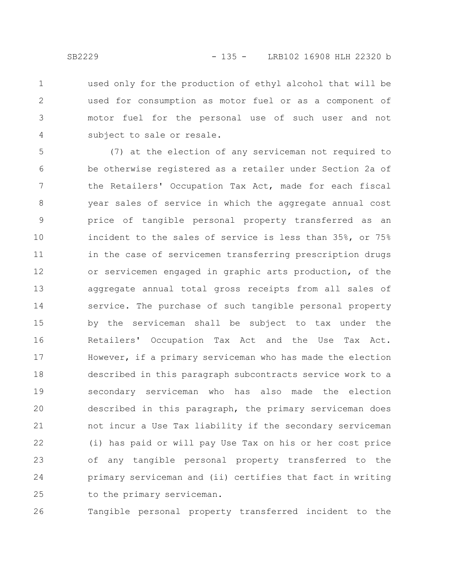used only for the production of ethyl alcohol that will be used for consumption as motor fuel or as a component of motor fuel for the personal use of such user and not subject to sale or resale. 1 2 3 4

(7) at the election of any serviceman not required to be otherwise registered as a retailer under Section 2a of the Retailers' Occupation Tax Act, made for each fiscal year sales of service in which the aggregate annual cost price of tangible personal property transferred as an incident to the sales of service is less than 35%, or 75% in the case of servicemen transferring prescription drugs or servicemen engaged in graphic arts production, of the aggregate annual total gross receipts from all sales of service. The purchase of such tangible personal property by the serviceman shall be subject to tax under the Retailers' Occupation Tax Act and the Use Tax Act. However, if a primary serviceman who has made the election described in this paragraph subcontracts service work to a secondary serviceman who has also made the election described in this paragraph, the primary serviceman does not incur a Use Tax liability if the secondary serviceman (i) has paid or will pay Use Tax on his or her cost price of any tangible personal property transferred to the primary serviceman and (ii) certifies that fact in writing to the primary serviceman. 5 6 7 8 9 10 11 12 13 14 15 16 17 18 19 20 21 22 23 24 25

Tangible personal property transferred incident to the 26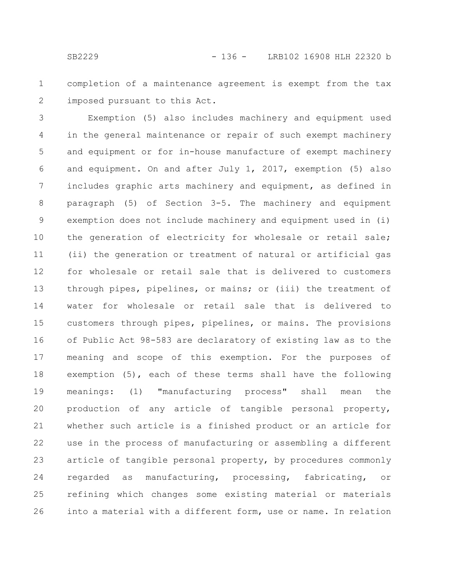completion of a maintenance agreement is exempt from the tax imposed pursuant to this Act. 1 2

Exemption (5) also includes machinery and equipment used in the general maintenance or repair of such exempt machinery and equipment or for in-house manufacture of exempt machinery and equipment. On and after July 1, 2017, exemption (5) also includes graphic arts machinery and equipment, as defined in paragraph (5) of Section 3-5. The machinery and equipment exemption does not include machinery and equipment used in (i) the generation of electricity for wholesale or retail sale; (ii) the generation or treatment of natural or artificial gas for wholesale or retail sale that is delivered to customers through pipes, pipelines, or mains; or (iii) the treatment of water for wholesale or retail sale that is delivered to customers through pipes, pipelines, or mains. The provisions of Public Act 98-583 are declaratory of existing law as to the meaning and scope of this exemption. For the purposes of exemption (5), each of these terms shall have the following meanings: (1) "manufacturing process" shall mean the production of any article of tangible personal property, whether such article is a finished product or an article for use in the process of manufacturing or assembling a different article of tangible personal property, by procedures commonly regarded as manufacturing, processing, fabricating, or refining which changes some existing material or materials into a material with a different form, use or name. In relation 3 4 5 6 7 8 9 10 11 12 13 14 15 16 17 18 19 20 21 22 23 24 25 26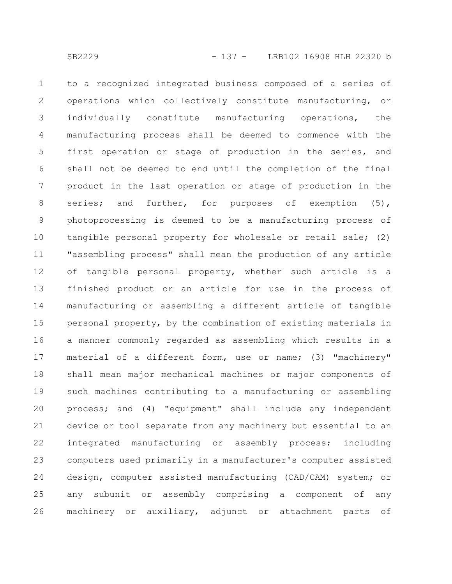to a recognized integrated business composed of a series of operations which collectively constitute manufacturing, or individually constitute manufacturing operations, the manufacturing process shall be deemed to commence with the first operation or stage of production in the series, and shall not be deemed to end until the completion of the final product in the last operation or stage of production in the series; and further, for purposes of exemption (5), photoprocessing is deemed to be a manufacturing process of tangible personal property for wholesale or retail sale; (2) "assembling process" shall mean the production of any article of tangible personal property, whether such article is a finished product or an article for use in the process of manufacturing or assembling a different article of tangible personal property, by the combination of existing materials in a manner commonly regarded as assembling which results in a material of a different form, use or name; (3) "machinery" shall mean major mechanical machines or major components of such machines contributing to a manufacturing or assembling process; and (4) "equipment" shall include any independent device or tool separate from any machinery but essential to an integrated manufacturing or assembly process; including computers used primarily in a manufacturer's computer assisted design, computer assisted manufacturing (CAD/CAM) system; or any subunit or assembly comprising a component of any machinery or auxiliary, adjunct or attachment parts of 1 2 3 4 5 6 7 8 9 10 11 12 13 14 15 16 17 18 19 20 21 22 23 24 25 26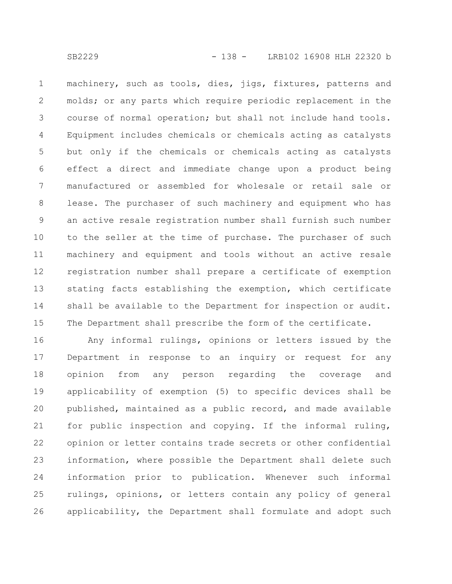machinery, such as tools, dies, jigs, fixtures, patterns and molds; or any parts which require periodic replacement in the course of normal operation; but shall not include hand tools. Equipment includes chemicals or chemicals acting as catalysts but only if the chemicals or chemicals acting as catalysts effect a direct and immediate change upon a product being manufactured or assembled for wholesale or retail sale or lease. The purchaser of such machinery and equipment who has an active resale registration number shall furnish such number to the seller at the time of purchase. The purchaser of such machinery and equipment and tools without an active resale registration number shall prepare a certificate of exemption stating facts establishing the exemption, which certificate shall be available to the Department for inspection or audit. The Department shall prescribe the form of the certificate. 1 2 3 4 5 6 7 8 9 10 11 12 13 14 15

Any informal rulings, opinions or letters issued by the Department in response to an inquiry or request for any opinion from any person regarding the coverage and applicability of exemption (5) to specific devices shall be published, maintained as a public record, and made available for public inspection and copying. If the informal ruling, opinion or letter contains trade secrets or other confidential information, where possible the Department shall delete such information prior to publication. Whenever such informal rulings, opinions, or letters contain any policy of general applicability, the Department shall formulate and adopt such 16 17 18 19 20 21 22 23 24 25 26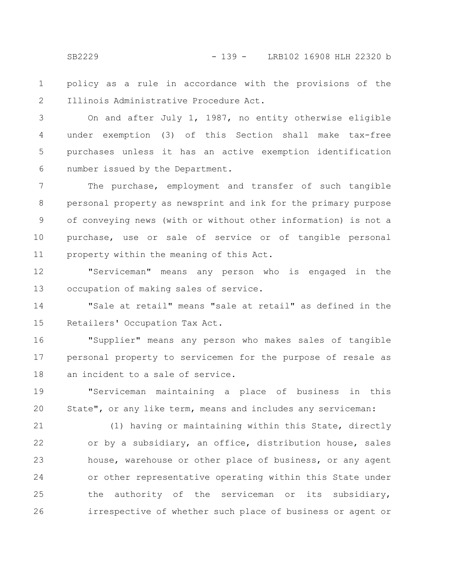policy as a rule in accordance with the provisions of the Illinois Administrative Procedure Act. 1 2

On and after July 1, 1987, no entity otherwise eligible under exemption (3) of this Section shall make tax-free purchases unless it has an active exemption identification number issued by the Department. 3 4 5 6

The purchase, employment and transfer of such tangible personal property as newsprint and ink for the primary purpose of conveying news (with or without other information) is not a purchase, use or sale of service or of tangible personal property within the meaning of this Act. 7 8 9 10 11

"Serviceman" means any person who is engaged in the occupation of making sales of service. 12 13

"Sale at retail" means "sale at retail" as defined in the Retailers' Occupation Tax Act. 14 15

"Supplier" means any person who makes sales of tangible personal property to servicemen for the purpose of resale as an incident to a sale of service. 16 17 18

"Serviceman maintaining a place of business in this State", or any like term, means and includes any serviceman: 19 20

(1) having or maintaining within this State, directly or by a subsidiary, an office, distribution house, sales house, warehouse or other place of business, or any agent or other representative operating within this State under the authority of the serviceman or its subsidiary, irrespective of whether such place of business or agent or 21 22 23 24 25 26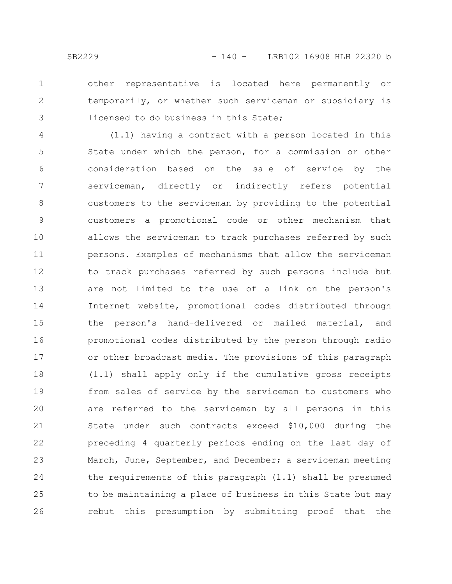1

2

3

other representative is located here permanently or temporarily, or whether such serviceman or subsidiary is licensed to do business in this State;

(1.1) having a contract with a person located in this State under which the person, for a commission or other consideration based on the sale of service by the serviceman, directly or indirectly refers potential customers to the serviceman by providing to the potential customers a promotional code or other mechanism that allows the serviceman to track purchases referred by such persons. Examples of mechanisms that allow the serviceman to track purchases referred by such persons include but are not limited to the use of a link on the person's Internet website, promotional codes distributed through the person's hand-delivered or mailed material, and promotional codes distributed by the person through radio or other broadcast media. The provisions of this paragraph (1.1) shall apply only if the cumulative gross receipts from sales of service by the serviceman to customers who are referred to the serviceman by all persons in this State under such contracts exceed \$10,000 during the preceding 4 quarterly periods ending on the last day of March, June, September, and December; a serviceman meeting the requirements of this paragraph (1.1) shall be presumed to be maintaining a place of business in this State but may rebut this presumption by submitting proof that the 4 5 6 7 8 9 10 11 12 13 14 15 16 17 18 19 20 21 22 23 24 25 26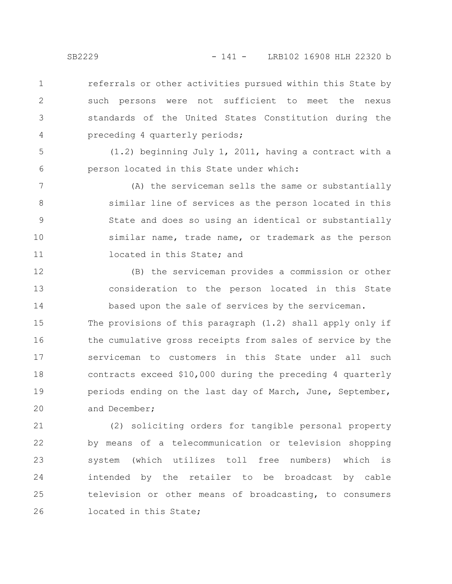referrals or other activities pursued within this State by such persons were not sufficient to meet the nexus standards of the United States Constitution during the preceding 4 quarterly periods; 1 2 3 4

(1.2) beginning July 1, 2011, having a contract with a person located in this State under which:

(A) the serviceman sells the same or substantially similar line of services as the person located in this State and does so using an identical or substantially similar name, trade name, or trademark as the person located in this State; and 7 8 9 10 11

(B) the serviceman provides a commission or other consideration to the person located in this State based upon the sale of services by the serviceman. 12 13 14

The provisions of this paragraph (1.2) shall apply only if the cumulative gross receipts from sales of service by the serviceman to customers in this State under all such contracts exceed \$10,000 during the preceding 4 quarterly periods ending on the last day of March, June, September, and December; 15 16 17 18 19 20

(2) soliciting orders for tangible personal property by means of a telecommunication or television shopping system (which utilizes toll free numbers) which is intended by the retailer to be broadcast by cable television or other means of broadcasting, to consumers located in this State; 21 22 23 24 25 26

5

6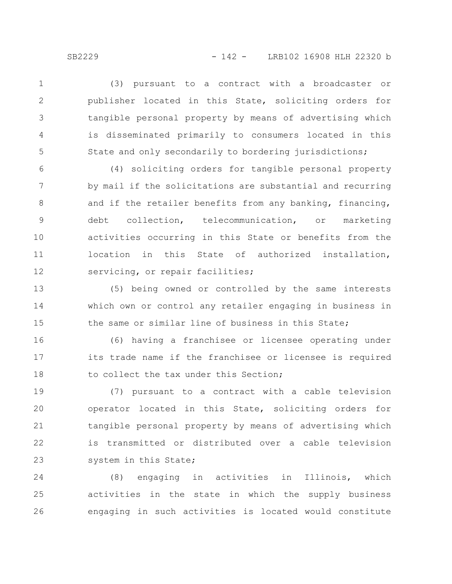(3) pursuant to a contract with a broadcaster or publisher located in this State, soliciting orders for tangible personal property by means of advertising which is disseminated primarily to consumers located in this State and only secondarily to bordering jurisdictions; 1 2 3 4 5

(4) soliciting orders for tangible personal property by mail if the solicitations are substantial and recurring and if the retailer benefits from any banking, financing, debt collection, telecommunication, or marketing activities occurring in this State or benefits from the location in this State of authorized installation, servicing, or repair facilities; 6 7 8 9 10 11 12

(5) being owned or controlled by the same interests which own or control any retailer engaging in business in the same or similar line of business in this State; 13 14 15

(6) having a franchisee or licensee operating under its trade name if the franchisee or licensee is required to collect the tax under this Section; 16 17 18

(7) pursuant to a contract with a cable television operator located in this State, soliciting orders for tangible personal property by means of advertising which is transmitted or distributed over a cable television system in this State; 19 20 21 22 23

(8) engaging in activities in Illinois, which activities in the state in which the supply business engaging in such activities is located would constitute 24 25 26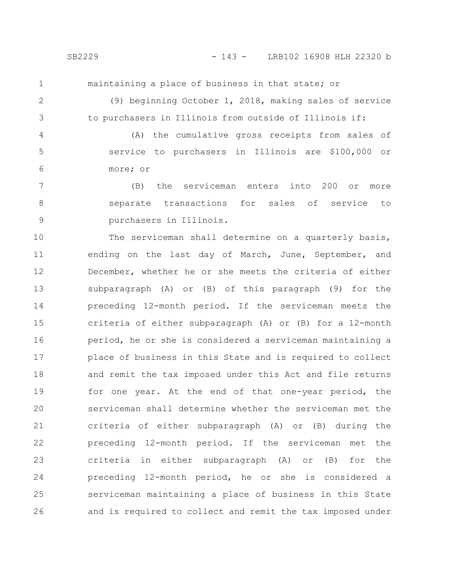1

maintaining a place of business in that state; or

2

3

(9) beginning October 1, 2018, making sales of service to purchasers in Illinois from outside of Illinois if:

(A) the cumulative gross receipts from sales of service to purchasers in Illinois are \$100,000 or more; or 4 5 6

(B) the serviceman enters into 200 or more separate transactions for sales of service to purchasers in Illinois. 7 8 9

The serviceman shall determine on a quarterly basis, ending on the last day of March, June, September, and December, whether he or she meets the criteria of either subparagraph (A) or (B) of this paragraph (9) for the preceding 12-month period. If the serviceman meets the criteria of either subparagraph (A) or (B) for a 12-month period, he or she is considered a serviceman maintaining a place of business in this State and is required to collect and remit the tax imposed under this Act and file returns for one year. At the end of that one-year period, the serviceman shall determine whether the serviceman met the criteria of either subparagraph (A) or (B) during the preceding 12-month period. If the serviceman met the criteria in either subparagraph (A) or (B) for the preceding 12-month period, he or she is considered a serviceman maintaining a place of business in this State and is required to collect and remit the tax imposed under 10 11 12 13 14 15 16 17 18 19 20 21 22 23 24 25 26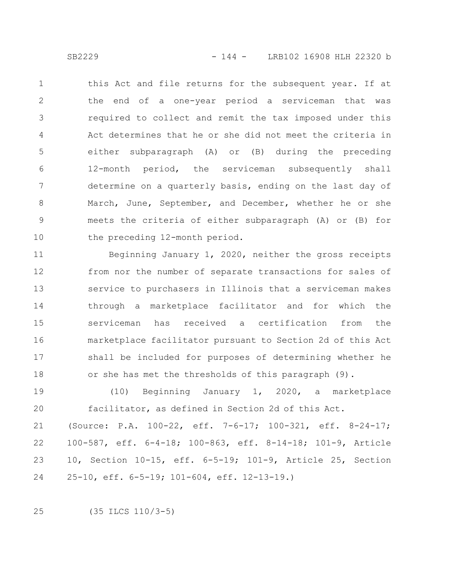this Act and file returns for the subsequent year. If at the end of a one-year period a serviceman that was required to collect and remit the tax imposed under this Act determines that he or she did not meet the criteria in either subparagraph (A) or (B) during the preceding 12-month period, the serviceman subsequently shall determine on a quarterly basis, ending on the last day of March, June, September, and December, whether he or she meets the criteria of either subparagraph (A) or (B) for the preceding 12-month period. 1 2 3 4 5 6 7 8 9 10

Beginning January 1, 2020, neither the gross receipts from nor the number of separate transactions for sales of service to purchasers in Illinois that a serviceman makes through a marketplace facilitator and for which the serviceman has received a certification from the marketplace facilitator pursuant to Section 2d of this Act shall be included for purposes of determining whether he or she has met the thresholds of this paragraph (9). 11 12 13 14 15 16 17 18

(10) Beginning January 1, 2020, a marketplace facilitator, as defined in Section 2d of this Act. 19 20

(Source: P.A. 100-22, eff. 7-6-17; 100-321, eff. 8-24-17; 100-587, eff. 6-4-18; 100-863, eff. 8-14-18; 101-9, Article 10, Section 10-15, eff. 6-5-19; 101-9, Article 25, Section 25-10, eff. 6-5-19; 101-604, eff. 12-13-19.) 21 22 23 24

(35 ILCS 110/3-5) 25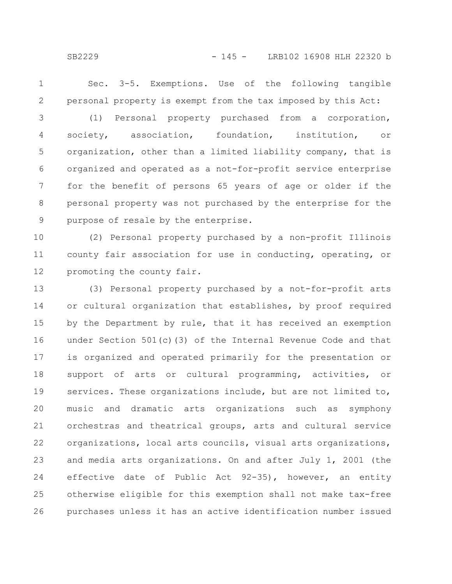Sec. 3-5. Exemptions. Use of the following tangible personal property is exempt from the tax imposed by this Act: 1 2

(1) Personal property purchased from a corporation, society, association, foundation, institution, or organization, other than a limited liability company, that is organized and operated as a not-for-profit service enterprise for the benefit of persons 65 years of age or older if the personal property was not purchased by the enterprise for the purpose of resale by the enterprise. 3 4 5 6 7 8 9

(2) Personal property purchased by a non-profit Illinois county fair association for use in conducting, operating, or promoting the county fair. 10 11 12

(3) Personal property purchased by a not-for-profit arts or cultural organization that establishes, by proof required by the Department by rule, that it has received an exemption under Section 501(c)(3) of the Internal Revenue Code and that is organized and operated primarily for the presentation or support of arts or cultural programming, activities, or services. These organizations include, but are not limited to, music and dramatic arts organizations such as symphony orchestras and theatrical groups, arts and cultural service organizations, local arts councils, visual arts organizations, and media arts organizations. On and after July 1, 2001 (the effective date of Public Act 92-35), however, an entity otherwise eligible for this exemption shall not make tax-free purchases unless it has an active identification number issued 13 14 15 16 17 18 19 20 21 22 23 24 25 26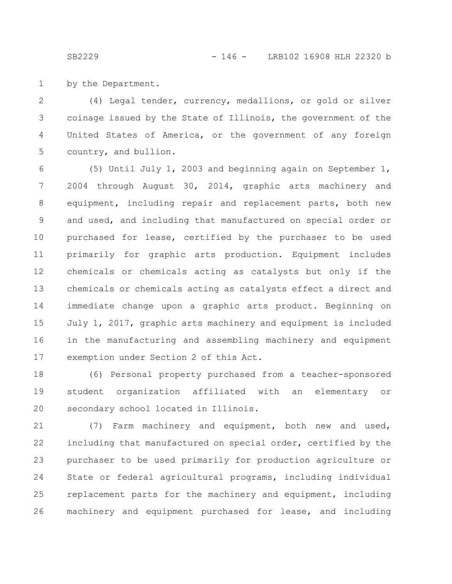by the Department.

(4) Legal tender, currency, medallions, or gold or silver coinage issued by the State of Illinois, the government of the United States of America, or the government of any foreign country, and bullion. 2 3 4 5

(5) Until July 1, 2003 and beginning again on September 1, 2004 through August 30, 2014, graphic arts machinery and equipment, including repair and replacement parts, both new and used, and including that manufactured on special order or purchased for lease, certified by the purchaser to be used primarily for graphic arts production. Equipment includes chemicals or chemicals acting as catalysts but only if the chemicals or chemicals acting as catalysts effect a direct and immediate change upon a graphic arts product. Beginning on July 1, 2017, graphic arts machinery and equipment is included in the manufacturing and assembling machinery and equipment exemption under Section 2 of this Act. 6 7 8 9 10 11 12 13 14 15 16 17

(6) Personal property purchased from a teacher-sponsored student organization affiliated with an elementary or secondary school located in Illinois. 18 19 20

(7) Farm machinery and equipment, both new and used, including that manufactured on special order, certified by the purchaser to be used primarily for production agriculture or State or federal agricultural programs, including individual replacement parts for the machinery and equipment, including machinery and equipment purchased for lease, and including 21 22 23 24 25 26

1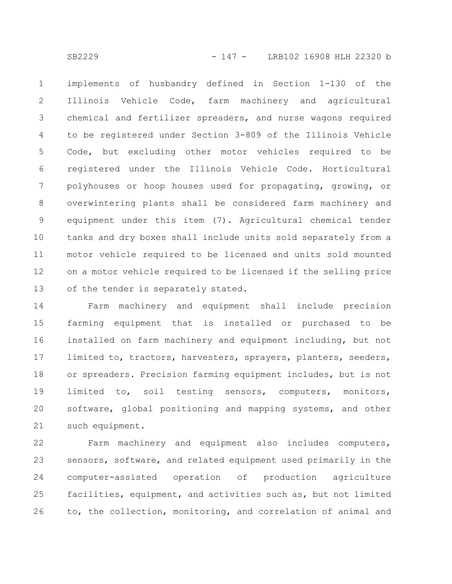implements of husbandry defined in Section 1-130 of the Illinois Vehicle Code, farm machinery and agricultural chemical and fertilizer spreaders, and nurse wagons required to be registered under Section 3-809 of the Illinois Vehicle Code, but excluding other motor vehicles required to be registered under the Illinois Vehicle Code. Horticultural polyhouses or hoop houses used for propagating, growing, or overwintering plants shall be considered farm machinery and equipment under this item (7). Agricultural chemical tender tanks and dry boxes shall include units sold separately from a motor vehicle required to be licensed and units sold mounted on a motor vehicle required to be licensed if the selling price of the tender is separately stated. 1 2 3 4 5 6 7 8 9 10 11 12 13

Farm machinery and equipment shall include precision farming equipment that is installed or purchased to be installed on farm machinery and equipment including, but not limited to, tractors, harvesters, sprayers, planters, seeders, or spreaders. Precision farming equipment includes, but is not limited to, soil testing sensors, computers, monitors, software, global positioning and mapping systems, and other such equipment. 14 15 16 17 18 19 20 21

Farm machinery and equipment also includes computers, sensors, software, and related equipment used primarily in the computer-assisted operation of production agriculture facilities, equipment, and activities such as, but not limited to, the collection, monitoring, and correlation of animal and 22 23 24 25 26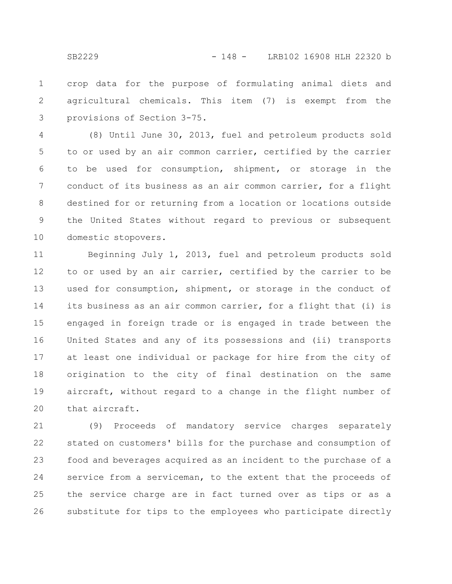crop data for the purpose of formulating animal diets and agricultural chemicals. This item (7) is exempt from the provisions of Section 3-75. 1 2 3

(8) Until June 30, 2013, fuel and petroleum products sold to or used by an air common carrier, certified by the carrier to be used for consumption, shipment, or storage in the conduct of its business as an air common carrier, for a flight destined for or returning from a location or locations outside the United States without regard to previous or subsequent domestic stopovers. 4 5 6 7 8 9 10

Beginning July 1, 2013, fuel and petroleum products sold to or used by an air carrier, certified by the carrier to be used for consumption, shipment, or storage in the conduct of its business as an air common carrier, for a flight that (i) is engaged in foreign trade or is engaged in trade between the United States and any of its possessions and (ii) transports at least one individual or package for hire from the city of origination to the city of final destination on the same aircraft, without regard to a change in the flight number of that aircraft. 11 12 13 14 15 16 17 18 19 20

(9) Proceeds of mandatory service charges separately stated on customers' bills for the purchase and consumption of food and beverages acquired as an incident to the purchase of a service from a serviceman, to the extent that the proceeds of the service charge are in fact turned over as tips or as a substitute for tips to the employees who participate directly 21 22 23 24 25 26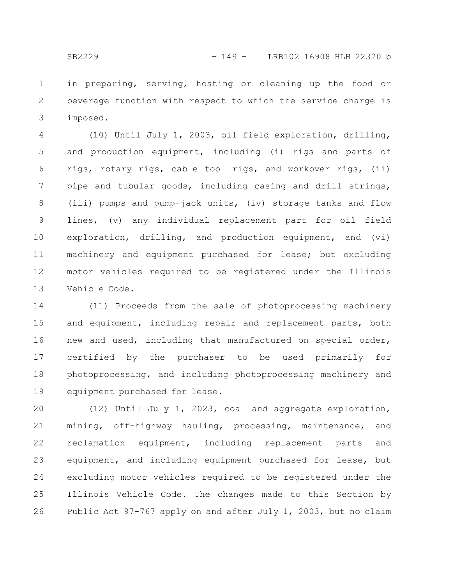in preparing, serving, hosting or cleaning up the food or beverage function with respect to which the service charge is imposed. 1 2 3

(10) Until July 1, 2003, oil field exploration, drilling, and production equipment, including (i) rigs and parts of rigs, rotary rigs, cable tool rigs, and workover rigs, (ii) pipe and tubular goods, including casing and drill strings, (iii) pumps and pump-jack units, (iv) storage tanks and flow lines, (v) any individual replacement part for oil field exploration, drilling, and production equipment, and (vi) machinery and equipment purchased for lease; but excluding motor vehicles required to be registered under the Illinois Vehicle Code. 4 5 6 7 8 9 10 11 12 13

(11) Proceeds from the sale of photoprocessing machinery and equipment, including repair and replacement parts, both new and used, including that manufactured on special order, certified by the purchaser to be used primarily for photoprocessing, and including photoprocessing machinery and equipment purchased for lease. 14 15 16 17 18 19

(12) Until July 1, 2023, coal and aggregate exploration, mining, off-highway hauling, processing, maintenance, and reclamation equipment, including replacement parts and equipment, and including equipment purchased for lease, but excluding motor vehicles required to be registered under the Illinois Vehicle Code. The changes made to this Section by Public Act 97-767 apply on and after July 1, 2003, but no claim 20 21 22 23 24 25 26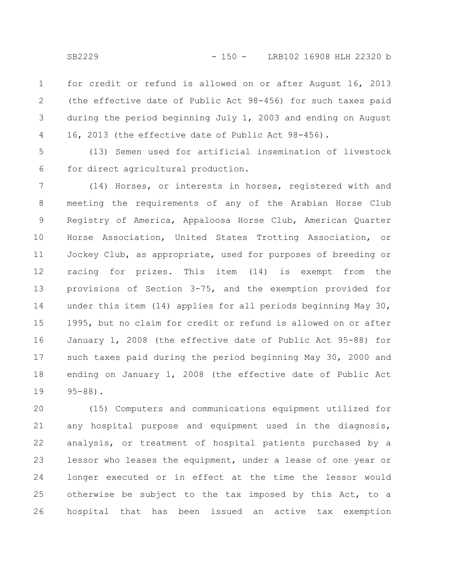for credit or refund is allowed on or after August 16, 2013 (the effective date of Public Act 98-456) for such taxes paid during the period beginning July 1, 2003 and ending on August 16, 2013 (the effective date of Public Act 98-456). 1 2 3 4

(13) Semen used for artificial insemination of livestock for direct agricultural production. 5 6

(14) Horses, or interests in horses, registered with and meeting the requirements of any of the Arabian Horse Club Registry of America, Appaloosa Horse Club, American Quarter Horse Association, United States Trotting Association, or Jockey Club, as appropriate, used for purposes of breeding or racing for prizes. This item (14) is exempt from the provisions of Section 3-75, and the exemption provided for under this item (14) applies for all periods beginning May 30, 1995, but no claim for credit or refund is allowed on or after January 1, 2008 (the effective date of Public Act 95-88) for such taxes paid during the period beginning May 30, 2000 and ending on January 1, 2008 (the effective date of Public Act 95-88). 7 8 9 10 11 12 13 14 15 16 17 18 19

(15) Computers and communications equipment utilized for any hospital purpose and equipment used in the diagnosis, analysis, or treatment of hospital patients purchased by a lessor who leases the equipment, under a lease of one year or longer executed or in effect at the time the lessor would otherwise be subject to the tax imposed by this Act, to a hospital that has been issued an active tax exemption 20 21 22 23 24 25 26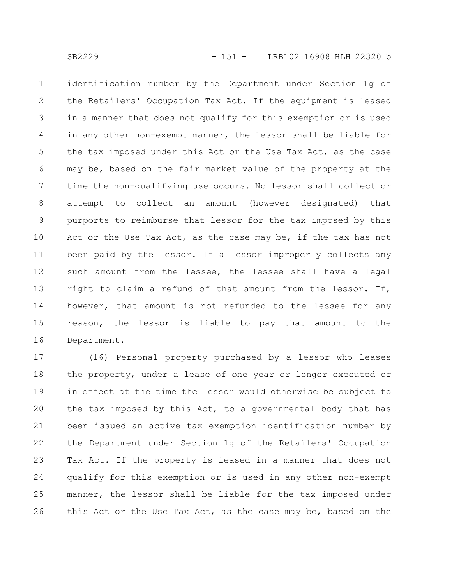identification number by the Department under Section 1g of the Retailers' Occupation Tax Act. If the equipment is leased in a manner that does not qualify for this exemption or is used in any other non-exempt manner, the lessor shall be liable for the tax imposed under this Act or the Use Tax Act, as the case may be, based on the fair market value of the property at the time the non-qualifying use occurs. No lessor shall collect or attempt to collect an amount (however designated) that purports to reimburse that lessor for the tax imposed by this Act or the Use Tax Act, as the case may be, if the tax has not been paid by the lessor. If a lessor improperly collects any such amount from the lessee, the lessee shall have a legal right to claim a refund of that amount from the lessor. If, however, that amount is not refunded to the lessee for any reason, the lessor is liable to pay that amount to the Department. 1 2 3 4 5 6 7 8 9 10 11 12 13 14 15 16

(16) Personal property purchased by a lessor who leases the property, under a lease of one year or longer executed or in effect at the time the lessor would otherwise be subject to the tax imposed by this Act, to a governmental body that has been issued an active tax exemption identification number by the Department under Section 1g of the Retailers' Occupation Tax Act. If the property is leased in a manner that does not qualify for this exemption or is used in any other non-exempt manner, the lessor shall be liable for the tax imposed under this Act or the Use Tax Act, as the case may be, based on the 17 18 19 20 21 22 23 24 25 26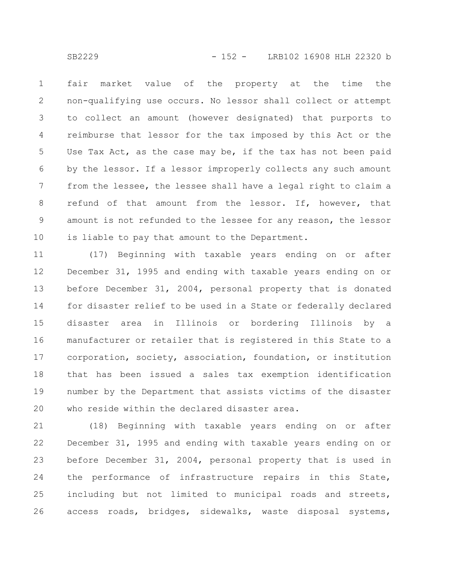fair market value of the property at the time the non-qualifying use occurs. No lessor shall collect or attempt to collect an amount (however designated) that purports to reimburse that lessor for the tax imposed by this Act or the Use Tax Act, as the case may be, if the tax has not been paid by the lessor. If a lessor improperly collects any such amount from the lessee, the lessee shall have a legal right to claim a refund of that amount from the lessor. If, however, that amount is not refunded to the lessee for any reason, the lessor is liable to pay that amount to the Department. 1 2 3 4 5 6 7 8 9 10

(17) Beginning with taxable years ending on or after December 31, 1995 and ending with taxable years ending on or before December 31, 2004, personal property that is donated for disaster relief to be used in a State or federally declared disaster area in Illinois or bordering Illinois by a manufacturer or retailer that is registered in this State to a corporation, society, association, foundation, or institution that has been issued a sales tax exemption identification number by the Department that assists victims of the disaster who reside within the declared disaster area. 11 12 13 14 15 16 17 18 19 20

(18) Beginning with taxable years ending on or after December 31, 1995 and ending with taxable years ending on or before December 31, 2004, personal property that is used in the performance of infrastructure repairs in this State, including but not limited to municipal roads and streets, access roads, bridges, sidewalks, waste disposal systems, 21 22 23 24 25 26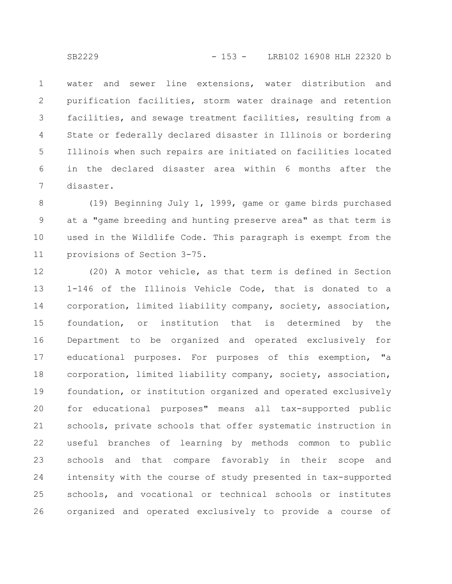water and sewer line extensions, water distribution and purification facilities, storm water drainage and retention facilities, and sewage treatment facilities, resulting from a State or federally declared disaster in Illinois or bordering Illinois when such repairs are initiated on facilities located in the declared disaster area within 6 months after the disaster. 1 2 3 4 5 6 7

(19) Beginning July 1, 1999, game or game birds purchased at a "game breeding and hunting preserve area" as that term is used in the Wildlife Code. This paragraph is exempt from the provisions of Section 3-75. 8 9 10 11

(20) A motor vehicle, as that term is defined in Section 1-146 of the Illinois Vehicle Code, that is donated to a corporation, limited liability company, society, association, foundation, or institution that is determined by the Department to be organized and operated exclusively for educational purposes. For purposes of this exemption, "a corporation, limited liability company, society, association, foundation, or institution organized and operated exclusively for educational purposes" means all tax-supported public schools, private schools that offer systematic instruction in useful branches of learning by methods common to public schools and that compare favorably in their scope and intensity with the course of study presented in tax-supported schools, and vocational or technical schools or institutes organized and operated exclusively to provide a course of 12 13 14 15 16 17 18 19 20 21 22 23 24 25 26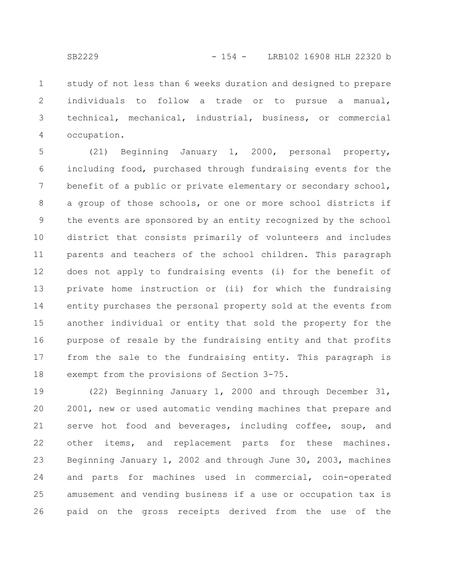study of not less than 6 weeks duration and designed to prepare individuals to follow a trade or to pursue a manual, technical, mechanical, industrial, business, or commercial occupation. 1 2 3 4

(21) Beginning January 1, 2000, personal property, including food, purchased through fundraising events for the benefit of a public or private elementary or secondary school, a group of those schools, or one or more school districts if the events are sponsored by an entity recognized by the school district that consists primarily of volunteers and includes parents and teachers of the school children. This paragraph does not apply to fundraising events (i) for the benefit of private home instruction or (ii) for which the fundraising entity purchases the personal property sold at the events from another individual or entity that sold the property for the purpose of resale by the fundraising entity and that profits from the sale to the fundraising entity. This paragraph is exempt from the provisions of Section 3-75. 5 6 7 8 9 10 11 12 13 14 15 16 17 18

(22) Beginning January 1, 2000 and through December 31, 2001, new or used automatic vending machines that prepare and serve hot food and beverages, including coffee, soup, and other items, and replacement parts for these machines. Beginning January 1, 2002 and through June 30, 2003, machines and parts for machines used in commercial, coin-operated amusement and vending business if a use or occupation tax is paid on the gross receipts derived from the use of the 19 20 21 22 23 24 25 26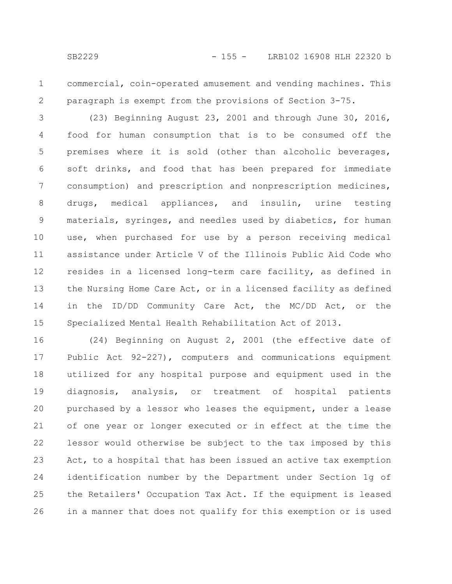1 2 commercial, coin-operated amusement and vending machines. This paragraph is exempt from the provisions of Section 3-75.

(23) Beginning August 23, 2001 and through June 30, 2016, food for human consumption that is to be consumed off the premises where it is sold (other than alcoholic beverages, soft drinks, and food that has been prepared for immediate consumption) and prescription and nonprescription medicines, drugs, medical appliances, and insulin, urine testing materials, syringes, and needles used by diabetics, for human use, when purchased for use by a person receiving medical assistance under Article V of the Illinois Public Aid Code who resides in a licensed long-term care facility, as defined in the Nursing Home Care Act, or in a licensed facility as defined in the ID/DD Community Care Act, the MC/DD Act, or the Specialized Mental Health Rehabilitation Act of 2013. 3 4 5 6 7 8 9 10 11 12 13 14 15

(24) Beginning on August 2, 2001 (the effective date of Public Act 92-227), computers and communications equipment utilized for any hospital purpose and equipment used in the diagnosis, analysis, or treatment of hospital patients purchased by a lessor who leases the equipment, under a lease of one year or longer executed or in effect at the time the lessor would otherwise be subject to the tax imposed by this Act, to a hospital that has been issued an active tax exemption identification number by the Department under Section 1g of the Retailers' Occupation Tax Act. If the equipment is leased in a manner that does not qualify for this exemption or is used 16 17 18 19 20 21 22 23 24 25 26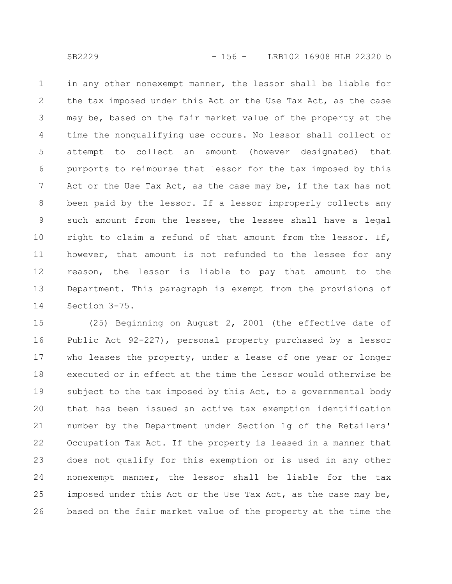in any other nonexempt manner, the lessor shall be liable for the tax imposed under this Act or the Use Tax Act, as the case may be, based on the fair market value of the property at the time the nonqualifying use occurs. No lessor shall collect or attempt to collect an amount (however designated) that purports to reimburse that lessor for the tax imposed by this Act or the Use Tax Act, as the case may be, if the tax has not been paid by the lessor. If a lessor improperly collects any such amount from the lessee, the lessee shall have a legal right to claim a refund of that amount from the lessor. If, however, that amount is not refunded to the lessee for any reason, the lessor is liable to pay that amount to the Department. This paragraph is exempt from the provisions of Section 3-75. 1 2 3 4 5 6 7 8 9 10 11 12 13 14

(25) Beginning on August 2, 2001 (the effective date of Public Act 92-227), personal property purchased by a lessor who leases the property, under a lease of one year or longer executed or in effect at the time the lessor would otherwise be subject to the tax imposed by this Act, to a governmental body that has been issued an active tax exemption identification number by the Department under Section 1g of the Retailers' Occupation Tax Act. If the property is leased in a manner that does not qualify for this exemption or is used in any other nonexempt manner, the lessor shall be liable for the tax imposed under this Act or the Use Tax Act, as the case may be, based on the fair market value of the property at the time the 15 16 17 18 19 20 21 22 23 24 25 26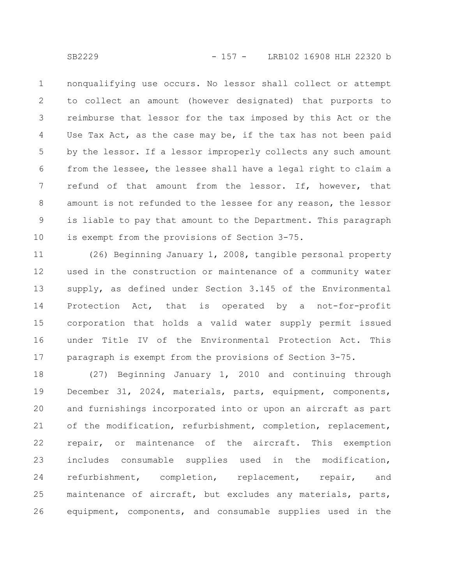nonqualifying use occurs. No lessor shall collect or attempt to collect an amount (however designated) that purports to reimburse that lessor for the tax imposed by this Act or the Use Tax Act, as the case may be, if the tax has not been paid by the lessor. If a lessor improperly collects any such amount from the lessee, the lessee shall have a legal right to claim a refund of that amount from the lessor. If, however, that amount is not refunded to the lessee for any reason, the lessor is liable to pay that amount to the Department. This paragraph is exempt from the provisions of Section 3-75. 1 2 3 4 5 6 7 8 9 10

(26) Beginning January 1, 2008, tangible personal property used in the construction or maintenance of a community water supply, as defined under Section 3.145 of the Environmental Protection Act, that is operated by a not-for-profit corporation that holds a valid water supply permit issued under Title IV of the Environmental Protection Act. This paragraph is exempt from the provisions of Section 3-75. 11 12 13 14 15 16 17

(27) Beginning January 1, 2010 and continuing through December 31, 2024, materials, parts, equipment, components, and furnishings incorporated into or upon an aircraft as part of the modification, refurbishment, completion, replacement, repair, or maintenance of the aircraft. This exemption includes consumable supplies used in the modification, refurbishment, completion, replacement, repair, and maintenance of aircraft, but excludes any materials, parts, equipment, components, and consumable supplies used in the 18 19 20 21 22 23 24 25 26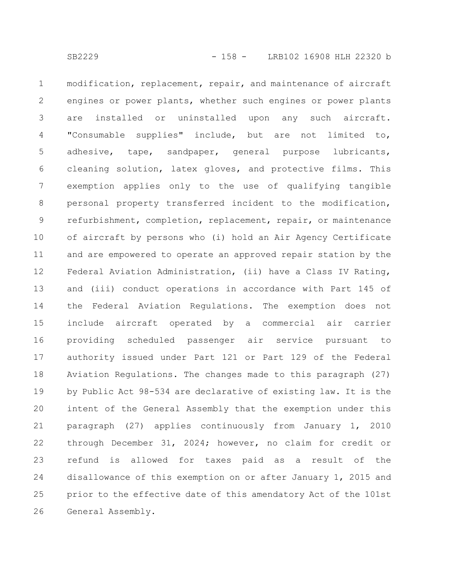modification, replacement, repair, and maintenance of aircraft engines or power plants, whether such engines or power plants are installed or uninstalled upon any such aircraft. "Consumable supplies" include, but are not limited to, adhesive, tape, sandpaper, general purpose lubricants, cleaning solution, latex gloves, and protective films. This exemption applies only to the use of qualifying tangible personal property transferred incident to the modification, refurbishment, completion, replacement, repair, or maintenance of aircraft by persons who (i) hold an Air Agency Certificate and are empowered to operate an approved repair station by the Federal Aviation Administration, (ii) have a Class IV Rating, and (iii) conduct operations in accordance with Part 145 of the Federal Aviation Regulations. The exemption does not include aircraft operated by a commercial air carrier providing scheduled passenger air service pursuant to authority issued under Part 121 or Part 129 of the Federal Aviation Regulations. The changes made to this paragraph (27) by Public Act 98-534 are declarative of existing law. It is the intent of the General Assembly that the exemption under this paragraph (27) applies continuously from January 1, 2010 through December 31, 2024; however, no claim for credit or refund is allowed for taxes paid as a result of the disallowance of this exemption on or after January 1, 2015 and prior to the effective date of this amendatory Act of the 101st General Assembly. 1 2 3 4 5 6 7 8 9 10 11 12 13 14 15 16 17 18 19 20 21 22 23 24 25 26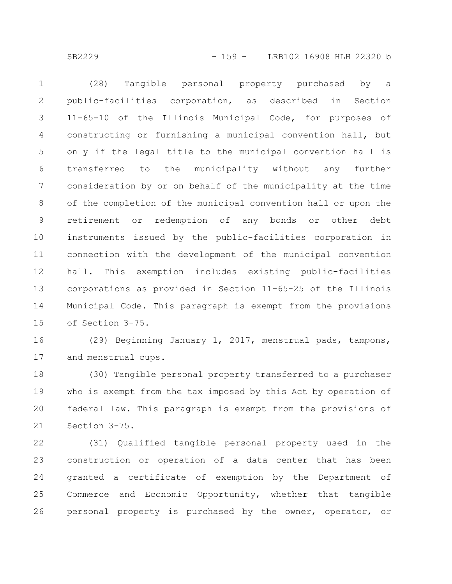SB2229 - 159 - LRB102 16908 HLH 22320 b

(28) Tangible personal property purchased by a public-facilities corporation, as described in Section 11-65-10 of the Illinois Municipal Code, for purposes of constructing or furnishing a municipal convention hall, but only if the legal title to the municipal convention hall is transferred to the municipality without any further consideration by or on behalf of the municipality at the time of the completion of the municipal convention hall or upon the retirement or redemption of any bonds or other debt instruments issued by the public-facilities corporation in connection with the development of the municipal convention hall. This exemption includes existing public-facilities corporations as provided in Section 11-65-25 of the Illinois Municipal Code. This paragraph is exempt from the provisions of Section 3-75. 1 2 3 4 5 6 7 8 9 10 11 12 13 14 15

(29) Beginning January 1, 2017, menstrual pads, tampons, and menstrual cups. 16 17

(30) Tangible personal property transferred to a purchaser who is exempt from the tax imposed by this Act by operation of federal law. This paragraph is exempt from the provisions of Section 3-75. 18 19 20 21

(31) Qualified tangible personal property used in the construction or operation of a data center that has been granted a certificate of exemption by the Department of Commerce and Economic Opportunity, whether that tangible personal property is purchased by the owner, operator, or 22 23 24 25 26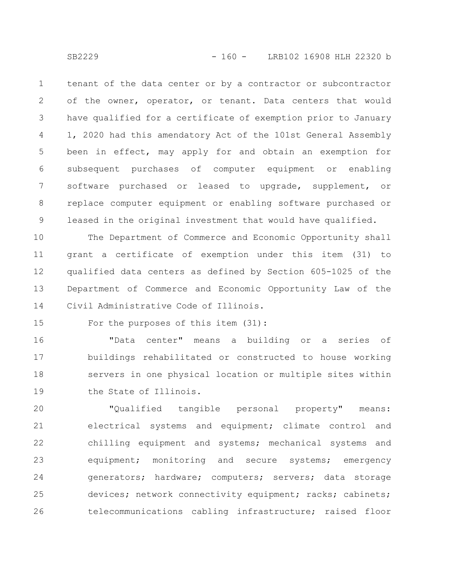tenant of the data center or by a contractor or subcontractor of the owner, operator, or tenant. Data centers that would have qualified for a certificate of exemption prior to January 1, 2020 had this amendatory Act of the 101st General Assembly been in effect, may apply for and obtain an exemption for subsequent purchases of computer equipment or enabling software purchased or leased to upgrade, supplement, or replace computer equipment or enabling software purchased or leased in the original investment that would have qualified. 1 2 3 4 5 6 7 8 9

The Department of Commerce and Economic Opportunity shall grant a certificate of exemption under this item (31) to qualified data centers as defined by Section 605-1025 of the Department of Commerce and Economic Opportunity Law of the Civil Administrative Code of Illinois. 10 11 12 13 14

15

For the purposes of this item (31):

"Data center" means a building or a series of buildings rehabilitated or constructed to house working servers in one physical location or multiple sites within the State of Illinois. 16 17 18 19

"Qualified tangible personal property" means: electrical systems and equipment; climate control and chilling equipment and systems; mechanical systems and equipment; monitoring and secure systems; emergency generators; hardware; computers; servers; data storage devices; network connectivity equipment; racks; cabinets; telecommunications cabling infrastructure; raised floor 20 21 22 23 24 25 26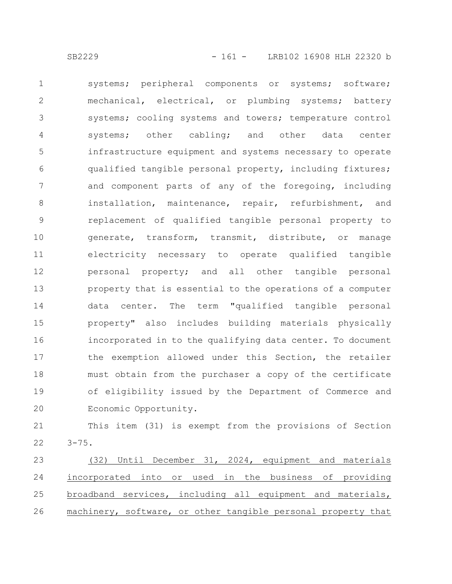systems; peripheral components or systems; software; mechanical, electrical, or plumbing systems; battery systems; cooling systems and towers; temperature control systems; other cabling; and other data center infrastructure equipment and systems necessary to operate qualified tangible personal property, including fixtures; and component parts of any of the foregoing, including installation, maintenance, repair, refurbishment, and replacement of qualified tangible personal property to generate, transform, transmit, distribute, or manage electricity necessary to operate qualified tangible personal property; and all other tangible personal property that is essential to the operations of a computer data center. The term "qualified tangible personal property" also includes building materials physically incorporated in to the qualifying data center. To document the exemption allowed under this Section, the retailer must obtain from the purchaser a copy of the certificate 1 2 3 4 5 6 7 8 9 10 11 12 13 14 15 16 17 18

of eligibility issued by the Department of Commerce and Economic Opportunity. 19 20

This item (31) is exempt from the provisions of Section  $3 - 75.$ 21 22

(32) Until December 31, 2024, equipment and materials incorporated into or used in the business of providing broadband services, including all equipment and materials, machinery, software, or other tangible personal property that 23 24 25 26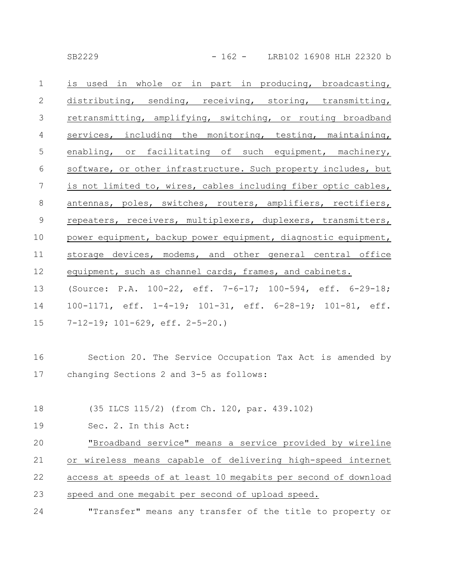| SB2229 |  |  |
|--------|--|--|
|        |  |  |

| $\mathbf{1}$    | is used in whole or in part in producing, broadcasting,        |
|-----------------|----------------------------------------------------------------|
| $\mathbf{2}$    | distributing, sending, receiving, storing, transmitting,       |
| 3               | retransmitting, amplifying, switching, or routing broadband    |
| $\overline{4}$  | services, including the monitoring, testing, maintaining,      |
| 5               | enabling, or facilitating of such equipment, machinery,        |
| 6               | software, or other infrastructure. Such property includes, but |
| $7\phantom{.0}$ | is not limited to, wires, cables including fiber optic cables, |
| $\,8\,$         | antennas, poles, switches, routers, amplifiers, rectifiers,    |
| $\mathsf 9$     | repeaters, receivers, multiplexers, duplexers, transmitters,   |
| 10              | power equipment, backup power equipment, diagnostic equipment, |
| 11              | storage devices, modems, and other general central office      |
| 12              | equipment, such as channel cards, frames, and cabinets.        |
| 13              | (Source: P.A. 100-22, eff. 7-6-17; 100-594, eff. 6-29-18;      |
| 14              | 100-1171, eff. 1-4-19; 101-31, eff. 6-28-19; 101-81, eff.      |
| 15              | $7-12-19$ ; $101-629$ , eff. $2-5-20$ .)                       |
|                 |                                                                |
| 16              | Section 20. The Service Occupation Tax Act is amended by       |
| 17              | changing Sections 2 and 3-5 as follows:                        |
|                 |                                                                |
| 18              | (35 ILCS 115/2) (from Ch. 120, par. 439.102)                   |
| 19              | Sec. 2. In this Act:                                           |
| 20              | "Broadband service" means a service provided by wireline       |
| 21              | wireless means capable of delivering high-speed internet<br>or |

- access at speeds of at least 10 megabits per second of download 22
- speed and one megabit per second of upload speed. 23
- "Transfer" means any transfer of the title to property or 24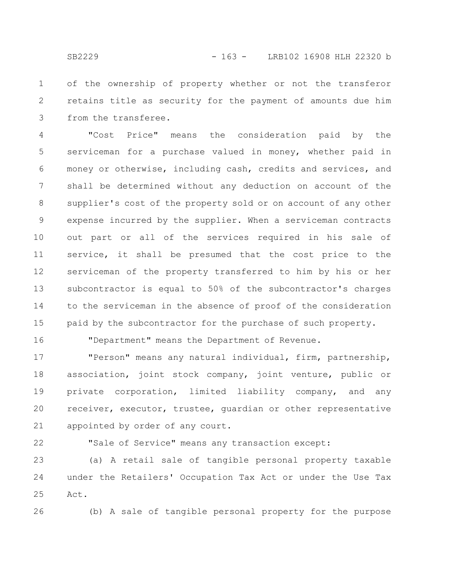of the ownership of property whether or not the transferor retains title as security for the payment of amounts due him from the transferee. 1 2 3

"Cost Price" means the consideration paid by the serviceman for a purchase valued in money, whether paid in money or otherwise, including cash, credits and services, and shall be determined without any deduction on account of the supplier's cost of the property sold or on account of any other expense incurred by the supplier. When a serviceman contracts out part or all of the services required in his sale of service, it shall be presumed that the cost price to the serviceman of the property transferred to him by his or her subcontractor is equal to 50% of the subcontractor's charges to the serviceman in the absence of proof of the consideration paid by the subcontractor for the purchase of such property. 4 5 6 7 8 9 10 11 12 13 14 15

16

"Department" means the Department of Revenue.

"Person" means any natural individual, firm, partnership, association, joint stock company, joint venture, public or private corporation, limited liability company, and any receiver, executor, trustee, guardian or other representative appointed by order of any court. 17 18 19 20 21

22

"Sale of Service" means any transaction except:

(a) A retail sale of tangible personal property taxable under the Retailers' Occupation Tax Act or under the Use Tax Act. 23 24 25

26

(b) A sale of tangible personal property for the purpose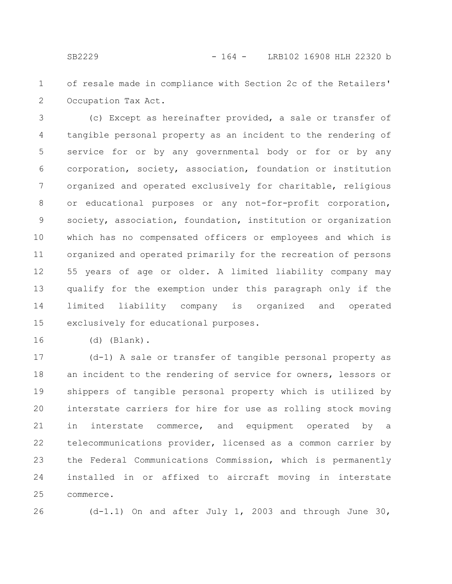of resale made in compliance with Section 2c of the Retailers' Occupation Tax Act. 1 2

(c) Except as hereinafter provided, a sale or transfer of tangible personal property as an incident to the rendering of service for or by any governmental body or for or by any corporation, society, association, foundation or institution organized and operated exclusively for charitable, religious or educational purposes or any not-for-profit corporation, society, association, foundation, institution or organization which has no compensated officers or employees and which is organized and operated primarily for the recreation of persons 55 years of age or older. A limited liability company may qualify for the exemption under this paragraph only if the limited liability company is organized and operated exclusively for educational purposes. 3 4 5 6 7 8 9 10 11 12 13 14 15

(d) (Blank). 16

(d-1) A sale or transfer of tangible personal property as an incident to the rendering of service for owners, lessors or shippers of tangible personal property which is utilized by interstate carriers for hire for use as rolling stock moving in interstate commerce, and equipment operated by a telecommunications provider, licensed as a common carrier by the Federal Communications Commission, which is permanently installed in or affixed to aircraft moving in interstate commerce. 17 18 19 20 21 22 23 24 25

26

(d-1.1) On and after July 1, 2003 and through June 30,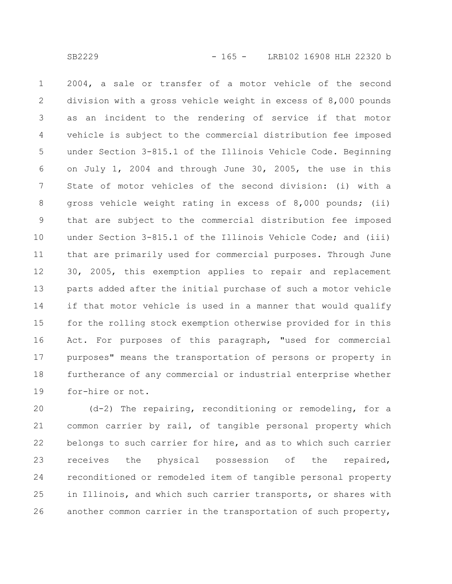2004, a sale or transfer of a motor vehicle of the second division with a gross vehicle weight in excess of 8,000 pounds as an incident to the rendering of service if that motor vehicle is subject to the commercial distribution fee imposed under Section 3-815.1 of the Illinois Vehicle Code. Beginning on July 1, 2004 and through June 30, 2005, the use in this State of motor vehicles of the second division: (i) with a gross vehicle weight rating in excess of 8,000 pounds; (ii) that are subject to the commercial distribution fee imposed under Section 3-815.1 of the Illinois Vehicle Code; and (iii) that are primarily used for commercial purposes. Through June 30, 2005, this exemption applies to repair and replacement parts added after the initial purchase of such a motor vehicle if that motor vehicle is used in a manner that would qualify for the rolling stock exemption otherwise provided for in this Act. For purposes of this paragraph, "used for commercial purposes" means the transportation of persons or property in furtherance of any commercial or industrial enterprise whether for-hire or not. 1 2 3 4 5 6 7 8 9 10 11 12 13 14 15 16 17 18 19

(d-2) The repairing, reconditioning or remodeling, for a common carrier by rail, of tangible personal property which belongs to such carrier for hire, and as to which such carrier receives the physical possession of the repaired, reconditioned or remodeled item of tangible personal property in Illinois, and which such carrier transports, or shares with another common carrier in the transportation of such property, 20 21 22 23 24 25 26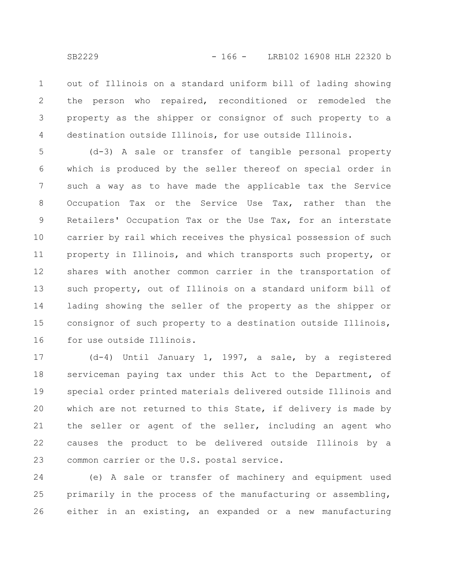out of Illinois on a standard uniform bill of lading showing the person who repaired, reconditioned or remodeled the property as the shipper or consignor of such property to a destination outside Illinois, for use outside Illinois. 1 2 3 4

(d-3) A sale or transfer of tangible personal property which is produced by the seller thereof on special order in such a way as to have made the applicable tax the Service Occupation Tax or the Service Use Tax, rather than the Retailers' Occupation Tax or the Use Tax, for an interstate carrier by rail which receives the physical possession of such property in Illinois, and which transports such property, or shares with another common carrier in the transportation of such property, out of Illinois on a standard uniform bill of lading showing the seller of the property as the shipper or consignor of such property to a destination outside Illinois, for use outside Illinois. 5 6 7 8 9 10 11 12 13 14 15 16

(d-4) Until January 1, 1997, a sale, by a registered serviceman paying tax under this Act to the Department, of special order printed materials delivered outside Illinois and which are not returned to this State, if delivery is made by the seller or agent of the seller, including an agent who causes the product to be delivered outside Illinois by a common carrier or the U.S. postal service. 17 18 19 20 21 22 23

(e) A sale or transfer of machinery and equipment used primarily in the process of the manufacturing or assembling, either in an existing, an expanded or a new manufacturing 24 25 26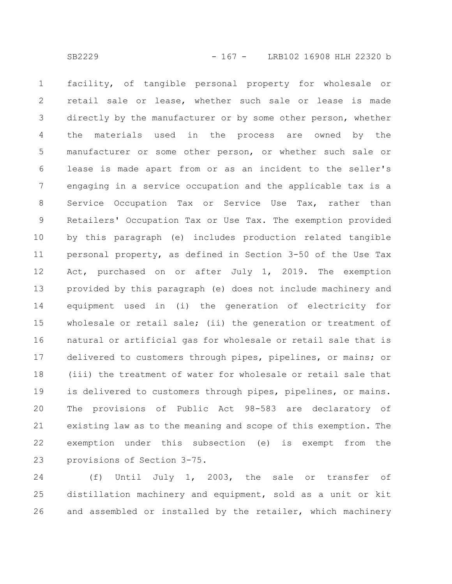facility, of tangible personal property for wholesale or retail sale or lease, whether such sale or lease is made directly by the manufacturer or by some other person, whether the materials used in the process are owned by the manufacturer or some other person, or whether such sale or lease is made apart from or as an incident to the seller's engaging in a service occupation and the applicable tax is a Service Occupation Tax or Service Use Tax, rather than Retailers' Occupation Tax or Use Tax. The exemption provided by this paragraph (e) includes production related tangible personal property, as defined in Section 3-50 of the Use Tax Act, purchased on or after July 1, 2019. The exemption provided by this paragraph (e) does not include machinery and equipment used in (i) the generation of electricity for wholesale or retail sale; (ii) the generation or treatment of natural or artificial gas for wholesale or retail sale that is delivered to customers through pipes, pipelines, or mains; or (iii) the treatment of water for wholesale or retail sale that is delivered to customers through pipes, pipelines, or mains. The provisions of Public Act 98-583 are declaratory of existing law as to the meaning and scope of this exemption. The exemption under this subsection (e) is exempt from the provisions of Section 3-75. 1 2 3 4 5 6 7 8 9 10 11 12 13 14 15 16 17 18 19 20 21 22 23

(f) Until July 1, 2003, the sale or transfer of distillation machinery and equipment, sold as a unit or kit and assembled or installed by the retailer, which machinery 24 25 26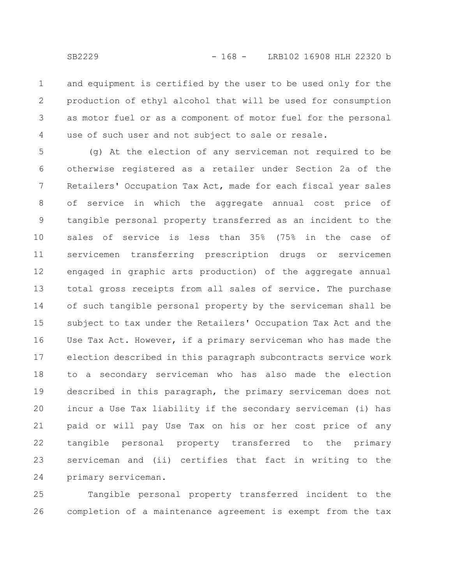and equipment is certified by the user to be used only for the production of ethyl alcohol that will be used for consumption as motor fuel or as a component of motor fuel for the personal use of such user and not subject to sale or resale. 1 2 3 4

(g) At the election of any serviceman not required to be otherwise registered as a retailer under Section 2a of the Retailers' Occupation Tax Act, made for each fiscal year sales of service in which the aggregate annual cost price of tangible personal property transferred as an incident to the sales of service is less than 35% (75% in the case of servicemen transferring prescription drugs or servicemen engaged in graphic arts production) of the aggregate annual total gross receipts from all sales of service. The purchase of such tangible personal property by the serviceman shall be subject to tax under the Retailers' Occupation Tax Act and the Use Tax Act. However, if a primary serviceman who has made the election described in this paragraph subcontracts service work to a secondary serviceman who has also made the election described in this paragraph, the primary serviceman does not incur a Use Tax liability if the secondary serviceman (i) has paid or will pay Use Tax on his or her cost price of any tangible personal property transferred to the primary serviceman and (ii) certifies that fact in writing to the primary serviceman. 5 6 7 8 9 10 11 12 13 14 15 16 17 18 19 20 21 22 23 24

Tangible personal property transferred incident to the completion of a maintenance agreement is exempt from the tax 25 26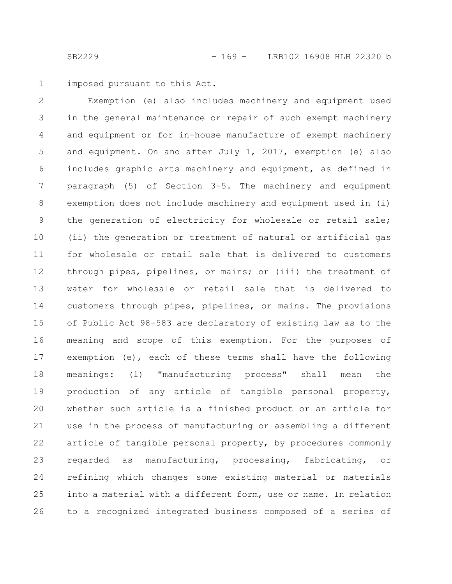imposed pursuant to this Act. 1

Exemption (e) also includes machinery and equipment used in the general maintenance or repair of such exempt machinery and equipment or for in-house manufacture of exempt machinery and equipment. On and after July 1, 2017, exemption (e) also includes graphic arts machinery and equipment, as defined in paragraph (5) of Section 3-5. The machinery and equipment exemption does not include machinery and equipment used in (i) the generation of electricity for wholesale or retail sale; (ii) the generation or treatment of natural or artificial gas for wholesale or retail sale that is delivered to customers through pipes, pipelines, or mains; or (iii) the treatment of water for wholesale or retail sale that is delivered to customers through pipes, pipelines, or mains. The provisions of Public Act 98-583 are declaratory of existing law as to the meaning and scope of this exemption. For the purposes of exemption (e), each of these terms shall have the following meanings: (1) "manufacturing process" shall mean the production of any article of tangible personal property, whether such article is a finished product or an article for use in the process of manufacturing or assembling a different article of tangible personal property, by procedures commonly regarded as manufacturing, processing, fabricating, or refining which changes some existing material or materials into a material with a different form, use or name. In relation to a recognized integrated business composed of a series of 2 3 4 5 6 7 8 9 10 11 12 13 14 15 16 17 18 19 20 21 22 23 24 25 26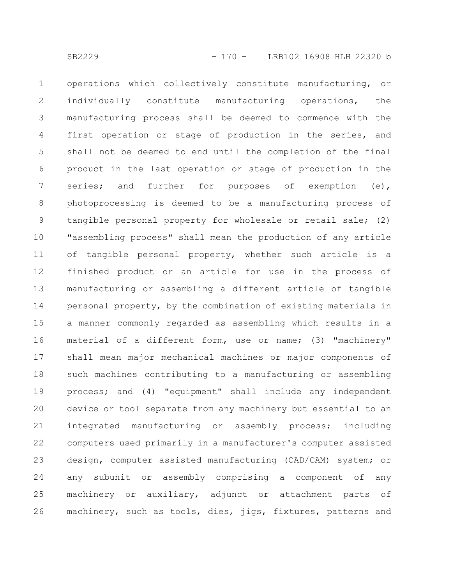operations which collectively constitute manufacturing, or individually constitute manufacturing operations, the manufacturing process shall be deemed to commence with the first operation or stage of production in the series, and shall not be deemed to end until the completion of the final product in the last operation or stage of production in the series; and further for purposes of exemption (e), photoprocessing is deemed to be a manufacturing process of tangible personal property for wholesale or retail sale; (2) "assembling process" shall mean the production of any article of tangible personal property, whether such article is a finished product or an article for use in the process of manufacturing or assembling a different article of tangible personal property, by the combination of existing materials in a manner commonly regarded as assembling which results in a material of a different form, use or name; (3) "machinery" shall mean major mechanical machines or major components of such machines contributing to a manufacturing or assembling process; and (4) "equipment" shall include any independent device or tool separate from any machinery but essential to an integrated manufacturing or assembly process; including computers used primarily in a manufacturer's computer assisted design, computer assisted manufacturing (CAD/CAM) system; or any subunit or assembly comprising a component of any machinery or auxiliary, adjunct or attachment parts of machinery, such as tools, dies, jigs, fixtures, patterns and 1 2 3 4 5 6 7 8 9 10 11 12 13 14 15 16 17 18 19 20 21 22 23 24 25 26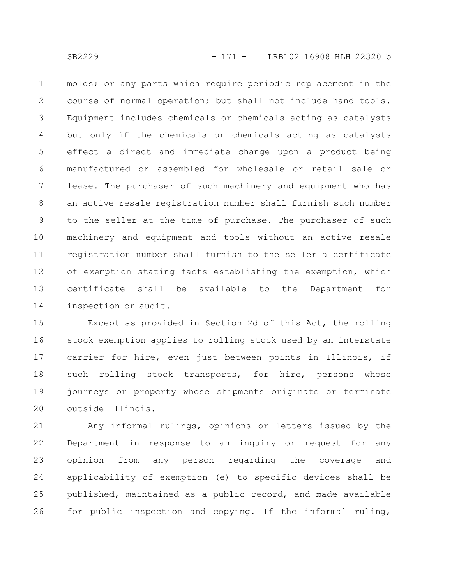molds; or any parts which require periodic replacement in the course of normal operation; but shall not include hand tools. Equipment includes chemicals or chemicals acting as catalysts but only if the chemicals or chemicals acting as catalysts effect a direct and immediate change upon a product being manufactured or assembled for wholesale or retail sale or lease. The purchaser of such machinery and equipment who has an active resale registration number shall furnish such number to the seller at the time of purchase. The purchaser of such machinery and equipment and tools without an active resale registration number shall furnish to the seller a certificate of exemption stating facts establishing the exemption, which certificate shall be available to the Department for inspection or audit. 1 2 3 4 5 6 7 8 9 10 11 12 13 14

Except as provided in Section 2d of this Act, the rolling stock exemption applies to rolling stock used by an interstate carrier for hire, even just between points in Illinois, if such rolling stock transports, for hire, persons whose journeys or property whose shipments originate or terminate outside Illinois. 15 16 17 18 19 20

Any informal rulings, opinions or letters issued by the Department in response to an inquiry or request for any opinion from any person regarding the coverage and applicability of exemption (e) to specific devices shall be published, maintained as a public record, and made available for public inspection and copying. If the informal ruling, 21 22 23 24 25 26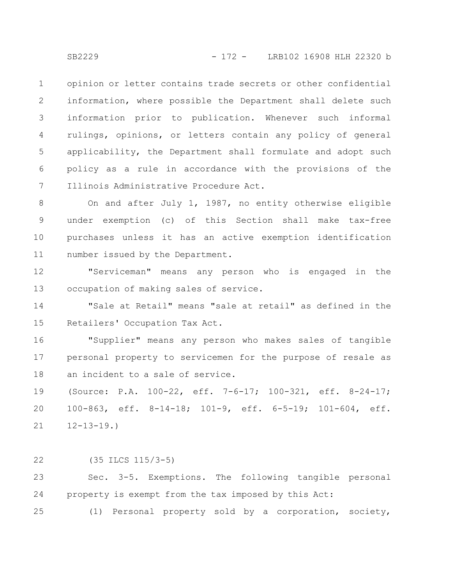opinion or letter contains trade secrets or other confidential information, where possible the Department shall delete such information prior to publication. Whenever such informal rulings, opinions, or letters contain any policy of general applicability, the Department shall formulate and adopt such policy as a rule in accordance with the provisions of the Illinois Administrative Procedure Act. 1 2 3 4 5 6 7

On and after July 1, 1987, no entity otherwise eligible under exemption (c) of this Section shall make tax-free purchases unless it has an active exemption identification number issued by the Department. 8 9 10 11

"Serviceman" means any person who is engaged in the occupation of making sales of service. 12 13

"Sale at Retail" means "sale at retail" as defined in the Retailers' Occupation Tax Act. 14 15

"Supplier" means any person who makes sales of tangible personal property to servicemen for the purpose of resale as an incident to a sale of service. 16 17 18

(Source: P.A. 100-22, eff. 7-6-17; 100-321, eff. 8-24-17; 100-863, eff. 8-14-18; 101-9, eff. 6-5-19; 101-604, eff.  $12 - 13 - 19.$ 19 20 21

(35 ILCS 115/3-5) 22

Sec. 3-5. Exemptions. The following tangible personal property is exempt from the tax imposed by this Act: 23 24

(1) Personal property sold by a corporation, society, 25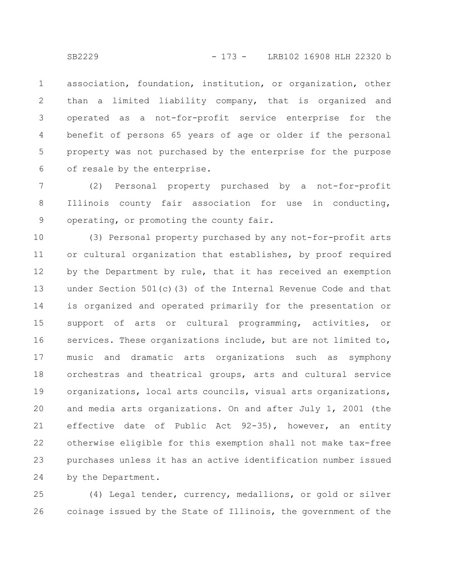association, foundation, institution, or organization, other than a limited liability company, that is organized and operated as a not-for-profit service enterprise for the benefit of persons 65 years of age or older if the personal property was not purchased by the enterprise for the purpose of resale by the enterprise. 1 2 3 4 5 6

(2) Personal property purchased by a not-for-profit Illinois county fair association for use in conducting, operating, or promoting the county fair. 7 8 9

(3) Personal property purchased by any not-for-profit arts or cultural organization that establishes, by proof required by the Department by rule, that it has received an exemption under Section 501(c)(3) of the Internal Revenue Code and that is organized and operated primarily for the presentation or support of arts or cultural programming, activities, or services. These organizations include, but are not limited to, music and dramatic arts organizations such as symphony orchestras and theatrical groups, arts and cultural service organizations, local arts councils, visual arts organizations, and media arts organizations. On and after July 1, 2001 (the effective date of Public Act 92-35), however, an entity otherwise eligible for this exemption shall not make tax-free purchases unless it has an active identification number issued by the Department. 10 11 12 13 14 15 16 17 18 19 20 21 22 23 24

(4) Legal tender, currency, medallions, or gold or silver coinage issued by the State of Illinois, the government of the 25 26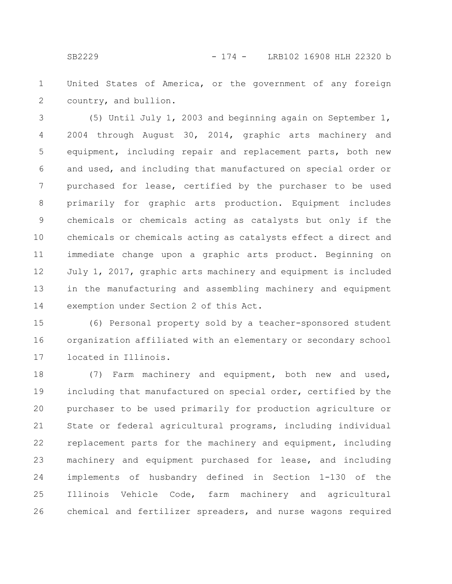United States of America, or the government of any foreign country, and bullion. 1 2

(5) Until July 1, 2003 and beginning again on September 1, 2004 through August 30, 2014, graphic arts machinery and equipment, including repair and replacement parts, both new and used, and including that manufactured on special order or purchased for lease, certified by the purchaser to be used primarily for graphic arts production. Equipment includes chemicals or chemicals acting as catalysts but only if the chemicals or chemicals acting as catalysts effect a direct and immediate change upon a graphic arts product. Beginning on July 1, 2017, graphic arts machinery and equipment is included in the manufacturing and assembling machinery and equipment exemption under Section 2 of this Act. 3 4 5 6 7 8 9 10 11 12 13 14

(6) Personal property sold by a teacher-sponsored student organization affiliated with an elementary or secondary school located in Illinois. 15 16 17

(7) Farm machinery and equipment, both new and used, including that manufactured on special order, certified by the purchaser to be used primarily for production agriculture or State or federal agricultural programs, including individual replacement parts for the machinery and equipment, including machinery and equipment purchased for lease, and including implements of husbandry defined in Section 1-130 of the Illinois Vehicle Code, farm machinery and agricultural chemical and fertilizer spreaders, and nurse wagons required 18 19 20 21 22 23 24 25 26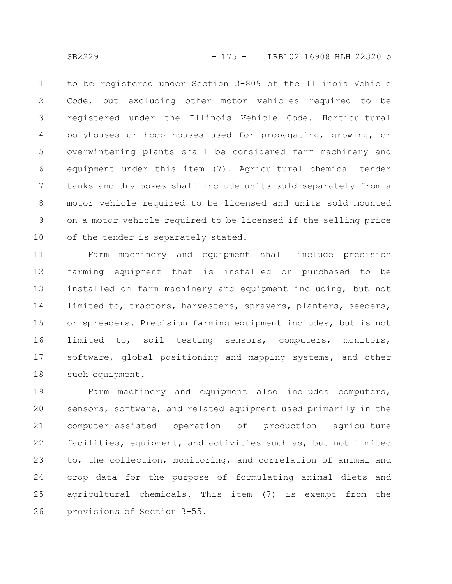to be registered under Section 3-809 of the Illinois Vehicle Code, but excluding other motor vehicles required to be registered under the Illinois Vehicle Code. Horticultural polyhouses or hoop houses used for propagating, growing, or overwintering plants shall be considered farm machinery and equipment under this item (7). Agricultural chemical tender tanks and dry boxes shall include units sold separately from a motor vehicle required to be licensed and units sold mounted on a motor vehicle required to be licensed if the selling price of the tender is separately stated. 1 2 3 4 5 6 7 8 9 10

Farm machinery and equipment shall include precision farming equipment that is installed or purchased to be installed on farm machinery and equipment including, but not limited to, tractors, harvesters, sprayers, planters, seeders, or spreaders. Precision farming equipment includes, but is not limited to, soil testing sensors, computers, monitors, software, global positioning and mapping systems, and other such equipment. 11 12 13 14 15 16 17 18

Farm machinery and equipment also includes computers, sensors, software, and related equipment used primarily in the computer-assisted operation of production agriculture facilities, equipment, and activities such as, but not limited to, the collection, monitoring, and correlation of animal and crop data for the purpose of formulating animal diets and agricultural chemicals. This item (7) is exempt from the provisions of Section 3-55. 19 20 21 22 23 24 25 26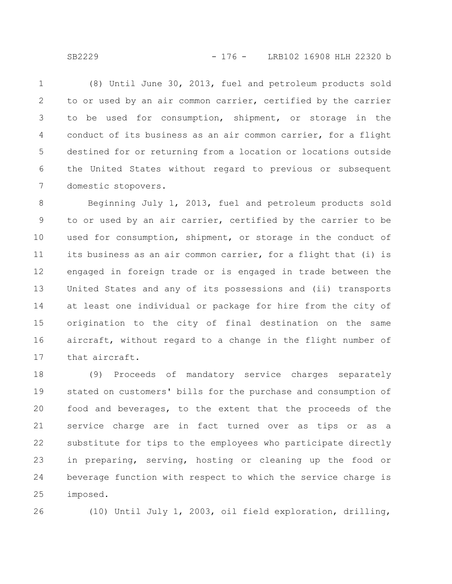SB2229 - 176 - LRB102 16908 HLH 22320 b

(8) Until June 30, 2013, fuel and petroleum products sold to or used by an air common carrier, certified by the carrier to be used for consumption, shipment, or storage in the conduct of its business as an air common carrier, for a flight destined for or returning from a location or locations outside the United States without regard to previous or subsequent domestic stopovers. 1 2 3 4 5 6 7

Beginning July 1, 2013, fuel and petroleum products sold to or used by an air carrier, certified by the carrier to be used for consumption, shipment, or storage in the conduct of its business as an air common carrier, for a flight that (i) is engaged in foreign trade or is engaged in trade between the United States and any of its possessions and (ii) transports at least one individual or package for hire from the city of origination to the city of final destination on the same aircraft, without regard to a change in the flight number of that aircraft. 8 9 10 11 12 13 14 15 16 17

(9) Proceeds of mandatory service charges separately stated on customers' bills for the purchase and consumption of food and beverages, to the extent that the proceeds of the service charge are in fact turned over as tips or as a substitute for tips to the employees who participate directly in preparing, serving, hosting or cleaning up the food or beverage function with respect to which the service charge is imposed. 18 19 20 21 22 23 24 25

26

(10) Until July 1, 2003, oil field exploration, drilling,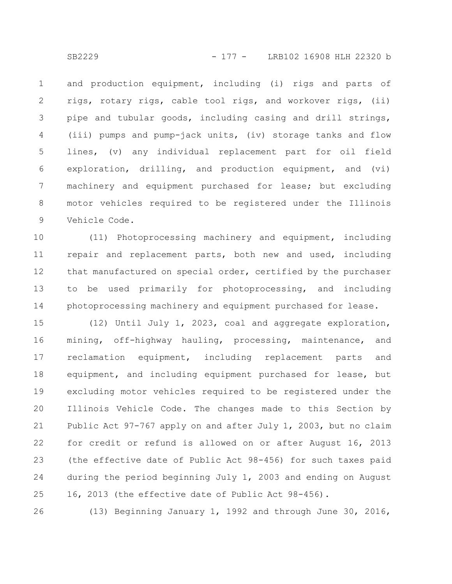and production equipment, including (i) rigs and parts of rigs, rotary rigs, cable tool rigs, and workover rigs, (ii) pipe and tubular goods, including casing and drill strings, (iii) pumps and pump-jack units, (iv) storage tanks and flow lines, (v) any individual replacement part for oil field exploration, drilling, and production equipment, and (vi) machinery and equipment purchased for lease; but excluding motor vehicles required to be registered under the Illinois Vehicle Code. 1 2 3 4 5 6 7 8 9

(11) Photoprocessing machinery and equipment, including repair and replacement parts, both new and used, including that manufactured on special order, certified by the purchaser to be used primarily for photoprocessing, and including photoprocessing machinery and equipment purchased for lease. 10 11 12 13 14

(12) Until July 1, 2023, coal and aggregate exploration, mining, off-highway hauling, processing, maintenance, and reclamation equipment, including replacement parts and equipment, and including equipment purchased for lease, but excluding motor vehicles required to be registered under the Illinois Vehicle Code. The changes made to this Section by Public Act 97-767 apply on and after July 1, 2003, but no claim for credit or refund is allowed on or after August 16, 2013 (the effective date of Public Act 98-456) for such taxes paid during the period beginning July 1, 2003 and ending on August 16, 2013 (the effective date of Public Act 98-456). 15 16 17 18 19 20 21 22 23 24 25

(13) Beginning January 1, 1992 and through June 30, 2016, 26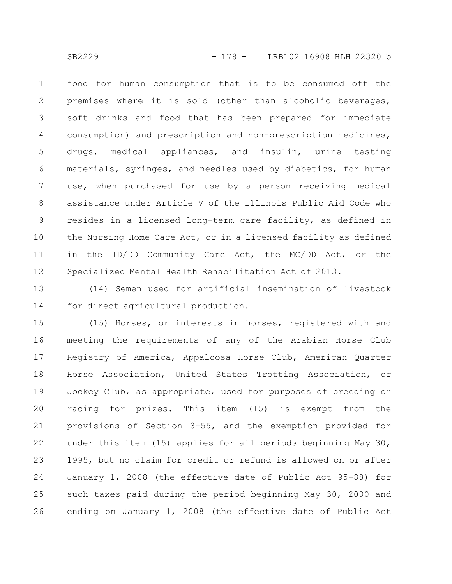food for human consumption that is to be consumed off the premises where it is sold (other than alcoholic beverages, soft drinks and food that has been prepared for immediate consumption) and prescription and non-prescription medicines, drugs, medical appliances, and insulin, urine testing materials, syringes, and needles used by diabetics, for human use, when purchased for use by a person receiving medical assistance under Article V of the Illinois Public Aid Code who resides in a licensed long-term care facility, as defined in the Nursing Home Care Act, or in a licensed facility as defined in the ID/DD Community Care Act, the MC/DD Act, or the Specialized Mental Health Rehabilitation Act of 2013. 1 2 3 4 5 6 7 8 9 10 11 12

(14) Semen used for artificial insemination of livestock for direct agricultural production. 13 14

(15) Horses, or interests in horses, registered with and meeting the requirements of any of the Arabian Horse Club Registry of America, Appaloosa Horse Club, American Quarter Horse Association, United States Trotting Association, or Jockey Club, as appropriate, used for purposes of breeding or racing for prizes. This item (15) is exempt from the provisions of Section 3-55, and the exemption provided for under this item (15) applies for all periods beginning May 30, 1995, but no claim for credit or refund is allowed on or after January 1, 2008 (the effective date of Public Act 95-88) for such taxes paid during the period beginning May 30, 2000 and ending on January 1, 2008 (the effective date of Public Act 15 16 17 18 19 20 21 22 23 24 25 26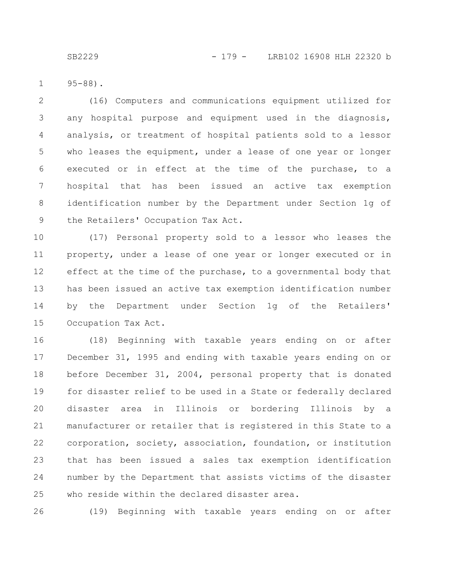95-88). 1

(16) Computers and communications equipment utilized for any hospital purpose and equipment used in the diagnosis, analysis, or treatment of hospital patients sold to a lessor who leases the equipment, under a lease of one year or longer executed or in effect at the time of the purchase, to a hospital that has been issued an active tax exemption identification number by the Department under Section 1g of the Retailers' Occupation Tax Act. 2 3 4 5 6 7 8 9

(17) Personal property sold to a lessor who leases the property, under a lease of one year or longer executed or in effect at the time of the purchase, to a governmental body that has been issued an active tax exemption identification number by the Department under Section 1g of the Retailers' Occupation Tax Act. 10 11 12 13 14 15

(18) Beginning with taxable years ending on or after December 31, 1995 and ending with taxable years ending on or before December 31, 2004, personal property that is donated for disaster relief to be used in a State or federally declared disaster area in Illinois or bordering Illinois by a manufacturer or retailer that is registered in this State to a corporation, society, association, foundation, or institution that has been issued a sales tax exemption identification number by the Department that assists victims of the disaster who reside within the declared disaster area. 16 17 18 19 20 21 22 23 24 25

(19) Beginning with taxable years ending on or after 26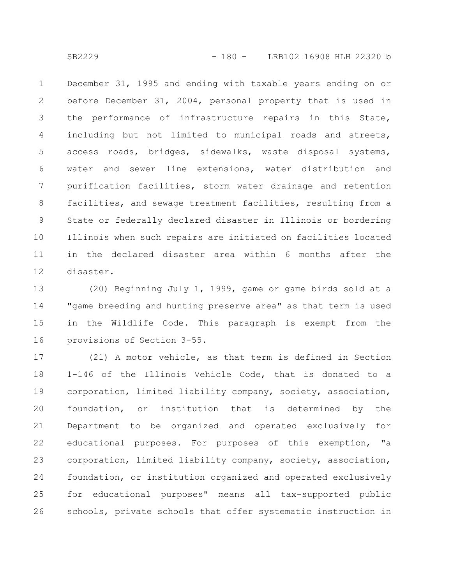December 31, 1995 and ending with taxable years ending on or before December 31, 2004, personal property that is used in the performance of infrastructure repairs in this State, including but not limited to municipal roads and streets, access roads, bridges, sidewalks, waste disposal systems, water and sewer line extensions, water distribution and purification facilities, storm water drainage and retention facilities, and sewage treatment facilities, resulting from a State or federally declared disaster in Illinois or bordering Illinois when such repairs are initiated on facilities located in the declared disaster area within 6 months after the disaster. 1 2 3 4 5 6 7 8 9 10 11 12

(20) Beginning July 1, 1999, game or game birds sold at a "game breeding and hunting preserve area" as that term is used in the Wildlife Code. This paragraph is exempt from the provisions of Section 3-55. 13 14 15 16

(21) A motor vehicle, as that term is defined in Section 1-146 of the Illinois Vehicle Code, that is donated to a corporation, limited liability company, society, association, foundation, or institution that is determined by the Department to be organized and operated exclusively for educational purposes. For purposes of this exemption, "a corporation, limited liability company, society, association, foundation, or institution organized and operated exclusively for educational purposes" means all tax-supported public schools, private schools that offer systematic instruction in 17 18 19 20 21 22 23 24 25 26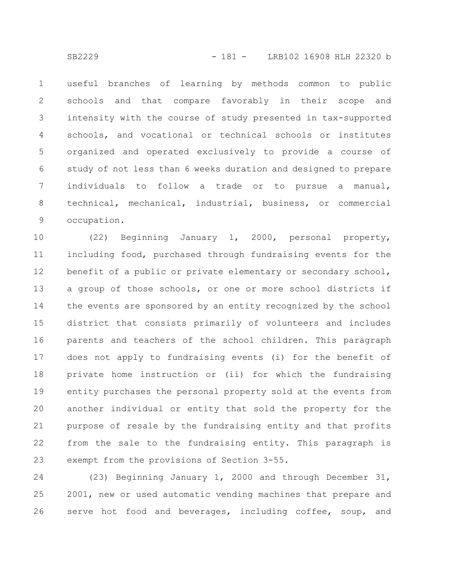useful branches of learning by methods common to public schools and that compare favorably in their scope and intensity with the course of study presented in tax-supported schools, and vocational or technical schools or institutes organized and operated exclusively to provide a course of study of not less than 6 weeks duration and designed to prepare individuals to follow a trade or to pursue a manual, technical, mechanical, industrial, business, or commercial occupation. 1 2 3 4 5 6 7 8 9

(22) Beginning January 1, 2000, personal property, including food, purchased through fundraising events for the benefit of a public or private elementary or secondary school, a group of those schools, or one or more school districts if the events are sponsored by an entity recognized by the school district that consists primarily of volunteers and includes parents and teachers of the school children. This paragraph does not apply to fundraising events (i) for the benefit of private home instruction or (ii) for which the fundraising entity purchases the personal property sold at the events from another individual or entity that sold the property for the purpose of resale by the fundraising entity and that profits from the sale to the fundraising entity. This paragraph is exempt from the provisions of Section 3-55. 10 11 12 13 14 15 16 17 18 19 20 21 22 23

(23) Beginning January 1, 2000 and through December 31, 2001, new or used automatic vending machines that prepare and serve hot food and beverages, including coffee, soup, and 24 25 26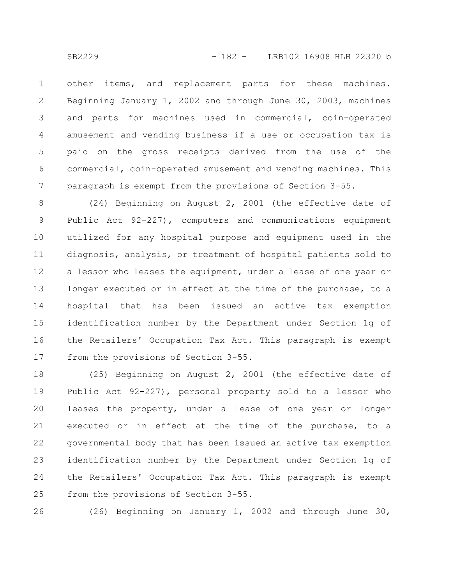other items, and replacement parts for these machines. Beginning January 1, 2002 and through June 30, 2003, machines and parts for machines used in commercial, coin-operated amusement and vending business if a use or occupation tax is paid on the gross receipts derived from the use of the commercial, coin-operated amusement and vending machines. This paragraph is exempt from the provisions of Section 3-55. 1 2 3 4 5 6 7

(24) Beginning on August 2, 2001 (the effective date of Public Act 92-227), computers and communications equipment utilized for any hospital purpose and equipment used in the diagnosis, analysis, or treatment of hospital patients sold to a lessor who leases the equipment, under a lease of one year or longer executed or in effect at the time of the purchase, to a hospital that has been issued an active tax exemption identification number by the Department under Section 1g of the Retailers' Occupation Tax Act. This paragraph is exempt from the provisions of Section 3-55. 8 9 10 11 12 13 14 15 16 17

(25) Beginning on August 2, 2001 (the effective date of Public Act 92-227), personal property sold to a lessor who leases the property, under a lease of one year or longer executed or in effect at the time of the purchase, to a governmental body that has been issued an active tax exemption identification number by the Department under Section 1g of the Retailers' Occupation Tax Act. This paragraph is exempt from the provisions of Section 3-55. 18 19 20 21 22 23 24 25

(26) Beginning on January 1, 2002 and through June 30, 26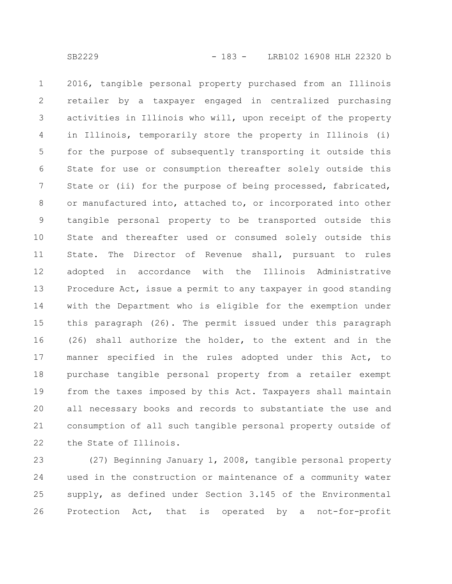2016, tangible personal property purchased from an Illinois retailer by a taxpayer engaged in centralized purchasing activities in Illinois who will, upon receipt of the property in Illinois, temporarily store the property in Illinois (i) for the purpose of subsequently transporting it outside this State for use or consumption thereafter solely outside this State or (ii) for the purpose of being processed, fabricated, or manufactured into, attached to, or incorporated into other tangible personal property to be transported outside this State and thereafter used or consumed solely outside this State. The Director of Revenue shall, pursuant to rules adopted in accordance with the Illinois Administrative Procedure Act, issue a permit to any taxpayer in good standing with the Department who is eligible for the exemption under this paragraph (26). The permit issued under this paragraph (26) shall authorize the holder, to the extent and in the manner specified in the rules adopted under this Act, to purchase tangible personal property from a retailer exempt from the taxes imposed by this Act. Taxpayers shall maintain all necessary books and records to substantiate the use and consumption of all such tangible personal property outside of the State of Illinois. 1 2 3 4 5 6 7 8 9 10 11 12 13 14 15 16 17 18 19 20 21 22

(27) Beginning January 1, 2008, tangible personal property used in the construction or maintenance of a community water supply, as defined under Section 3.145 of the Environmental Protection Act, that is operated by a not-for-profit 23 24 25 26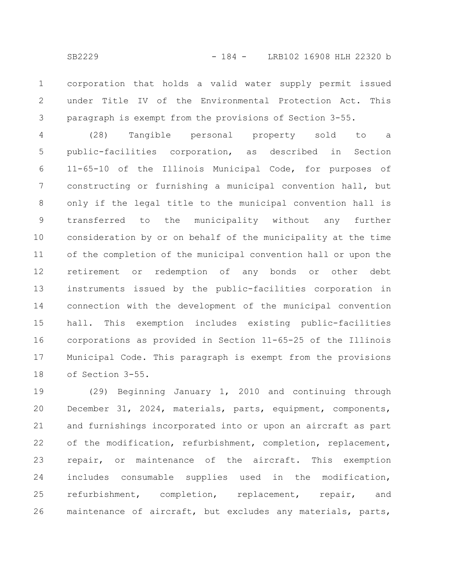corporation that holds a valid water supply permit issued under Title IV of the Environmental Protection Act. This paragraph is exempt from the provisions of Section 3-55. 1 2 3

(28) Tangible personal property sold to a public-facilities corporation, as described in Section 11-65-10 of the Illinois Municipal Code, for purposes of constructing or furnishing a municipal convention hall, but only if the legal title to the municipal convention hall is transferred to the municipality without any further consideration by or on behalf of the municipality at the time of the completion of the municipal convention hall or upon the retirement or redemption of any bonds or other debt instruments issued by the public-facilities corporation in connection with the development of the municipal convention hall. This exemption includes existing public-facilities corporations as provided in Section 11-65-25 of the Illinois Municipal Code. This paragraph is exempt from the provisions of Section 3-55. 4 5 6 7 8 9 10 11 12 13 14 15 16 17 18

(29) Beginning January 1, 2010 and continuing through December 31, 2024, materials, parts, equipment, components, and furnishings incorporated into or upon an aircraft as part of the modification, refurbishment, completion, replacement, repair, or maintenance of the aircraft. This exemption includes consumable supplies used in the modification, refurbishment, completion, replacement, repair, and maintenance of aircraft, but excludes any materials, parts, 19 20 21 22 23 24 25 26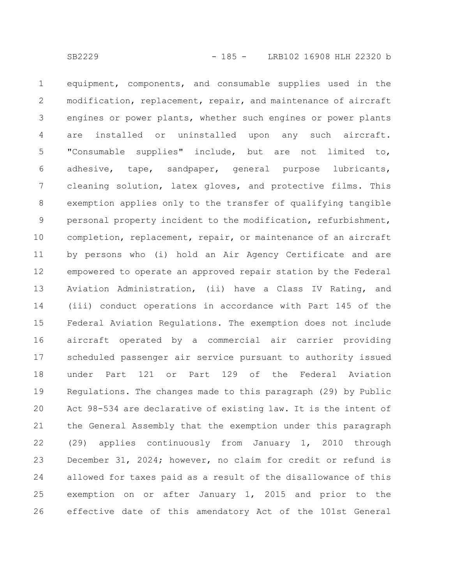equipment, components, and consumable supplies used in the modification, replacement, repair, and maintenance of aircraft engines or power plants, whether such engines or power plants are installed or uninstalled upon any such aircraft. "Consumable supplies" include, but are not limited to, adhesive, tape, sandpaper, general purpose lubricants, cleaning solution, latex gloves, and protective films. This exemption applies only to the transfer of qualifying tangible personal property incident to the modification, refurbishment, completion, replacement, repair, or maintenance of an aircraft by persons who (i) hold an Air Agency Certificate and are empowered to operate an approved repair station by the Federal Aviation Administration, (ii) have a Class IV Rating, and (iii) conduct operations in accordance with Part 145 of the Federal Aviation Regulations. The exemption does not include aircraft operated by a commercial air carrier providing scheduled passenger air service pursuant to authority issued under Part 121 or Part 129 of the Federal Aviation Regulations. The changes made to this paragraph (29) by Public Act 98-534 are declarative of existing law. It is the intent of the General Assembly that the exemption under this paragraph (29) applies continuously from January 1, 2010 through December 31, 2024; however, no claim for credit or refund is allowed for taxes paid as a result of the disallowance of this exemption on or after January 1, 2015 and prior to the effective date of this amendatory Act of the 101st General 1 2 3 4 5 6 7 8 9 10 11 12 13 14 15 16 17 18 19 20 21 22 23 24 25 26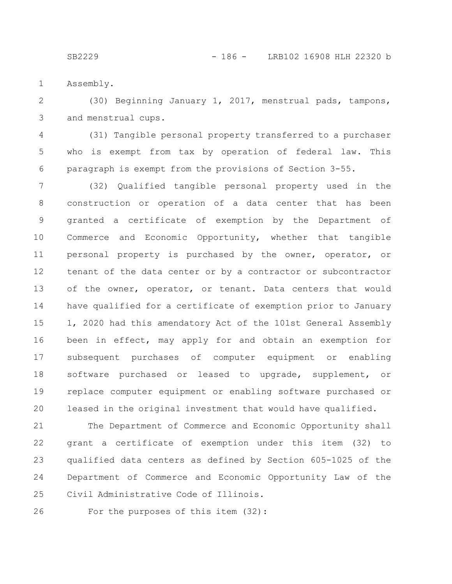Assembly. 1

(30) Beginning January 1, 2017, menstrual pads, tampons, and menstrual cups. 2 3

(31) Tangible personal property transferred to a purchaser who is exempt from tax by operation of federal law. This paragraph is exempt from the provisions of Section 3-55. 4 5 6

(32) Qualified tangible personal property used in the construction or operation of a data center that has been granted a certificate of exemption by the Department of Commerce and Economic Opportunity, whether that tangible personal property is purchased by the owner, operator, or tenant of the data center or by a contractor or subcontractor of the owner, operator, or tenant. Data centers that would have qualified for a certificate of exemption prior to January 1, 2020 had this amendatory Act of the 101st General Assembly been in effect, may apply for and obtain an exemption for subsequent purchases of computer equipment or enabling software purchased or leased to upgrade, supplement, or replace computer equipment or enabling software purchased or leased in the original investment that would have qualified. 7 8 9 10 11 12 13 14 15 16 17 18 19 20

The Department of Commerce and Economic Opportunity shall grant a certificate of exemption under this item (32) to qualified data centers as defined by Section 605-1025 of the Department of Commerce and Economic Opportunity Law of the Civil Administrative Code of Illinois. 21 22 23 24 25

26

For the purposes of this item (32):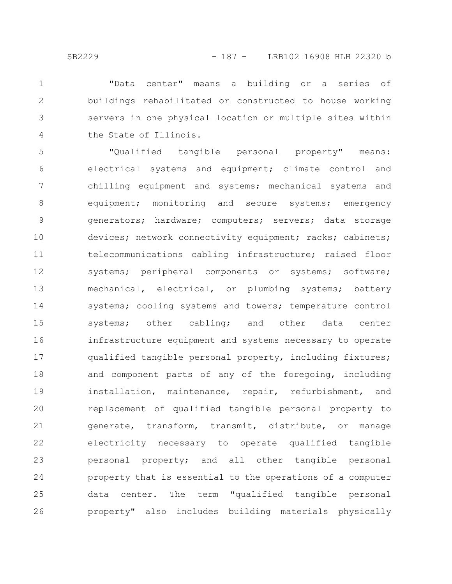"Data center" means a building or a series of buildings rehabilitated or constructed to house working servers in one physical location or multiple sites within the State of Illinois. 1 2 3 4

"Qualified tangible personal property" means: electrical systems and equipment; climate control and chilling equipment and systems; mechanical systems and equipment; monitoring and secure systems; emergency generators; hardware; computers; servers; data storage devices; network connectivity equipment; racks; cabinets; telecommunications cabling infrastructure; raised floor systems; peripheral components or systems; software; mechanical, electrical, or plumbing systems; battery systems; cooling systems and towers; temperature control systems; other cabling; and other data center infrastructure equipment and systems necessary to operate qualified tangible personal property, including fixtures; and component parts of any of the foregoing, including installation, maintenance, repair, refurbishment, and replacement of qualified tangible personal property to generate, transform, transmit, distribute, or manage electricity necessary to operate qualified tangible personal property; and all other tangible personal property that is essential to the operations of a computer data center. The term "qualified tangible personal property" also includes building materials physically 5 6 7 8 9 10 11 12 13 14 15 16 17 18 19 20 21 22 23 24 25 26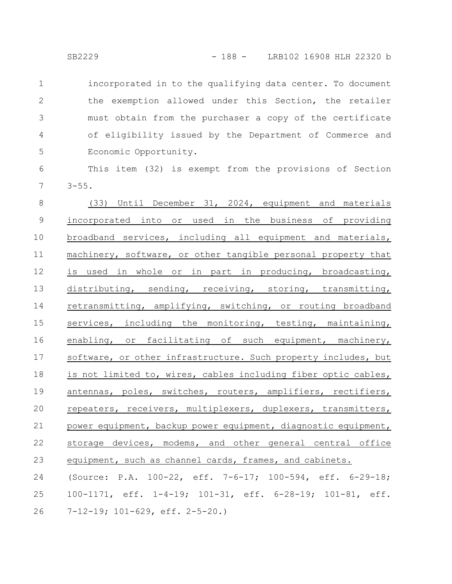incorporated in to the qualifying data center. To document the exemption allowed under this Section, the retailer must obtain from the purchaser a copy of the certificate of eligibility issued by the Department of Commerce and Economic Opportunity. 1 2 3 4 5

This item (32) is exempt from the provisions of Section  $3 - 55$ . 6 7

(33) Until December 31, 2024, equipment and materials incorporated into or used in the business of providing broadband services, including all equipment and materials, machinery, software, or other tangible personal property that is used in whole or in part in producing, broadcasting, distributing, sending, receiving, storing, transmitting, retransmitting, amplifying, switching, or routing broadband services, including the monitoring, testing, maintaining, enabling, or facilitating of such equipment, machinery, software, or other infrastructure. Such property includes, but is not limited to, wires, cables including fiber optic cables, antennas, poles, switches, routers, amplifiers, rectifiers, repeaters, receivers, multiplexers, duplexers, transmitters, power equipment, backup power equipment, diagnostic equipment, storage devices, modems, and other general central office equipment, such as channel cards, frames, and cabinets. (Source: P.A. 100-22, eff. 7-6-17; 100-594, eff. 6-29-18; 100-1171, eff. 1-4-19; 101-31, eff. 6-28-19; 101-81, eff. 8 9 10 11 12 13 14 15 16 17 18 19 20 21 22 23 24 25

7-12-19; 101-629, eff. 2-5-20.) 26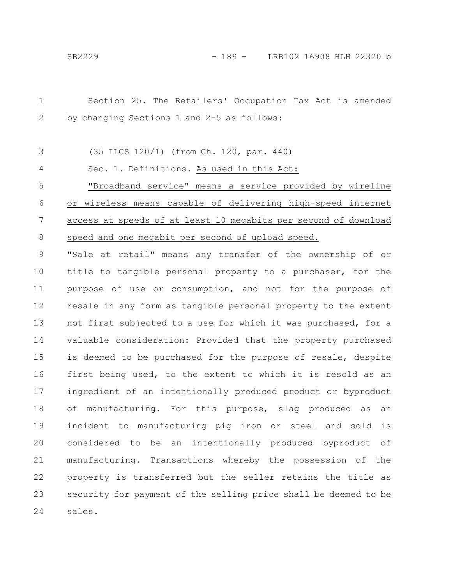Section 25. The Retailers' Occupation Tax Act is amended by changing Sections 1 and 2-5 as follows: (35 ILCS 120/1) (from Ch. 120, par. 440) Sec. 1. Definitions. As used in this Act: "Broadband service" means a service provided by wireline or wireless means capable of delivering high-speed internet access at speeds of at least 10 megabits per second of download speed and one megabit per second of upload speed. "Sale at retail" means any transfer of the ownership of or title to tangible personal property to a purchaser, for the purpose of use or consumption, and not for the purpose of resale in any form as tangible personal property to the extent not first subjected to a use for which it was purchased, for a valuable consideration: Provided that the property purchased is deemed to be purchased for the purpose of resale, despite first being used, to the extent to which it is resold as an ingredient of an intentionally produced product or byproduct of manufacturing. For this purpose, slag produced as an incident to manufacturing pig iron or steel and sold is considered to be an intentionally produced byproduct of manufacturing. Transactions whereby the possession of the property is transferred but the seller retains the title as security for payment of the selling price shall be deemed to be sales. 1 2 3 4 5 6 7 8 9 10 11 12 13 14 15 16 17 18 19 20 21 22 23 24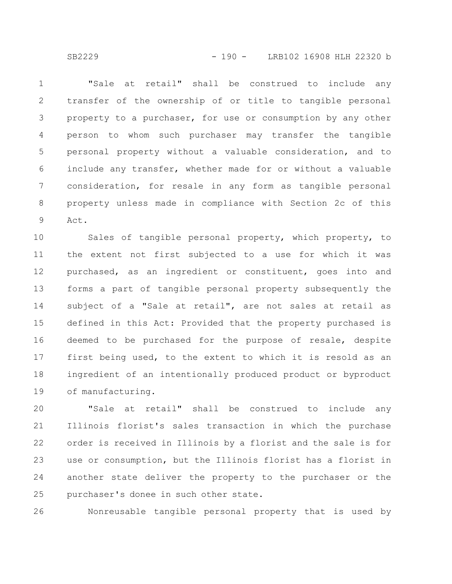"Sale at retail" shall be construed to include any transfer of the ownership of or title to tangible personal property to a purchaser, for use or consumption by any other person to whom such purchaser may transfer the tangible personal property without a valuable consideration, and to include any transfer, whether made for or without a valuable consideration, for resale in any form as tangible personal property unless made in compliance with Section 2c of this Act. 1 2 3 4 5 6 7 8 9

Sales of tangible personal property, which property, to the extent not first subjected to a use for which it was purchased, as an ingredient or constituent, goes into and forms a part of tangible personal property subsequently the subject of a "Sale at retail", are not sales at retail as defined in this Act: Provided that the property purchased is deemed to be purchased for the purpose of resale, despite first being used, to the extent to which it is resold as an ingredient of an intentionally produced product or byproduct of manufacturing. 10 11 12 13 14 15 16 17 18 19

"Sale at retail" shall be construed to include any Illinois florist's sales transaction in which the purchase order is received in Illinois by a florist and the sale is for use or consumption, but the Illinois florist has a florist in another state deliver the property to the purchaser or the purchaser's donee in such other state. 20 21 22 23 24 25

Nonreusable tangible personal property that is used by 26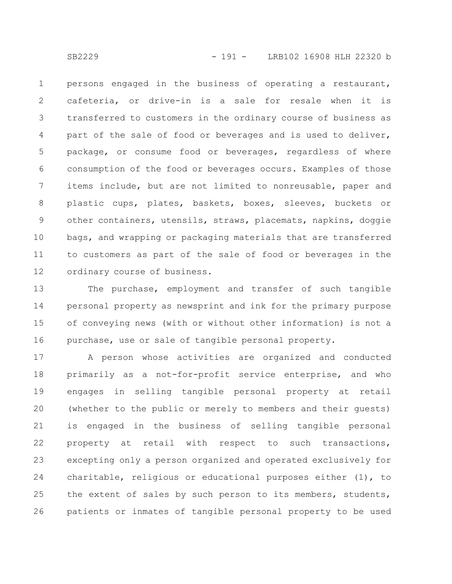persons engaged in the business of operating a restaurant, cafeteria, or drive-in is a sale for resale when it is transferred to customers in the ordinary course of business as part of the sale of food or beverages and is used to deliver, package, or consume food or beverages, regardless of where consumption of the food or beverages occurs. Examples of those items include, but are not limited to nonreusable, paper and plastic cups, plates, baskets, boxes, sleeves, buckets or other containers, utensils, straws, placemats, napkins, doggie bags, and wrapping or packaging materials that are transferred to customers as part of the sale of food or beverages in the ordinary course of business. 1 2 3 4 5 6 7 8 9 10 11 12

The purchase, employment and transfer of such tangible personal property as newsprint and ink for the primary purpose of conveying news (with or without other information) is not a purchase, use or sale of tangible personal property. 13 14 15 16

A person whose activities are organized and conducted primarily as a not-for-profit service enterprise, and who engages in selling tangible personal property at retail (whether to the public or merely to members and their guests) is engaged in the business of selling tangible personal property at retail with respect to such transactions, excepting only a person organized and operated exclusively for charitable, religious or educational purposes either (1), to the extent of sales by such person to its members, students, patients or inmates of tangible personal property to be used 17 18 19 20 21 22 23 24 25 26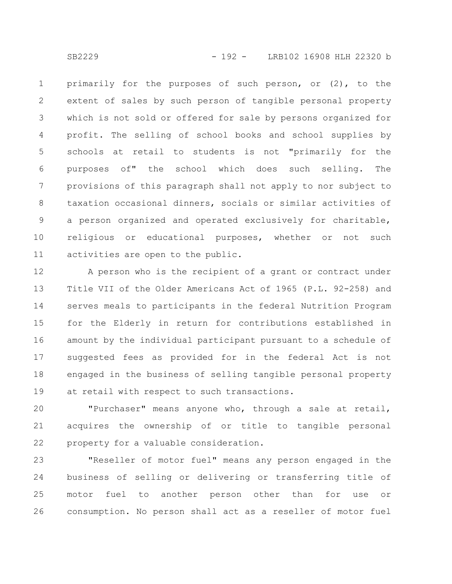primarily for the purposes of such person, or (2), to the extent of sales by such person of tangible personal property which is not sold or offered for sale by persons organized for profit. The selling of school books and school supplies by schools at retail to students is not "primarily for the purposes of" the school which does such selling. The provisions of this paragraph shall not apply to nor subject to taxation occasional dinners, socials or similar activities of a person organized and operated exclusively for charitable, religious or educational purposes, whether or not such activities are open to the public. 1 2 3 4 5 6 7 8 9 10 11

A person who is the recipient of a grant or contract under Title VII of the Older Americans Act of 1965 (P.L. 92-258) and serves meals to participants in the federal Nutrition Program for the Elderly in return for contributions established in amount by the individual participant pursuant to a schedule of suggested fees as provided for in the federal Act is not engaged in the business of selling tangible personal property at retail with respect to such transactions. 12 13 14 15 16 17 18 19

"Purchaser" means anyone who, through a sale at retail, acquires the ownership of or title to tangible personal property for a valuable consideration. 20 21 22

"Reseller of motor fuel" means any person engaged in the business of selling or delivering or transferring title of motor fuel to another person other than for use or consumption. No person shall act as a reseller of motor fuel 23 24 25 26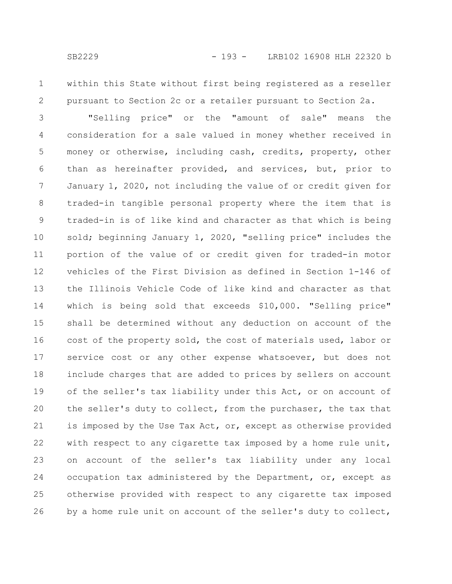1

2

within this State without first being registered as a reseller pursuant to Section 2c or a retailer pursuant to Section 2a.

"Selling price" or the "amount of sale" means the consideration for a sale valued in money whether received in money or otherwise, including cash, credits, property, other than as hereinafter provided, and services, but, prior to January 1, 2020, not including the value of or credit given for traded-in tangible personal property where the item that is traded-in is of like kind and character as that which is being sold; beginning January 1, 2020, "selling price" includes the portion of the value of or credit given for traded-in motor vehicles of the First Division as defined in Section 1-146 of the Illinois Vehicle Code of like kind and character as that which is being sold that exceeds \$10,000. "Selling price" shall be determined without any deduction on account of the cost of the property sold, the cost of materials used, labor or service cost or any other expense whatsoever, but does not include charges that are added to prices by sellers on account of the seller's tax liability under this Act, or on account of the seller's duty to collect, from the purchaser, the tax that is imposed by the Use Tax Act, or, except as otherwise provided with respect to any cigarette tax imposed by a home rule unit, on account of the seller's tax liability under any local occupation tax administered by the Department, or, except as otherwise provided with respect to any cigarette tax imposed by a home rule unit on account of the seller's duty to collect, 3 4 5 6 7 8 9 10 11 12 13 14 15 16 17 18 19 20 21 22 23 24 25 26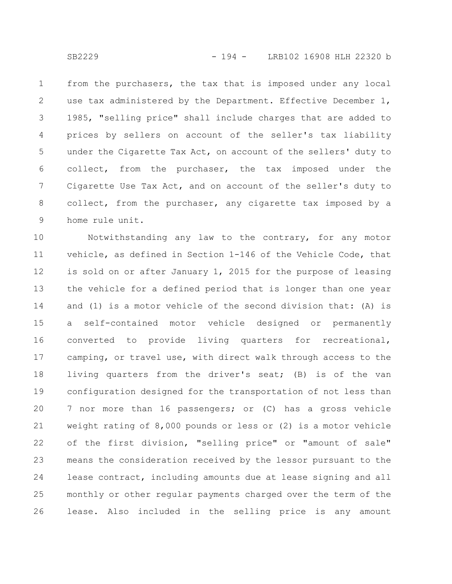from the purchasers, the tax that is imposed under any local use tax administered by the Department. Effective December 1, 1985, "selling price" shall include charges that are added to prices by sellers on account of the seller's tax liability under the Cigarette Tax Act, on account of the sellers' duty to collect, from the purchaser, the tax imposed under the Cigarette Use Tax Act, and on account of the seller's duty to collect, from the purchaser, any cigarette tax imposed by a home rule unit. 1 2 3 4 5 6 7 8 9

Notwithstanding any law to the contrary, for any motor vehicle, as defined in Section 1-146 of the Vehicle Code, that is sold on or after January 1, 2015 for the purpose of leasing the vehicle for a defined period that is longer than one year and (1) is a motor vehicle of the second division that: (A) is a self-contained motor vehicle designed or permanently converted to provide living quarters for recreational, camping, or travel use, with direct walk through access to the living quarters from the driver's seat; (B) is of the van configuration designed for the transportation of not less than 7 nor more than 16 passengers; or (C) has a gross vehicle weight rating of 8,000 pounds or less or (2) is a motor vehicle of the first division, "selling price" or "amount of sale" means the consideration received by the lessor pursuant to the lease contract, including amounts due at lease signing and all monthly or other regular payments charged over the term of the lease. Also included in the selling price is any amount 10 11 12 13 14 15 16 17 18 19 20 21 22 23 24 25 26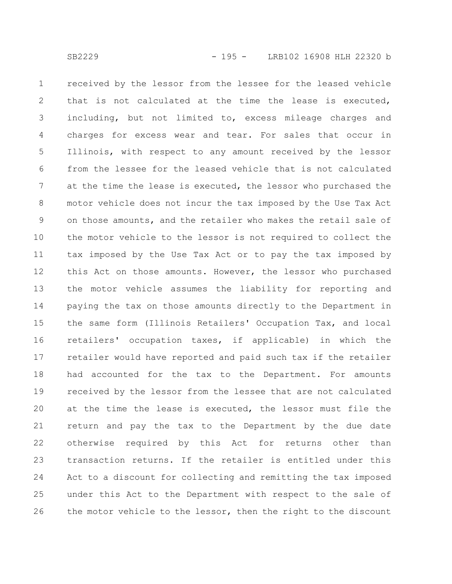received by the lessor from the lessee for the leased vehicle that is not calculated at the time the lease is executed, including, but not limited to, excess mileage charges and charges for excess wear and tear. For sales that occur in Illinois, with respect to any amount received by the lessor from the lessee for the leased vehicle that is not calculated at the time the lease is executed, the lessor who purchased the motor vehicle does not incur the tax imposed by the Use Tax Act on those amounts, and the retailer who makes the retail sale of the motor vehicle to the lessor is not required to collect the tax imposed by the Use Tax Act or to pay the tax imposed by this Act on those amounts. However, the lessor who purchased the motor vehicle assumes the liability for reporting and paying the tax on those amounts directly to the Department in the same form (Illinois Retailers' Occupation Tax, and local retailers' occupation taxes, if applicable) in which the retailer would have reported and paid such tax if the retailer had accounted for the tax to the Department. For amounts received by the lessor from the lessee that are not calculated at the time the lease is executed, the lessor must file the return and pay the tax to the Department by the due date otherwise required by this Act for returns other than transaction returns. If the retailer is entitled under this Act to a discount for collecting and remitting the tax imposed under this Act to the Department with respect to the sale of the motor vehicle to the lessor, then the right to the discount 1 2 3 4 5 6 7 8 9 10 11 12 13 14 15 16 17 18 19 20 21 22 23 24 25 26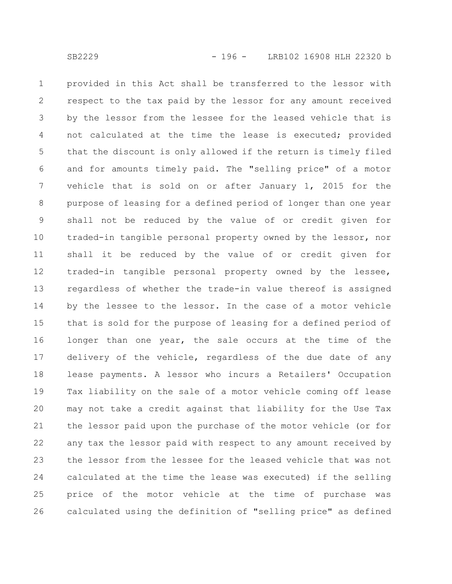provided in this Act shall be transferred to the lessor with respect to the tax paid by the lessor for any amount received by the lessor from the lessee for the leased vehicle that is not calculated at the time the lease is executed; provided that the discount is only allowed if the return is timely filed and for amounts timely paid. The "selling price" of a motor vehicle that is sold on or after January 1, 2015 for the purpose of leasing for a defined period of longer than one year shall not be reduced by the value of or credit given for traded-in tangible personal property owned by the lessor, nor shall it be reduced by the value of or credit given for traded-in tangible personal property owned by the lessee, regardless of whether the trade-in value thereof is assigned by the lessee to the lessor. In the case of a motor vehicle that is sold for the purpose of leasing for a defined period of longer than one year, the sale occurs at the time of the delivery of the vehicle, regardless of the due date of any lease payments. A lessor who incurs a Retailers' Occupation Tax liability on the sale of a motor vehicle coming off lease may not take a credit against that liability for the Use Tax the lessor paid upon the purchase of the motor vehicle (or for any tax the lessor paid with respect to any amount received by the lessor from the lessee for the leased vehicle that was not calculated at the time the lease was executed) if the selling price of the motor vehicle at the time of purchase was calculated using the definition of "selling price" as defined 1 2 3 4 5 6 7 8 9 10 11 12 13 14 15 16 17 18 19 20 21 22 23 24 25 26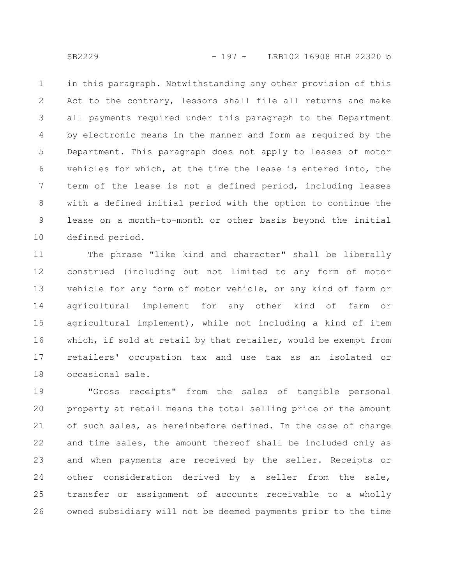in this paragraph. Notwithstanding any other provision of this Act to the contrary, lessors shall file all returns and make all payments required under this paragraph to the Department by electronic means in the manner and form as required by the Department. This paragraph does not apply to leases of motor vehicles for which, at the time the lease is entered into, the term of the lease is not a defined period, including leases with a defined initial period with the option to continue the lease on a month-to-month or other basis beyond the initial defined period. 1 2 3 4 5 6 7 8 9 10

The phrase "like kind and character" shall be liberally construed (including but not limited to any form of motor vehicle for any form of motor vehicle, or any kind of farm or agricultural implement for any other kind of farm or agricultural implement), while not including a kind of item which, if sold at retail by that retailer, would be exempt from retailers' occupation tax and use tax as an isolated or occasional sale. 11 12 13 14 15 16 17 18

"Gross receipts" from the sales of tangible personal property at retail means the total selling price or the amount of such sales, as hereinbefore defined. In the case of charge and time sales, the amount thereof shall be included only as and when payments are received by the seller. Receipts or other consideration derived by a seller from the sale, transfer or assignment of accounts receivable to a wholly owned subsidiary will not be deemed payments prior to the time 19 20 21 22 23 24 25 26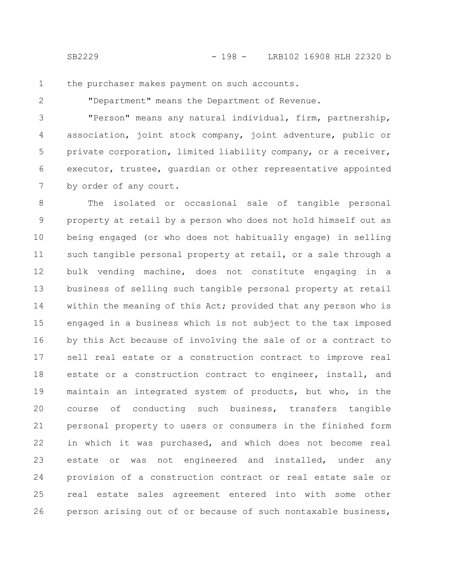the purchaser makes payment on such accounts. 1

2

"Department" means the Department of Revenue.

"Person" means any natural individual, firm, partnership, association, joint stock company, joint adventure, public or private corporation, limited liability company, or a receiver, executor, trustee, guardian or other representative appointed by order of any court. 3 4 5 6 7

The isolated or occasional sale of tangible personal property at retail by a person who does not hold himself out as being engaged (or who does not habitually engage) in selling such tangible personal property at retail, or a sale through a bulk vending machine, does not constitute engaging in a business of selling such tangible personal property at retail within the meaning of this Act; provided that any person who is engaged in a business which is not subject to the tax imposed by this Act because of involving the sale of or a contract to sell real estate or a construction contract to improve real estate or a construction contract to engineer, install, and maintain an integrated system of products, but who, in the course of conducting such business, transfers tangible personal property to users or consumers in the finished form in which it was purchased, and which does not become real estate or was not engineered and installed, under any provision of a construction contract or real estate sale or real estate sales agreement entered into with some other person arising out of or because of such nontaxable business, 8 9 10 11 12 13 14 15 16 17 18 19 20 21 22 23 24 25 26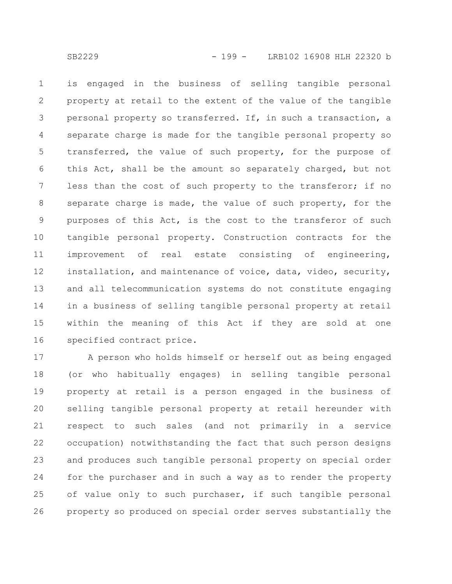is engaged in the business of selling tangible personal property at retail to the extent of the value of the tangible personal property so transferred. If, in such a transaction, a separate charge is made for the tangible personal property so transferred, the value of such property, for the purpose of this Act, shall be the amount so separately charged, but not less than the cost of such property to the transferor; if no separate charge is made, the value of such property, for the purposes of this Act, is the cost to the transferor of such tangible personal property. Construction contracts for the improvement of real estate consisting of engineering, installation, and maintenance of voice, data, video, security, and all telecommunication systems do not constitute engaging in a business of selling tangible personal property at retail within the meaning of this Act if they are sold at one specified contract price. 1 2 3 4 5 6 7 8 9 10 11 12 13 14 15 16

A person who holds himself or herself out as being engaged (or who habitually engages) in selling tangible personal property at retail is a person engaged in the business of selling tangible personal property at retail hereunder with respect to such sales (and not primarily in a service occupation) notwithstanding the fact that such person designs and produces such tangible personal property on special order for the purchaser and in such a way as to render the property of value only to such purchaser, if such tangible personal property so produced on special order serves substantially the 17 18 19 20 21 22 23 24 25 26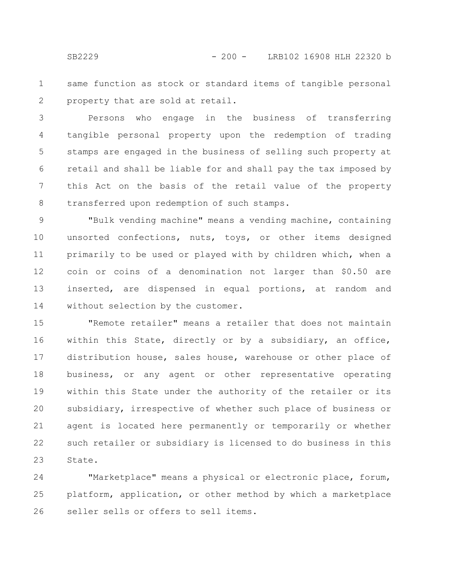same function as stock or standard items of tangible personal property that are sold at retail. 1 2

Persons who engage in the business of transferring tangible personal property upon the redemption of trading stamps are engaged in the business of selling such property at retail and shall be liable for and shall pay the tax imposed by this Act on the basis of the retail value of the property transferred upon redemption of such stamps. 3 4 5 6 7 8

"Bulk vending machine" means a vending machine, containing unsorted confections, nuts, toys, or other items designed primarily to be used or played with by children which, when a coin or coins of a denomination not larger than \$0.50 are inserted, are dispensed in equal portions, at random and without selection by the customer. 9 10 11 12 13 14

"Remote retailer" means a retailer that does not maintain within this State, directly or by a subsidiary, an office, distribution house, sales house, warehouse or other place of business, or any agent or other representative operating within this State under the authority of the retailer or its subsidiary, irrespective of whether such place of business or agent is located here permanently or temporarily or whether such retailer or subsidiary is licensed to do business in this State. 15 16 17 18 19 20 21 22 23

"Marketplace" means a physical or electronic place, forum, platform, application, or other method by which a marketplace seller sells or offers to sell items. 24 25 26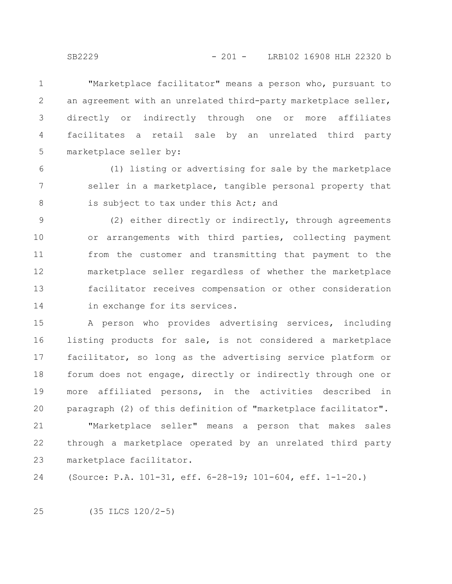"Marketplace facilitator" means a person who, pursuant to an agreement with an unrelated third-party marketplace seller, directly or indirectly through one or more affiliates facilitates a retail sale by an unrelated third party marketplace seller by: 1 2 3 4 5

(1) listing or advertising for sale by the marketplace seller in a marketplace, tangible personal property that is subject to tax under this Act; and 6 7 8

(2) either directly or indirectly, through agreements or arrangements with third parties, collecting payment from the customer and transmitting that payment to the marketplace seller regardless of whether the marketplace facilitator receives compensation or other consideration in exchange for its services. 9 10 11 12 13 14

A person who provides advertising services, including listing products for sale, is not considered a marketplace facilitator, so long as the advertising service platform or forum does not engage, directly or indirectly through one or more affiliated persons, in the activities described in paragraph (2) of this definition of "marketplace facilitator". 15 16 17 18 19 20

"Marketplace seller" means a person that makes sales through a marketplace operated by an unrelated third party marketplace facilitator. 21 22 23

(Source: P.A. 101-31, eff. 6-28-19; 101-604, eff. 1-1-20.) 24

(35 ILCS 120/2-5) 25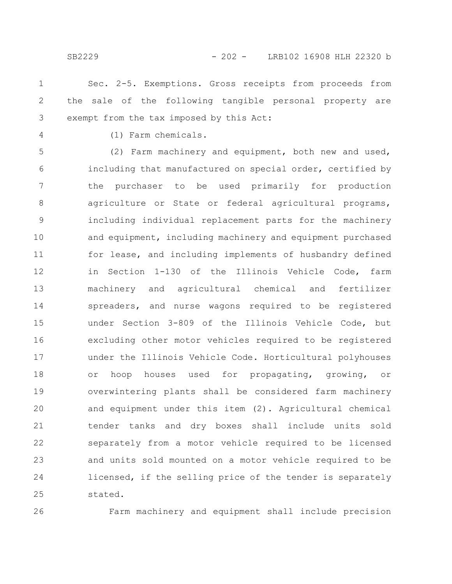- Sec. 2-5. Exemptions. Gross receipts from proceeds from the sale of the following tangible personal property are exempt from the tax imposed by this Act: 1 2 3
- 4

(1) Farm chemicals.

(2) Farm machinery and equipment, both new and used, including that manufactured on special order, certified by the purchaser to be used primarily for production agriculture or State or federal agricultural programs, including individual replacement parts for the machinery and equipment, including machinery and equipment purchased for lease, and including implements of husbandry defined in Section 1-130 of the Illinois Vehicle Code, farm machinery and agricultural chemical and fertilizer spreaders, and nurse wagons required to be registered under Section 3-809 of the Illinois Vehicle Code, but excluding other motor vehicles required to be registered under the Illinois Vehicle Code. Horticultural polyhouses or hoop houses used for propagating, growing, or overwintering plants shall be considered farm machinery and equipment under this item (2). Agricultural chemical tender tanks and dry boxes shall include units sold separately from a motor vehicle required to be licensed and units sold mounted on a motor vehicle required to be licensed, if the selling price of the tender is separately stated. 5 6 7 8 9 10 11 12 13 14 15 16 17 18 19 20 21 22 23 24 25

26

Farm machinery and equipment shall include precision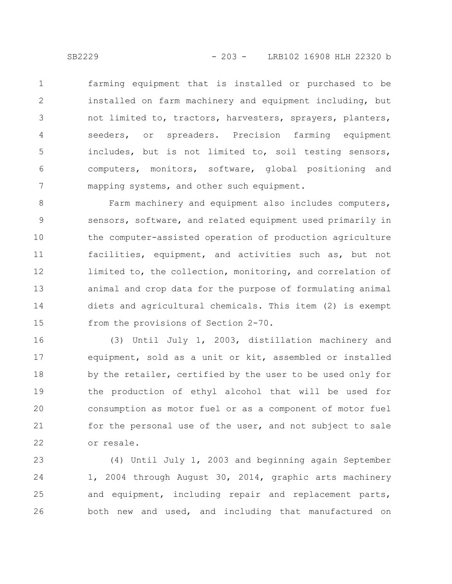farming equipment that is installed or purchased to be installed on farm machinery and equipment including, but not limited to, tractors, harvesters, sprayers, planters, seeders, or spreaders. Precision farming equipment includes, but is not limited to, soil testing sensors, computers, monitors, software, global positioning and mapping systems, and other such equipment. 1 2 3 4 5 6 7

Farm machinery and equipment also includes computers, sensors, software, and related equipment used primarily in the computer-assisted operation of production agriculture facilities, equipment, and activities such as, but not limited to, the collection, monitoring, and correlation of animal and crop data for the purpose of formulating animal diets and agricultural chemicals. This item (2) is exempt from the provisions of Section 2-70. 8 9 10 11 12 13 14 15

(3) Until July 1, 2003, distillation machinery and equipment, sold as a unit or kit, assembled or installed by the retailer, certified by the user to be used only for the production of ethyl alcohol that will be used for consumption as motor fuel or as a component of motor fuel for the personal use of the user, and not subject to sale or resale. 16 17 18 19 20 21 22

(4) Until July 1, 2003 and beginning again September 1, 2004 through August 30, 2014, graphic arts machinery and equipment, including repair and replacement parts, both new and used, and including that manufactured on 23 24 25 26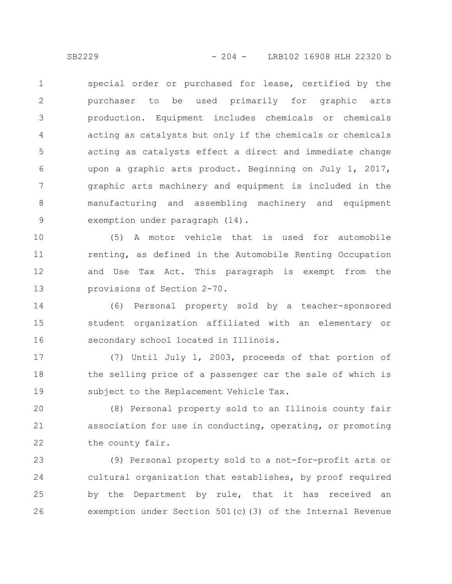special order or purchased for lease, certified by the purchaser to be used primarily for graphic arts production. Equipment includes chemicals or chemicals acting as catalysts but only if the chemicals or chemicals acting as catalysts effect a direct and immediate change upon a graphic arts product. Beginning on July 1, 2017, graphic arts machinery and equipment is included in the manufacturing and assembling machinery and equipment exemption under paragraph (14). 1 2 3 4 5 6 7 8 9

(5) A motor vehicle that is used for automobile renting, as defined in the Automobile Renting Occupation and Use Tax Act. This paragraph is exempt from the provisions of Section 2-70. 10 11 12 13

(6) Personal property sold by a teacher-sponsored student organization affiliated with an elementary or secondary school located in Illinois. 14 15 16

(7) Until July 1, 2003, proceeds of that portion of the selling price of a passenger car the sale of which is subject to the Replacement Vehicle Tax. 17 18 19

(8) Personal property sold to an Illinois county fair association for use in conducting, operating, or promoting the county fair. 20 21 22

(9) Personal property sold to a not-for-profit arts or cultural organization that establishes, by proof required by the Department by rule, that it has received an exemption under Section 501(c)(3) of the Internal Revenue 23 24 25 26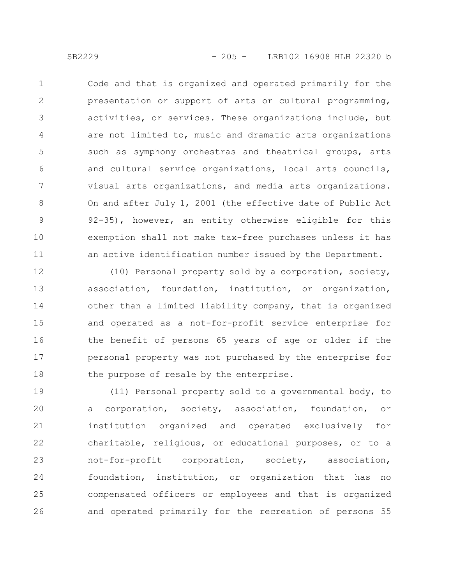Code and that is organized and operated primarily for the presentation or support of arts or cultural programming, activities, or services. These organizations include, but are not limited to, music and dramatic arts organizations such as symphony orchestras and theatrical groups, arts and cultural service organizations, local arts councils, visual arts organizations, and media arts organizations. On and after July 1, 2001 (the effective date of Public Act 92-35), however, an entity otherwise eligible for this exemption shall not make tax-free purchases unless it has an active identification number issued by the Department. 1 2 3 4 5 6 7 8 9 10 11

(10) Personal property sold by a corporation, society, association, foundation, institution, or organization, other than a limited liability company, that is organized and operated as a not-for-profit service enterprise for the benefit of persons 65 years of age or older if the personal property was not purchased by the enterprise for the purpose of resale by the enterprise. 12 13 14 15 16 17 18

(11) Personal property sold to a governmental body, to a corporation, society, association, foundation, or institution organized and operated exclusively for charitable, religious, or educational purposes, or to a not-for-profit corporation, society, association, foundation, institution, or organization that has no compensated officers or employees and that is organized and operated primarily for the recreation of persons 55 19 20 21 22 23 24 25 26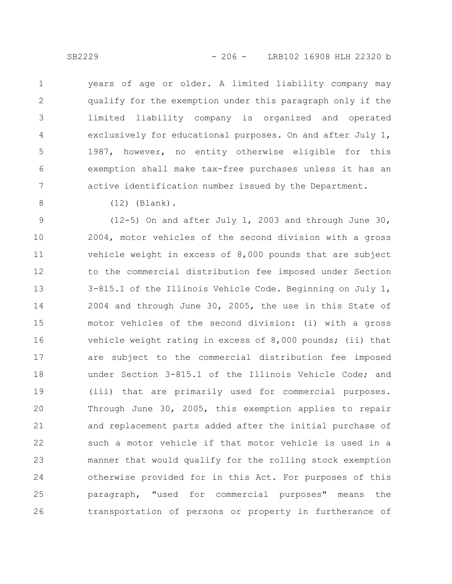years of age or older. A limited liability company may qualify for the exemption under this paragraph only if the limited liability company is organized and operated exclusively for educational purposes. On and after July 1, 1987, however, no entity otherwise eligible for this exemption shall make tax-free purchases unless it has an active identification number issued by the Department. 1 2 3 4 5 6 7

8

(12) (Blank).

(12-5) On and after July 1, 2003 and through June 30, 2004, motor vehicles of the second division with a gross vehicle weight in excess of 8,000 pounds that are subject to the commercial distribution fee imposed under Section 3-815.1 of the Illinois Vehicle Code. Beginning on July 1, 2004 and through June 30, 2005, the use in this State of motor vehicles of the second division: (i) with a gross vehicle weight rating in excess of 8,000 pounds; (ii) that are subject to the commercial distribution fee imposed under Section 3-815.1 of the Illinois Vehicle Code; and (iii) that are primarily used for commercial purposes. Through June 30, 2005, this exemption applies to repair and replacement parts added after the initial purchase of such a motor vehicle if that motor vehicle is used in a manner that would qualify for the rolling stock exemption otherwise provided for in this Act. For purposes of this paragraph, "used for commercial purposes" means the transportation of persons or property in furtherance of 9 10 11 12 13 14 15 16 17 18 19 20 21 22 23 24 25 26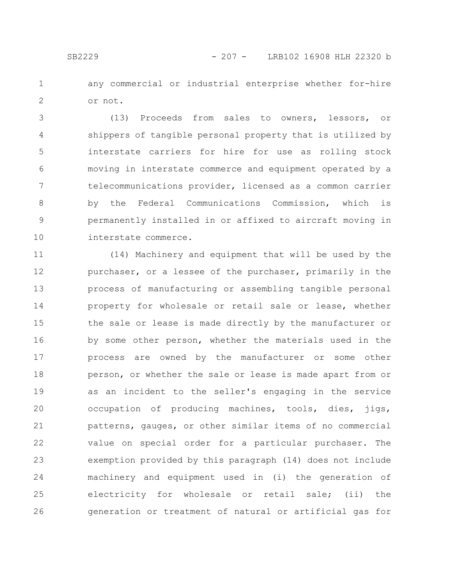any commercial or industrial enterprise whether for-hire or not. 1 2

(13) Proceeds from sales to owners, lessors, or shippers of tangible personal property that is utilized by interstate carriers for hire for use as rolling stock moving in interstate commerce and equipment operated by a telecommunications provider, licensed as a common carrier by the Federal Communications Commission, which is permanently installed in or affixed to aircraft moving in interstate commerce. 3 4 5 6 7 8 9 10

(14) Machinery and equipment that will be used by the purchaser, or a lessee of the purchaser, primarily in the process of manufacturing or assembling tangible personal property for wholesale or retail sale or lease, whether the sale or lease is made directly by the manufacturer or by some other person, whether the materials used in the process are owned by the manufacturer or some other person, or whether the sale or lease is made apart from or as an incident to the seller's engaging in the service occupation of producing machines, tools, dies, jigs, patterns, gauges, or other similar items of no commercial value on special order for a particular purchaser. The exemption provided by this paragraph (14) does not include machinery and equipment used in (i) the generation of electricity for wholesale or retail sale; (ii) the generation or treatment of natural or artificial gas for 11 12 13 14 15 16 17 18 19 20 21 22 23 24 25 26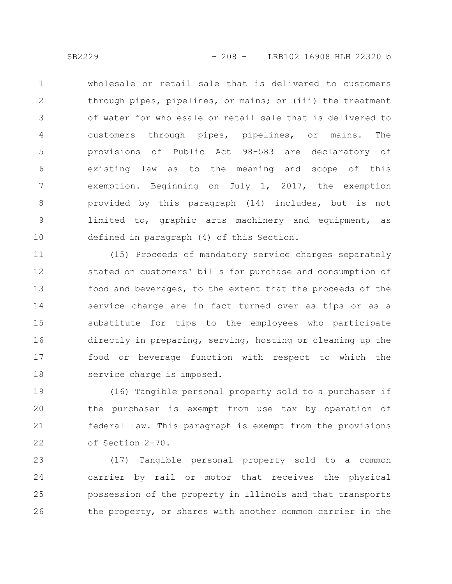wholesale or retail sale that is delivered to customers through pipes, pipelines, or mains; or (iii) the treatment of water for wholesale or retail sale that is delivered to customers through pipes, pipelines, or mains. The provisions of Public Act 98-583 are declaratory of existing law as to the meaning and scope of this exemption. Beginning on July 1, 2017, the exemption provided by this paragraph (14) includes, but is not limited to, graphic arts machinery and equipment, as defined in paragraph (4) of this Section. 1 2 3 4 5 6 7 8 9 10

(15) Proceeds of mandatory service charges separately stated on customers' bills for purchase and consumption of food and beverages, to the extent that the proceeds of the service charge are in fact turned over as tips or as a substitute for tips to the employees who participate directly in preparing, serving, hosting or cleaning up the food or beverage function with respect to which the service charge is imposed. 11 12 13 14 15 16 17 18

(16) Tangible personal property sold to a purchaser if the purchaser is exempt from use tax by operation of federal law. This paragraph is exempt from the provisions of Section 2-70. 19 20 21 22

(17) Tangible personal property sold to a common carrier by rail or motor that receives the physical possession of the property in Illinois and that transports the property, or shares with another common carrier in the 23 24 25 26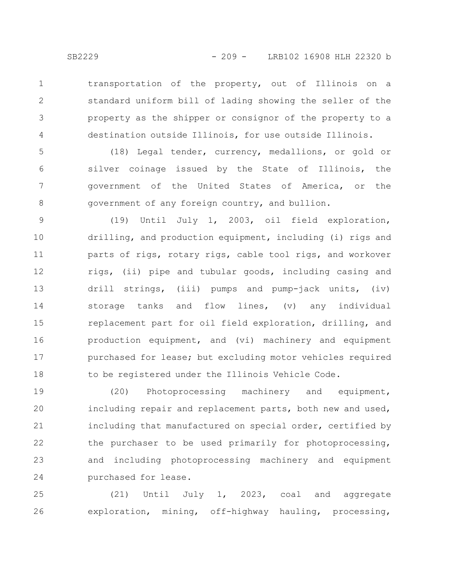transportation of the property, out of Illinois on a standard uniform bill of lading showing the seller of the property as the shipper or consignor of the property to a destination outside Illinois, for use outside Illinois. 1 2 3 4

(18) Legal tender, currency, medallions, or gold or silver coinage issued by the State of Illinois, the government of the United States of America, or the government of any foreign country, and bullion. 5 6 7 8

(19) Until July 1, 2003, oil field exploration, drilling, and production equipment, including (i) rigs and parts of rigs, rotary rigs, cable tool rigs, and workover rigs, (ii) pipe and tubular goods, including casing and drill strings, (iii) pumps and pump-jack units, (iv) storage tanks and flow lines, (v) any individual replacement part for oil field exploration, drilling, and production equipment, and (vi) machinery and equipment purchased for lease; but excluding motor vehicles required to be registered under the Illinois Vehicle Code. 9 10 11 12 13 14 15 16 17 18

(20) Photoprocessing machinery and equipment, including repair and replacement parts, both new and used, including that manufactured on special order, certified by the purchaser to be used primarily for photoprocessing, and including photoprocessing machinery and equipment purchased for lease. 19 20 21 22 23 24

(21) Until July 1, 2023, coal and aggregate exploration, mining, off-highway hauling, processing, 25 26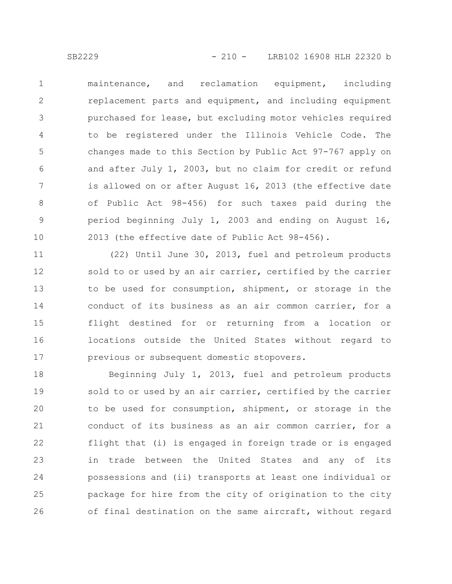maintenance, and reclamation equipment, including replacement parts and equipment, and including equipment purchased for lease, but excluding motor vehicles required to be registered under the Illinois Vehicle Code. The changes made to this Section by Public Act 97-767 apply on and after July 1, 2003, but no claim for credit or refund is allowed on or after August 16, 2013 (the effective date of Public Act 98-456) for such taxes paid during the period beginning July 1, 2003 and ending on August 16, 2013 (the effective date of Public Act 98-456). 1 2 3 4 5 6 7 8 9 10

(22) Until June 30, 2013, fuel and petroleum products sold to or used by an air carrier, certified by the carrier to be used for consumption, shipment, or storage in the conduct of its business as an air common carrier, for a flight destined for or returning from a location or locations outside the United States without regard to previous or subsequent domestic stopovers. 11 12 13 14 15 16 17

Beginning July 1, 2013, fuel and petroleum products sold to or used by an air carrier, certified by the carrier to be used for consumption, shipment, or storage in the conduct of its business as an air common carrier, for a flight that (i) is engaged in foreign trade or is engaged in trade between the United States and any of its possessions and (ii) transports at least one individual or package for hire from the city of origination to the city of final destination on the same aircraft, without regard 18 19 20 21 22 23 24 25 26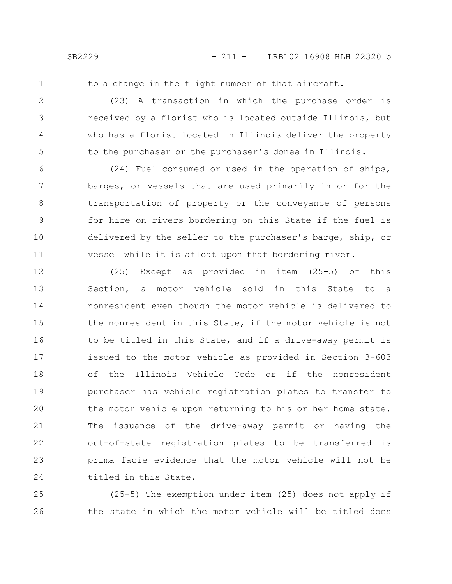1

to a change in the flight number of that aircraft.

(23) A transaction in which the purchase order is received by a florist who is located outside Illinois, but who has a florist located in Illinois deliver the property to the purchaser or the purchaser's donee in Illinois. 2 3 4 5

(24) Fuel consumed or used in the operation of ships, barges, or vessels that are used primarily in or for the transportation of property or the conveyance of persons for hire on rivers bordering on this State if the fuel is delivered by the seller to the purchaser's barge, ship, or vessel while it is afloat upon that bordering river. 6 7 8 9 10 11

(25) Except as provided in item (25-5) of this Section, a motor vehicle sold in this State to a nonresident even though the motor vehicle is delivered to the nonresident in this State, if the motor vehicle is not to be titled in this State, and if a drive-away permit is issued to the motor vehicle as provided in Section 3-603 of the Illinois Vehicle Code or if the nonresident purchaser has vehicle registration plates to transfer to the motor vehicle upon returning to his or her home state. The issuance of the drive-away permit or having the out-of-state registration plates to be transferred is prima facie evidence that the motor vehicle will not be titled in this State. 12 13 14 15 16 17 18 19 20 21 22 23 24

(25-5) The exemption under item (25) does not apply if the state in which the motor vehicle will be titled does 25 26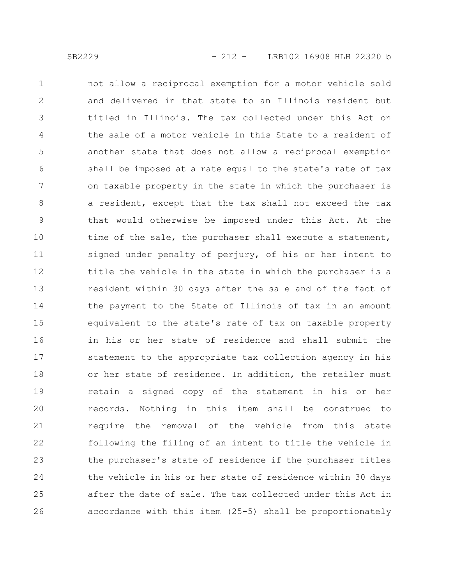not allow a reciprocal exemption for a motor vehicle sold and delivered in that state to an Illinois resident but titled in Illinois. The tax collected under this Act on the sale of a motor vehicle in this State to a resident of another state that does not allow a reciprocal exemption shall be imposed at a rate equal to the state's rate of tax on taxable property in the state in which the purchaser is a resident, except that the tax shall not exceed the tax that would otherwise be imposed under this Act. At the time of the sale, the purchaser shall execute a statement, signed under penalty of perjury, of his or her intent to title the vehicle in the state in which the purchaser is a resident within 30 days after the sale and of the fact of the payment to the State of Illinois of tax in an amount equivalent to the state's rate of tax on taxable property in his or her state of residence and shall submit the statement to the appropriate tax collection agency in his or her state of residence. In addition, the retailer must retain a signed copy of the statement in his or her records. Nothing in this item shall be construed to require the removal of the vehicle from this state following the filing of an intent to title the vehicle in the purchaser's state of residence if the purchaser titles the vehicle in his or her state of residence within 30 days after the date of sale. The tax collected under this Act in accordance with this item (25-5) shall be proportionately 1 2 3 4 5 6 7 8 9 10 11 12 13 14 15 16 17 18 19 20 21 22 23 24 25 26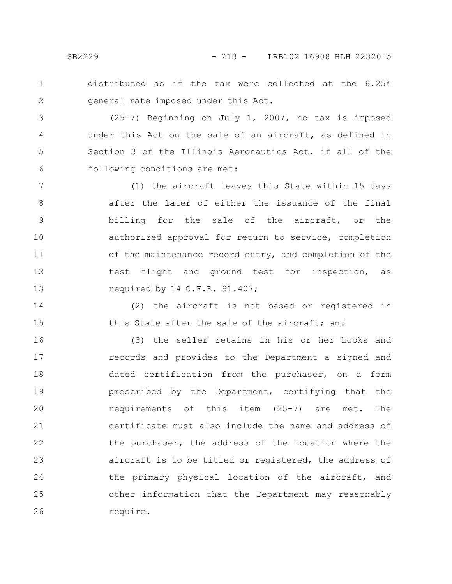distributed as if the tax were collected at the 6.25% general rate imposed under this Act. 1 2

(25-7) Beginning on July 1, 2007, no tax is imposed under this Act on the sale of an aircraft, as defined in Section 3 of the Illinois Aeronautics Act, if all of the following conditions are met: 3 4 5 6

(1) the aircraft leaves this State within 15 days after the later of either the issuance of the final billing for the sale of the aircraft, or the authorized approval for return to service, completion of the maintenance record entry, and completion of the test flight and ground test for inspection, as required by 14 C.F.R. 91.407; 7 8 9 10 11 12 13

(2) the aircraft is not based or registered in this State after the sale of the aircraft; and 14 15

(3) the seller retains in his or her books and records and provides to the Department a signed and dated certification from the purchaser, on a form prescribed by the Department, certifying that the requirements of this item (25-7) are met. The certificate must also include the name and address of the purchaser, the address of the location where the aircraft is to be titled or registered, the address of the primary physical location of the aircraft, and other information that the Department may reasonably require. 16 17 18 19 20 21 22 23 24 25 26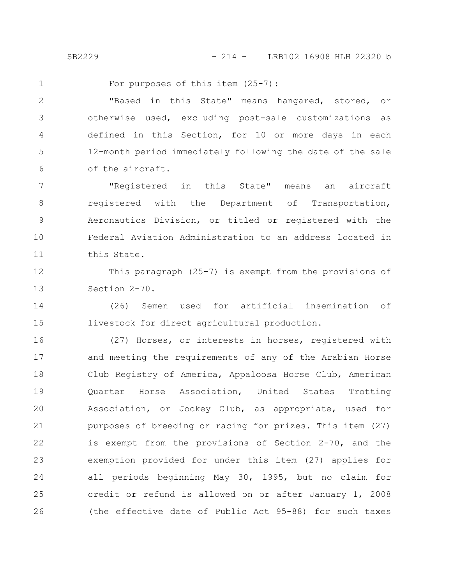1

For purposes of this item (25-7):

"Based in this State" means hangared, stored, or otherwise used, excluding post-sale customizations as defined in this Section, for 10 or more days in each 12-month period immediately following the date of the sale of the aircraft. 2 3 4 5 6

"Registered in this State" means an aircraft registered with the Department of Transportation, Aeronautics Division, or titled or registered with the Federal Aviation Administration to an address located in this State. 7 8 9 10 11

This paragraph (25-7) is exempt from the provisions of Section 2-70. 12 13

(26) Semen used for artificial insemination of livestock for direct agricultural production. 14 15

(27) Horses, or interests in horses, registered with and meeting the requirements of any of the Arabian Horse Club Registry of America, Appaloosa Horse Club, American Quarter Horse Association, United States Trotting Association, or Jockey Club, as appropriate, used for purposes of breeding or racing for prizes. This item (27) is exempt from the provisions of Section 2-70, and the exemption provided for under this item (27) applies for all periods beginning May 30, 1995, but no claim for credit or refund is allowed on or after January 1, 2008 (the effective date of Public Act 95-88) for such taxes 16 17 18 19 20 21 22 23 24 25 26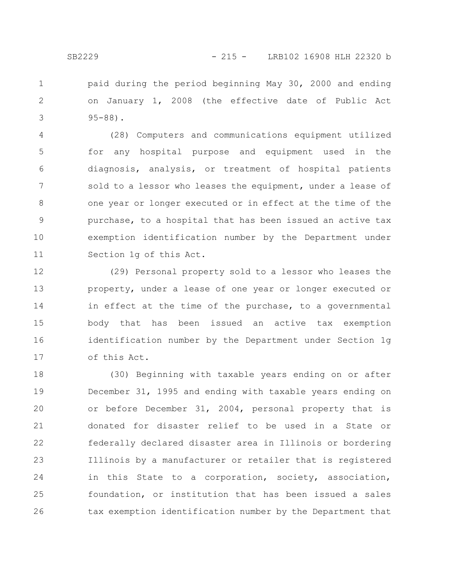paid during the period beginning May 30, 2000 and ending on January 1, 2008 (the effective date of Public Act 95-88). 1 2 3

(28) Computers and communications equipment utilized for any hospital purpose and equipment used in the diagnosis, analysis, or treatment of hospital patients sold to a lessor who leases the equipment, under a lease of one year or longer executed or in effect at the time of the purchase, to a hospital that has been issued an active tax exemption identification number by the Department under Section 1g of this Act. 4 5 6 7 8 9 10 11

(29) Personal property sold to a lessor who leases the property, under a lease of one year or longer executed or in effect at the time of the purchase, to a governmental body that has been issued an active tax exemption identification number by the Department under Section 1g of this Act. 12 13 14 15 16 17

(30) Beginning with taxable years ending on or after December 31, 1995 and ending with taxable years ending on or before December 31, 2004, personal property that is donated for disaster relief to be used in a State or federally declared disaster area in Illinois or bordering Illinois by a manufacturer or retailer that is registered in this State to a corporation, society, association, foundation, or institution that has been issued a sales tax exemption identification number by the Department that 18 19 20 21 22 23 24 25 26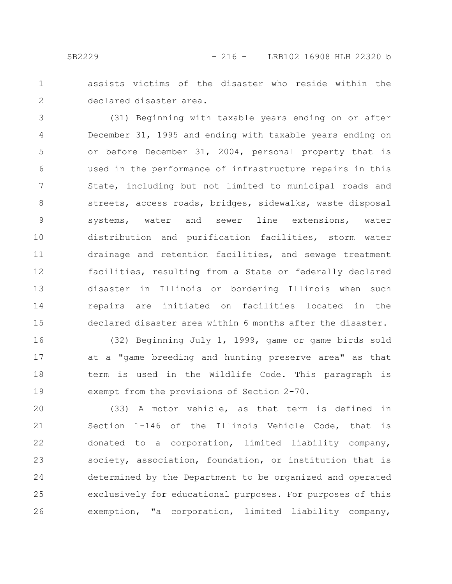assists victims of the disaster who reside within the declared disaster area. 1 2

(31) Beginning with taxable years ending on or after December 31, 1995 and ending with taxable years ending on or before December 31, 2004, personal property that is used in the performance of infrastructure repairs in this State, including but not limited to municipal roads and streets, access roads, bridges, sidewalks, waste disposal systems, water and sewer line extensions, water distribution and purification facilities, storm water drainage and retention facilities, and sewage treatment facilities, resulting from a State or federally declared disaster in Illinois or bordering Illinois when such repairs are initiated on facilities located in the declared disaster area within 6 months after the disaster. 3 4 5 6 7 8 9 10 11 12 13 14 15

(32) Beginning July 1, 1999, game or game birds sold at a "game breeding and hunting preserve area" as that term is used in the Wildlife Code. This paragraph is exempt from the provisions of Section 2-70. 16 17 18 19

(33) A motor vehicle, as that term is defined in Section 1-146 of the Illinois Vehicle Code, that is donated to a corporation, limited liability company, society, association, foundation, or institution that is determined by the Department to be organized and operated exclusively for educational purposes. For purposes of this exemption, "a corporation, limited liability company, 20 21 22 23 24 25 26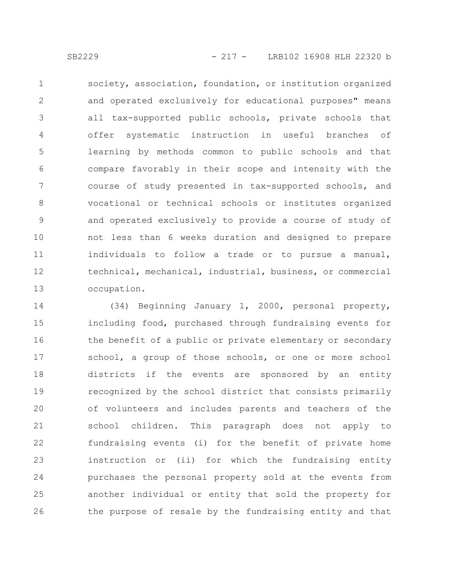society, association, foundation, or institution organized and operated exclusively for educational purposes" means all tax-supported public schools, private schools that offer systematic instruction in useful branches of learning by methods common to public schools and that compare favorably in their scope and intensity with the course of study presented in tax-supported schools, and vocational or technical schools or institutes organized and operated exclusively to provide a course of study of not less than 6 weeks duration and designed to prepare individuals to follow a trade or to pursue a manual, technical, mechanical, industrial, business, or commercial occupation. 1 2 3 4 5 6 7 8 9 10 11 12 13

(34) Beginning January 1, 2000, personal property, including food, purchased through fundraising events for the benefit of a public or private elementary or secondary school, a group of those schools, or one or more school districts if the events are sponsored by an entity recognized by the school district that consists primarily of volunteers and includes parents and teachers of the school children. This paragraph does not apply to fundraising events (i) for the benefit of private home instruction or (ii) for which the fundraising entity purchases the personal property sold at the events from another individual or entity that sold the property for the purpose of resale by the fundraising entity and that 14 15 16 17 18 19 20 21 22 23 24 25 26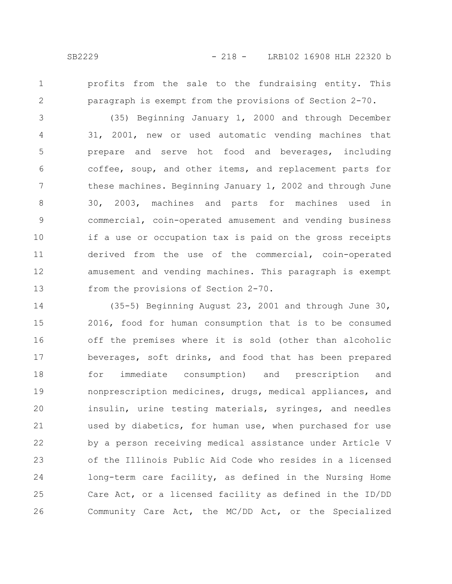- 
- 1 2

profits from the sale to the fundraising entity. This paragraph is exempt from the provisions of Section 2-70.

(35) Beginning January 1, 2000 and through December 31, 2001, new or used automatic vending machines that prepare and serve hot food and beverages, including coffee, soup, and other items, and replacement parts for these machines. Beginning January 1, 2002 and through June 30, 2003, machines and parts for machines used in commercial, coin-operated amusement and vending business if a use or occupation tax is paid on the gross receipts derived from the use of the commercial, coin-operated amusement and vending machines. This paragraph is exempt from the provisions of Section 2-70. 3 4 5 6 7 8 9 10 11 12 13

(35-5) Beginning August 23, 2001 and through June 30, 2016, food for human consumption that is to be consumed off the premises where it is sold (other than alcoholic beverages, soft drinks, and food that has been prepared for immediate consumption) and prescription and nonprescription medicines, drugs, medical appliances, and insulin, urine testing materials, syringes, and needles used by diabetics, for human use, when purchased for use by a person receiving medical assistance under Article V of the Illinois Public Aid Code who resides in a licensed long-term care facility, as defined in the Nursing Home Care Act, or a licensed facility as defined in the ID/DD Community Care Act, the MC/DD Act, or the Specialized 14 15 16 17 18 19 20 21 22 23 24 25 26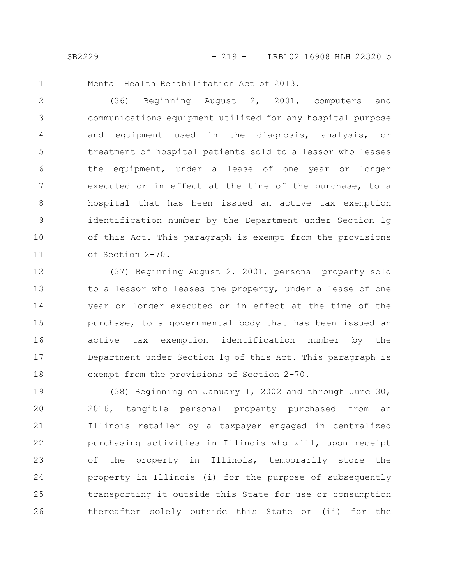1

Mental Health Rehabilitation Act of 2013.

(36) Beginning August 2, 2001, computers and communications equipment utilized for any hospital purpose and equipment used in the diagnosis, analysis, or treatment of hospital patients sold to a lessor who leases the equipment, under a lease of one year or longer executed or in effect at the time of the purchase, to a hospital that has been issued an active tax exemption identification number by the Department under Section 1g of this Act. This paragraph is exempt from the provisions of Section 2-70. 2 3 4 5 6 7 8 9 10 11

(37) Beginning August 2, 2001, personal property sold to a lessor who leases the property, under a lease of one year or longer executed or in effect at the time of the purchase, to a governmental body that has been issued an active tax exemption identification number by the Department under Section 1g of this Act. This paragraph is exempt from the provisions of Section 2-70. 12 13 14 15 16 17 18

(38) Beginning on January 1, 2002 and through June 30, 2016, tangible personal property purchased from an Illinois retailer by a taxpayer engaged in centralized purchasing activities in Illinois who will, upon receipt of the property in Illinois, temporarily store the property in Illinois (i) for the purpose of subsequently transporting it outside this State for use or consumption thereafter solely outside this State or (ii) for the 19 20 21 22 23 24 25 26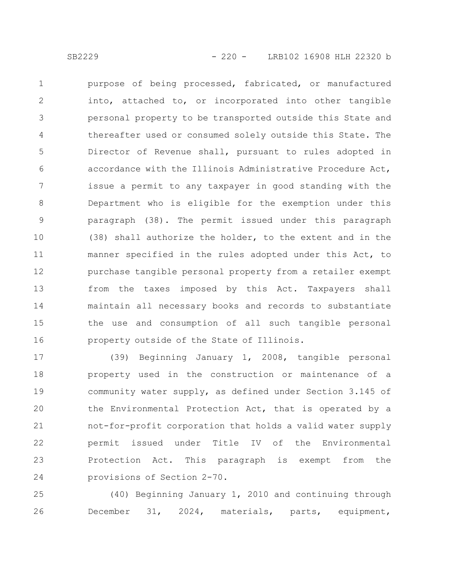purpose of being processed, fabricated, or manufactured into, attached to, or incorporated into other tangible personal property to be transported outside this State and thereafter used or consumed solely outside this State. The Director of Revenue shall, pursuant to rules adopted in accordance with the Illinois Administrative Procedure Act, issue a permit to any taxpayer in good standing with the Department who is eligible for the exemption under this paragraph (38). The permit issued under this paragraph (38) shall authorize the holder, to the extent and in the manner specified in the rules adopted under this Act, to purchase tangible personal property from a retailer exempt from the taxes imposed by this Act. Taxpayers shall maintain all necessary books and records to substantiate the use and consumption of all such tangible personal property outside of the State of Illinois. 1 2 3 4 5 6 7 8 9 10 11 12 13 14 15 16

(39) Beginning January 1, 2008, tangible personal property used in the construction or maintenance of a community water supply, as defined under Section 3.145 of the Environmental Protection Act, that is operated by a not-for-profit corporation that holds a valid water supply permit issued under Title IV of the Environmental Protection Act. This paragraph is exempt from the provisions of Section 2-70. 17 18 19 20 21 22 23 24

(40) Beginning January 1, 2010 and continuing through December 31, 2024, materials, parts, equipment, 25 26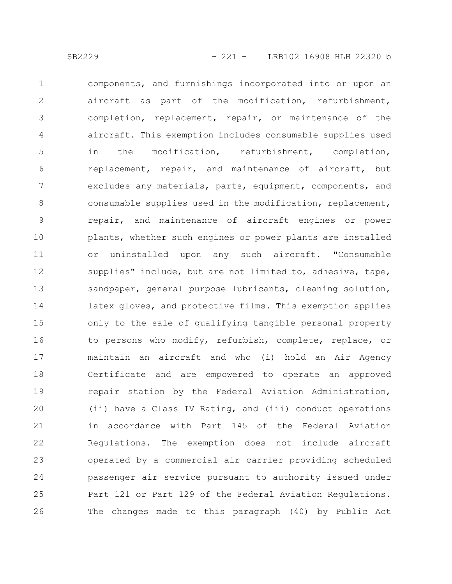components, and furnishings incorporated into or upon an aircraft as part of the modification, refurbishment, completion, replacement, repair, or maintenance of the aircraft. This exemption includes consumable supplies used in the modification, refurbishment, completion, replacement, repair, and maintenance of aircraft, but excludes any materials, parts, equipment, components, and consumable supplies used in the modification, replacement, repair, and maintenance of aircraft engines or power plants, whether such engines or power plants are installed or uninstalled upon any such aircraft. "Consumable supplies" include, but are not limited to, adhesive, tape, sandpaper, general purpose lubricants, cleaning solution, latex gloves, and protective films. This exemption applies only to the sale of qualifying tangible personal property to persons who modify, refurbish, complete, replace, or maintain an aircraft and who (i) hold an Air Agency Certificate and are empowered to operate an approved repair station by the Federal Aviation Administration, (ii) have a Class IV Rating, and (iii) conduct operations in accordance with Part 145 of the Federal Aviation Regulations. The exemption does not include aircraft operated by a commercial air carrier providing scheduled passenger air service pursuant to authority issued under Part 121 or Part 129 of the Federal Aviation Regulations. The changes made to this paragraph (40) by Public Act 1 2 3 4 5 6 7 8 9 10 11 12 13 14 15 16 17 18 19 20 21 22 23 24 25 26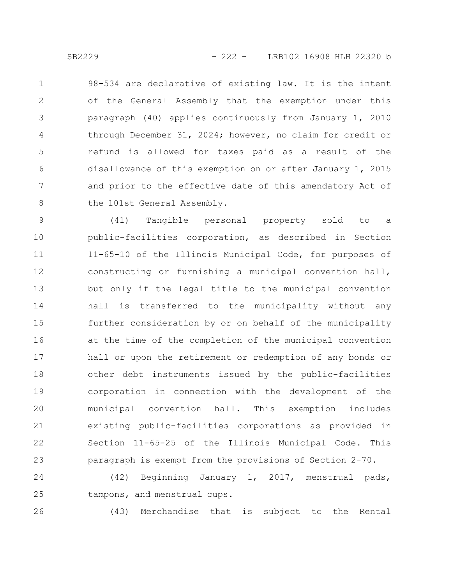98-534 are declarative of existing law. It is the intent of the General Assembly that the exemption under this

paragraph (40) applies continuously from January 1, 2010 through December 31, 2024; however, no claim for credit or refund is allowed for taxes paid as a result of the disallowance of this exemption on or after January 1, 2015 and prior to the effective date of this amendatory Act of the 101st General Assembly. 3 4 5 6 7 8

(41) Tangible personal property sold to a public-facilities corporation, as described in Section 11-65-10 of the Illinois Municipal Code, for purposes of constructing or furnishing a municipal convention hall, but only if the legal title to the municipal convention hall is transferred to the municipality without any further consideration by or on behalf of the municipality at the time of the completion of the municipal convention hall or upon the retirement or redemption of any bonds or other debt instruments issued by the public-facilities corporation in connection with the development of the municipal convention hall. This exemption includes existing public-facilities corporations as provided in Section 11-65-25 of the Illinois Municipal Code. This paragraph is exempt from the provisions of Section 2-70. 9 10 11 12 13 14 15 16 17 18 19 20 21 22 23

(42) Beginning January 1, 2017, menstrual pads, tampons, and menstrual cups. 24 25

26

(43) Merchandise that is subject to the Rental

1

2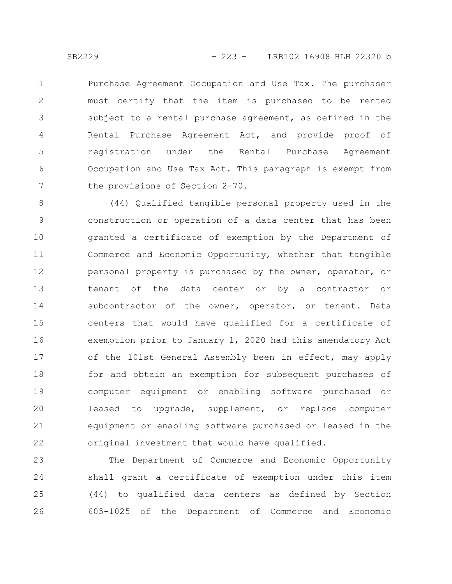Purchase Agreement Occupation and Use Tax. The purchaser must certify that the item is purchased to be rented subject to a rental purchase agreement, as defined in the Rental Purchase Agreement Act, and provide proof of registration under the Rental Purchase Agreement Occupation and Use Tax Act. This paragraph is exempt from the provisions of Section 2-70. 1 2 3 4 5 6 7

(44) Qualified tangible personal property used in the construction or operation of a data center that has been granted a certificate of exemption by the Department of Commerce and Economic Opportunity, whether that tangible personal property is purchased by the owner, operator, or tenant of the data center or by a contractor or subcontractor of the owner, operator, or tenant. Data centers that would have qualified for a certificate of exemption prior to January 1, 2020 had this amendatory Act of the 101st General Assembly been in effect, may apply for and obtain an exemption for subsequent purchases of computer equipment or enabling software purchased or leased to upgrade, supplement, or replace computer equipment or enabling software purchased or leased in the original investment that would have qualified. 8 9 10 11 12 13 14 15 16 17 18 19 20 21 22

The Department of Commerce and Economic Opportunity shall grant a certificate of exemption under this item (44) to qualified data centers as defined by Section 605-1025 of the Department of Commerce and Economic 23 24 25 26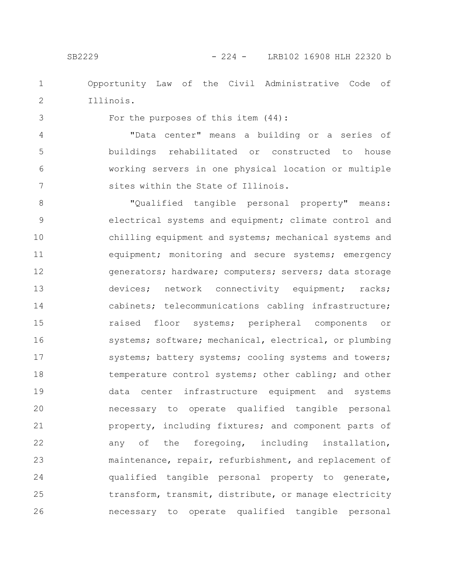Opportunity Law of the Civil Administrative Code of Illinois. 1 2

3

For the purposes of this item (44):

"Data center" means a building or a series of buildings rehabilitated or constructed to house working servers in one physical location or multiple sites within the State of Illinois. 4 5 6 7

"Qualified tangible personal property" means: electrical systems and equipment; climate control and chilling equipment and systems; mechanical systems and equipment; monitoring and secure systems; emergency generators; hardware; computers; servers; data storage devices; network connectivity equipment; racks; cabinets; telecommunications cabling infrastructure; raised floor systems; peripheral components or systems; software; mechanical, electrical, or plumbing systems; battery systems; cooling systems and towers; temperature control systems; other cabling; and other data center infrastructure equipment and systems necessary to operate qualified tangible personal property, including fixtures; and component parts of any of the foregoing, including installation, maintenance, repair, refurbishment, and replacement of qualified tangible personal property to generate, transform, transmit, distribute, or manage electricity necessary to operate qualified tangible personal 8 9 10 11 12 13 14 15 16 17 18 19 20 21 22 23 24 25 26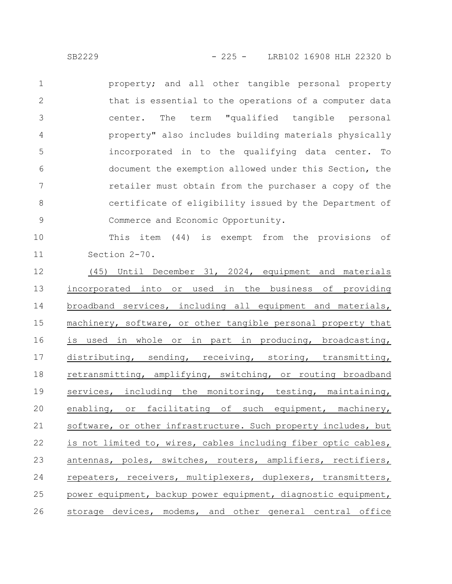property; and all other tangible personal property that is essential to the operations of a computer data center. The term "qualified tangible personal property" also includes building materials physically incorporated in to the qualifying data center. To document the exemption allowed under this Section, the retailer must obtain from the purchaser a copy of the certificate of eligibility issued by the Department of Commerce and Economic Opportunity. 1 2 3 4 5 6 7 8 9

This item (44) is exempt from the provisions of Section 2-70. 10 11

(45) Until December 31, 2024, equipment and materials incorporated into or used in the business of providing broadband services, including all equipment and materials, machinery, software, or other tangible personal property that is used in whole or in part in producing, broadcasting, distributing, sending, receiving, storing, transmitting, retransmitting, amplifying, switching, or routing broadband services, including the monitoring, testing, maintaining, enabling, or facilitating of such equipment, machinery, software, or other infrastructure. Such property includes, but is not limited to, wires, cables including fiber optic cables, antennas, poles, switches, routers, amplifiers, rectifiers, repeaters, receivers, multiplexers, duplexers, transmitters, power equipment, backup power equipment, diagnostic equipment, storage devices, modems, and other general central office 12 13 14 15 16 17 18 19 20 21 22 23 24 25 26